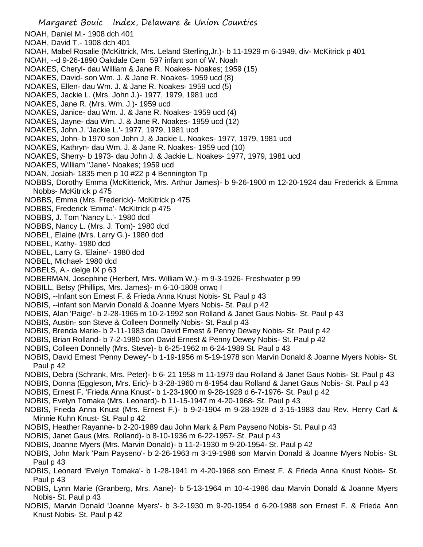- NOAH, Daniel M.- 1908 dch 401
- NOAH, David T.- 1908 dch 401
- NOAH, Mabel Rosalie (McKittrick, Mrs. Leland Sterling,Jr.)- b 11-1929 m 6-1949, div- McKitrick p 401
- NOAH, --d 9-26-1890 Oakdale Cem 597 infant son of W. Noah
- NOAKES, Cheryl- dau William & Jane R. Noakes- Noakes; 1959 (15)
- NOAKES, David- son Wm. J. & Jane R. Noakes- 1959 ucd (8)
- NOAKES, Ellen- dau Wm. J. & Jane R. Noakes- 1959 ucd (5)
- NOAKES, Jackie L. (Mrs. John J.)- 1977, 1979, 1981 ucd
- NOAKES, Jane R. (Mrs. Wm. J.)- 1959 ucd
- NOAKES, Janice- dau Wm. J. & Jane R. Noakes- 1959 ucd (4)
- NOAKES, Jayne- dau Wm. J. & Jane R. Noakes- 1959 ucd (12)
- NOAKES, John J. 'Jackie L.'- 1977, 1979, 1981 ucd
- NOAKES, John- b 1970 son John J. & Jackie L. Noakes- 1977, 1979, 1981 ucd
- NOAKES, Kathryn- dau Wm. J. & Jane R. Noakes- 1959 ucd (10)
- NOAKES, Sherry- b 1973- dau John J. & Jackie L. Noakes- 1977, 1979, 1981 ucd
- NOAKES, William "Jane'- Noakes; 1959 ucd
- NOAN, Josiah- 1835 men p 10 #22 p 4 Bennington Tp
- NOBBS, Dorothy Emma (McKitterick, Mrs. Arthur James)- b 9-26-1900 m 12-20-1924 dau Frederick & Emma Nobbs- McKitrick p 475
- NOBBS, Emma (Mrs. Frederick)- McKitrick p 475
- NOBBS, Frederick 'Emma'- McKitrick p 475
- NOBBS, J. Tom 'Nancy L.'- 1980 dcd
- NOBBS, Nancy L. (Mrs. J. Tom)- 1980 dcd
- NOBEL, Elaine (Mrs. Larry G.)- 1980 dcd
- NOBEL, Kathy- 1980 dcd
- NOBEL, Larry G. 'Elaine'- 1980 dcd
- NOBEL, Michael- 1980 dcd
- NOBELS, A.- delge IX p 63
- NOBERMAN, Josephine (Herbert, Mrs. William W.)- m 9-3-1926- Freshwater p 99
- NOBILL, Betsy (Phillips, Mrs. James)- m 6-10-1808 onwq I
- NOBIS, --Infant son Ernest F. & Frieda Anna Knust Nobis- St. Paul p 43
- NOBIS, --infant son Marvin Donald & Joanne Myers Nobis- St. Paul p 42
- NOBIS, Alan 'Paige'- b 2-28-1965 m 10-2-1992 son Rolland & Janet Gaus Nobis- St. Paul p 43
- NOBIS, Austin- son Steve & Colleen Donnelly Nobis- St. Paul p 43
- NOBIS, Brenda Marie- b 2-11-1983 dau David Ernest & Penny Dewey Nobis- St. Paul p 42
- NOBIS, Brian Rolland- b 7-2-1980 son David Ernest & Penny Dewey Nobis- St. Paul p 42
- NOBIS, Colleen Donnelly (Mrs. Steve)- b 6-25-1962 m 6-24-1989 St. Paul p 43
- NOBIS, David Ernest 'Penny Dewey'- b 1-19-1956 m 5-19-1978 son Marvin Donald & Joanne Myers Nobis- St. Paul p 42
- NOBIS, Debra (Schrank, Mrs. Peter)- b 6- 21 1958 m 11-1979 dau Rolland & Janet Gaus Nobis- St. Paul p 43
- NOBIS, Donna (Eggleson, Mrs. Eric)- b 3-28-1960 m 8-1954 dau Rolland & Janet Gaus Nobis- St. Paul p 43
- NOBIS, Ernest F. 'Frieda Anna Knust'- b 1-23-1900 m 9-28-1928 d 6-7-1976- St. Paul p 42
- NOBIS, Evelyn Tomaka (Mrs. Leonard)- b 11-15-1947 m 4-20-1968- St. Paul p 43
- NOBIS, Frieda Anna Knust (Mrs. Ernest F.)- b 9-2-1904 m 9-28-1928 d 3-15-1983 dau Rev. Henry Carl & Minnie Kuhn Knust- St. Paul p 42
- NOBIS, Heather Rayanne- b 2-20-1989 dau John Mark & Pam Payseno Nobis- St. Paul p 43
- NOBIS, Janet Gaus (Mrs. Rolland)- b 8-10-1936 m 6-22-1957- St. Paul p 43
- NOBIS, Joanne Myers (Mrs. Marvin Donald)- b 11-2-1930 m 9-20-1954- St. Paul p 42
- NOBIS, John Mark 'Pam Payseno'- b 2-26-1963 m 3-19-1988 son Marvin Donald & Joanne Myers Nobis- St. Paul p 43
- NOBIS, Leonard 'Evelyn Tomaka'- b 1-28-1941 m 4-20-1968 son Ernest F. & Frieda Anna Knust Nobis- St. Paul p 43
- NOBIS, Lynn Marie (Granberg, Mrs. Aane)- b 5-13-1964 m 10-4-1986 dau Marvin Donald & Joanne Myers Nobis- St. Paul p 43
- NOBIS, Marvin Donald 'Joanne Myers'- b 3-2-1930 m 9-20-1954 d 6-20-1988 son Ernest F. & Frieda Ann Knust Nobis- St. Paul p 42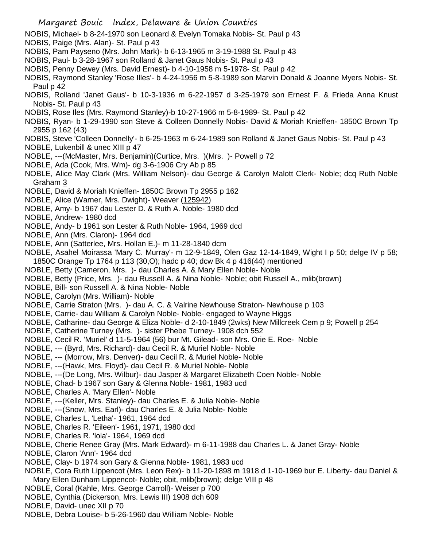- NOBIS, Michael- b 8-24-1970 son Leonard & Evelyn Tomaka Nobis- St. Paul p 43
- NOBIS, Paige (Mrs. Alan)- St. Paul p 43
- NOBIS, Pam Payseno (Mrs. John Mark)- b 6-13-1965 m 3-19-1988 St. Paul p 43
- NOBIS, Paul- b 3-28-1967 son Rolland & Janet Gaus Nobis- St. Paul p 43
- NOBIS, Penny Dewey (Mrs. David Ernest)- b 4-10-1958 m 5-1978- St. Paul p 42
- NOBIS, Raymond Stanley 'Rose Illes'- b 4-24-1956 m 5-8-1989 son Marvin Donald & Joanne Myers Nobis- St. Paul p 42
- NOBIS, Rolland 'Janet Gaus'- b 10-3-1936 m 6-22-1957 d 3-25-1979 son Ernest F. & Frieda Anna Knust Nobis- St. Paul p 43
- NOBIS, Rose Iles (Mrs. Raymond Stanley)-b 10-27-1966 m 5-8-1989- St. Paul p 42
- NOBIS, Ryan- b 1-29-1990 son Steve & Colleen Donnelly Nobis- David & Moriah Knieffen- 1850C Brown Tp 2955 p 162 (43)
- NOBIS, Steve 'Colleen Donnelly'- b 6-25-1963 m 6-24-1989 son Rolland & Janet Gaus Nobis- St. Paul p 43
- NOBLE, Lukenbill & unec XIII p 47
- NOBLE, ---(McMaster, Mrs. Benjamin)(Curtice, Mrs. )(Mrs. )- Powell p 72
- NOBLE, Ada (Cook, Mrs. Wm)- dg 3-6-1906 Cry Ab p 85
- NOBLE, Alice May Clark (Mrs. William Nelson)- dau George & Carolyn Malott Clerk- Noble; dcq Ruth Noble Graham 3
- NOBLE, David & Moriah Knieffen- 1850C Brown Tp 2955 p 162
- NOBLE, Alice (Warner, Mrs. Dwight)- Weaver (125942)
- NOBLE, Amy- b 1967 dau Lester D. & Ruth A. Noble- 1980 dcd
- NOBLE, Andrew- 1980 dcd
- NOBLE, Andy- b 1961 son Lester & Ruth Noble- 1964, 1969 dcd
- NOBLE, Ann (Mrs. Claron)- 1964 dcd
- NOBLE, Ann (Satterlee, Mrs. Hollan E.)- m 11-28-1840 dcm
- NOBLE, Asahel Moirassa 'Mary C. Murray'- m 12-9-1849, Olen Gaz 12-14-1849, Wight I p 50; delge IV p 58; 1850C Orange Tp 1764 p 113 (30,O); hadc p 40; dcw Bk 4 p 416(44) mentioned
- NOBLE, Betty (Cameron, Mrs. )- dau Charles A. & Mary Ellen Noble- Noble
- NOBLE, Betty (Price, Mrs. )- dau Russell A. & Nina Noble- Noble; obit Russell A., mlib(brown)
- NOBLE, Bill- son Russell A. & Nina Noble- Noble
- NOBLE, Carolyn (Mrs. William)- Noble
- NOBLE, Carrie Straton (Mrs. )- dau A. C. & Valrine Newhouse Straton- Newhouse p 103
- NOBLE, Carrie- dau William & Carolyn Noble- Noble- engaged to Wayne Higgs
- NOBLE, Catharine- dau George & Eliza Noble- d 2-10-1849 (2wks) New Millcreek Cem p 9; Powell p 254
- NOBLE, Catherine Turney (Mrs. )- sister Phebe Turney- 1908 dch 552
- NOBLE, Cecil R. 'Muriel' d 11-5-1964 (56) bur Mt. Gilead- son Mrs. Orie E. Roe- Noble
- NOBLE, --- (Byrd, Mrs. Richard)- dau Cecil R. & Muriel Noble- Noble
- NOBLE, --- (Morrow, Mrs. Denver)- dau Cecil R. & Muriel Noble- Noble
- NOBLE, ---(Hawk, Mrs. Floyd)- dau Cecil R. & Muriel Noble- Noble
- NOBLE, ---(De Long, Mrs. Wilbur)- dau Jasper & Margaret Elizabeth Coen Noble- Noble
- NOBLE, Chad- b 1967 son Gary & Glenna Noble- 1981, 1983 ucd
- NOBLE, Charles A. 'Mary Ellen'- Noble
- NOBLE, ---(Keller, Mrs. Stanley)- dau Charles E. & Julia Noble- Noble
- NOBLE, ---(Snow, Mrs. Earl)- dau Charles E. & Julia Noble- Noble
- NOBLE, Charles L. 'Letha'- 1961, 1964 dcd
- NOBLE, Charles R. 'Eileen'- 1961, 1971, 1980 dcd
- NOBLE, Charles R. 'lola'- 1964, 1969 dcd
- NOBLE, Cherie Renee Gray (Mrs. Mark Edward)- m 6-11-1988 dau Charles L. & Janet Gray- Noble
- NOBLE, Claron 'Ann'- 1964 dcd
- NOBLE, Clay- b 1974 son Gary & Glenna Noble- 1981, 1983 ucd
- NOBLE, Cora Ruth Lippencot (Mrs. Leon Rex)- b 11-20-1898 m 1918 d 1-10-1969 bur E. Liberty- dau Daniel & Mary Ellen Dunham Lippencot- Noble; obit, mlib(brown); delge VIII p 48
- NOBLE, Coral (Kahle, Mrs. George Carroll)- Weiser p 700
- NOBLE, Cynthia (Dickerson, Mrs. Lewis III) 1908 dch 609
- NOBLE, David- unec XII p 70
- NOBLE, Debra Louise- b 5-26-1960 dau William Noble- Noble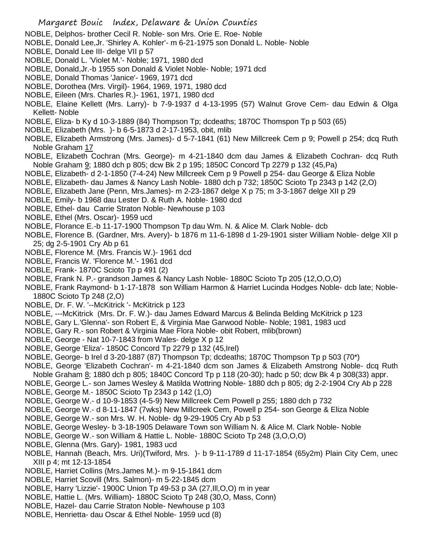- NOBLE, Delphos- brother Cecil R. Noble- son Mrs. Orie E. Roe- Noble
- NOBLE, Donald Lee,Jr. 'Shirley A. Kohler'- m 6-21-1975 son Donald L. Noble- Noble
- NOBLE, Donald Lee III- delge VII p 57
- NOBLE, Donald L. 'Violet M.'- Noble; 1971, 1980 dcd
- NOBLE, Donald,Jr.-b 1955 son Donald & Violet Noble- Noble; 1971 dcd
- NOBLE, Donald Thomas 'Janice'- 1969, 1971 dcd
- NOBLE, Dorothea (Mrs. Virgil)- 1964, 1969, 1971, 1980 dcd
- NOBLE, Eileen (Mrs. Charles R.)- 1961, 1971, 1980 dcd
- NOBLE, Elaine Kellett (Mrs. Larry)- b 7-9-1937 d 4-13-1995 (57) Walnut Grove Cem- dau Edwin & Olga Kellett- Noble
- NOBLE, Eliza- b Ky d 10-3-1889 (84) Thompson Tp; dcdeaths; 1870C Thomspon Tp p 503 (65)
- NOBLE, Elizabeth (Mrs. )- b 6-5-1873 d 2-17-1953, obit, mlib
- NOBLE, Elizabeth Armstrong (Mrs. James)- d 5-7-1841 (61) New Millcreek Cem p 9; Powell p 254; dcq Ruth Noble Graham 17
- NOBLE, Elizabeth Cochran (Mrs. George)- m 4-21-1840 dcm dau James & Elizabeth Cochran- dcq Ruth Noble Graham 9; 1880 dch p 805; dcw Bk 2 p 195; 1850C Concord Tp 2279 p 132 (45,Pa)
- NOBLE, Elizabeth- d 2-1-1850 (7-4-24) New Millcreek Cem p 9 Powell p 254- dau George & Eliza Noble
- NOBLE, Elizabeth- dau James & Nancy Lash Noble- 1880 dch p 732; 1850C Scioto Tp 2343 p 142 (2,O)
- NOBLE, Elizabeth Jane (Penn, Mrs.James)- m 2-23-1867 delge X p 75; m 3-3-1867 delge XII p 29
- NOBLE, Emily- b 1968 dau Lester D. & Ruth A. Noble- 1980 dcd
- NOBLE, Ethel- dau Carrie Straton Noble- Newhouse p 103
- NOBLE, Ethel (Mrs. Oscar)- 1959 ucd
- NOBLE, Florance E.-b 11-17-1900 Thompson Tp dau Wm. N. & Alice M. Clark Noble- dcb
- NOBLE, Florence B. (Gardner, Mrs. Avery)- b 1876 m 11-6-1898 d 1-29-1901 sister William Noble- delge XII p 25; dg 2-5-1901 Cry Ab p 61
- NOBLE, Florence M. (Mrs. Francis W.)- 1961 dcd
- NOBLE, Francis W. 'Florence M.'- 1961 dcd
- NOBLE, Frank- 1870C Scioto Tp p 491 (2)
- NOBLE, Frank N. P.- grandson James & Nancy Lash Noble- 1880C Scioto Tp 205 (12,O,O,O)
- NOBLE, Frank Raymond- b 1-17-1878 son William Harmon & Harriet Lucinda Hodges Noble- dcb late; Noble-1880C Scioto Tp 248 (2,O)
- NOBLE, Dr. F. W. '--McKitrick '- McKitrick p 123
- NOBLE, ---McKitrick (Mrs. Dr. F. W.)- dau James Edward Marcus & Belinda Belding McKitrick p 123
- NOBLE, Gary L.'Glenna'- son Robert E, & Virginia Mae Garwood Noble- Noble; 1981, 1983 ucd
- NOBLE, Gary R.- son Robert & Virginia Mae Flora Noble- obit Robert, mlib(brown)
- NOBLE, George Nat 10-7-1843 from Wales- delge X p 12
- NOBLE, George 'Eliza'- 1850C Concord Tp 2279 p 132 (45,Irel)
- NOBLE, George- b Irel d 3-20-1887 (87) Thompson Tp; dcdeaths; 1870C Thompson Tp p 503 (70\*)
- NOBLE, George 'Elizabeth Cochran'- m 4-21-1840 dcm son James & Elizabeth Amstrong Noble- dcq Ruth Noble Graham 8; 1880 dch p 805; 1840C Concord Tp p 118 (20-30); hadc p 50; dcw Bk 4 p 308(33) appr.
- NOBLE, George L.- son James Wesley & Matilda Wottring Noble- 1880 dch p 805; dg 2-2-1904 Cry Ab p 228
- NOBLE, George M.- 1850C Scioto Tp 2343 p 142 (1,O)
- NOBLE, George W.- d 10-9-1853 (4-5-9) New Millcreek Cem Powell p 255; 1880 dch p 732
- NOBLE, George W.- d 8-11-1847 (7wks) New Millcreek Cem, Powell p 254- son George & Eliza Noble
- NOBLE, George W.- son Mrs. W. H. Noble- dg 9-29-1905 Cry Ab p 53
- NOBLE, George Wesley- b 3-18-1905 Delaware Town son William N. & Alice M. Clark Noble- Noble
- NOBLE, George W.- son William & Hattie L. Noble- 1880C Scioto Tp 248 (3,O,O,O)
- NOBLE, Glenna (Mrs. Gary)- 1981, 1983 ucd
- NOBLE, Hannah (Beach, Mrs. Uri)(Twiford, Mrs. )- b 9-11-1789 d 11-17-1854 (65y2m) Plain City Cem, unec XIII p 4; mt 12-13-1854
- NOBLE, Harriet Collins (Mrs.James M.)- m 9-15-1841 dcm
- NOBLE, Harriet Scovill (Mrs. Salmon)- m 5-22-1845 dcm
- NOBLE, Harry 'Lizzie'- 1900C Union Tp 49-53 p 3A (27,Ill,O,O) m in year
- NOBLE, Hattie L. (Mrs. William)- 1880C Scioto Tp 248 (30,O, Mass, Conn)
- NOBLE, Hazel- dau Carrie Straton Noble- Newhouse p 103
- NOBLE, Henrietta- dau Oscar & Ethel Noble- 1959 ucd (8)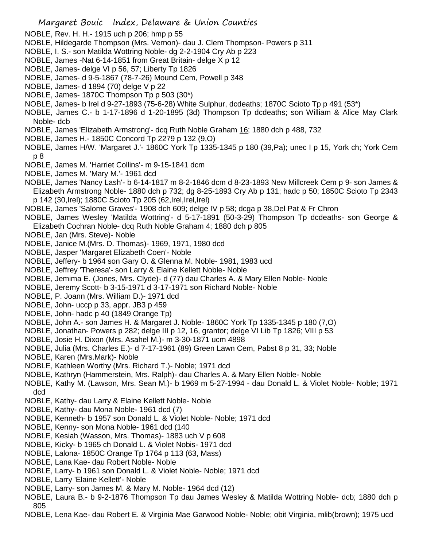- NOBLE, Rev. H. H.- 1915 uch p 206; hmp p 55
- NOBLE, Hildegarde Thompson (Mrs. Vernon)- dau J. Clem Thompson- Powers p 311
- NOBLE, I. S.- son Matilda Wottring Noble- dg 2-2-1904 Cry Ab p 223
- NOBLE, James -Nat 6-14-1851 from Great Britain- delge X p 12
- NOBLE, James- delge VI p 56, 57; Liberty Tp 1826
- NOBLE, James- d 9-5-1867 (78-7-26) Mound Cem, Powell p 348
- NOBLE, James- d 1894 (70) delge V p 22
- NOBLE, James- 1870C Thompson Tp p 503 (30\*)
- NOBLE, James- b Irel d 9-27-1893 (75-6-28) White Sulphur, dcdeaths; 1870C Scioto Tp p 491 (53\*)
- NOBLE, James C.- b 1-17-1896 d 1-20-1895 (3d) Thompson Tp dcdeaths; son William & Alice May Clark Noble- dcb
- NOBLE, James 'Elizabeth Armstrong'- dcq Ruth Noble Graham 16; 1880 dch p 488, 732
- NOBLE, James H.- 1850C Concord Tp 2279 p 132 (9,O)
- NOBLE, James H/W. 'Margaret J.'- 1860C York Tp 1335-1345 p 180 (39,Pa); unec I p 15, York ch; York Cem p 8
- NOBLE, James M. 'Harriet Collins'- m 9-15-1841 dcm
- NOBLE, James M. 'Mary M.'- 1961 dcd
- NOBLE, James 'Nancy Lash'- b 6-14-1817 m 8-2-1846 dcm d 8-23-1893 New Millcreek Cem p 9- son James & Elizabeth Armstrong Noble- 1880 dch p 732; dg 8-25-1893 Cry Ab p 131; hadc p 50; 1850C Scioto Tp 2343 p 142 (30,Irel); 1880C Scioto Tp 205 (62,Irel,Irel,Irel)
- NOBLE, James 'Salome Graves'- 1908 dch 609; delge IV p 58; dcga p 38,Del Pat & Fr Chron
- NOBLE, James Wesley 'Matilda Wottring'- d 5-17-1891 (50-3-29) Thompson Tp dcdeaths- son George & Elizabeth Cochran Noble- dcq Ruth Noble Graham 4; 1880 dch p 805
- NOBLE, Jan (Mrs. Steve)- Noble
- NOBLE, Janice M.(Mrs. D. Thomas)- 1969, 1971, 1980 dcd
- NOBLE, Jasper 'Margaret Elizabeth Coen'- Noble
- NOBLE, Jeffery- b 1964 son Gary O. & Glenna M. Noble- 1981, 1983 ucd
- NOBLE, Jeffrey 'Theresa'- son Larry & Elaine Kellett Noble- Noble
- NOBLE, Jemima E. (Jones, Mrs. Clyde)- d (77) dau Charles A. & Mary Ellen Noble- Noble
- NOBLE, Jeremy Scott- b 3-15-1971 d 3-17-1971 son Richard Noble- Noble
- NOBLE, P. Joann (Mrs. William D.)- 1971 dcd
- NOBLE, John- uccp p 33, appr. JB3 p 459
- NOBLE, John- hadc p 40 (1849 Orange Tp)
- NOBLE, John A.- son James H. & Margaret J. Noble- 1860C York Tp 1335-1345 p 180 (7,O)
- NOBLE, Jonathan- Powers p 282; delge III p 12, 16, grantor; delge VI Lib Tp 1826; VIII p 53
- NOBLE, Josie H. Dixon (Mrs. Asahel M.)- m 3-30-1871 ucm 4898
- NOBLE, Julia (Mrs. Charles E.)- d 7-17-1961 (89) Green Lawn Cem, Pabst 8 p 31, 33; Noble
- NOBLE, Karen (Mrs.Mark)- Noble
- NOBLE, Kathleen Worthy (Mrs. Richard T.)- Noble; 1971 dcd
- NOBLE, Kathryn (Hammerstein, Mrs. Ralph)- dau Charles A. & Mary Ellen Noble- Noble
- NOBLE, Kathy M. (Lawson, Mrs. Sean M.)- b 1969 m 5-27-1994 dau Donald L. & Violet Noble- Noble; 1971 dcd
- NOBLE, Kathy- dau Larry & Elaine Kellett Noble- Noble
- NOBLE, Kathy- dau Mona Noble- 1961 dcd (7)
- NOBLE, Kenneth- b 1957 son Donald L. & Violet Noble- Noble; 1971 dcd
- NOBLE, Kenny- son Mona Noble- 1961 dcd (140
- NOBLE, Kesiah (Wasson, Mrs. Thomas)- 1883 uch V p 608
- NOBLE, Kicky- b 1965 ch Donald L. & Violet Nobis- 1971 dcd
- NOBLE, Lalona- 1850C Orange Tp 1764 p 113 (63, Mass)
- NOBLE, Lana Kae- dau Robert Noble- Noble
- NOBLE, Larry- b 1961 son Donald L. & Violet Noble- Noble; 1971 dcd
- NOBLE, Larry 'Elaine Kellett'- Noble
- NOBLE, Larry- son James M. & Mary M. Noble- 1964 dcd (12)
- NOBLE, Laura B.- b 9-2-1876 Thompson Tp dau James Wesley & Matilda Wottring Noble- dcb; 1880 dch p 805
- NOBLE, Lena Kae- dau Robert E. & Virginia Mae Garwood Noble- Noble; obit Virginia, mlib(brown); 1975 ucd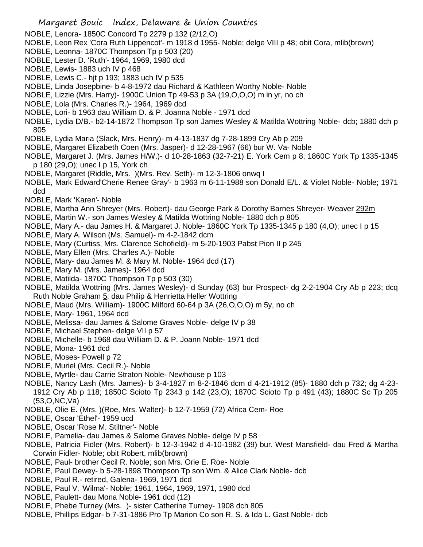- NOBLE, Lenora- 1850C Concord Tp 2279 p 132 (2/12,O)
- NOBLE, Leon Rex 'Cora Ruth Lippencot'- m 1918 d 1955- Noble; delge VIII p 48; obit Cora, mlib(brown)
- NOBLE, Leonna- 1870C Thompson Tp p 503 (20)
- NOBLE, Lester D. 'Ruth'- 1964, 1969, 1980 dcd
- NOBLE, Lewis- 1883 uch IV p 468
- NOBLE, Lewis C.- hjt p 193; 1883 uch IV p 535
- NOBLE, Linda Josepbine- b 4-8-1972 dau Richard & Kathleen Worthy Noble- Noble
- NOBLE, Lizzie (Mrs. Harry)- 1900C Union Tp 49-53 p 3A (19,O,O,O) m in yr, no ch
- NOBLE, Lola (Mrs. Charles R.)- 1964, 1969 dcd
- NOBLE, Lori- b 1963 dau William D. & P. Joanna Noble 1971 dcd
- NOBLE, Lydia D/B.- b2-14-1872 Thompson Tp son James Wesley & Matilda Wottring Noble- dcb; 1880 dch p 805
- NOBLE, Lydia Maria (Slack, Mrs. Henry)- m 4-13-1837 dg 7-28-1899 Cry Ab p 209
- NOBLE, Margaret Elizabeth Coen (Mrs. Jasper)- d 12-28-1967 (66) bur W. Va- Noble
- NOBLE, Margaret J. (Mrs. James H/W.)- d 10-28-1863 (32-7-21) E. York Cem p 8; 1860C York Tp 1335-1345 p 180 (29,O); unec I p 15, York ch
- NOBLE, Margaret (Riddle, Mrs. )(Mrs. Rev. Seth)- m 12-3-1806 onwq I
- NOBLE, Mark Edward'Cherie Renee Gray'- b 1963 m 6-11-1988 son Donald E/L. & Violet Noble- Noble; 1971 dcd
- NOBLE, Mark 'Karen'- Noble
- NOBLE, Martha Ann Shreyer (Mrs. Robert)- dau George Park & Dorothy Barnes Shreyer- Weaver 292m
- NOBLE, Martin W.- son James Wesley & Matilda Wottring Noble- 1880 dch p 805
- NOBLE, Mary A.- dau James H. & Margaret J. Noble- 1860C York Tp 1335-1345 p 180 (4,O); unec I p 15
- NOBLE, Mary A. Wilson (Ms. Samuel)- m 4-2-1842 dcm
- NOBLE, Mary (Curtiss, Mrs. Clarence Schofield)- m 5-20-1903 Pabst Pion II p 245
- NOBLE, Mary Ellen (Mrs. Charles A.)- Noble
- NOBLE, Mary- dau James M. & Mary M. Noble- 1964 dcd (17)
- NOBLE, Mary M. (Mrs. James)- 1964 dcd
- NOBLE, Matilda-1870C Thompson Tp p 503 (30)
- NOBLE, Matilda Wottring (Mrs. James Wesley)- d Sunday (63) bur Prospect- dg 2-2-1904 Cry Ab p 223; dcq Ruth Noble Graham 5; dau Philip & Henrietta Heller Wottring
- NOBLE, Maud (Mrs. William)- 1900C Milford 60-64 p 3A (26,O,O,O) m 5y, no ch
- NOBLE, Mary- 1961, 1964 dcd
- NOBLE, Melissa- dau James & Salome Graves Noble- delge IV p 38
- NOBLE, Michael Stephen- delge VII p 57
- NOBLE, Michelle- b 1968 dau William D. & P. Joann Noble- 1971 dcd
- NOBLE, Mona- 1961 dcd
- NOBLE, Moses- Powell p 72
- NOBLE, Muriel (Mrs. Cecil R.)- Noble
- NOBLE, Myrtle- dau Carrie Straton Noble- Newhouse p 103
- NOBLE, Nancy Lash (Mrs. James)- b 3-4-1827 m 8-2-1846 dcm d 4-21-1912 (85)- 1880 dch p 732; dg 4-23- 1912 Cry Ab p 118; 1850C Scioto Tp 2343 p 142 (23,O); 1870C Scioto Tp p 491 (43); 1880C Sc Tp 205 (53,O,NC,Va)
- NOBLE, Olie E. (Mrs. )(Roe, Mrs. Walter)- b 12-7-1959 (72) Africa Cem- Roe
- NOBLE, Oscar 'Ethel'- 1959 ucd
- NOBLE, Oscar 'Rose M. Stiltner'- Noble
- NOBLE, Pamelia- dau James & Salome Graves Noble- delge IV p 58
- NOBLE, Patricia Fidler (Mrs. Robert)- b 12-3-1942 d 4-10-1982 (39) bur. West Mansfield- dau Fred & Martha Corwin Fidler- Noble; obit Robert, mlib(brown)
- NOBLE, Paul- brother Cecil R. Noble; son Mrs. Orie E. Roe- Noble
- NOBLE, Paul Dewey- b 5-28-1898 Thompson Tp son Wm. & Alice Clark Noble- dcb
- NOBLE, Paul R.- retired, Galena- 1969, 1971 dcd
- NOBLE, Paul V. 'Wilma'- Noble; 1961, 1964, 1969, 1971, 1980 dcd
- NOBLE, Paulett- dau Mona Noble- 1961 dcd (12)
- NOBLE, Phebe Turney (Mrs. )- sister Catherine Turney- 1908 dch 805
- NOBLE, Phillips Edgar- b 7-31-1886 Pro Tp Marion Co son R. S. & Ida L. Gast Noble- dcb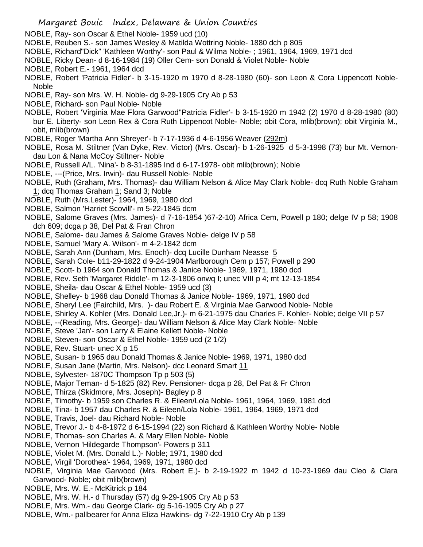- NOBLE, Ray- son Oscar & Ethel Noble- 1959 ucd (10)
- NOBLE, Reuben S.- son James Wesley & Matilda Wottring Noble- 1880 dch p 805
- NOBLE, Richard"Dick" 'Kathleen Worthy'- son Paul & Wilma Noble- ; 1961, 1964, 1969, 1971 dcd
- NOBLE, Ricky Dean- d 8-16-1984 (19) Oller Cem- son Donald & Violet Noble- Noble
- NOBLE, Robert E.- 1961, 1964 dcd
- NOBLE, Robert 'Patricia Fidler'- b 3-15-1920 m 1970 d 8-28-1980 (60)- son Leon & Cora Lippencott Noble-Noble
- NOBLE, Ray- son Mrs. W. H. Noble- dg 9-29-1905 Cry Ab p 53
- NOBLE, Richard- son Paul Noble- Noble
- NOBLE, Robert 'Virginia Mae Flora Garwood''Patricia Fidler'- b 3-15-1920 m 1942 (2) 1970 d 8-28-1980 (80) bur E. Liberty- son Leon Rex & Cora Ruth Lippencot Noble- Noble; obit Cora, mlib(brown); obit Virginia M., obit, mlib(brown)
- NOBLE, Roger 'Martha Ann Shreyer'- b 7-17-1936 d 4-6-1956 Weaver (292m)
- NOBLE, Rosa M. Stiltner (Van Dyke, Rev. Victor) (Mrs. Oscar)- b 1-26-1925 d 5-3-1998 (73) bur Mt. Vernondau Lon & Nana McCoy Stiltner- Noble
- NOBLE, Russell A/L. 'Nina'- b 8-31-1895 Ind d 6-17-1978- obit mlib(brown); Noble
- NOBLE, ---(Price, Mrs. Irwin)- dau Russell Noble- Noble
- NOBLE, Ruth (Graham, Mrs. Thomas)- dau William Nelson & Alice May Clark Noble- dcq Ruth Noble Graham 1; dcq Thomas Graham 1; Sand 3; Noble
- NOBLE, Ruth (Mrs.Lester)- 1964, 1969, 1980 dcd
- NOBLE, Salmon 'Harriet Scovill'- m 5-22-1845 dcm
- NOBLE, Salome Graves (Mrs. James)- d 7-16-1854 )67-2-10) Africa Cem, Powell p 180; delge IV p 58; 1908 dch 609; dcga p 38, Del Pat & Fran Chron
- NOBLE, Salome- dau James & Salome Graves Noble- delge IV p 58
- NOBLE, Samuel 'Mary A. Wilson'- m 4-2-1842 dcm
- NOBLE, Sarah Ann (Dunham, Mrs. Enoch)- dcq Lucille Dunham Neasse 5
- NOBLE, Sarah Cole- b11-29-1822 d 9-24-1904 Marlborough Cem p 157; Powell p 290
- NOBLE, Scott- b 1964 son Donald Thomas & Janice Noble- 1969, 1971, 1980 dcd
- NOBLE, Rev. Seth 'Margaret Riddle'- m 12-3-1806 onwq I; unec VIII p 4; mt 12-13-1854
- NOBLE, Sheila- dau Oscar & Ethel Noble- 1959 ucd (3)
- NOBLE, Shelley- b 1968 dau Donald Thomas & Janice Noble- 1969, 1971, 1980 dcd
- NOBLE, Sheryl Lee (Fairchild, Mrs. )- dau Robert E. & Virginia Mae Garwood Noble- Noble
- NOBLE, Shirley A. Kohler (Mrs. Donald Lee,Jr.)- m 6-21-1975 dau Charles F. Kohler- Noble; delge VII p 57
- NOBLE, --(Reading, Mrs. George)- dau William Nelson & Alice May Clark Noble- Noble
- NOBLE, Steve 'Jan'- son Larry & Elaine Kellett Noble- Noble
- NOBLE, Steven- son Oscar & Ethel Noble- 1959 ucd (2 1/2)
- NOBLE, Rev. Stuart- unec X p 15
- NOBLE, Susan- b 1965 dau Donald Thomas & Janice Noble- 1969, 1971, 1980 dcd
- NOBLE, Susan Jane (Martin, Mrs. Nelson)- dcc Leonard Smart 11
- NOBLE, Sylvester- 1870C Thompson Tp p 503 (5)
- NOBLE, Major Teman- d 5-1825 (82) Rev. Pensioner- dcga p 28, Del Pat & Fr Chron
- NOBLE, Thirza (Skidmore, Mrs. Joseph)- Bagley p 8
- NOBLE, Timothy- b 1959 son Charles R. & Eileen/Lola Noble- 1961, 1964, 1969, 1981 dcd
- NOBLE, Tina- b 1957 dau Charles R. & Eileen/Lola Noble- 1961, 1964, 1969, 1971 dcd
- NOBLE, Travis, Joel- dau Richard Noble- Noble
- NOBLE, Trevor J.- b 4-8-1972 d 6-15-1994 (22) son Richard & Kathleen Worthy Noble- Noble
- NOBLE, Thomas- son Charles A. & Mary Ellen Noble- Noble
- NOBLE, Vernon 'Hildegarde Thompson'- Powers p 311
- NOBLE, Violet M. (Mrs. Donald L.)- Noble; 1971, 1980 dcd
- NOBLE, Virgil 'Dorothea'- 1964, 1969, 1971, 1980 dcd
- NOBLE, Virginia Mae Garwood (Mrs. Robert E.)- b 2-19-1922 m 1942 d 10-23-1969 dau Cleo & Clara Garwood- Noble; obit mlib(brown)
- NOBLE, Mrs. W. E.- McKitrick p 184
- NOBLE, Mrs. W. H.- d Thursday (57) dg 9-29-1905 Cry Ab p 53
- NOBLE, Mrs. Wm.- dau George Clark- dg 5-16-1905 Cry Ab p 27
- NOBLE, Wm.- pallbearer for Anna Eliza Hawkins- dg 7-22-1910 Cry Ab p 139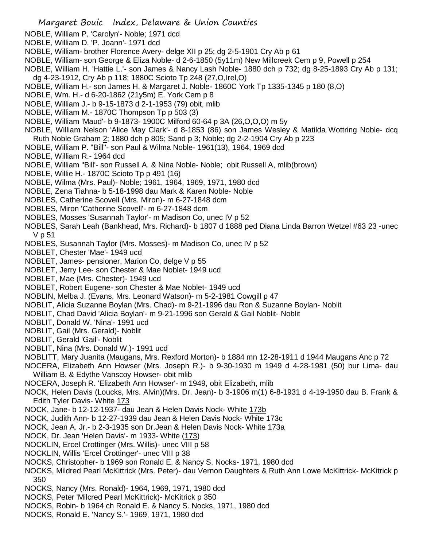- NOBLE, William P. 'Carolyn'- Noble; 1971 dcd
- NOBLE, William D. 'P. Joann'- 1971 dcd
- NOBLE, William- brother Florence Avery- delge XII p 25; dg 2-5-1901 Cry Ab p 61
- NOBLE, William- son George & Eliza Noble- d 2-6-1850 (5y11m) New Millcreek Cem p 9, Powell p 254
- NOBLE, William H. 'Hattie L.'- son James & Nancy Lash Noble- 1880 dch p 732; dg 8-25-1893 Cry Ab p 131; dg 4-23-1912, Cry Ab p 118; 1880C Scioto Tp 248 (27,O,Irel,O)
- NOBLE, William H.- son James H. & Margaret J. Noble- 1860C York Tp 1335-1345 p 180 (8,O)
- NOBLE, Wm. H.- d 6-20-1862 (21y5m) E. York Cem p 8
- NOBLE, William J.- b 9-15-1873 d 2-1-1953 (79) obit, mlib
- NOBLE, William M.- 1870C Thompson Tp p 503 (3)
- NOBLE, William 'Maud'- b 9-1873- 1900C Milford 60-64 p 3A (26,O,O,O) m 5y
- NOBLE, William Nelson 'Alice May Clark'- d 8-1853 (86) son James Wesley & Matilda Wottring Noble- dcq Ruth Noble Graham 2; 1880 dch p 805; Sand p 3; Noble; dg 2-2-1904 Cry Ab p 223
- NOBLE, William P. "Bill"- son Paul & Wilma Noble- 1961(13), 1964, 1969 dcd
- NOBLE, William R.- 1964 dcd
- NOBLE, William "Bill'- son Russell A. & Nina Noble- Noble; obit Russell A, mlib(brown)
- NOBLE, Willie H.- 1870C Scioto Tp p 491 (16)
- NOBLE, Wilma (Mrs. Paul)- Noble; 1961, 1964, 1969, 1971, 1980 dcd
- NOBLE, Zena Tiahna- b 5-18-1998 dau Mark & Karen Noble- Noble
- NOBLES, Catherine Scovell (Mrs. Miron)- m 6-27-1848 dcm
- NOBLES, Miron 'Catherine Scovell'- m 6-27-1848 dcm
- NOBLES, Mosses 'Susannah Taylor'- m Madison Co, unec IV p 52
- NOBLES, Sarah Leah (Bankhead, Mrs. Richard)- b 1807 d 1888 ped Diana Linda Barron Wetzel #63 23 -unec V p 51
- NOBLES, Susannah Taylor (Mrs. Mosses)- m Madison Co, unec IV p 52
- NOBLET, Chester 'Mae'- 1949 ucd
- NOBLET, James- pensioner, Marion Co, delge V p 55
- NOBLET, Jerry Lee- son Chester & Mae Noblet- 1949 ucd
- NOBLET, Mae (Mrs. Chester)- 1949 ucd
- NOBLET, Robert Eugene- son Chester & Mae Noblet- 1949 ucd
- NOBLIN, Melba J. (Evans, Mrs. Leonard Watson)- m 5-2-1981 Cowgill p 47
- NOBLIT, Alicia Suzanne Boylan (Mrs. Chad)- m 9-21-1996 dau Ron & Suzanne Boylan- Noblit
- NOBLIT, Chad David 'Alicia Boylan'- m 9-21-1996 son Gerald & Gail Noblit- Noblit
- NOBLIT, Donald W. 'Nina'- 1991 ucd
- NOBLIT, Gail (Mrs. Gerald)- Noblit
- NOBLIT, Gerald 'Gail'- Noblit
- NOBLIT, Nina (Mrs. Donald W.)- 1991 ucd
- NOBLITT, Mary Juanita (Maugans, Mrs. Rexford Morton)- b 1884 mn 12-28-1911 d 1944 Maugans Anc p 72
- NOCERA, Elizabeth Ann Howser (Mrs. Joseph R.)- b 9-30-1930 m 1949 d 4-28-1981 (50) bur Lima- dau William B. & Edythe Vanscoy Howser- obit mlib
- NOCERA, Joseph R. 'Elizabeth Ann Howser'- m 1949, obit Elizabeth, mlib
- NOCK, Helen Davis (Loucks, Mrs. Alvin)(Mrs. Dr. Jean)- b 3-1906 m(1) 6-8-1931 d 4-19-1950 dau B. Frank & Edith Tyler Davis- White 173
- NOCK, Jane- b 12-12-1937- dau Jean & Helen Davis Nock- White 173b
- NOCK, Judith Ann- b 12-27-1939 dau Jean & Helen Davis Nock- White 173c
- NOCK, Jean A. Jr.- b 2-3-1935 son Dr.Jean & Helen Davis Nock- White 173a
- NOCK, Dr. Jean 'Helen Davis'- m 1933- White (173)
- NOCKLIN, Ercel Crottinger (Mrs. Willis)- unec VIII p 58
- NOCKLIN, Willis 'Ercel Crottinger'- unec VIII p 38
- NOCKS, Christopher- b 1969 son Ronald E. & Nancy S. Nocks- 1971, 1980 dcd
- NOCKS, Mildred Pearl McKittrick (Mrs. Peter)- dau Vernon Daughters & Ruth Ann Lowe McKittrick- McKitrick p 350
- NOCKS, Nancy (Mrs. Ronald)- 1964, 1969, 1971, 1980 dcd
- NOCKS, Peter 'Milcred Pearl McKittrick)- McKitrick p 350
- NOCKS, Robin- b 1964 ch Ronald E. & Nancy S. Nocks, 1971, 1980 dcd
- NOCKS, Ronald E. 'Nancy S.'- 1969, 1971, 1980 dcd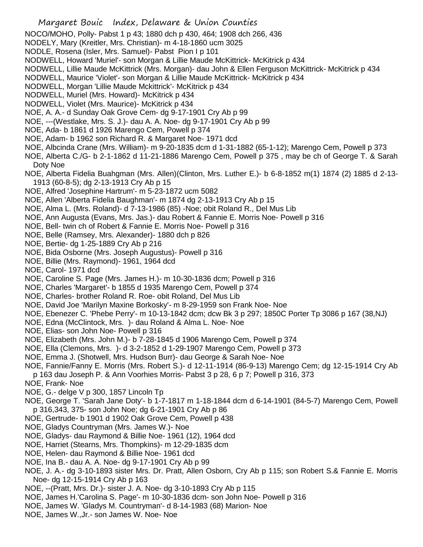NOCO/MOHO, Polly- Pabst 1 p 43; 1880 dch p 430, 464; 1908 dch 266, 436

- NODELY, Mary (Kreitler, Mrs. Christian)- m 4-18-1860 ucm 3025
- NODLE, Rosena (Isler, Mrs. Samuel)- Pabst Pion I p 101
- NODWELL, Howard 'Muriel'- son Morgan & Lillie Maude McKittrick- McKitrick p 434
- NODWELL, Lillie Maude McKittrick (Mrs. Morgan)- dau John & Ellen Ferguson McKittrick- McKitrick p 434
- NODWELL, Maurice 'Violet'- son Morgan & Lillie Maude McKittrick- McKitrick p 434
- NODWELL, Morgan 'Lillie Maude Mckittrick'- McKitrick p 434
- NODWELL, Muriel (Mrs. Howard)- McKitrick p 434
- NODWELL, Violet (Mrs. Maurice)- McKitrick p 434
- NOE, A. A.- d Sunday Oak Grove Cem- dg 9-17-1901 Cry Ab p 99
- NOE, ---(Westlake, Mrs. S. J.)- dau A. A. Noe- dg 9-17-1901 Cry Ab p 99
- NOE, Ada- b 1861 d 1926 Marengo Cem, Powell p 374
- NOE, Adam- b 1962 son Richard R. & Margaret Noe- 1971 dcd
- NOE, Albcinda Crane (Mrs. William)- m 9-20-1835 dcm d 1-31-1882 (65-1-12); Marengo Cem, Powell p 373
- NOE, Alberta C./G- b 2-1-1862 d 11-21-1886 Marengo Cem, Powell p 375 , may be ch of George T. & Sarah Doty Noe
- NOE, Alberta Fidelia Buahgman (Mrs. Allen)(Clinton, Mrs. Luther E.)- b 6-8-1852 m(1) 1874 (2) 1885 d 2-13- 1913 (60-8-5); dg 2-13-1913 Cry Ab p 15
- NOE, Alfred 'Josephine Hartrum'- m 5-23-1872 ucm 5082
- NOE, Allen 'Alberta Fidelia Baughman'- m 1874 dg 2-13-1913 Cry Ab p 15
- NOE, Alma L. (Mrs. Roland)- d 7-13-1986 (85) -Noe; obit Roland R., Del Mus Lib
- NOE, Ann Augusta (Evans, Mrs. Jas.)- dau Robert & Fannie E. Morris Noe- Powell p 316
- NOE, Bell- twin ch of Robert & Fannie E. Morris Noe- Powell p 316
- NOE, Belle (Ramsey, Mrs. Alexander)- 1880 dch p 826
- NOE, Bertie- dg 1-25-1889 Cry Ab p 216
- NOE, Bida Osborne (Mrs. Joseph Augustus)- Powell p 316
- NOE, Billie (Mrs. Raymond)- 1961, 1964 dcd
- NOE, Carol- 1971 dcd
- NOE, Caroline S. Page (Mrs. James H.)- m 10-30-1836 dcm; Powell p 316
- NOE, Charles 'Margaret'- b 1855 d 1935 Marengo Cem, Powell p 374
- NOE, Charles- brother Roland R. Roe- obit Roland, Del Mus Lib
- NOE, David Joe 'Marilyn Maxine Borkosky'- m 8-29-1959 son Frank Noe- Noe
- NOE, Ebenezer C. 'Phebe Perry'- m 10-13-1842 dcm; dcw Bk 3 p 297; 1850C Porter Tp 3086 p 167 (38,NJ)
- NOE, Edna (McClintock, Mrs. )- dau Roland & Alma L. Noe- Noe
- NOE, Elias- son John Noe- Powell p 316
- NOE, Elizabeth (Mrs. John M.)- b 7-28-1845 d 1906 Marengo Cem, Powell p 374
- NOE, Ella (Clemons, Mrs. )- d 3-2-1852 d 1-29-1907 Marengo Cem, Powell p 373
- NOE, Emma J. (Shotwell, Mrs. Hudson Burr)- dau George & Sarah Noe- Noe
- NOE, Fannie/Fanny E. Morris (Mrs. Robert S.)- d 12-11-1914 (86-9-13) Marengo Cem; dg 12-15-1914 Cry Ab p 163 dau Joseph P. & Ann Voorhies Morris- Pabst 3 p 28, 6 p 7; Powell p 316, 373
- NOE, Frank- Noe
- NOE, G.- delge V p 300, 1857 Lincoln Tp
- NOE, George T. 'Sarah Jane Doty'- b 1-7-1817 m 1-18-1844 dcm d 6-14-1901 (84-5-7) Marengo Cem, Powell p 316,343, 375- son John Noe; dg 6-21-1901 Cry Ab p 86
- NOE, Gertrude- b 1901 d 1902 Oak Grove Cem, Powell p 438
- NOE, Gladys Countryman (Mrs. James W.)- Noe
- NOE, Gladys- dau Raymond & Billie Noe- 1961 (12), 1964 dcd
- NOE, Harriet (Stearns, Mrs. Thompkins)- m 12-29-1835 dcm
- NOE, Helen- dau Raymond & Billie Noe- 1961 dcd
- NOE, Ina B.- dau A. A. Noe- dg 9-17-1901 Cry Ab p 99
- NOE, J. A.- dg 3-10-1893 sister Mrs. Dr. Pratt, Allen Osborn, Cry Ab p 115; son Robert S.& Fannie E. Morris Noe- dg 12-15-1914 Cry Ab p 163
- NOE, --(Pratt, Mrs. Dr.)- sister J. A. Noe- dg 3-10-1893 Cry Ab p 115
- NOE, James H.'Carolina S. Page'- m 10-30-1836 dcm- son John Noe- Powell p 316
- NOE, James W. 'Gladys M. Countryman'- d 8-14-1983 (68) Marion- Noe
- NOE, James W.,Jr.- son James W. Noe- Noe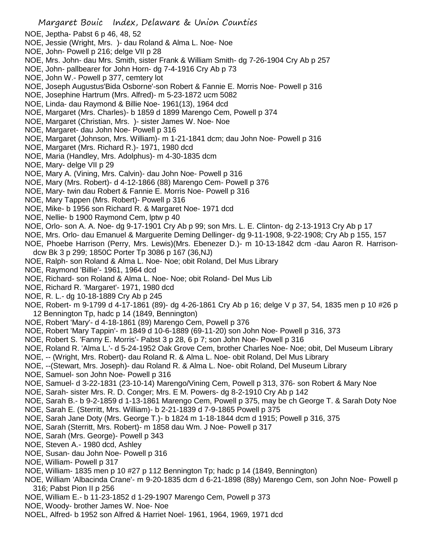- NOE, Jeptha- Pabst 6 p 46, 48, 52
- NOE, Jessie (Wright, Mrs. )- dau Roland & Alma L. Noe- Noe
- NOE, John- Powell p 216; delge VII p 28
- NOE, Mrs. John- dau Mrs. Smith, sister Frank & William Smith- dg 7-26-1904 Cry Ab p 257
- NOE, John- pallbearer for John Horn- dg 7-4-1916 Cry Ab p 73
- NOE, John W.- Powell p 377, cemtery lot
- NOE, Joseph Augustus'Bida Osborne'-son Robert & Fannie E. Morris Noe- Powell p 316
- NOE, Josephine Hartrum (Mrs. Alfred)- m 5-23-1872 ucm 5082
- NOE, Linda- dau Raymond & Billie Noe- 1961(13), 1964 dcd
- NOE, Margaret (Mrs. Charles)- b 1859 d 1899 Marengo Cem, Powell p 374
- NOE, Margaret (Christian, Mrs. )- sister James W. Noe- Noe
- NOE, Margaret- dau John Noe- Powell p 316
- NOE, Margaret (Johnson, Mrs. William)- m 1-21-1841 dcm; dau John Noe- Powell p 316
- NOE, Margaret (Mrs. Richard R.)- 1971, 1980 dcd
- NOE, Maria (Handley, Mrs. Adolphus)- m 4-30-1835 dcm
- NOE, Mary- delge VII p 29
- NOE, Mary A. (Vining, Mrs. Calvin)- dau John Noe- Powell p 316
- NOE, Mary (Mrs. Robert)- d 4-12-1866 (88) Marengo Cem- Powell p 376
- NOE, Mary- twin dau Robert & Fannie E. Morris Noe- Powell p 316
- NOE, Mary Tappen (Mrs. Robert)- Powell p 316
- NOE, Mike- b 1956 son Richard R. & Margaret Noe- 1971 dcd
- NOE, Nellie- b 1900 Raymond Cem, lptw p 40
- NOE, Orlo- son A. A. Noe- dg 9-17-1901 Cry Ab p 99; son Mrs. L. E. Clinton- dg 2-13-1913 Cry Ab p 17
- NOE, Mrs. Orlo- dau Emanuel & Marguerite Deming Dellinger- dg 9-11-1908, 9-22-1908; Cry Ab p 155, 157
- NOE, Phoebe Harrison (Perry, Mrs. Lewis)(Mrs. Ebenezer D.)- m 10-13-1842 dcm -dau Aaron R. Harrisondcw Bk 3 p 299; 1850C Porter Tp 3086 p 167 (36,NJ)
- NOE, Ralph- son Roland & Alma L. Noe- Noe; obit Roland, Del Mus Library
- NOE, Raymond 'Billie'- 1961, 1964 dcd
- NOE, Richard- son Roland & Alma L. Noe- Noe; obit Roland- Del Mus Lib
- NOE, Richard R. 'Margaret'- 1971, 1980 dcd
- NOE, R. L.- dg 10-18-1889 Cry Ab p 245
- NOE, Robert- m 9-1799 d 4-17-1861 (89)- dg 4-26-1861 Cry Ab p 16; delge V p 37, 54, 1835 men p 10 #26 p 12 Bennington Tp, hadc p 14 (1849, Bennington)
- NOE, Robert 'Mary'- d 4-18-1861 (89) Marengo Cem, Powell p 376
- NOE, Robert 'Mary Tappin'- m 1849 d 10-6-1889 (69-11-20) son John Noe- Powell p 316, 373
- NOE, Robert S. 'Fanny E. Morris'- Pabst 3 p 28, 6 p 7; son John Noe- Powell p 316
- NOE, Roland R. 'Alma L.'- d 5-24-1952 Oak Grove Cem, brother Charles Noe- Noe; obit, Del Museum Library
- NOE, -- (Wright, Mrs. Robert)- dau Roland R. & Alma L. Noe- obit Roland, Del Mus Library
- NOE, --(Stewart, Mrs. Joseph)- dau Roland R. & Alma L. Noe- obit Roland, Del Museum Library
- NOE, Samuel- son John Noe- Powell p 316
- NOE, Samuel- d 3-22-1831 (23-10-14) Marengo/Vining Cem, Powell p 313, 376- son Robert & Mary Noe
- NOE, Sarah- sister Mrs. R. D. Conger; Mrs. E M. Powers- dg 8-2-1910 Cry Ab p 142
- NOE, Sarah B.- b 9-2-1859 d 1-13-1861 Marengo Cem, Powell p 375, may be ch George T. & Sarah Doty Noe
- NOE, Sarah E. (Sterritt, Mrs. William)- b 2-21-1839 d 7-9-1865 Powell p 375
- NOE, Sarah Jane Doty (Mrs. George T.)- b 1824 m 1-18-1844 dcm d 1915; Powell p 316, 375
- NOE, Sarah (Sterritt, Mrs. Robert)- m 1858 dau Wm. J Noe- Powell p 317
- NOE, Sarah (Mrs. George)- Powell p 343
- NOE, Steven A.- 1980 dcd, Ashley
- NOE, Susan- dau John Noe- Powell p 316
- NOE, William- Powell p 317
- NOE, William- 1835 men p 10 #27 p 112 Bennington Tp; hadc p 14 (1849, Bennington)
- NOE, William 'Albacinda Crane'- m 9-20-1835 dcm d 6-21-1898 (88y) Marengo Cem, son John Noe- Powell p 316; Pabst Pion II p 256
- NOE, William E.- b 11-23-1852 d 1-29-1907 Marengo Cem, Powell p 373
- NOE, Woody- brother James W. Noe- Noe
- NOEL, Alfred- b 1952 son Alfred & Harriet Noel- 1961, 1964, 1969, 1971 dcd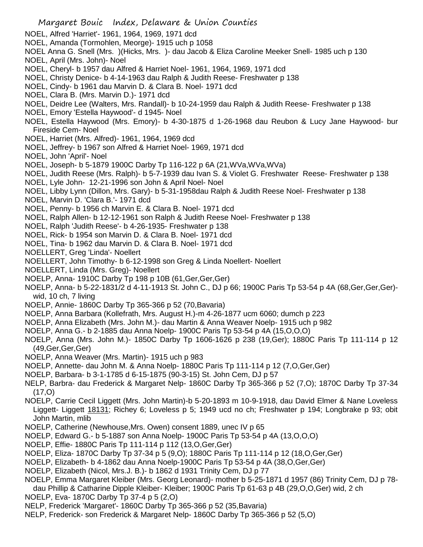- Margaret Bouic Index, Delaware & Union Counties NOEL, Alfred 'Harriet'- 1961, 1964, 1969, 1971 dcd NOEL, Amanda (Tormohlen, Meorge)- 1915 uch p 1058 NOEL Anna G. Snell (Mrs. )(Hicks, Mrs. )- dau Jacob & Eliza Caroline Meeker Snell- 1985 uch p 130 NOEL, April (Mrs. John)- Noel NOEL, Cheryl- b 1957 dau Alfred & Harriet Noel- 1961, 1964, 1969, 1971 dcd NOEL, Christy Denice- b 4-14-1963 dau Ralph & Judith Reese- Freshwater p 138 NOEL, Cindy- b 1961 dau Marvin D. & Clara B. Noel- 1971 dcd NOEL, Clara B. (Mrs. Marvin D.)- 1971 dcd NOEL, Deidre Lee (Walters, Mrs. Randall)- b 10-24-1959 dau Ralph & Judith Reese- Freshwater p 138 NOEL, Emory 'Estella Haywood'- d 1945- Noel NOEL, Estella Haywood (Mrs. Emory)- b 4-30-1875 d 1-26-1968 dau Reubon & Lucy Jane Haywood- bur Fireside Cem- Noel NOEL, Harriet (Mrs. Alfred)- 1961, 1964, 1969 dcd NOEL, Jeffrey- b 1967 son Alfred & Harriet Noel- 1969, 1971 dcd NOEL, John 'April'- Noel NOEL, Joseph- b 5-1879 1900C Darby Tp 116-122 p 6A (21,WVa,WVa,WVa) NOEL, Judith Reese (Mrs. Ralph)- b 5-7-1939 dau Ivan S. & Violet G. Freshwater Reese- Freshwater p 138 NOEL, Lyle John- 12-21-1996 son John & April Noel- Noel NOEL, Libby Lynn (Dillon, Mrs. Gary)- b 5-31-1958dau Ralph & Judith Reese Noel- Freshwater p 138 NOEL, Marvin D. 'Clara B.'- 1971 dcd NOEL, Penny- b 1956 ch Marvin E. & Clara B. Noel- 1971 dcd NOEL, Ralph Allen- b 12-12-1961 son Ralph & Judith Reese Noel- Freshwater p 138 NOEL, Ralph 'Judith Reese'- b 4-26-1935- Freshwater p 138 NOEL, Rick- b 1954 son Marvin D. & Clara B. Noel- 1971 dcd NOEL, Tina- b 1962 dau Marvin D. & Clara B. Noel- 1971 dcd NOELLERT, Greg 'Linda'- Noellert NOELLERT, John Timothy- b 6-12-1998 son Greg & Linda Noellert- Noellert NOELLERT, Linda (Mrs. Greg)- Noellert NOELP, Anna- 1910C Darby Tp 198 p 10B (61,Ger,Ger,Ger) NOELP, Anna- b 5-22-1831/2 d 4-11-1913 St. John C., DJ p 66; 1900C Paris Tp 53-54 p 4A (68,Ger,Ger,Ger) wid, 10 ch, 7 living NOELP, Annie- 1860C Darby Tp 365-366 p 52 (70,Bavaria) NOELP, Anna Barbara (Kollefrath, Mrs. August H.)-m 4-26-1877 ucm 6060; dumch p 223 NOELP, Anna Elizabeth (Mrs. John M.)- dau Martin & Anna Weaver Noelp- 1915 uch p 982 NOELP, Anna G.- b 2-1885 dau Anna Noelp- 1900C Paris Tp 53-54 p 4A (15,O,O,O) NOELP, Anna (Mrs. John M.)- 1850C Darby Tp 1606-1626 p 238 (19,Ger); 1880C Paris Tp 111-114 p 12 (49,Ger,Ger,Ger) NOELP, Anna Weaver (Mrs. Martin)- 1915 uch p 983 NOELP, Annette- dau John M. & Anna Noelp- 1880C Paris Tp 111-114 p 12 (7,O,Ger,Ger) NOELP, Barbara- b 3-1-1785 d 6-15-1875 (90-3-15) St. John Cem, DJ p 57 NELP, Barbra- dau Frederick & Margaret Nelp- 1860C Darby Tp 365-366 p 52 (7,O); 1870C Darby Tp 37-34 (17,O) NOELP, Carrie Cecil Liggett (Mrs. John Martin)-b 5-20-1893 m 10-9-1918, dau David Elmer & Nane Loveless
- Liggett- Liggett 18131; Richey 6; Loveless p 5; 1949 ucd no ch; Freshwater p 194; Longbrake p 93; obit John Martin, mlib
- NOELP, Catherine (Newhouse,Mrs. Owen) consent 1889, unec IV p 65
- NOELP, Edward G.- b 5-1887 son Anna Noelp- 1900C Paris Tp 53-54 p 4A (13,O,O,O)
- NOELP, Effie- 1880C Paris Tp 111-114 p 112 (13,O,Ger,Ger)
- NOELP, Eliza- 1870C Darby Tp 37-34 p 5 (9,O); 1880C Paris Tp 111-114 p 12 (18,O,Ger,Ger)
- NOELP, Elizabeth- b 4-1862 dau Anna Noelp-1900C Paris Tp 53-54 p 4A (38,O,Ger,Ger)
- NOELP, Elizabeth (Nicol, Mrs.J. B.)- b 1862 d 1931 Trinity Cem, DJ p 77
- NOELP, Emma Margaret Kleiber (Mrs. Georg Leonard)- mother b 5-25-1871 d 1957 (86) Trinity Cem, DJ p 78 dau Phillip & Catharine Dipple Kleiber- Kleiber; 1900C Paris Tp 61-63 p 4B (29,O,O,Ger) wid, 2 ch
- NOELP, Eva- 1870C Darby Tp 37-4 p 5 (2,O)
- NELP, Frederick 'Margaret'- 1860C Darby Tp 365-366 p 52 (35,Bavaria)
- NELP, Frederick- son Frederick & Margaret Nelp- 1860C Darby Tp 365-366 p 52 (5,O)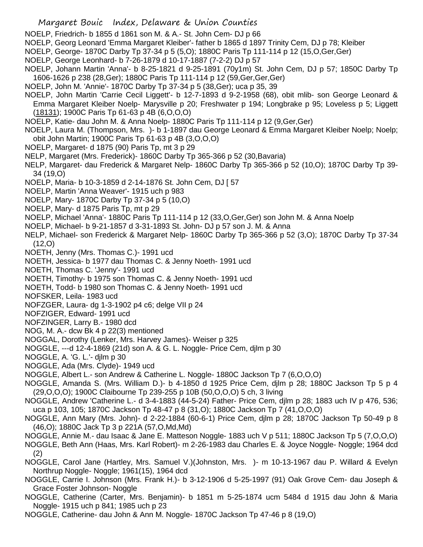- NOELP, Friedrich- b 1855 d 1861 son M. & A.- St. John Cem- DJ p 66
- NOELP, Georg Leonard 'Emma Margaret Kleiber'- father b 1865 d 1897 Trinity Cem, DJ p 78; Kleiber
- NOELP, George- 1870C Darby Tp 37-34 p 5 (5,O); 1880C Paris Tp 111-114 p 12 (15,O,Ger,Ger)
- NOELP, George Leonhard- b 7-26-1879 d 10-17-1887 (7-2-2) DJ p 57
- NOELP, Johann Martin 'Anna'- b 8-25-1821 d 9-25-1891 (70y1m) St. John Cem, DJ p 57; 1850C Darby Tp 1606-1626 p 238 (28,Ger); 1880C Paris Tp 111-114 p 12 (59,Ger,Ger,Ger)
- NOELP, John M. 'Annie'- 1870C Darby Tp 37-34 p 5 (38,Ger); uca p 35, 39
- NOELP, John Martin 'Carrie Cecil Liggett'- b 12-7-1893 d 9-2-1958 (68), obit mlib- son George Leonard & Emma Margaret Kleiber Noelp- Marysville p 20; Freshwater p 194; Longbrake p 95; Loveless p 5; Liggett (18131); 1900C Paris Tp 61-63 p 4B (6,O,O,O)
- NOELP, Katie- dau John M. & Anna Noelp- 1880C Paris Tp 111-114 p 12 (9,Ger,Ger)
- NOELP, Laura M. (Thompson, Mrs. )- b 1-1897 dau George Leonard & Emma Margaret Kleiber Noelp; Noelp; obit John Martin; 1900C Paris Tp 61-63 p 4B (3,O,O,O)
- NOELP, Margaret- d 1875 (90) Paris Tp, mt 3 p 29
- NELP, Margaret (Mrs. Frederick)- 1860C Darby Tp 365-366 p 52 (30,Bavaria)
- NELP, Margaret- dau Frederick & Margaret Nelp- 1860C Darby Tp 365-366 p 52 (10,O); 1870C Darby Tp 39- 34 (19,O)
- NOELP, Maria- b 10-3-1859 d 2-14-1876 St. John Cem, DJ [ 57
- NOELP, Martin 'Anna Weaver'- 1915 uch p 983
- NOELP, Mary- 1870C Darby Tp 37-34 p 5 (10,O)
- NOELP, Mary- d 1875 Paris Tp, mt p 29
- NOELP, Michael 'Anna'- 1880C Paris Tp 111-114 p 12 (33,O,Ger,Ger) son John M. & Anna Noelp
- NOELP, Michael- b 9-21-1857 d 3-31-1893 St. John- DJ p 57 son J. M. & Anna
- NELP, Michael- son Frederick & Margaret Nelp- 1860C Darby Tp 365-366 p 52 (3,O); 1870C Darby Tp 37-34 (12,O)
- NOETH, Jenny (Mrs. Thomas C.)- 1991 ucd
- NOETH, Jessica- b 1977 dau Thomas C. & Jenny Noeth- 1991 ucd
- NOETH, Thomas C. 'Jenny'- 1991 ucd
- NOETH, Timothy- b 1975 son Thomas C. & Jenny Noeth- 1991 ucd
- NOETH, Todd- b 1980 son Thomas C. & Jenny Noeth- 1991 ucd
- NOFSKER, Leila- 1983 ucd
- NOFZGER, Laura- dg 1-3-1902 p4 c6; delge VII p 24
- NOFZIGER, Edward- 1991 ucd
- NOFZINGER, Larry B.- 1980 dcd
- NOG, M. A.- dcw Bk 4 p 22(3) mentioned
- NOGGAL, Dorothy (Lenker, Mrs. Harvey James)- Weiser p 325
- NOGGLE, ---d 12-4-1869 (21d) son A. & G. L. Noggle- Price Cem, djlm p 30
- NOGGLE, A. 'G. L.'- djlm p 30
- NOGGLE, Ada (Mrs. Clyde)- 1949 ucd
- NOGGLE, Albert L.- son Andrew & Catherine L. Noggle- 1880C Jackson Tp 7 (6,O,O,O)
- NOGGLE, Amanda S. (Mrs. William D.)- b 4-1850 d 1925 Price Cem, djlm p 28; 1880C Jackson Tp 5 p 4 (29,O,O,O); 1900C Claibourne Tp 239-255 p 10B (50,O,O,O) 5 ch, 3 living
- NOGGLE, Andrew 'Catherine L.- d 3-4-1883 (44-5-24) Father- Price Cem, djlm p 28; 1883 uch IV p 476, 536; uca p 103, 105; 1870C Jackson Tp 48-47 p 8 (31,O); 1880C Jackson Tp 7 (41,O,O,O)
- NOGGLE, Ann Mary (Mrs. John)- d 2-22-1884 (60-6-1) Price Cem, djlm p 28; 1870C Jackson Tp 50-49 p 8 (46,O); 1880C Jack Tp 3 p 221A (57,O,Md,Md)
- NOGGLE, Annie M.- dau Isaac & Jane E. Matteson Noggle- 1883 uch V p 511; 1880C Jackson Tp 5 (7,O,O,O)
- NOGGLE, Beth Ann (Haas, Mrs. Karl Robert)- m 2-26-1983 dau Charles E. & Joyce Noggle- Noggle; 1964 dcd (2)
- NOGGLE, Carol Jane (Hartley, Mrs. Samuel V.)(Johnston, Mrs. )- m 10-13-1967 dau P. Willard & Evelyn Northrup Noggle- Noggle; 1961(15), 1964 dcd
- NOGGLE, Carrie I. Johnson (Mrs. Frank H.)- b 3-12-1906 d 5-25-1997 (91) Oak Grove Cem- dau Joseph & Grace Foster Johnson- Noggle
- NOGGLE, Catherine (Carter, Mrs. Benjamin)- b 1851 m 5-25-1874 ucm 5484 d 1915 dau John & Maria Noggle- 1915 uch p 841; 1985 uch p 23
- NOGGLE, Catherine- dau John & Ann M. Noggle- 1870C Jackson Tp 47-46 p 8 (19,O)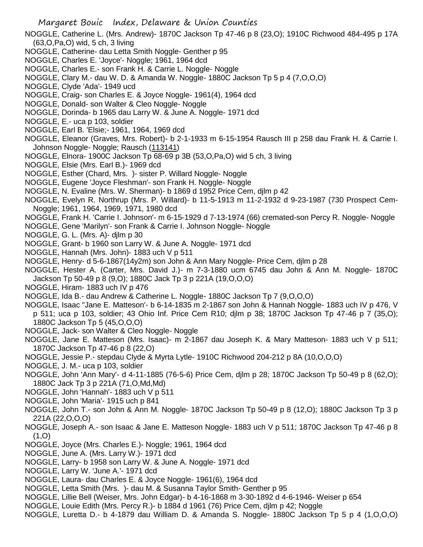NOGGLE, Catherine L. (Mrs. Andrew)- 1870C Jackson Tp 47-46 p 8 (23,O); 1910C Richwood 484-495 p 17A (63,O,Pa,O) wid, 5 ch, 3 living

- NOGGLE, Catherine- dau Letta Smith Noggle- Genther p 95
- NOGGLE, Charles E. 'Joyce'- Noggle; 1961, 1964 dcd
- NOGGLE, Charles E.- son Frank H. & Carrie L. Noggle- Noggle
- NOGGLE, Clary M.- dau W. D. & Amanda W. Noggle- 1880C Jackson Tp 5 p 4 (7,O,O,O)
- NOGGLE, Clyde 'Ada'- 1949 ucd
- NOGGLE, Craig- son Charles E. & Joyce Noggle- 1961(4), 1964 dcd
- NOGGLE, Donald- son Walter & Cleo Noggle- Noggle
- NOGGLE, Dorinda- b 1965 dau Larry W. & June A. Noggle- 1971 dcd
- NOGGLE, E.- uca p 103, soldier
- NOGGLE, Earl B. 'Elsie;- 1961, 1964, 1969 dcd
- NOGGLE, Eleanor (Graves, Mrs. Robert)- b 2-1-1933 m 6-15-1954 Rausch III p 258 dau Frank H. & Carrie I. Johnson Noggle- Noggle; Rausch (113141)
- NOGGLE, Elnora- 1900C Jackson Tp 68-69 p 3B (53,O,Pa,O) wid 5 ch, 3 living
- NOGGLE, Elsie (Mrs. Earl B.)- 1969 dcd
- NOGGLE, Esther (Chard, Mrs. )- sister P. Willard Noggle- Noggle
- NOGGLE, Eugene 'Joyce Fleshman'- son Frank H. Noggle- Noggle
- NOGGLE, N. Evaline (Mrs. W. Sherman)- b 1869 d 1952 Price Cem, djlm p 42
- NOGGLE, Evelyn R. Northrup (Mrs. P. Willard)- b 11-5-1913 m 11-2-1932 d 9-23-1987 (730 Prospect Cem-Noggle; 1961, 1964, 1969, 1971, 1980 dcd
- NOGGLE, Frank H. 'Carrie I. Johnson'- m 6-15-1929 d 7-13-1974 (66) cremated-son Percy R. Noggle- Noggle
- NOGGLE, Gene 'Marilyn'- son Frank & Carrie I. Johnson Noggle- Noggle
- NOGGLE, G. L. (Mrs. A)- djlm p 30
- NOGGLE, Grant- b 1960 son Larry W. & June A. Noggle- 1971 dcd
- NOGGLE, Hannah (Mrs. John)- 1883 uch V p 511
- NOGGLE, Henry- d 5-6-1867(14y2m) son John & Ann Mary Noggle- Price Cem, djlm p 28
- NOGGLE, Hester A. (Carter, Mrs. David J.)- m 7-3-1880 ucm 6745 dau John & Ann M. Noggle- 1870C Jackson Tp 50-49 p 8 (9,O); 1880C Jack Tp 3 p 221A (19,O,O,O)
- NOGGLE, Hiram- 1883 uch IV p 476
- NOGGLE, Ida B.- dau Andrew & Catherine L. Noggle- 1880C Jackson Tp 7 (9,O,O,O)
- NOGGLE, Isaac "Jane E. Matteson'- b 6-14-1835 m 2-1867 son John & Hannah Noggle- 1883 uch IV p 476, V p 511; uca p 103, soldier; 43 Ohio Inf. Price Cem R10; djlm p 38; 1870C Jackson Tp 47-46 p 7 (35,O); 1880C Jackson Tp 5 (45,O,O,O)
- NOGGLE, Jack- son Walter & Cleo Noggle- Noggle
- NOGGLE, Jane E. Matteson (Mrs. Isaac)- m 2-1867 dau Joseph K. & Mary Matteson- 1883 uch V p 511; 1870C Jackson Tp 47-46 p 8 (22,O)
- NOGGLE, Jessie P.- stepdau Clyde & Myrta Lytle- 1910C Richwood 204-212 p 8A (10,O,O,O)
- NOGGLE, J. M.- uca p 103, soldier
- NOGGLE, John 'Ann Mary'- d 4-11-1885 (76-5-6) Price Cem, djlm p 28; 1870C Jackson Tp 50-49 p 8 (62,O); 1880C Jack Tp 3 p 221A (71,O,Md,Md)
- NOGGLE, John 'Hannah'- 1883 uch V p 511
- NOGGLE, John 'Maria'- 1915 uch p 841
- NOGGLE, John T.- son John & Ann M. Noggle- 1870C Jackson Tp 50-49 p 8 (12,O); 1880C Jackson Tp 3 p 221A (22,O,O,O)
- NOGGLE, Joseph A.- son Isaac & Jane E. Matteson Noggle- 1883 uch V p 511; 1870C Jackson Tp 47-46 p 8  $(1, 0)$
- NOGGLE, Joyce (Mrs. Charles E.)- Noggle; 1961, 1964 dcd
- NOGGLE, June A. (Mrs. Larry W.)- 1971 dcd
- NOGGLE, Larry- b 1958 son Larry W. & June A. Noggle- 1971 dcd
- NOGGLE, Larry W. 'June A.'- 1971 dcd
- NOGGLE, Laura- dau Charles E. & Joyce Noggle- 1961(6), 1964 dcd
- NOGGLE, Letta Smith (Mrs. )- dau M. & Susanna Taylor Smith- Genther p 95
- NOGGLE, Lillie Bell (Weiser, Mrs. John Edgar)- b 4-16-1868 m 3-30-1892 d 4-6-1946- Weiser p 654
- NOGGLE, Louie Edith (Mrs. Percy R.)- b 1884 d 1961 (76) Price Cem, djlm p 42; Noggle
- NOGGLE, Luretta D.- b 4-1879 dau William D. & Amanda S. Noggle- 1880C Jackson Tp 5 p 4 (1,O,O,O)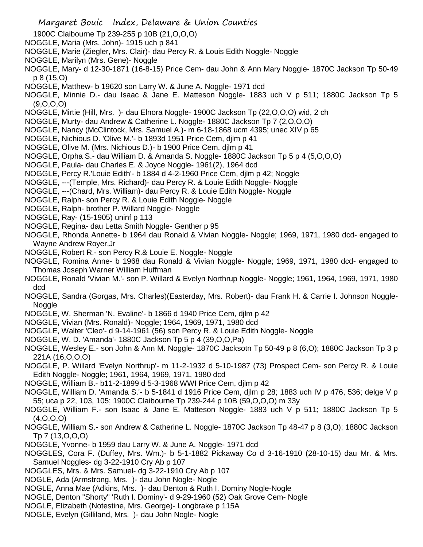- 1900C Claibourne Tp 239-255 p 10B (21,O,O,O)
- NOGGLE, Maria (Mrs. John)- 1915 uch p 841
- NOGGLE, Marie (Ziegler, Mrs. Clair)- dau Percy R. & Louis Edith Noggle- Noggle
- NOGGLE, Marilyn (Mrs. Gene)- Noggle
- NOGGLE, Mary- d 12-30-1871 (16-8-15) Price Cem- dau John & Ann Mary Noggle- 1870C Jackson Tp 50-49 p 8 (15,O)
- NOGGLE, Matthew- b 19620 son Larry W. & June A. Noggle- 1971 dcd
- NOGGLE, Minnie D.- dau Isaac & Jane E. Matteson Noggle- 1883 uch V p 511; 1880C Jackson Tp 5 (9,O,O,O)
- NOGGLE, Mirtie (Hill, Mrs. )- dau Elnora Noggle- 1900C Jackson Tp (22,O,O,O) wid, 2 ch
- NOGGLE, Murty- dau Andrew & Catherine L. Noggle- 1880C Jackson Tp 7 (2,O,O,O)
- NOGGLE, Nancy (McClintock, Mrs. Samuel A.)- m 6-18-1868 ucm 4395; unec XIV p 65
- NOGGLE, Nichious D. 'Olive M.'- b 1893d 1951 Price Cem, djlm p 41
- NOGGLE, Olive M. (Mrs. Nichious D.)- b 1900 Price Cem, djlm p 41
- NOGGLE, Orpha S.- dau William D. & Amanda S. Noggle- 1880C Jackson Tp 5 p 4 (5,O,O,O)
- NOGGLE, Paula- dau Charles E. & Joyce Noggle- 1961(2), 1964 dcd
- NOGGLE, Percy R.'Louie Edith'- b 1884 d 4-2-1960 Price Cem, djlm p 42; Noggle
- NOGGLE, ---(Temple, Mrs. Richard)- dau Percy R. & Louie Edith Noggle- Noggle
- NOGGLE, ---(Chard, Mrs. William)- dau Percy R. & Louie Edith Noggle- Noggle
- NOGGLE, Ralph- son Percy R. & Louie Edith Noggle- Noggle
- NOGGLE, Ralph- brother P. Willard Noggle- Noggle
- NOGGLE, Ray- (15-1905) uninf p 113
- NOGGLE, Regina- dau Letta Smith Noggle- Genther p 95
- NOGGLE, Rhonda Annette- b 1964 dau Ronald & Vivian Noggle- Noggle; 1969, 1971, 1980 dcd- engaged to Wayne Andrew Royer,Jr
- NOGGLE, Robert R.- son Percy R.& Louie E. Noggle- Noggle
- NOGGLE, Romina Anne- b 1968 dau Ronald & Vivian Noggle- Noggle; 1969, 1971, 1980 dcd- engaged to Thomas Joseph Warner William Huffman
- NOGGLE, Ronald 'Vivian M.'- son P. Willard & Evelyn Northrup Noggle- Noggle; 1961, 1964, 1969, 1971, 1980 dcd
- NOGGLE, Sandra (Gorgas, Mrs. Charles)(Easterday, Mrs. Robert)- dau Frank H. & Carrie I. Johnson Noggle-Noggle
- NOGGLE, W. Sherman 'N. Evaline'- b 1866 d 1940 Price Cem, djlm p 42
- NOGGLE, Vivian (Mrs. Ronald)- Noggle; 1964, 1969, 1971, 1980 dcd
- NOGGLE, Walter 'Cleo'- d 9-14-1961 (56) son Percy R. & Louie Edith Noggle- Noggle
- NOGGLE, W. D. 'Amanda'- 1880C Jackson Tp 5 p 4 (39,O,O,Pa)
- NOGGLE, Wesley E.- son John & Ann M. Noggle- 1870C Jacksotn Tp 50-49 p 8 (6,O); 1880C Jackson Tp 3 p 221A (16,O,O,O)
- NOGGLE, P. Willard 'Evelyn Northrup'- m 11-2-1932 d 5-10-1987 (73) Prospect Cem- son Percy R. & Louie Edith Noggle- Noggle; 1961, 1964, 1969, 1971, 1980 dcd
- NOGGLE, William B.- b11-2-1899 d 5-3-1968 WWI Price Cem, djlm p 42
- NOGGLE, William D. 'Amanda S.'- b 5-1841 d 1916 Price Cem, djlm p 28; 1883 uch IV p 476, 536; delge V p 55; uca p 22, 103, 105; 1900C Claibourne Tp 239-244 p 10B (59,O,O,O) m 33y
- NOGGLE, William F.- son Isaac & Jane E. Matteson Noggle- 1883 uch V p 511; 1880C Jackson Tp 5 (4,O,O,O)
- NOGGLE, William S.- son Andrew & Catherine L. Noggle- 1870C Jackson Tp 48-47 p 8 (3,O); 1880C Jackson Tp 7 (13,O,O,O)
- NOGGLE, Yvonne- b 1959 dau Larry W. & June A. Noggle- 1971 dcd
- NOGGLES, Cora F. (Duffey, Mrs. Wm.)- b 5-1-1882 Pickaway Co d 3-16-1910 (28-10-15) dau Mr. & Mrs. Samuel Noggles- dg 3-22-1910 Cry Ab p 107
- NOGGLES, Mrs. & Mrs. Samuel- dg 3-22-1910 Cry Ab p 107
- NOGLE, Ada (Armstrong, Mrs. )- dau John Nogle- Nogle
- NOGLE, Anna Mae (Adkins, Mrs. )- dau Denton & Ruth I. Dominy Nogle-Nogle
- NOGLE, Denton "Shorty" 'Ruth I. Dominy'- d 9-29-1960 (52) Oak Grove Cem- Nogle
- NOGLE, Elizabeth (Notestine, Mrs. George)- Longbrake p 115A
- NOGLE, Evelyn (Gilliland, Mrs. )- dau John Nogle- Nogle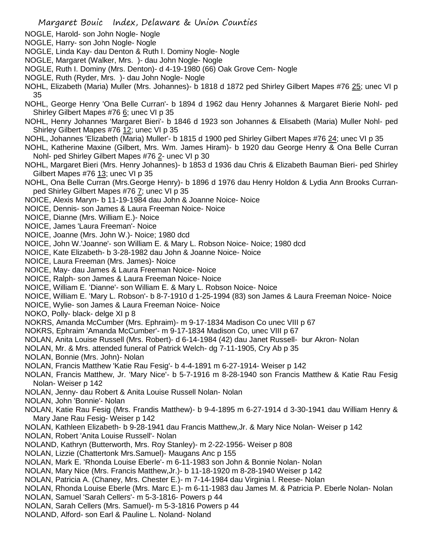- NOGLE, Harold- son John Nogle- Nogle
- NOGLE, Harry- son John Nogle- Nogle
- NOGLE, Linda Kay- dau Denton & Ruth I. Dominy Nogle- Nogle
- NOGLE, Margaret (Walker, Mrs. )- dau John Nogle- Nogle
- NOGLE, Ruth I. Dominy (Mrs. Denton)- d 4-19-1980 (66) Oak Grove Cem- Nogle
- NOGLE, Ruth (Ryder, Mrs. )- dau John Nogle- Nogle
- NOHL, Elizabeth (Maria) Muller (Mrs. Johannes)- b 1818 d 1872 ped Shirley Gilbert Mapes #76 25; unec VI p 35
- NOHL, George Henry 'Ona Belle Curran'- b 1894 d 1962 dau Henry Johannes & Margaret Bierie Nohl- ped Shirley Gilbert Mapes #76 6; unec VI p 35
- NOHL, Henry Johannes 'Margaret Bieri'- b 1846 d 1923 son Johannes & Elisabeth (Maria) Muller Nohl- ped Shirley Gilbert Mapes #76 12; unec VI p 35
- NOHL, Johannes 'Elizabeth (Maria) Muller'- b 1815 d 1900 ped Shirley Gilbert Mapes #76 24; unec VI p 35
- NOHL, Katherine Maxine (Gilbert, Mrs. Wm. James Hiram)- b 1920 dau George Henry & Ona Belle Curran Nohl- ped Shirley Gilbert Mapes #76 2- unec VI p 30
- NOHL, Margaret Bieri (Mrs. Henry Johannes)- b 1853 d 1936 dau Chris & Elizabeth Bauman Bieri- ped Shirley Gilbert Mapes #76 13; unec VI p 35
- NOHL, Ona Belle Curran (Mrs.George Henry)- b 1896 d 1976 dau Henry Holdon & Lydia Ann Brooks Curranped Shirley Gilbert Mapes #76 7; unec VI p 35
- NOICE, Alexis Maryn- b 11-19-1984 dau John & Joanne Noice- Noice
- NOICE, Dennis- son James & Laura Freeman Noice- Noice
- NOICE, Dianne (Mrs. William E.)- Noice
- NOICE, James 'Laura Freeman'- Noice
- NOICE, Joanne (Mrs. John W.)- Noice; 1980 dcd
- NOICE, John W.'Joanne'- son William E. & Mary L. Robson Noice- Noice; 1980 dcd
- NOICE, Kate Elizabeth- b 3-28-1982 dau John & Joanne Noice- Noice
- NOICE, Laura Freeman (Mrs. James)- Noice
- NOICE, May- dau James & Laura Freeman Noice- Noice
- NOICE, Ralph- son James & Laura Freeman Noice- Noice
- NOICE, William E. 'Dianne'- son William E. & Mary L. Robson Noice- Noice
- NOICE, William E. 'Mary L. Robson'- b 8-7-1910 d 1-25-1994 (83) son James & Laura Freeman Noice- Noice
- NOICE, Wylie- son James & Laura Freeman Noice- Noice
- NOKO, Polly- black- delge XI p 8
- NOKRS, Amanda McCumber (Mrs. Ephraim)- m 9-17-1834 Madison Co unec VIII p 67
- NOKRS, Ephraim 'Amanda McCumber'- m 9-17-1834 Madison Co, unec VIII p 67
- NOLAN, Anita Louise Russell (Mrs. Robert)- d 6-14-1984 (42) dau Janet Russell- bur Akron- Nolan
- NOLAN, Mr. & Mrs. attended funeral of Patrick Welch- dg 7-11-1905, Cry Ab p 35
- NOLAN, Bonnie (Mrs. John)- Nolan
- NOLAN, Francis Matthew 'Katie Rau Fesig'- b 4-4-1891 m 6-27-1914- Weiser p 142
- NOLAN, Francis Matthew, Jr. 'Mary Nice'- b 5-7-1916 m 8-28-1940 son Francis Matthew & Katie Rau Fesig Nolan- Weiser p 142
- NOLAN, Jenny- dau Robert & Anita Louise Russell Nolan- Nolan
- NOLAN, John 'Bonnie'- Nolan
- NOLAN, Katie Rau Fesig (Mrs. Frandis Matthew)- b 9-4-1895 m 6-27-1914 d 3-30-1941 dau William Henry & Mary Jane Rau Fesig- Weiser p 142
- NOLAN, Kathleen Elizabeth- b 9-28-1941 dau Francis Matthew,Jr. & Mary Nice Nolan- Weiser p 142
- NOLAN, Robert 'Anita Louise Russell'- Nolan
- NOLAND, Kathryn (Butterworth, Mrs. Roy Stanley)- m 2-22-1956- Weiser p 808
- NOLAN, Lizzie (Chattertonk Mrs.Samuel)- Maugans Anc p 155
- NOLAN, Mark E. 'Rhonda Louise Eberle'- m 6-11-1983 son John & Bonnie Nolan- Nolan
- NOLAN, Mary Nice (Mrs. Francis Matthew,Jr.)- b 11-18-1920 m 8-28-1940 Weiser p 142
- NOLAN, Patricia A. (Chaney, Mrs. Chester E.)- m 7-14-1984 dau Virginia l. Reese- Nolan
- NOLAN, Rhonda Louise Eberle (Mrs. Marc E.)- m 6-11-1983 dau James M. & Patricia P. Eberle Nolan- Nolan
- NOLAN, Samuel 'Sarah Cellers'- m 5-3-1816- Powers p 44
- NOLAN, Sarah Cellers (Mrs. Samuel)- m 5-3-1816 Powers p 44
- NOLAND, Alford- son Earl & Pauline L. Noland- Noland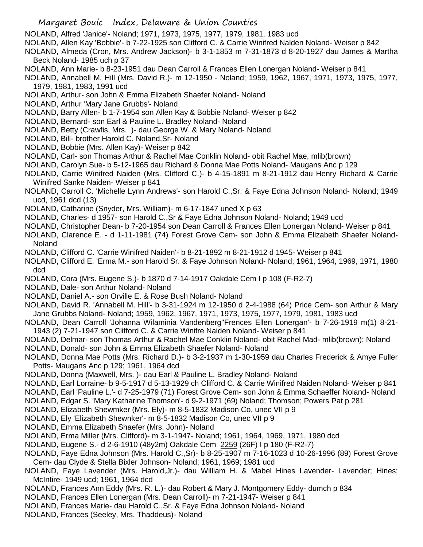- NOLAND, Alfred 'Janice'- Noland; 1971, 1973, 1975, 1977, 1979, 1981, 1983 ucd
- NOLAND, Allen Kay 'Bobbie'- b 7-22-1925 son Clifford C. & Carrie Winifred Nalden Noland- Weiser p 842
- NOLAND, Almeda (Cron, Mrs. Andrew Jackson)- b 3-1-1853 m 7-31-1873 d 8-20-1927 dau James & Martha Beck Noland- 1985 uch p 37
- NOLAND, Ann Marie- b 8-23-1951 dau Dean Carroll & Frances Ellen Lonergan Noland- Weiser p 841
- NOLAND, Annabell M. Hill (Mrs. David R.)- m 12-1950 Noland; 1959, 1962, 1967, 1971, 1973, 1975, 1977, 1979, 1981, 1983, 1991 ucd
- NOLAND, Arthur- son John & Emma Elizabeth Shaefer Noland- Noland
- NOLAND, Arthur 'Mary Jane Grubbs'- Noland
- NOLAND, Barry Allen- b 1-7-1954 son Allen Kay & Bobbie Noland- Weiser p 842
- NOLAND, Bernard- son Earl & Pauline L. Bradley Noland- Noland
- NOLAND, Betty (Crawfis, Mrs. )- dau George W. & Mary Noland- Noland
- NOLAND, Bill- brother Harold C. Noland,Sr- Noland
- NOLAND, Bobbie (Mrs. Allen Kay)- Weiser p 842
- NOLAND, Carl- son Thomas Arthur & Rachel Mae Conklin Noland- obit Rachel Mae, mlib(brown)
- NOLAND, Carolyn Sue- b 5-12-1965 dau Richard & Donna Mae Potts Noland- Maugans Anc p 129
- NOLAND, Carrie Winifred Naiden (Mrs. Clifford C.)- b 4-15-1891 m 8-21-1912 dau Henry Richard & Carrie Winifred Sanke Naiden- Weiser p 841
- NOLAND, Carroll C. 'Michelle Lynn Andrews'- son Harold C.,Sr. & Faye Edna Johnson Noland- Noland; 1949 ucd, 1961 dcd (13)
- NOLAND, Catharine (Snyder, Mrs. William)- m 6-17-1847 uned X p 63
- NOLAND, Charles- d 1957- son Harold C.,Sr & Faye Edna Johnson Noland- Noland; 1949 ucd
- NOLAND, Christopher Dean- b 7-20-1954 son Dean Carroll & Frances Ellen Lonergan Noland- Weiser p 841
- NOLAND, Clarence E. d 1-11-1981 (74) Forest Grove Cem- son John & Emma Elizabeth Shaefer Noland-Noland
- NOLAND, Clifford C. 'Carrie Winifred Naiden'- b 8-21-1892 m 8-21-1912 d 1945- Weiser p 841
- NOLAND, Clifford E. 'Erma M.- son Harold Sr. & Faye Johnson Noland- Noland; 1961, 1964, 1969, 1971, 1980 dcd
- NOLAND, Cora (Mrs. Eugene S.)- b 1870 d 7-14-1917 Oakdale Cem I p 108 (F-R2-7)
- NOLAND, Dale- son Arthur Noland- Noland
- NOLAND, Daniel A.- son Orville E. & Rose Bush Noland- Noland
- NOLAND, David R. 'Annabell M. Hill'- b 3-31-1924 m 12-1950 d 2-4-1988 (64) Price Cem- son Arthur & Mary Jane Grubbs Noland- Noland; 1959, 1962, 1967, 1971, 1973, 1975, 1977, 1979, 1981, 1983 ucd
- NOLAND, Dean Carroll 'Johanna Wilaminia Vandenberg''Frences Ellen Lonergan'- b 7-26-1919 m(1) 8-21- 1943 (2) 7-21-1947 son Clifford C. & Carrie Winifre Naiden Noland- Weiser p 841
- NOLAND, Delmar- son Thomas Arthur & Rachel Mae Conklin Noland- obit Rachel Mad- mlib(brown); Noland
- NOLAND, Donald- son John & Emma Elizabeth Shaefer Noland- Noland
- NOLAND, Donna Mae Potts (Mrs. Richard D.)- b 3-2-1937 m 1-30-1959 dau Charles Frederick & Amye Fuller Potts- Maugans Anc p 129; 1961, 1964 dcd
- NOLAND, Donna (Maxwell, Mrs. )- dau Earl & Pauline L. Bradley Noland- Noland
- NOLAND, Earl Lorraine- b 9-5-1917 d 5-13-1929 ch Clifford C. & Carrie Winifred Naiden Noland- Weiser p 841
- NOLAND, Earl 'Pauline L.'- d 7-25-1979 (71) Forest Grove Cem- son John & Emma Schaeffer Noland- Noland
- NOLAND, Edgar S. 'Mary Katharine Thomson'- d 9-2-1971 (69) Noland; Thomson; Powers Pat p 281
- NOLAND, Elizabeth Shewmker (Mrs. Ely)- m 8-5-1832 Madison Co, unec VII p 9
- NOLAND, Ely 'Elizabeth Shewnker'- m 8-5-1832 Madison Co, unec VII p 9
- NOLAND, Emma Elizabeth Shaefer (Mrs. John)- Noland
- NOLAND, Erma Miller (Mrs. Clifford)- m 3-1-1947- Noland; 1961, 1964, 1969, 1971, 1980 dcd
- NOLAND, Eugene S.- d 2-6-1910 (48y2m) Oakdale Cem 2259 (26F) I p 180 (F-R2-7)
- NOLAND, Faye Edna Johnson (Mrs. Harold C.,Sr)- b 8-25-1907 m 7-16-1023 d 10-26-1996 (89) Forest Grove Cem- dau Clyde & Stella Bixler Johnson- Noland; 1961, 1969; 1981 ucd
- NOLAND, Faye Lavender (Mrs. Harold,Jr.)- dau William H. & Mabel Hines Lavender- Lavender; Hines; McIntire- 1949 ucd; 1961, 1964 dcd
- NOLAND, Frances Ann Eddy (Mrs. R. L.)- dau Robert & Mary J. Montgomery Eddy- dumch p 834
- NOLAND, Frances Ellen Lonergan (Mrs. Dean Carroll)- m 7-21-1947- Weiser p 841
- NOLAND, Frances Marie- dau Harold C.,Sr. & Faye Edna Johnson Noland- Noland
- NOLAND, Frances (Seeley, Mrs. Thaddeus)- Noland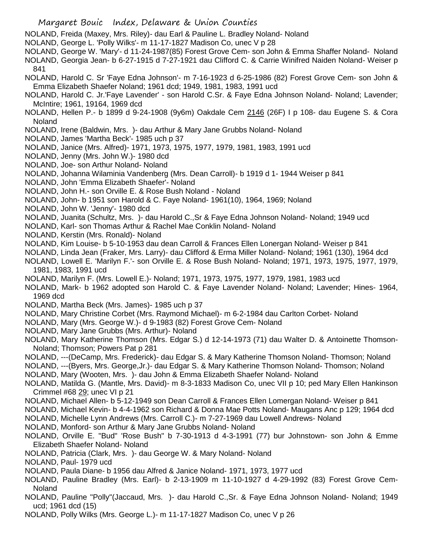NOLAND, Freida (Maxey, Mrs. Riley)- dau Earl & Pauline L. Bradley Noland- Noland

NOLAND, George L. 'Polly Wilks'- m 11-17-1827 Madison Co, unec V p 28

NOLAND, George W. 'Mary'- d 11-24-1987(85) Forest Grove Cem- son John & Emma Shaffer Noland- Noland NOLAND, Georgia Jean- b 6-27-1915 d 7-27-1921 dau Clifford C. & Carrie Winifred Naiden Noland- Weiser p 841

- NOLAND, Harold C. Sr 'Faye Edna Johnson'- m 7-16-1923 d 6-25-1986 (82) Forest Grove Cem- son John & Emma Elizabeth Shaefer Noland; 1961 dcd; 1949, 1981, 1983, 1991 ucd
- NOLAND, Harold C. Jr.'Faye Lavender' son Harold C.Sr. & Faye Edna Johnson Noland- Noland; Lavender; McIntire; 1961, 19164, 1969 dcd
- NOLAND, Hellen P.- b 1899 d 9-24-1908 (9y6m) Oakdale Cem 2146 (26F) I p 108- dau Eugene S. & Cora Noland
- NOLAND, Irene (Baldwin, Mrs. )- dau Arthur & Mary Jane Grubbs Noland- Noland
- NOLAND, James 'Martha Beck'- 1985 uch p 37
- NOLAND, Janice (Mrs. Alfred)- 1971, 1973, 1975, 1977, 1979, 1981, 1983, 1991 ucd
- NOLAND, Jenny (Mrs. John W.)- 1980 dcd
- NOLAND, Joe- son Arthur Noland- Noland
- NOLAND, Johanna Wilaminia Vandenberg (Mrs. Dean Carroll)- b 1919 d 1- 1944 Weiser p 841
- NOLAND, John 'Emma Elizabeth Shaefer'- Noland
- NOLAND, John H.- son Orville E. & Rose Bush Noland Noland
- NOLAND, John- b 1951 son Harold & C. Faye Noland- 1961(10), 1964, 1969; Noland
- NOLAND, John W. 'Jenny'- 1980 dcd
- NOLAND, Juanita (Schultz, Mrs. )- dau Harold C.,Sr & Faye Edna Johnson Noland- Noland; 1949 ucd
- NOLAND, Karl- son Thomas Arthur & Rachel Mae Conklin Noland- Noland
- NOLAND, Kerstin (Mrs. Ronald)- Noland
- NOLAND, Kim Louise- b 5-10-1953 dau dean Carroll & Frances Ellen Lonergan Noland- Weiser p 841
- NOLAND, Linda Jean (Fraker, Mrs. Larry)- dau Clifford & Erma Miller Noland- Noland; 1961 (130), 1964 dcd
- NOLAND, Lowell E. 'Marilyn F.'- son Orville E. & Rose Bush Noland- Noland; 1971, 1973, 1975, 1977, 1979, 1981, 1983, 1991 ucd
- NOLAND, Marilyn F. (Mrs. Lowell E.)- Noland; 1971, 1973, 1975, 1977, 1979, 1981, 1983 ucd
- NOLAND, Mark- b 1962 adopted son Harold C. & Faye Lavender Noland- Noland; Lavender; Hines- 1964, 1969 dcd
- NOLAND, Martha Beck (Mrs. James)- 1985 uch p 37
- NOLAND, Mary Christine Corbet (Mrs. Raymond Michael)- m 6-2-1984 dau Carlton Corbet- Noland
- NOLAND, Mary (Mrs. George W.)- d 9-1983 (82) Forest Grove Cem- Noland
- NOLAND, Mary Jane Grubbs (Mrs. Arthur)- Noland
- NOLAND, Mary Katherine Thomson (Mrs. Edgar S.) d 12-14-1973 (71) dau Walter D. & Antoinette Thomson-Noland; Thomson; Powers Pat p 281
- NOLAND, ---(DeCamp, Mrs. Frederick)- dau Edgar S. & Mary Katherine Thomson Noland- Thomson; Noland
- NOLAND, ---(Byers, Mrs. George,Jr.)- dau Edgar S. & Mary Katherine Thomson Noland- Thomson; Noland
- NOLAND, Mary (Wooten, Mrs. )- dau John & Emma Elizabeth Shaefer Noland- Noland
- NOLAND, Matilda G. (Mantle, Mrs. David)- m 8-3-1833 Madison Co, unec VII p 10; ped Mary Ellen Hankinson Crimmel #68 29; unec VI p 21
- NOLAND, Michael Allen- b 5-12-1949 son Dean Carroll & Frances Ellen Lomergan Noland- Weiser p 841
- NOLAND, Michael Kevin- b 4-4-1962 son Richard & Donna Mae Potts Noland- Maugans Anc p 129; 1964 dcd
- NOLAND, Michelle Lynn Andrews (Mrs. Carroll C.)- m 7-27-1969 dau Lowell Andrews- Noland
- NOLAND, Monford- son Arthur & Mary Jane Grubbs Noland- Noland
- NOLAND, Orville E. "Bud" 'Rose Bush" b 7-30-1913 d 4-3-1991 (77) bur Johnstown- son John & Emme Elizabeth Shaefer Noland- Noland
- NOLAND, Patricia (Clark, Mrs. )- dau George W. & Mary Noland- Noland
- NOLAND, Paul- 1979 ucd
- NOLAND, Paula Diane- b 1956 dau Alfred & Janice Noland- 1971, 1973, 1977 ucd
- NOLAND, Pauline Bradley (Mrs. Earl)- b 2-13-1909 m 11-10-1927 d 4-29-1992 (83) Forest Grove Cem-Noland
- NOLAND, Pauline "Polly"(Jaccaud, Mrs. )- dau Harold C.,Sr. & Faye Edna Johnson Noland- Noland; 1949 ucd; 1961 dcd (15)
- NOLAND, Polly Wilks (Mrs. George L.)- m 11-17-1827 Madison Co, unec V p 26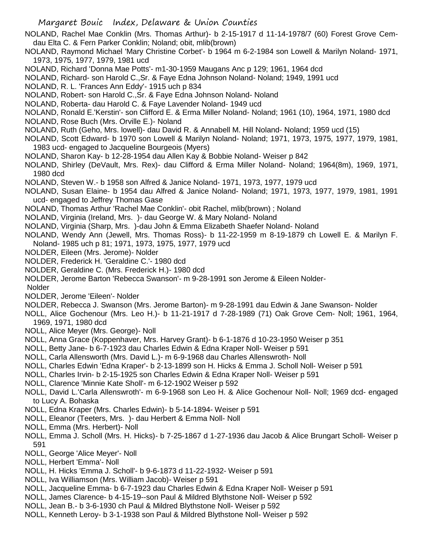NOLAND, Rachel Mae Conklin (Mrs. Thomas Arthur)- b 2-15-1917 d 11-14-1978/7 (60) Forest Grove Cemdau Elta C. & Fern Parker Conklin; Noland; obit, mlib(brown)

NOLAND, Raymond Michael 'Mary Christine Corbet'- b 1964 m 6-2-1984 son Lowell & Marilyn Noland- 1971, 1973, 1975, 1977, 1979, 1981 ucd

NOLAND, Richard 'Donna Mae Potts'- m1-30-1959 Maugans Anc p 129; 1961, 1964 dcd

- NOLAND, Richard- son Harold C.,Sr. & Faye Edna Johnson Noland- Noland; 1949, 1991 ucd
- NOLAND, R. L. 'Frances Ann Eddy'- 1915 uch p 834
- NOLAND, Robert- son Harold C.,Sr. & Faye Edna Johnson Noland- Noland
- NOLAND, Roberta- dau Harold C. & Faye Lavender Noland- 1949 ucd
- NOLAND, Ronald E.'Kerstin'- son Clifford E. & Erma Miller Noland- Noland; 1961 (10), 1964, 1971, 1980 dcd
- NOLAND, Rose Buch (Mrs. Orville E.)- Noland
- NOLAND, Ruth (Geho, Mrs. lowell)- dau David R. & Annabell M. Hill Noland- Noland; 1959 ucd (15)
- NOLAND, Scott Edward- b 1970 son Lowell & Marilyn Noland- Noland; 1971, 1973, 1975, 1977, 1979, 1981, 1983 ucd- engaged to Jacqueline Bourgeois (Myers)
- NOLAND, Sharon Kay- b 12-28-1954 dau Allen Kay & Bobbie Noland- Weiser p 842
- NOLAND, Shirley (DeVault, Mrs. Rex)- dau Clifford & Erma Miller Noland- Noland; 1964(8m), 1969, 1971, 1980 dcd
- NOLAND, Steven W.- b 1958 son Alfred & Janice Noland- 1971, 1973, 1977, 1979 ucd
- NOLAND, Susan Elaine- b 1954 dau Alfred & Janice Noland- Noland; 1971, 1973, 1977, 1979, 1981, 1991 ucd- engaged to Jeffrey Thomas Gase
- NOLAND, Thomas Arthur 'Rachel Mae Conklin'- obit Rachel, mlib(brown) ; Noland
- NOLAND, Virginia (Ireland, Mrs. )- dau George W. & Mary Noland- Noland
- NOLAND, Virginia (Sharp, Mrs. )-dau John & Emma Elizabeth Shaefer Noland- Noland
- NOLAND, Wendy Ann (Jewell, Mrs. Thomas Ross)- b 11-22-1959 m 8-19-1879 ch Lowell E. & Marilyn F. Noland- 1985 uch p 81; 1971, 1973, 1975, 1977, 1979 ucd
- NOLDER, Eileen (Mrs. Jerome)- Nolder
- NOLDER, Frederick H. 'Geraldine C.'- 1980 dcd
- NOLDER, Geraldine C. (Mrs. Frederick H.)- 1980 dcd
- NOLDER, Jerome Barton 'Rebecca Swanson'- m 9-28-1991 son Jerome & Eileen Nolder-

Nolder

- NOLDER, Jerome 'Eileen'- Nolder
- NOLDER, Rebecca J. Swanson (Mrs. Jerome Barton)- m 9-28-1991 dau Edwin & Jane Swanson- Nolder
- NOLL, Alice Gochenour (Mrs. Leo H.)- b 11-21-1917 d 7-28-1989 (71) Oak Grove Cem- Noll; 1961, 1964, 1969, 1971, 1980 dcd
- NOLL, Alice Meyer (Mrs. George)- Noll
- NOLL, Anna Grace (Koppenhaver, Mrs. Harvey Grant)- b 6-1-1876 d 10-23-1950 Weiser p 351
- NOLL, Betty Jane- b 6-7-1923 dau Charles Edwin & Edna Kraper Noll- Weiser p 591
- NOLL, Carla Allensworth (Mrs. David L.)- m 6-9-1968 dau Charles Allenswroth- Noll
- NOLL, Charles Edwin 'Edna Kraper'- b 2-13-1899 son H. Hicks & Emma J. Scholl Noll- Weiser p 591
- NOLL, Charles Irvin- b 2-15-1925 son Charles Edwin & Edna Kraper Noll- Weiser p 591
- NOLL, Clarence 'Minnie Kate Sholl'- m 6-12-1902 Weiser p 592
- NOLL, David L.'Carla Allenswroth'- m 6-9-1968 son Leo H. & Alice Gochenour Noll- Noll; 1969 dcd- engaged to Lucy A. Bohaska
- NOLL, Edna Kraper (Mrs. Charles Edwin)- b 5-14-1894- Weiser p 591
- NOLL, Eleanor (Teeters, Mrs. )- dau Herbert & Emma Noll- Noll
- NOLL, Emma (Mrs. Herbert)- Noll
- NOLL, Emma J. Scholl (Mrs. H. Hicks)- b 7-25-1867 d 1-27-1936 dau Jacob & Alice Brungart Scholl- Weiser p 591
- NOLL, George 'Alice Meyer'- Noll
- NOLL, Herbert 'Emma'- Noll
- NOLL, H. Hicks 'Emma J. Scholl'- b 9-6-1873 d 11-22-1932- Weiser p 591
- NOLL, Iva Williamson (Mrs. William Jacob)- Weiser p 591
- NOLL, Jacqueline Emma- b 6-7-1923 dau Charles Edwin & Edna Kraper Noll- Weiser p 591
- NOLL, James Clarence- b 4-15-19--son Paul & Mildred Blythstone Noll- Weiser p 592
- NOLL, Jean B.- b 3-6-1930 ch Paul & Mildred Blythstone Noll- Weiser p 592
- NOLL, Kenneth Leroy- b 3-1-1938 son Paul & Mildred Blythstone Noll- Weiser p 592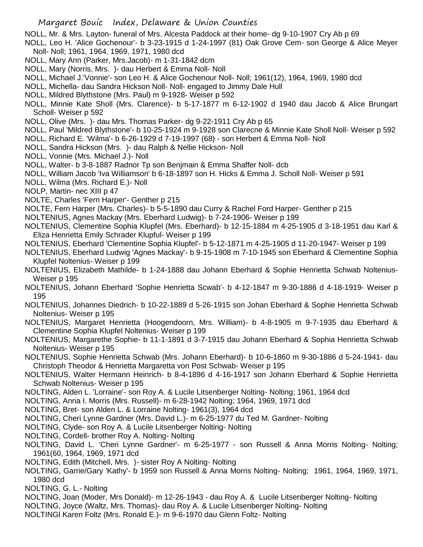NOLL, Mr. & Mrs. Layton- funeral of Mrs. Alcesta Paddock at their home- dg 9-10-1907 Cry Ab p 69

NOLL, Leo H. 'Alice Gochenour'- b 3-23-1915 d 1-24-1997 (81) Oak Grove Cem- son George & Alice Meyer Noll- Noll; 1961, 1964, 1969, 1971, 1980 dcd

- NOLL, Mary Ann (Parker, Mrs.Jacob)- m 1-31-1842 dcm
- NOLL, Mary (Norris, Mrs. )- dau Herbert & Emma Noll- Noll
- NOLL, Michael J.'Vonnie'- son Leo H. & Alice Gochenour Noll- Noll; 1961(12), 1964, 1969, 1980 dcd
- NOLL, Michella- dau Sandra Hickson Noll- Noll- engaged to Jimmy Dale Hull
- NOLL, Mildred Blythstone (Mrs. Paul) m 9-1928- Weiser p 592

NOLL, Minnie Kate Sholl (Mrs. Clarence)- b 5-17-1877 m 6-12-1902 d 1940 dau Jacob & Alice Brungart Scholl- Weiser p 592

NOLL, Olive (Mrs. )- dau Mrs. Thomas Parker- dg 9-22-1911 Cry Ab p 65

NOLL, Paul 'Mildred Blythstone'- b 10-25-1924 m 9-1928 son Clarecne & Minnie Kate Sholl Noll- Weiser p 592

NOLL, Richard E. 'Wilma'- b 6-26-1929 d 7-19-1997 (68) - son Herbert & Emma Noll- Noll

- NOLL, Sandra Hickson (Mrs. )- dau Ralph & Nellie Hickson- Noll
- NOLL, Vonnie (Mrs. Michael J.)- Noll
- NOLL, Walter- b 3-8-1887 Radnor Tp son Benjmain & Emma Shaffer Noll- dcb

NOLL, William Jacob 'Iva Williamson' b 6-18-1897 son H. Hicks & Emma J. Scholl Noll- Weiser p 591

NOLL, Wilma (Mrs. Richard E.)- Noll

NOLP, Martin- nec XIII p 47

- NOLTE, Charles 'Fern Harper'- Genther p 215
- NOLTE, Fern Harper (Mrs. Charles)- b 5-5-1890 dau Curry & Rachel Ford Harper- Genther p 215
- NOLTENIUS, Agnes Mackay (Mrs. Eberhard Ludwig)- b 7-24-1906- Weiser p 199

NOLTENIUS, Clementine Sophia Klupfel (Mrs. Eberhard)- b 12-15-1884 m 4-25-1905 d 3-18-1951 dau Karl & Eliza Henrietta Emily Schrader Klupful- Weiser p 199

- NOLTENIUS, Eberhard 'Clementine Sophia Klupfel'- b 5-12-1871 m 4-25-1905 d 11-20-1947- Weiser p 199
- NOLTENIUS, Eberhard Ludwig 'Agnes Mackay'- b 9-15-1908 m 7-10-1945 son Eberhard & Clementine Sophia Klupfel Noltenius- Weiser p 199
- NOLTENIUS, Elizabeth Mathilde- b 1-24-1888 dau Johann Eberhard & Sophie Henrietta Schwab Noltenius-Weiser p 195
- NOLTENIUS, Johann Eberhard 'Sophie Henrietta Scwab'- b 4-12-1847 m 9-30-1886 d 4-18-1919- Weiser p 195
- NOLTENIUS, Johannes Diedrich- b 10-22-1889 d 5-26-1915 son Johan Eberhard & Sophie Henrietta Schwab Noltenius- Weiser p 195
- NOLTENIUS, Margaret Henrietta (Hoogendoorn, Mrs. William)- b 4-8-1905 m 9-7-1935 dau Eberhard & Clementine Sophia Klupfel Noltenius- Weiser p 199
- NOLTENIUS, Margarethe Sophie- b 11-1-1891 d 3-7-1915 dau Johann Eberhard & Sophia Henrietta Schwab Noltenius- Weiser p 195
- NOLTENIUS, Sophie Henrietta Schwab (Mrs. Johann Eberhard)- b 10-6-1860 m 9-30-1886 d 5-24-1941- dau Christoph Theodor & Henrietta Margaretta von Post Schwab- Weiser p 195

NOLTENIUS, Walter Hermann Heinrich- b 8-4-1896 d 4-16-1917 son Johann Eberhard & Sophie Henrietta Schwab Noltenius- Weiser p 195

- NOLTING, Alden L. 'Lorraine'- son Roy A. & Lucile Litsenberger Nolting- Nolting; 1961, 1964 dcd
- NOLTING, Anna I. Morris (Mrs. Russell)- m 6-28-1942 Nolting; 1964, 1969, 1971 dcd
- NOLTING, Bret- son Alden L. & Lorraine Nolting- 1961(3), 1964 dcd
- NOLTING, Cheri Lynne Gardner (Mrs. David L.)- m 6-25-1977 du Ted M. Gardner- Nolting
- NOLTING, Clyde- son Roy A. & Lucile Litsenberger Nolting- Nolting
- NOLTING, Cordell- brother Roy A. Nolting- Nolting
- NOLTING, David L. 'Cheri Lynne Gardner'- m 6-25-1977 son Russell & Anna Morris Nolting- Nolting; 1961(60, 1964, 1969, 1971 dcd
- NOLTING, Edith (Mitchell, Mrs. )- sister Roy A Nolting- Nolting
- NOLTING, Garrie/Gary 'Kathy'- b 1959 son Russell & Anna Morris Nolting- Nolting; 1961, 1964, 1969, 1971, 1980 dcd
- NOLTING, G. L.- Nolting
- NOLTING, Joan (Moder, Mrs Donald)- m 12-26-1943 dau Roy A. & Lucile Litsenberger Nolting- Nolting
- NOLTING, Joyce (Waltz, Mrs. Thomas)- dau Roy A. & Lucile Litsenberger Nolting- Nolting
- NOLTINGl Karen Foltz (Mrs. Ronald E.)- m 9-6-1970 dau Glenn Foltz- Nolting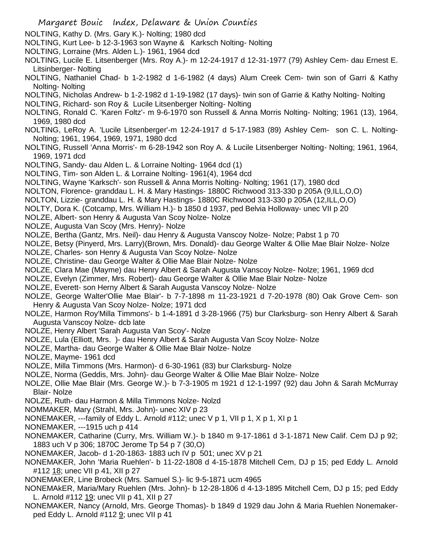NOLTING, Kathy D. (Mrs. Gary K.)- Nolting; 1980 dcd

- NOLTING, Kurt Lee- b 12-3-1963 son Wayne & Karksch Nolting- Nolting
- NOLTING, Lorraine (Mrs. Alden L.)- 1961, 1964 dcd
- NOLTING, Lucile E. Litsenberger (Mrs. Roy A.)- m 12-24-1917 d 12-31-1977 (79) Ashley Cem- dau Ernest E. Litsinberger- Nolting
- NOLTING, Nathaniel Chad- b 1-2-1982 d 1-6-1982 (4 days) Alum Creek Cem- twin son of Garri & Kathy Nolting- Nolting
- NOLTING, Nicholas Andrew- b 1-2-1982 d 1-19-1982 (17 days)- twin son of Garrie & Kathy Nolting- Nolting
- NOLTING, Richard- son Roy & Lucile Litsenberger Nolting- Nolting
- NOLTING, Ronald C. 'Karen Foltz'- m 9-6-1970 son Russell & Anna Morris Nolting- Nolting; 1961 (13), 1964, 1969, 1980 dcd
- NOLTING, LeRoy A. 'Lucile Litsenberger'-m 12-24-1917 d 5-17-1983 (89) Ashley Cem- son C. L. Nolting-Nolting; 1961, 1964, 1969, 1971, 1980 dcd
- NOLTING, Russell 'Anna Morris'- m 6-28-1942 son Roy A. & Lucile Litsenberger Nolting- Nolting; 1961, 1964, 1969, 1971 dcd
- NOLTING, Sandy- dau Alden L. & Lorraine Nolting- 1964 dcd (1)
- NOLTING, Tim- son Alden L. & Lorraine Nolting- 1961(4), 1964 dcd
- NOLTING, Wayne 'Karksch'- son Russell & Anna Morris Nolting- Nolting; 1961 (17), 1980 dcd
- NOLTON, Florence- granddau L. H. & Mary Hastings- 1880C Richwood 313-330 p 205A (9,ILL,O,O)
- NOLTON, Lizzie- granddau L. H. & Mary Hastings- 1880C Richwood 313-330 p 205A (12,ILL,O,O)
- NOLTY, Dora K. (Cotcamp, Mrs. William H.)- b 1850 d 1937, ped Belvia Holloway- unec VII p 20
- NOLZE, Albert- son Henry & Augusta Van Scoy Nolze- Nolze
- NOLZE, Augusta Van Scoy (Mrs. Henry)- Nolze
- NOLZE, Bertha (Gantz, Mrs. Neil)- dau Henry & Augusta Vanscoy Nolze- Nolze; Pabst 1 p 70
- NOLZE, Betsy (Pinyerd, Mrs. Larry)(Brown, Mrs. Donald)- dau George Walter & Ollie Mae Blair Nolze- Nolze
- NOLZE, Charles- son Henry & Augusta Van Scoy Nolze- Nolze
- NOLZE, Christine- dau George Walter & Ollie Mae Blair Nolze- Nolze
- NOLZE, Clara Mae (Mayme) dau Henry Albert & Sarah Augusta Vanscoy Nolze- Nolze; 1961, 1969 dcd
- NOLZE, Evelyn (Zimmer, Mrs. Robert)- dau George Walter & Ollie Mae Blair Nolze- Nolze
- NOLZE, Everett- son Herny Albert & Sarah Augusta Vanscoy Nolze- Nolze
- NOLZE, George Walter'Ollie Mae Blair'- b 7-7-1898 m 11-23-1921 d 7-20-1978 (80) Oak Grove Cem- son Henry & Augusta Van Scoy Nolze- Nolze; 1971 dcd
- NOLZE, Harmon Roy'Milla Timmons'- b 1-4-1891 d 3-28-1966 (75) bur Clarksburg- son Henry Albert & Sarah Augusta Vanscoy Nolze- dcb late
- NOLZE, Henry Albert 'Sarah Augusta Van Scoy'- Nolze
- NOLZE, Lula (Elliott, Mrs. )- dau Henry Albert & Sarah Augusta Van Scoy Nolze- Nolze
- NOLZE, Martha- dau George Walter & Ollie Mae Blair Nolze- Nolze
- NOLZE, Mayme- 1961 dcd
- NOLZE, Milla Timmons (Mrs. Harmon)- d 6-30-1961 (83) bur Clarksburg- Nolze
- NOLZE, Norma (Geddis, Mrs. John)- dau George Walter & Ollie Mae Blair Nolze- Nolze
- NOLZE, Ollie Mae Blair (Mrs. George W.)- b 7-3-1905 m 1921 d 12-1-1997 (92) dau John & Sarah McMurray Blair- Nolze
- NOLZE, Ruth- dau Harmon & Milla Timmons Nolze- Nolzd
- NOMMAKER, Mary (Strahl, Mrs. John)- unec XIV p 23
- NONEMAKER, ---family of Eddy L. Arnold #112; unec V p 1, VII p 1, X p 1, XI p 1
- NONEMAKER, ---1915 uch p 414
- NONEMAKER, Catharine (Curry, Mrs. William W.)- b 1840 m 9-17-1861 d 3-1-1871 New Calif. Cem DJ p 92; 1883 uch V p 306; 1870C Jerome Tp 54 p 7 (30,O)
- NONEMAKER, Jacob- d 1-20-1863- 1883 uch IV p 501; unec XV p 21
- NONEMAKER, John 'Maria Ruehlen'- b 11-22-1808 d 4-15-1878 Mitchell Cem, DJ p 15; ped Eddy L. Arnold #112 18; unec VII p 41, XII p 27
- NONEMAKER, Line Brobeck (Mrs. Samuel S.)- lic 9-5-1871 ucm 4965
- NONEMAkER, Maria/Mary Ruehlen (Mrs. John)- b 12-28-1806 d 4-13-1895 Mitchell Cem, DJ p 15; ped Eddy L. Arnold #112 19; unec VII p 41, XII p 27
- NONEMAKER, Nancy (Arnold, Mrs. George Thomas)- b 1849 d 1929 dau John & Maria Ruehlen Nonemakerped Eddy L. Arnold #112 9; unec VII p 41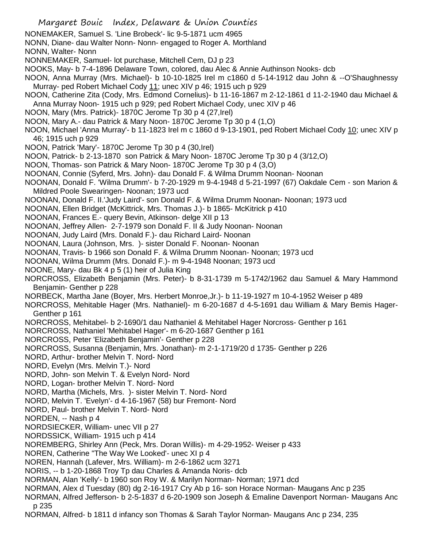Margaret Bouic Index, Delaware & Union Counties NONEMAKER, Samuel S. 'Line Brobeck'- lic 9-5-1871 ucm 4965 NONN, Diane- dau Walter Nonn- Nonn- engaged to Roger A. Morthland NONN, Walter- Nonn NONNEMAKER, Samuel- lot purchase, Mitchell Cem, DJ p 23 NOOKS, May- b 7-4-1896 Delaware Town, colored, dau Alec & Annie Authinson Nooks- dcb NOON, Anna Murray (Mrs. Michael)- b 10-10-1825 Irel m c1860 d 5-14-1912 dau John & --O'Shaughnessy Murray- ped Robert Michael Cody 11; unec XIV p 46; 1915 uch p 929 NOON, Catherine Zita (Cody, Mrs. Edmond Cornelius)- b 11-16-1867 m 2-12-1861 d 11-2-1940 dau Michael & Anna Murray Noon- 1915 uch p 929; ped Robert Michael Cody, unec XIV p 46 NOON, Mary (Mrs. Patrick)- 1870C Jerome Tp 30 p 4 (27,Irel) NOON, Mary A.- dau Patrick & Mary Noon- 1870C Jerome Tp 30 p 4 (1,O) NOON, Michael 'Anna Murray'- b 11-1823 Irel m c 1860 d 9-13-1901, ped Robert Michael Cody 10; unec XIV p 46; 1915 uch p 929 NOON, Patrick 'Mary'- 1870C Jerome Tp 30 p 4 (30,Irel) NOON, Patrick- b 2-13-1870 son Patrick & Mary Noon- 1870C Jerome Tp 30 p 4 (3/12,O) NOON, Thomas- son Patrick & Mary Noon- 1870C Jerome Tp 30 p 4 (3,O) NOONAN, Connie (Syferd, Mrs. John)- dau Donald F. & Wilma Drumm Noonan- Noonan NOONAN, Donald F. 'Wilma Drumm'- b 7-20-1929 m 9-4-1948 d 5-21-1997 (67) Oakdale Cem - son Marion & Mildred Poole Swearingen- Noonan; 1973 ucd NOONAN, Donald F. II.'Judy Laird'- son Donald F. & Wilma Drumm Noonan- Noonan; 1973 ucd NOONAN, Ellen Bridget (McKittrick, Mrs. Thomas J.)- b 1865- McKitrick p 410 NOONAN, Frances E.- query Bevin, Atkinson- delge XII p 13 NOONAN, Jeffrey Allen- 2-7-1979 son Donald F. II & Judy Noonan- Noonan NOONAN, Judy Laird (Mrs. Donald F.)- dau Richard Laird- Noonan NOONAN, Laura (Johnson, Mrs. )- sister Donald F. Noonan- Noonan NOONAN, Travis- b 1966 son Donald F. & Wilma Drumm Noonan- Noonan; 1973 ucd NOONAN, Wilma Drumm (Mrs. Donald F.)- m 9-4-1948 Noonan; 1973 ucd NOONE, Mary- dau Bk 4 p 5 (1) heir of Julia King NORCROSS, Elizabeth Benjamin (Mrs. Peter)- b 8-31-1739 m 5-1742/1962 dau Samuel & Mary Hammond Benjamin- Genther p 228 NORBECK, Martha Jane (Boyer, Mrs. Herbert Monroe,Jr.)- b 11-19-1927 m 10-4-1952 Weiser p 489 NORCROSS, Mehitable Hager (Mrs. Nathaniel)- m 6-20-1687 d 4-5-1691 dau William & Mary Bemis Hager-Genther p 161 NORCROSS, Mehitabel- b 2-1690/1 dau Nathaniel & Mehitabel Hager Norcross- Genther p 161 NORCROSS, Nathaniel 'Mehitabel Hager'- m 6-20-1687 Genther p 161 NORCROSS, Peter 'Elizabeth Benjamin'- Genther p 228 NORCROSS, Susanna (Benjamin, Mrs. Jonathan)- m 2-1-1719/20 d 1735- Genther p 226 NORD, Arthur- brother Melvin T. Nord- Nord NORD, Evelyn (Mrs. Melvin T.)- Nord NORD, John- son Melvin T. & Evelyn Nord- Nord NORD, Logan- brother Melvin T. Nord- Nord NORD, Martha (Michels, Mrs. )- sister Melvin T. Nord- Nord NORD, Melvin T. 'Evelyn'- d 4-16-1967 (58) bur Fremont- Nord NORD, Paul- brother Melvin T. Nord- Nord NORDEN, -- Nash p 4 NORDSIECKER, William- unec VII p 27 NORDSSICK, William- 1915 uch p 414 NOREMBERG, Shirley Ann (Peck, Mrs. Doran Willis)- m 4-29-1952- Weiser p 433 NOREN, Catherine "The Way We Looked'- unec XI p 4 NOREN, Hannah (Lafever, Mrs. William)- m 2-6-1862 ucm 3271 NORIS, -- b 1-20-1868 Troy Tp dau Charles & Amanda Noris- dcb NORMAN, Alan 'Kelly'- b 1960 son Roy W. & Marilyn Norman- Norman; 1971 dcd NORMAN, Alex d Tuesday (80) dg 2-16-1917 Cry Ab p 16- son Horace Norman- Maugans Anc p 235 NORMAN, Alfred Jefferson- b 2-5-1837 d 6-20-1909 son Joseph & Emaline Davenport Norman- Maugans Anc p 235

NORMAN, Alfred- b 1811 d infancy son Thomas & Sarah Taylor Norman- Maugans Anc p 234, 235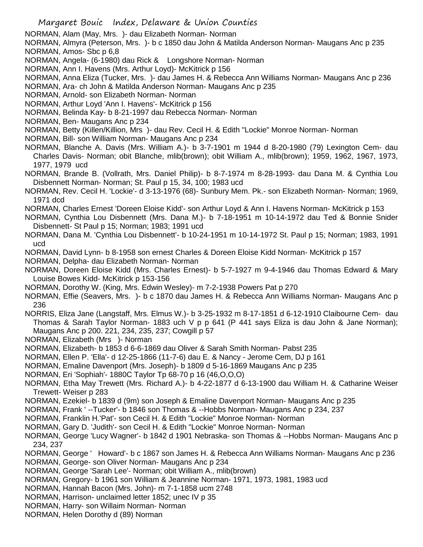NORMAN, Alam (May, Mrs. )- dau Elizabeth Norman- Norman

NORMAN, Almyra (Peterson, Mrs. )- b c 1850 dau John & Matilda Anderson Norman- Maugans Anc p 235 NORMAN, Amos- Sbc p 6,8

NORMAN, Angela- (6-1980) dau Rick & Longshore Norman- Norman

NORMAN, Ann I. Havens (Mrs. Arthur Loyd)- McKitrick p 156

NORMAN, Anna Eliza (Tucker, Mrs. )- dau James H. & Rebecca Ann Williams Norman- Maugans Anc p 236

NORMAN, Ara- ch John & Matilda Anderson Norman- Maugans Anc p 235

NORMAN, Arnold- son Elizabeth Norman- Norman

NORMAN, Arthur Loyd 'Ann I. Havens'- McKitrick p 156

NORMAN, Belinda Kay- b 8-21-1997 dau Rebecca Norman- Norman

NORMAN, Ben- Maugans Anc p 234

NORMAN, Betty (Killen/Killion, Mrs )- dau Rev. Cecil H. & Edith "Lockie" Monroe Norman- Norman

- NORMAN, Bill- son William Norman- Maugans Anc p 234
- NORMAN, Blanche A. Davis (Mrs. William A.)- b 3-7-1901 m 1944 d 8-20-1980 (79) Lexington Cem- dau Charles Davis- Norman; obit Blanche, mlib(brown); obit William A., mlib(brown); 1959, 1962, 1967, 1973, 1977, 1979 ucd

NORMAN, Brande B. (Vollrath, Mrs. Daniel Philip)- b 8-7-1974 m 8-28-1993- dau Dana M. & Cynthia Lou Disbennett Norman- Norman; St. Paul p 15, 34, 100; 1983 ucd

NORMAN, Rev. Cecil H. 'Lockie'- d 3-13-1976 (68)- Sunbury Mem. Pk.- son Elizabeth Norman- Norman; 1969, 1971 dcd

NORMAN, Charles Ernest 'Doreen Eloise Kidd'- son Arthur Loyd & Ann I. Havens Norman- McKitrick p 153

NORMAN, Cynthia Lou Disbennett (Mrs. Dana M.)- b 7-18-1951 m 10-14-1972 dau Ted & Bonnie Snider Disbennett- St Paul p 15; Norman; 1983; 1991 ucd

NORMAN, Dana M. 'Cynthia Lou Disbennett'- b 10-24-1951 m 10-14-1972 St. Paul p 15; Norman; 1983, 1991 ucd

NORMAN, David Lynn- b 8-1958 son ernest Charles & Doreen Eloise Kidd Norman- McKitrick p 157

NORMAN, Delpha- dau Elizabeth Norman- Norman

NORMAN, Doreen Eloise Kidd (Mrs. Charles Ernest)- b 5-7-1927 m 9-4-1946 dau Thomas Edward & Mary Louise Bowes Kidd- McKitrick p 153-156

NORMAN, Dorothy W. (King, Mrs. Edwin Wesley)- m 7-2-1938 Powers Pat p 270

NORMAN, Effie (Seavers, Mrs. )- b c 1870 dau James H. & Rebecca Ann Williams Norman- Maugans Anc p 236

NORRIS, Eliza Jane (Langstaff, Mrs. Elmus W.)- b 3-25-1932 m 8-17-1851 d 6-12-1910 Claibourne Cem- dau Thomas & Sarah Taylor Norman- 1883 uch V p p 641 (P 441 says Eliza is dau John & Jane Norman); Maugans Anc p 200. 221, 234, 235, 237; Cowgill p 57

NORMAN, Elizabeth (Mrs )- Norman

NORMAN, Elizabeth- b 1853 d 6-6-1869 dau Oliver & Sarah Smith Norman- Pabst 235

NORMAN, Ellen P. 'Ella'- d 12-25-1866 (11-7-6) dau E. & Nancy - Jerome Cem, DJ p 161

NORMAN, Emaline Davenport (Mrs. Joseph)- b 1809 d 5-16-1869 Maugans Anc p 235

NORMAN, Eri 'Sophiah'- 1880C Taylor Tp 68-70 p 16 (46,O,O,O)

NORMAN, Etha May Trewett (Mrs. Richard A.)- b 4-22-1877 d 6-13-1900 dau William H. & Catharine Weiser Trewett- Weiser p 283

NORMAN, Ezekiel- b 1839 d (9m) son Joseph & Emaline Davenport Norman- Maugans Anc p 235

NORMAN, Frank ' --Tucker'- b 1846 son Thomas & --Hobbs Norman- Maugans Anc p 234, 237

NORMAN, Franklin H.'Pat'- son Cecil H. & Edith "Lockie" Monroe Norman- Norman

NORMAN, Gary D. 'Judith'- son Cecil H. & Edith "Lockie" Monroe Norman- Norman

NORMAN, George 'Lucy Wagner'- b 1842 d 1901 Nebraska- son Thomas & --Hobbs Norman- Maugans Anc p 234, 237

NORMAN, George ' Howard'- b c 1867 son James H. & Rebecca Ann Williams Norman- Maugans Anc p 236 NORMAN, George- son Oliver Norman- Maugans Anc p 234

NORMAN, George 'Sarah Lee'- Norman; obit William A., mlib(brown)

NORMAN, Gregory- b 1961 son William & Jeannine Norman- 1971, 1973, 1981, 1983 ucd

NORMAN, Hannah Bacon (Mrs. John)- m 7-1-1858 ucm 2748

NORMAN, Harrison- unclaimed letter 1852; unec IV p 35

NORMAN, Harry- son Willaim Norman- Norman

NORMAN, Helen Dorothy d (89) Norman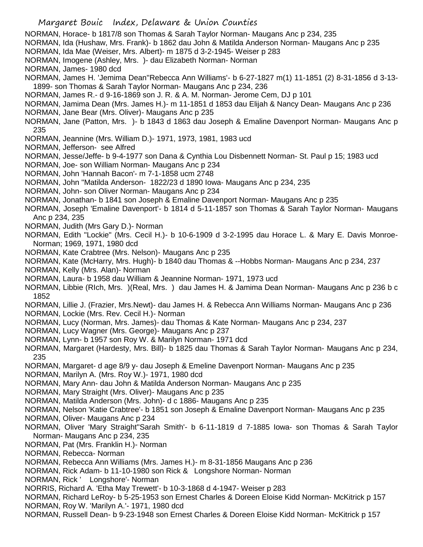Margaret Bouic Index, Delaware & Union Counties NORMAN, Horace- b 1817/8 son Thomas & Sarah Taylor Norman- Maugans Anc p 234, 235 NORMAN, Ida (Hushaw, Mrs. Frank)- b 1862 dau John & Matilda Anderson Norman- Maugans Anc p 235 NORMAN, Ida Mae (Weiser, Mrs. Albert)- m 1875 d 3-2-1945- Weiser p 283 NORMAN, Imogene (Ashley, Mrs. )- dau Elizabeth Norman- Norman NORMAN, James- 1980 dcd NORMAN, James H. 'Jemima Dean''Rebecca Ann Williams'- b 6-27-1827 m(1) 11-1851 (2) 8-31-1856 d 3-13- 1899- son Thomas & Sarah Taylor Norman- Maugans Anc p 234, 236 NORMAN, James R.- d 9-16-1869 son J. R. & A. M. Norman- Jerome Cem, DJ p 101 NORMAN, Jamima Dean (Mrs. James H.)- m 11-1851 d 1853 dau Elijah & Nancy Dean- Maugans Anc p 236 NORMAN, Jane Bear (Mrs. Oliver)- Maugans Anc p 235 NORMAN, Jane (Patton, Mrs. )- b 1843 d 1863 dau Joseph & Emaline Davenport Norman- Maugans Anc p 235 NORMAN, Jeannine (Mrs. William D.)- 1971, 1973, 1981, 1983 ucd NORMAN, Jefferson- see Alfred NORMAN, Jesse/Jeffe- b 9-4-1977 son Dana & Cynthia Lou Disbennett Norman- St. Paul p 15; 1983 ucd NORMAN, Joe- son William Norman- Maugans Anc p 234 NORMAN, John 'Hannah Bacon'- m 7-1-1858 ucm 2748 NORMAN, John "Matilda Anderson- 1822/23 d 1890 Iowa- Maugans Anc p 234, 235 NORMAN, John- son Oliver Norman- Maugans Anc p 234 NORMAN, Jonathan- b 1841 son Joseph & Emaline Davenport Norman- Maugans Anc p 235 NORMAN, Joseph 'Emaline Davenport'- b 1814 d 5-11-1857 son Thomas & Sarah Taylor Norman- Maugans Anc p 234, 235 NORMAN, Judith (Mrs Gary D.)- Norman NORMAN, Edith "Lockie" (Mrs. Cecil H.)- b 10-6-1909 d 3-2-1995 dau Horace L. & Mary E. Davis Monroe-Norman; 1969, 1971, 1980 dcd NORMAN, Kate Crabtree (Mrs. Nelson)- Maugans Anc p 235 NORMAN, Kate (McHarry, Mrs. Hugh)- b 1840 dau Thomas & --Hobbs Norman- Maugans Anc p 234, 237 NORMAN, Kelly (Mrs. Alan)- Norman NORMAN, Laura- b 1958 dau William & Jeannine Norman- 1971, 1973 ucd NORMAN, Libbie (RIch, Mrs. )(Real, Mrs. ) dau James H. & Jamima Dean Norman- Maugans Anc p 236 b c 1852 NORMAN, Lillie J. (Frazier, Mrs.Newt)- dau James H. & Rebecca Ann Williams Norman- Maugans Anc p 236 NORMAN, Lockie (Mrs. Rev. Cecil H.)- Norman NORMAN, Lucy (Norman, Mrs. James)- dau Thomas & Kate Norman- Maugans Anc p 234, 237 NORMAN, Lucy Wagner (Mrs. George)- Maugans Anc p 237 NORMAN, Lynn- b 1957 son Roy W. & Marilyn Norman- 1971 dcd NORMAN, Margaret (Hardesty, Mrs. Bill)- b 1825 dau Thomas & Sarah Taylor Norman- Maugans Anc p 234, 235 NORMAN, Margaret- d age 8/9 y- dau Joseph & Emeline Davenport Norman- Maugans Anc p 235 NORMAN, Marilyn A. (Mrs. Roy W.)- 1971, 1980 dcd NORMAN, Mary Ann- dau John & Matilda Anderson Norman- Maugans Anc p 235 NORMAN, Mary Straight (Mrs. Oliver)- Maugans Anc p 235 NORMAN, Matilda Anderson (Mrs. John)- d c 1886- Maugans Anc p 235 NORMAN, Nelson 'Katie Crabtree'- b 1851 son Joseph & Emaline Davenport Norman- Maugans Anc p 235 NORMAN, Oliver- Maugans Anc p 234 NORMAN, Oliver 'Mary Straight''Sarah Smith'- b 6-11-1819 d 7-1885 Iowa- son Thomas & Sarah Taylor Norman- Maugans Anc p 234, 235 NORMAN, Pat (Mrs. Franklin H.)- Norman NORMAN, Rebecca- Norman NORMAN, Rebecca Ann Williams (Mrs. James H.)- m 8-31-1856 Maugans Anc p 236 NORMAN, Rick Adam- b 11-10-1980 son Rick & Longshore Norman- Norman NORMAN, Rick ' Longshore'- Norman NORRIS, Richard A. 'Etha May Trewett'- b 10-3-1868 d 4-1947- Weiser p 283 NORMAN, Richard LeRoy- b 5-25-1953 son Ernest Charles & Doreen Eloise Kidd Norman- McKitrick p 157 NORMAN, Roy W. 'Marilyn A.'- 1971, 1980 dcd NORMAN, Russell Dean- b 9-23-1948 son Ernest Charles & Doreen Eloise Kidd Norman- McKitrick p 157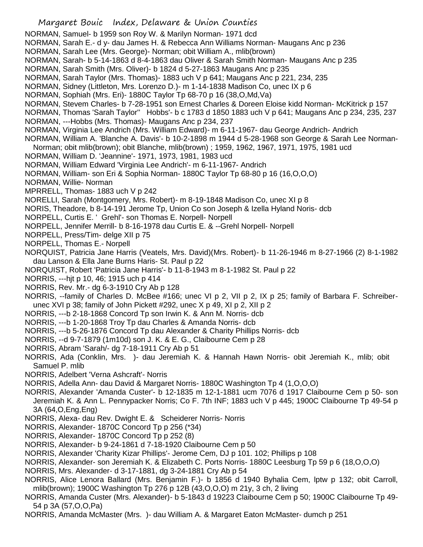- NORMAN, Samuel- b 1959 son Roy W. & Marilyn Norman- 1971 dcd
- NORMAN, Sarah E.- d y- dau James H. & Rebecca Ann Williams Norman- Maugans Anc p 236
- NORMAN, Sarah Lee (Mrs. George)- Norman; obit William A., mlib(brown)
- NORMAN, Sarah- b 5-14-1863 d 8-4-1863 dau Oliver & Sarah Smith Norman- Maugans Anc p 235
- NORMAN, Sarah Smith (Mrs. Oliver)- b 1824 d 5-27-1863 Maugans Anc p 235
- NORMAN, Sarah Taylor (Mrs. Thomas)- 1883 uch V p 641; Maugans Anc p 221, 234, 235
- NORMAN, Sidney (Littleton, Mrs. Lorenzo D.)- m 1-14-1838 Madison Co, unec IX p 6
- NORMAN, Sophiah (Mrs. Eri)- 1880C Taylor Tp 68-70 p 16 (38,O,Md,Va)
- NORMAN, Stevem Charles- b 7-28-1951 son Ernest Charles & Doreen Eloise kidd Norman- McKitrick p 157
- NORMAN, Thomas 'Sarah Taylor'' Hobbs'- b c 1783 d 1850 1883 uch V p 641; Maugans Anc p 234, 235, 237
- NORMAN, ---Hobbs (Mrs. Thomas)- Maugans Anc p 234, 237
- NORMAN, Virginia Lee Andrich (Mrs. William Edward)- m 6-11-1967- dau George Andrich- Andrich
- NORMAN, William A. 'Blanche A. Davis'- b 10-2-1898 m 1944 d 5-28-1968 son George & Sarah Lee Norman-
- Norman; obit mlib(brown); obit Blanche, mlib(brown) ; 1959, 1962, 1967, 1971, 1975, 1981 ucd
- NORMAN, William D. 'Jeannine'- 1971, 1973, 1981, 1983 ucd
- NORMAN, William Edward 'Virginia Lee Andrich'- m 6-11-1967- Andrich
- NORMAN, William- son Eri & Sophia Norman- 1880C Taylor Tp 68-80 p 16 (16,O,O,O)
- NORMAN, Willie- Norman
- MPRRELL, Thomas- 1883 uch V p 242
- NORELLI, Sarah (Montgomery, Mrs. Robert)- m 8-19-1848 Madison Co, unec XI p 8
- NORIS, Theadore, b 8-14-191 Jerome Tp, Union Co son Joseph & Izella Hyland Noris- dcb
- NORPELL, Curtis E. ' Grehl'- son Thomas E. Norpell- Norpell
- NORPELL, Jennifer Merrill- b 8-16-1978 dau Curtis E. & --Grehl Norpell- Norpell
- NORPELL, Press/Tim- delge XII p 75
- NORPELL, Thomas E.- Norpell
- NORQUIST, Patricia Jane Harris (Veatels, Mrs. David)(Mrs. Robert)- b 11-26-1946 m 8-27-1966 (2) 8-1-1982 dau Lanson & Ella Jane Burns Haris- St. Paul p 22
- NORQUIST, Robert 'Patricia Jane Harris'- b 11-8-1943 m 8-1-1982 St. Paul p 22
- NORRIS, ---hjt p 10, 46; 1915 uch p 414
- NORRIS, Rev. Mr.- dg 6-3-1910 Cry Ab p 128
- NORRIS, --family of Charles D. McBee #166; unec VI p 2, VII p 2, IX p 25; family of Barbara F. Schreiberunec XVI p 38; family of John Pickett #292, unec X p 49, XI p 2, XII p 2
- NORRIS, ---b 2-18-1868 Concord Tp son Irwin K. & Ann M. Norris- dcb
- NORRIS, ---b 1-20-1868 Troy Tp dau Charles & Amanda Norris- dcb
- NORRIS, ---b 5-26-1876 Concord Tp dau Alexander & Charity Phillips Norris- dcb
- NORRIS, --d 9-7-1879 (1m10d) son J. K. & E. G., Claibourne Cem p 28
- NORRIS, Abram 'Sarah/- dg 7-18-1911 Cry Ab p 51
- NORRIS, Ada (Conklin, Mrs. )- dau Jeremiah K. & Hannah Hawn Norris- obit Jeremiah K., mlib; obit Samuel P. mlib
- NORRIS, Adelbert 'Verna Ashcraft'- Norris
- NORRIS, Adella Ann- dau David & Margaret Norris- 1880C Washington Tp 4 (1,O,O,O)
- NORRIS, Alexander 'Amanda Custer'- b 12-1835 m 12-1-1881 ucm 7076 d 1917 Claibourne Cem p 50- son Jeremiah K. & Ann L. Pennypacker Norris; Co F. 7th INF; 1883 uch V p 445; 1900C Claibourne Tp 49-54 p 3A (64,O,Eng,Eng)
- NORRIS, Alexa- dau Rev. Dwight E. & Scheiderer Norris- Norris
- NORRIS, Alexander- 1870C Concord Tp p 256 (\*34)
- NORRIS, Alexander- 1870C Concord Tp p 252 (8)
- NORRIS, Alexander- b 9-24-1861 d 7-18-1920 Claibourne Cem p 50
- NORRIS, Alexander 'Charity Kizar Phillips'- Jerome Cem, DJ p 101. 102; Phillips p 108
- NORRIS, Alexander- son Jeremiah K. & Elizabeth C. Ports Norris- 1880C Leesburg Tp 59 p 6 (18,O,O,O)
- NORRIS, Mrs. Alexander- d 3-17-1881, dg 3-24-1881 Cry Ab p 54
- NORRIS, Alice Lenora Ballard (Mrs. Benjamin F.)- b 1856 d 1940 Byhalia Cem, lptw p 132; obit Carroll, mlib(brown); 1900C Washington Tp 276 p 12B (43,O,O,O) m 21y, 3 ch, 2 living
- NORRIS, Amanda Custer (Mrs. Alexander)- b 5-1843 d 19223 Claibourne Cem p 50; 1900C Claibourne Tp 49- 54 p 3A (57,O,O,Pa)
- NORRIS, Amanda McMaster (Mrs. )- dau William A. & Margaret Eaton McMaster- dumch p 251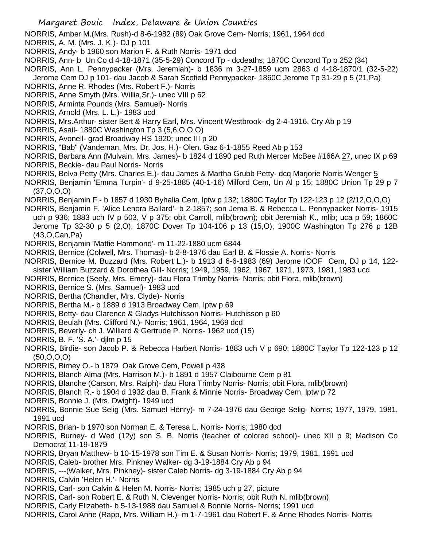NORRIS, Amber M.(Mrs. Rush)-d 8-6-1982 (89) Oak Grove Cem- Norris; 1961, 1964 dcd

- NORRIS, A. M. (Mrs. J. K.)- DJ p 101
- NORRIS, Andy- b 1960 son Marion F. & Ruth Norris- 1971 dcd
- NORRIS, Ann- b Un Co d 4-18-1871 (35-5-29) Concord Tp dcdeaths; 1870C Concord Tp p 252 (34)
- NORRIS, Ann L. Pennypacker (Mrs. Jeremiah)- b 1836 m 3-27-1859 ucm 2863 d 4-18-1870/1 (32-5-22) Jerome Cem DJ p 101- dau Jacob & Sarah Scofield Pennypacker- 1860C Jerome Tp 31-29 p 5 (21,Pa)
- NORRIS, Anne R. Rhodes (Mrs. Robert F.)- Norris
- NORRIS, Anne Smyth (Mrs. Willia,Sr.)- unec VIII p 62
- NORRIS, Arminta Pounds (Mrs. Samuel)- Norris
- NORRIS, Arnold (Mrs. L. L.)- 1983 ucd
- NORRIS, Mrs.Arthur- sister Bert & Harry Earl, Mrs. Vincent Westbrook- dg 2-4-1916, Cry Ab p 19
- NORRIS, Asail- 1880C Washington Tp 3 (5,6,O,O,O)
- NORRIS, Avonell- grad Broadway HS 1920; unec III p 20
- NORRIS, "Bab" (Vandeman, Mrs. Dr. Jos. H.)- Olen. Gaz 6-1-1855 Reed Ab p 153

NORRIS, Barbara Ann (Mulvain, Mrs. James)- b 1824 d 1890 ped Ruth Mercer McBee #166A 27, unec IX p 69 NORRIS, Beckie- dau Paul Norris- Norris

- NORRIS, Belva Petty (Mrs. Charles E.)- dau James & Martha Grubb Petty- dcq Marjorie Norris Wenger 5
- NORRIS, Benjamin 'Emma Turpin'- d 9-25-1885 (40-1-16) Milford Cem, Un Al p 15; 1880C Union Tp 29 p 7  $(37, 0, 0, 0)$
- NORRIS, Benjamin F.- b 1857 d 1930 Byhalia Cem, lptw p 132; 1880C Taylor Tp 122-123 p 12 (2/12,O,O,O)
- NORRIS, Benjamin F. 'Alice Lenora Ballard'- b 2-1857; son Jema B. & Rebecca L. Pennypacker Norris- 1915 uch p 936; 1883 uch IV p 503, V p 375; obit Carroll, mlib(brown); obit Jeremiah K., mlib; uca p 59; 1860C Jerome Tp 32-30 p 5 (2,O); 1870C Dover Tp 104-106 p 13 (15,O); 1900C Washington Tp 276 p 12B (43,O,Can,Pa)
- NORRIS, Benjamin 'Mattie Hammond'- m 11-22-1880 ucm 6844
- NORRIS, Bernice (Colwell, Mrs. Thomas)- b 2-8-1976 dau Earl B. & Flossie A. Norris- Norris
- NORRIS, Bernice M. Buzzard (Mrs. Robert L.)- b 1913 d 6-6-1983 (69) Jerome IOOF Cem, DJ p 14, 122 sister William Buzzard & Dorothea Gill- Norris; 1949, 1959, 1962, 1967, 1971, 1973, 1981, 1983 ucd
- 
- NORRIS, Bernice (Seely, Mrs. Emery)- dau Flora Trimby Norris- Norris; obit Flora, mlib(brown)
- NORRIS, Bernice S. (Mrs. Samuel)- 1983 ucd
- NORRIS, Bertha (Chandler, Mrs. Clyde)- Norris
- NORRIS, Bertha M.- b 1889 d 1913 Broadway Cem, lptw p 69
- NORRIS, Betty- dau Clarence & Gladys Hutchisson Norris- Hutchisson p 60
- NORRIS, Beulah (Mrs. Clifford N.)- Norris; 1961, 1964, 1969 dcd
- NORRIS, Beverly- ch J. Williard & Gertrude P. Norris- 1962 ucd (15)
- NORRIS, B. F. 'S. A.'- djlm p 15
- NORRIS, Birdie- son Jacob P. & Rebecca Harbert Norris- 1883 uch V p 690; 1880C Taylor Tp 122-123 p 12 (50,O,O,O)
- NORRIS, Birney O.- b 1879 Oak Grove Cem, Powell p 438
- NORRIS, Blanch Alma (Mrs. Harrison M.)- b 1891 d 1957 Claibourne Cem p 81
- NORRIS, Blanche (Carson, Mrs. Ralph)- dau Flora Trimby Norris- Norris; obit Flora, mlib(brown)
- NORRIS, Blanch R.- b 1904 d 1932 dau B. Frank & Minnie Norris- Broadway Cem, lptw p 72
- NORRIS, Bonnie J. (Mrs. Dwight)- 1949 ucd
- NORRIS, Bonnie Sue Selig (Mrs. Samuel Henry)- m 7-24-1976 dau George Selig- Norris; 1977, 1979, 1981, 1991 ucd
- NORRIS, Brian- b 1970 son Norman E. & Teresa L. Norris- Norris; 1980 dcd
- NORRIS, Burney- d Wed (12y) son S. B. Norris (teacher of colored school)- unec XII p 9; Madison Co Democrat 11-19-1879
- NORRIS, Bryan Matthew- b 10-15-1978 son Tim E. & Susan Norris- Norris; 1979, 1981, 1991 ucd
- NORRIS, Caleb- brother Mrs. Pinkney Walker- dg 3-19-1884 Cry Ab p 94
- NORRIS, ---(Walker, Mrs. Pinkney)- sister Caleb Norris- dg 3-19-1884 Cry Ab p 94
- NORRIS, Calvin 'Helen H.'- Norris
- NORRIS, Carl- son Calvin & Helen M. Norris- Norris; 1985 uch p 27, picture
- NORRIS, Carl- son Robert E. & Ruth N. Clevenger Norris- Norris; obit Ruth N. mlib(brown)
- NORRIS, Carly Elizabeth- b 5-13-1988 dau Samuel & Bonnie Norris- Norris; 1991 ucd
- NORRIS, Carol Anne (Rapp, Mrs. William H.)- m 1-7-1961 dau Robert F. & Anne Rhodes Norris- Norris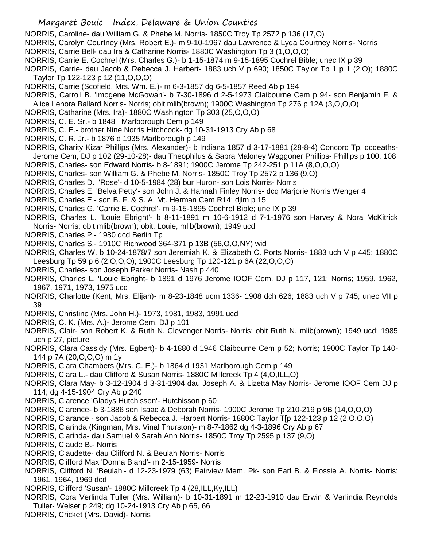- NORRIS, Caroline- dau William G. & Phebe M. Norris- 1850C Troy Tp 2572 p 136 (17,O)
- NORRIS, Carolyn Courtney (Mrs. Robert E.)- m 9-10-1967 dau Lawrence & Lyda Courtney Norris- Norris
- NORRIS, Carrie Bell- dau Ira & Catharine Norris- 1880C Washington Tp 3 (1,O,O,O)
- NORRIS, Carrie E. Cochrel (Mrs. Charles G.)- b 1-15-1874 m 9-15-1895 Cochrel Bible; unec IX p 39
- NORRIS, Carrie- dau Jacob & Rebecca J. Harbert- 1883 uch V p 690; 1850C Taylor Tp 1 p 1 (2,O); 1880C Taylor Tp 122-123 p 12 (11,O,O,O)
- NORRIS, Carrie (Scofield, Mrs. Wm. E.)- m 6-3-1857 dg 6-5-1857 Reed Ab p 194
- NORRIS, Carroll B. 'Imogene McGowan'- b 7-30-1896 d 2-5-1973 Claibourne Cem p 94- son Benjamin F. & Alice Lenora Ballard Norris- Norris; obit mlib(brown); 1900C Washington Tp 276 p 12A (3,O,O,O)
- NORRIS, Catharine (Mrs. Ira)- 1880C Washington Tp 303 (25,O,O,O)
- NORRIS, C. E. Sr.- b 1848 Marlborough Cem p 149
- NORRIS, C. E.- brother Nine Norris Hitchcock- dg 10-31-1913 Cry Ab p 68
- NORRIS, C. R. Jr.- b 1876 d 1935 Marlborough p 149
- NORRIS, Charity Kizar Phillips (Mrs. Alexander)- b Indiana 1857 d 3-17-1881 (28-8-4) Concord Tp, dcdeaths-Jerome Cem, DJ p 102 (29-10-28)- dau Theophilus & Sabra Maloney Waggoner Phillips- Phillips p 100, 108
- NORRIS, Charles- son Edward Norris- b 8-1891; 1900C Jerome Tp 242-251 p 11A (8,O,O,O)
- NORRIS, Charles- son William G. & Phebe M. Norris- 1850C Troy Tp 2572 p 136 (9,O)
- NORRIS, Charles D. 'Rose'- d 10-5-1984 (28) bur Huron- son Lois Norris- Norris
- NORRIS, Charles E. 'Belva Petty'- son John J. & Hannah Finley Norris- dcq Marjorie Norris Wenger 4
- NORRIS, Charles E.- son B. F. & S. A. Mt. Herman Cem R14; djlm p 15
- NORRIS, Charles G. 'Carrie E. Cochrel'- m 9-15-1895 Cochrel Bible; une IX p 39
- NORRIS, Charles L. 'Louie Ebright'- b 8-11-1891 m 10-6-1912 d 7-1-1976 son Harvey & Nora McKitrick Norris- Norris; obit mlib(brown); obit, Louie, mlib(brown); 1949 ucd
- NORRIS, Charles P.- 1980 dcd Berlin Tp
- NORRIS, Charles S.- 1910C Richwood 364-371 p 13B (56,O,O,NY) wid
- NORRIS, Charles W. b 10-24-1878/7 son Jeremiah K. & Elizabeth C. Ports Norris- 1883 uch V p 445; 1880C Leesburg Tp 59 p 6 (2,O,O,O); 1900C Leesburg Tp 120-121 p 6A (22,O,O,O)
- NORRIS, Charles- son Joseph Parker Norris- Nash p 440
- NORRIS, Charles L. 'Louie Ebright- b 1891 d 1976 Jerome IOOF Cem. DJ p 117, 121; Norris; 1959, 1962, 1967, 1971, 1973, 1975 ucd
- NORRIS, Charlotte (Kent, Mrs. Elijah)- m 8-23-1848 ucm 1336- 1908 dch 626; 1883 uch V p 745; unec VII p 39
- NORRIS, Christine (Mrs. John H.)- 1973, 1981, 1983, 1991 ucd
- NORRIS, C. K. (Mrs. A.)- Jerome Cem, DJ p 101
- NORRIS, Clair- son Robert K. & Ruth N. Clevenger Norris- Norris; obit Ruth N. mlib(brown); 1949 ucd; 1985 uch p 27, picture
- NORRIS, Clara Cassidy (Mrs. Egbert)- b 4-1880 d 1946 Claibourne Cem p 52; Norris; 1900C Taylor Tp 140- 144 p 7A (20,O,O,O) m 1y
- NORRIS, Clara Chambers (Mrs. C. E.)- b 1864 d 1931 Marlborough Cem p 149
- NORRIS, Clara L.- dau Clifford & Susan Norris- 1880C Millcreek Tp 4 (4,O,ILL,O)
- NORRIS, Clara May- b 3-12-1904 d 3-31-1904 dau Joseph A. & Lizetta May Norris- Jerome IOOF Cem DJ p 114; dg 4-15-1904 Cry Ab p 240
- NORRIS, Clarence 'Gladys Hutchisson'- Hutchisson p 60
- NORRIS, Clarence- b 3-1886 son Isaac & Deborah Norris- 1900C Jerome Tp 210-219 p 9B (14,O,O,O)
- NORRIS, Clarance son Jacob & Rebecca J. Harbert Norris- 1880C Taylor T[p 122-123 p 12 (2,O,O,O)
- NORRIS, Clarinda (Kingman, Mrs. Vinal Thurston)- m 8-7-1862 dg 4-3-1896 Cry Ab p 67
- NORRIS, Clarinda- dau Samuel & Sarah Ann Norris- 1850C Troy Tp 2595 p 137 (9,O)
- NORRIS, Claude B.- Norris
- NORRIS, Claudette- dau Clifford N. & Beulah Norris- Norris
- NORRIS, Clifford Max 'Donna Bland'- m 2-15-1959- Norris
- NORRIS, Clifford N. 'Beulah'- d 12-23-1979 (63) Fairview Mem. Pk- son Earl B. & Flossie A. Norris- Norris; 1961, 1964, 1969 dcd
- NORRIS, Clifford 'Susan'- 1880C Millcreek Tp 4 (28,ILL,Ky,ILL)
- NORRIS, Cora Verlinda Tuller (Mrs. William)- b 10-31-1891 m 12-23-1910 dau Erwin & Verlindia Reynolds Tuller- Weiser p 249; dg 10-24-1913 Cry Ab p 65, 66
- NORRIS, Cricket (Mrs. David)- Norris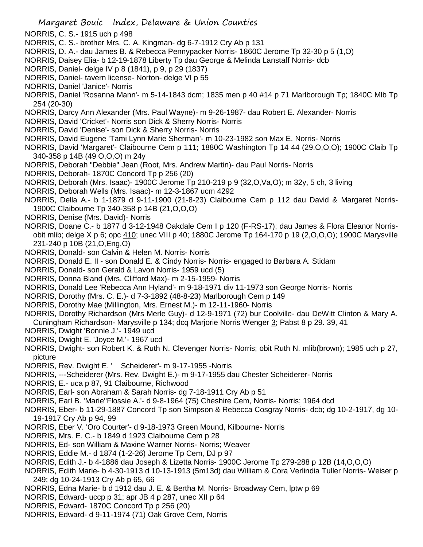- NORRIS, C. S.- 1915 uch p 498
- NORRIS, C. S.- brother Mrs. C. A. Kingman- dg 6-7-1912 Cry Ab p 131
- NORRIS, D. A.- dau James B. & Rebecca Pennypacker Norris- 1860C Jerome Tp 32-30 p 5 (1,O)
- NORRIS, Daisey Elia- b 12-19-1878 Liberty Tp dau George & Melinda Lanstaff Norris- dcb
- NORRIS, Daniel- delge IV p 8 (1841), p 9, p 29 (1837)
- NORRIS, Daniel- tavern license- Norton- delge VI p 55
- NORRIS, Daniel 'Janice'- Norris
- NORRIS, Daniel 'Rosanna Mann'- m 5-14-1843 dcm; 1835 men p 40 #14 p 71 Marlborough Tp; 1840C Mlb Tp 254 (20-30)
- NORRIS, Darcy Ann Alexander (Mrs. Paul Wayne)- m 9-26-1987- dau Robert E. Alexander- Norris
- NORRIS, David 'Cricket'- Norris son Dick & Sherry Norris- Norris
- NORRIS, David 'Denise'- son Dick & Sherry Norris- Norris
- NORRIS, David Eugene 'Tami Lynn Marie Sherman'- m 10-23-1982 son Max E. Norris- Norris
- NORRIS, David 'Margaret'- Claibourne Cem p 111; 1880C Washington Tp 14 44 (29.O,O,O); 1900C Claib Tp 340-358 p 14B (49 O,O,O) m 24y
- NORRIS, Deborah "Debbie" Jean (Root, Mrs. Andrew Martin)- dau Paul Norris- Norris
- NORRIS, Deborah- 1870C Concord Tp p 256 (20)
- NORRIS, Deborah (Mrs. Isaac)- 1900C Jerome Tp 210-219 p 9 (32,O,Va,O); m 32y, 5 ch, 3 living
- NORRIS, Deborah Wells (Mrs. Isaac)- m 12-3-1867 ucm 4292
- NORRIS, Della A.- b 1-1879 d 9-11-1900 (21-8-23) Claibourne Cem p 112 dau David & Margaret Norris-1900C Claibourne Tp 340-358 p 14B (21,O,O,O)
- NORRIS, Denise (Mrs. David)- Norris
- NORRIS, Doane C.- b 1877 d 3-12-1948 Oakdale Cem I p 120 (F-RS-17); dau James & Flora Eleanor Norrisobit mlib; delge X p 6; opc 410; unec VIII p 40; 1880C Jerome Tp 164-170 p 19 (2, O, O, O); 1900C Marysville 231-240 p 10B (21,O,Eng,O)
- NORRIS, Donald- son Calvin & Helen M. Norris- Norris
- NORRIS, Donald E. II son Donald E. & Cindy Norris- Norris- engaged to Barbara A. Stidam
- NORRIS, Donald- son Gerald & Lavon Norris- 1959 ucd (5)
- NORRIS, Donna Bland (Mrs. Clifford Max)- m 2-15-1959- Norris
- NORRIS, Donald Lee 'Rebecca Ann Hyland'- m 9-18-1971 div 11-1973 son George Norris- Norris
- NORRIS, Dorothy (Mrs. C. E.)- d 7-3-1892 (48-8-23) Marlborough Cem p 149
- NORRIS, Dorothy Mae (Millington, Mrs. Ernest M.)- m 12-11-1960- Norris
- NORRIS, Dorothy Richardson (Mrs Merle Guy)- d 12-9-1971 (72) bur Coolville- dau DeWitt Clinton & Mary A. Cuningham Richardson- Marysville p 134; dcq Marjorie Norris Wenger 3; Pabst 8 p 29. 39, 41
- NORRIS, Dwight 'Bonnie J.'- 1949 ucd
- NORRIS, Dwight E. 'Joyce M.'- 1967 ucd
- NORRIS, Dwight- son Robert K. & Ruth N. Clevenger Norris- Norris; obit Ruth N. mlib(brown); 1985 uch p 27, picture
- NORRIS, Rev. Dwight E. ' Scheiderer'- m 9-17-1955 -Norris
- NORRIS, ---Scheiderer (Mrs. Rev. Dwight E.)- m 9-17-1955 dau Chester Scheiderer- Norris
- NORRIS, E.- uca p 87, 91 Claibourne, Richwood
- NORRIS, Earl- son Abraham & Sarah Norris- dg 7-18-1911 Cry Ab p 51
- NORRIS, Earl B. 'Marie''Flossie A.'- d 9-8-1964 (75) Cheshire Cem, Norris- Norris; 1964 dcd
- NORRIS, Eber- b 11-29-1887 Concord Tp son Simpson & Rebecca Cosgray Norris- dcb; dg 10-2-1917, dg 10- 19-1917 Cry Ab p 94, 99
- NORRIS, Eber V. 'Oro Courter'- d 9-18-1973 Green Mound, Kilbourne- Norris
- NORRIS, Mrs. E. C.- b 1849 d 1923 Claibourne Cem p 28
- NORRIS, Ed- son William & Maxine Warner Norris- Norris; Weaver
- NORRIS, Eddie M.- d 1874 (1-2-26) Jerome Tp Cem, DJ p 97
- NORRIS, Edith J.- b 4-1886 dau Joseph & Lizetta Norris- 1900C Jerome Tp 279-288 p 12B (14,O,O,O)
- NORRIS, Edith Marie- b 4-30-1913 d 10-13-1913 (5m13d) dau William & Cora Verlindia Tuller Norris- Weiser p 249; dg 10-24-1913 Cry Ab p 65, 66
- NORRIS, Edna Marie- b d 1912 dau J. E. & Bertha M. Norris- Broadway Cem, lptw p 69
- NORRIS, Edward- uccp p 31; apr JB 4 p 287, unec XII p 64
- NORRIS, Edward- 1870C Concord Tp p 256 (20)
- NORRIS, Edward- d 9-11-1974 (71) Oak Grove Cem, Norris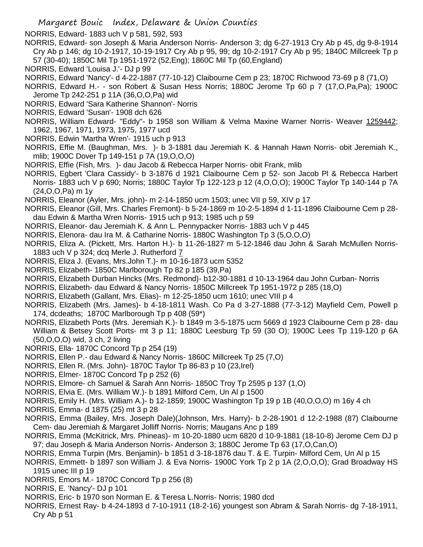NORRIS, Edward- 1883 uch V p 581, 592, 593

- NORRIS, Edward- son Joseph & Maria Anderson Norris- Anderson 3; dg 6-27-1913 Cry Ab p 45, dg 9-8-1914 Cry Ab p 146; dg 10-2-1917, 10-19-1917 Cry Ab p 95, 99; dg 10-2-1917 Cry Ab p 95; 1840C Millcreek Tp p 57 (30-40); 1850C Mil Tp 1951-1972 (52,Eng); 1860C Mil Tp (60,England)
- NORRIS, Edward 'Louisa J.'- DJ p 99
- NORRIS, Edward 'Nancy'- d 4-22-1887 (77-10-12) Claibourne Cem p 23; 1870C Richwood 73-69 p 8 (71,O)
- NORRIS, Edward H.- son Robert & Susan Hess Norris; 1880C Jerome Tp 60 p 7 (17,O,Pa,Pa); 1900C Jerome Tp 242-251 p 11A (36,O,O,Pa) wid
- NORRIS, Edward 'Sara Katherine Shannon'- Norris
- NORRIS, Edward 'Susan'- 1908 dch 626
- NORRIS, William Edward- "Eddy"- b 1958 son William & Velma Maxine Warner Norris- Weaver 1259442; 1962, 1967, 1971, 1973, 1975, 1977 ucd
- NORRIS, Edwin 'Martha Wren'- 1915 uch p 913
- NORRIS, Effie M. (Baughman, Mrs. )- b 3-1881 dau Jeremiah K. & Hannah Hawn Norris- obit Jeremiah K., mlib; 1900C Dover Tp 149-151 p 7A (19,O,O,O)
- NORRIS, Effie (Fish, Mrs. )- dau Jacob & Rebecca Harper Norris- obit Frank, mlib
- NORRIS, Egbert 'Clara Cassidy'- b 3-1876 d 1921 Claibourne Cem p 52- son Jacob Pl & Rebecca Harbert Norris- 1883 uch V p 690; Norris; 1880C Taylor Tp 122-123 p 12 (4,O,O,O); 1900C Taylor Tp 140-144 p 7A (24,O,O,Pa) m 1y
- NORRIS, Eleanor (Ayler, Mrs. john)- m 2-14-1850 ucm 1503; unec VII p 59, XIV p 17
- NORRIS, Eleanor (Gill, Mrs. Charles Fremont)- b 5-24-1869 m 10-2-5-1894 d 1-11-1896 Claibourne Cem p 28 dau Edwin & Martha Wren Norris- 1915 uch p 913; 1985 uch p 59
- NORRIS, Eleanor- dau Jeremiah K. & Ann L. Pennypacker Norris- 1883 uch V p 445
- NORRIS, Elenora- dau Ira M. & Catharine Norris- 1880C Washington Tp 3 (5,O,O,O)
- NORRIS, Eliza A. (Pickett, Mrs. Harton H.)- b 11-26-1827 m 5-12-1846 dau John & Sarah McMullen Norris-1883 uch V p 324; dcq Merle J. Rutherford 7
- NORRIS, Eliza J. (Evans, Mrs.John T.)- m 10-16-1873 ucm 5352
- NORRIS, Elizabeth- 1850C Marlborough Tp 82 p 185 (39,Pa)
- NORRIS, Elizabeth Durban Hincks (Mrs. Redmond)- b12-30-1881 d 10-13-1964 dau John Curban- Norris
- NORRIS, Elizabeth- dau Edward & Nancy Norris- 1850C Millcreek Tp 1951-1972 p 285 (18,O)
- NORRIS, Elizabeth (Gallant, Mrs. Elias)- m 12-25-1850 ucm 1610; unec VIII p 4
- NORRIS, Elizabeth (Mrs. James)- b 4-18-1811 Wash. Co Pa d 3-27-1888 (77-3-12) Mayfield Cem, Powell p 174, dcdeaths; 1870C Marlborough Tp p 408 (59\*)
- NORRIS, Elizabeth Ports (Mrs. Jeremiah K.)- b 1849 m 3-5-1875 ucm 5669 d 1923 Claibourne Cem p 28- dau William & Betsey Scott Ports- mt 3 p 11; 1880C Leesburg Tp 59 (30 O); 1900C Lees Tp 119-120 p 6A (50,O,O,O) wid, 3 ch, 2 living
- NORRIS, Ella- 1870C Concord Tp p 254 (19)
- NORRIS, Ellen P.- dau Edward & Nancy Norris- 1860C Millcreek Tp 25 (7,O)
- NORRIS, Ellen R. (Mrs. John)- 1870C Taylor Tp 86-83 p 10 (23,Irel)
- NORRIS, Elmer- 1870C Concord Tp p 252 (6)
- NORRIS, Elmore- ch Samuel & Sarah Ann Norris- 1850C Troy Tp 2595 p 137 (1,O)
- NORRIS, Elvia E. (Mrs. William W.)- b 1891 Milford Cem, Un Al p 1500
- NORRIS, Emily H. (Mrs. William A.)- b 12-1859; 1900C Washington Tp 19 p 1B (40,O,O,O) m 16y 4 ch
- NORRIS, Emma- d 1875 (25) mt 3 p 28
- NORRIS, Emma (Bailey, Mrs. Joseph Dale)(Johnson, Mrs. Harry)- b 2-28-1901 d 12-2-1988 (87) Claibourne Cem- dau Jeremiah & Margaret Jolliff Norris- Norris; Maugans Anc p 189
- NORRIS, Emma (McKitrick, Mrs. Phineas)- m 10-20-1880 ucm 6820 d 10-9-1881 (18-10-8) Jerome Cem DJ p 97; dau Joseph & Maria Anderson Norris- Anderson 3; 1880C Jerome Tp 63 (17,O,Can,O)
- NORRIS, Emma Turpin (Mrs. Benjamin)- b 1851 d 3-18-1876 dau T. & E. Turpin- Milford Cem, Un Al p 15
- NORRIS, Emmett- b 1897 son William J. & Eva Norris- 1900C York Tp 2 p 1A (2,O,O,O); Grad Broadway HS 1915 unec III p 19
- NORRIS, Emors M.- 1870C Concord Tp p 256 (8)
- NORRIS, E. 'Nancy'- DJ p 101
- NORRIS, Eric- b 1970 son Norman E. & Teresa L.Norris- Norris; 1980 dcd
- NORRIS, Ernest Ray- b 4-24-1893 d 7-10-1911 (18-2-16) youngest son Abram & Sarah Norris- dg 7-18-1911, Cry Ab p 51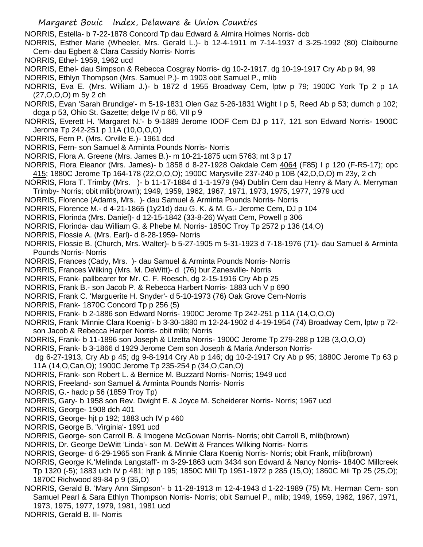NORRIS, Estella- b 7-22-1878 Concord Tp dau Edward & Almira Holmes Norris- dcb

- NORRIS, Esther Marie (Wheeler, Mrs. Gerald L.)- b 12-4-1911 m 7-14-1937 d 3-25-1992 (80) Claibourne Cem- dau Egbert & Clara Cassidy Norris- Norris
- NORRIS, Ethel- 1959, 1962 ucd
- NORRIS, Ethel- dau Simpson & Rebecca Cosgray Norris- dg 10-2-1917, dg 10-19-1917 Cry Ab p 94, 99
- NORRIS, Ethlyn Thompson (Mrs. Samuel P.)- m 1903 obit Samuel P., mlib
- NORRIS, Eva E. (Mrs. William J.)- b 1872 d 1955 Broadway Cem, lptw p 79; 1900C York Tp 2 p 1A (27,O,O,O) m 5y 2 ch
- NORRIS, Evan 'Sarah Brundige'- m 5-19-1831 Olen Gaz 5-26-1831 Wight I p 5, Reed Ab p 53; dumch p 102; dcga p 53, Ohio St. Gazette; delge IV p 66, VII p 9
- NORRIS, Everett H. 'Margaret N.'- b 9-1889 Jerome IOOF Cem DJ p 117, 121 son Edward Norris- 1900C Jerome Tp 242-251 p 11A (10,O,O,O)
- NORRIS, Fern P. (Mrs. Orville E.)- 1961 dcd
- NORRIS, Fern- son Samuel & Arminta Pounds Norris- Norris
- NORRIS, Flora A. Greene (Mrs. James B.)- m 10-21-1875 ucm 5763; mt 3 p 17
- NORRIS, Flora Eleanor (Mrs. James)- b 1858 d 8-27-1928 Oakdale Cem 4064 (F85) I p 120 (F-R5-17); opc 415; 1880C Jerome Tp 164-178 (22,O,O,O); 1900C Marysville 237-240 p 10B (42,O,O,O) m 23y, 2 ch
- NORRIS, Flora T. Trimby (Mrs. )- b 11-17-1884 d 1-1-1979 (94) Dublin Cem dau Henry & Mary A. Merryman Trimby- Norris; obit mlib(brown); 1949, 1959, 1962, 1967, 1971, 1973, 1975, 1977, 1979 ucd
- NORRIS, Florence (Adams, Mrs. )- dau Samuel & Arminta Pounds Norris- Norris
- NORRIS, Florence M.- d 4-21-1865 (1y21d) dau G. K. & M. G.- Jerome Cem, DJ p 104
- NORRIS, Florinda (Mrs. Daniel)- d 12-15-1842 (33-8-26) Wyatt Cem, Powell p 306
- NORRIS, Florinda- dau William G. & Phebe M. Norris- 1850C Troy Tp 2572 p 136 (14,O)
- NORRIS, Flossie A. (Mrs. Earl)- d 8-28-1959- Norris
- NORRIS, Flossie B. (Church, Mrs. Walter)- b 5-27-1905 m 5-31-1923 d 7-18-1976 (71)- dau Samuel & Arminta Pounds Norris- Norris
- NORRIS, Frances (Cady, Mrs. )- dau Samuel & Arminta Pounds Norris- Norris
- NORRIS, Frances Wilking (Mrs. M. DeWitt)- d (76) bur Zanesville- Norris
- NORRIS, Frank- pallbearer for Mr. C. F. Roesch, dg 2-15-1916 Cry Ab p 25
- NORRIS, Frank B.- son Jacob P. & Rebecca Harbert Norris- 1883 uch V p 690
- NORRIS, Frank C. 'Marguerite H. Snyder'- d 5-10-1973 (76) Oak Grove Cem-Norris
- NORRIS, Frank- 1870C Concord Tp p 256 (5)
- NORRIS, Frank- b 2-1886 son Edward Norris- 1900C Jerome Tp 242-251 p 11A (14,O,O,O)
- NORRIS, Frank 'Minnie Clara Koenig'- b 3-30-1880 m 12-24-1902 d 4-19-1954 (74) Broadway Cem, lptw p 72 son Jacob & Rebecca Harper Norris- obit mlib; Norris
- NORRIS, Frank- b 11-1896 son Joseph & LIzetta Norris- 1900C Jerome Tp 279-288 p 12B (3,O,O,O)
- NORRIS, Frank- b 3-1866 d 1929 Jerome Cem son Joseph & Maria Anderson Norris-
- dg 6-27-1913, Cry Ab p 45; dg 9-8-1914 Cry Ab p 146; dg 10-2-1917 Cry Ab p 95; 1880C Jerome Tp 63 p 11A (14,O,Can,O); 1900C Jerome Tp 235-254 p (34,O,Can,O)
- NORRIS, Frank- son Robert L. & Bernice M. Buzzard Norris- Norris; 1949 ucd
- NORRIS, Freeland- son Samuel & Arminta Pounds Norris- Norris
- NORRIS, G.- hadc p 56 (1859 Troy Tp)
- NORRIS, Gary- b 1958 son Rev. Dwight E. & Joyce M. Scheiderer Norris- Norris; 1967 ucd
- NORRIS, George- 1908 dch 401
- NORRIS, George- hjt p 192; 1883 uch IV p 460
- NORRIS, George B. 'Virginia'- 1991 ucd
- NORRIS, George- son Carroll B. & Imogene McGowan Norris- Norris; obit Carroll B, mlib(brown)
- NORRIS, Dr. George DeWitt 'Linda'- son M. DeWitt & Frances Wilking Norris- Norris
- NORRIS, George- d 6-29-1965 son Frank & Minnie Clara Koenig Norris- Norris; obit Frank, mlib(brown)
- NORRIS, George K.'Melinda Langstaff'- m 3-29-1863 ucm 3434 son Edward & Nancy Norris- 1840C Millcreek Tp 1320 (-5); 1883 uch IV p 481; hjt p 195; 1850C Mill Tp 1951-1972 p 285 (15,O); 1860C Mil Tp 25 (25,O); 1870C Richwood 89-84 p 9 (35,O)
- NORRIS, Gerald B. 'Mary Ann Simpson'- b 11-28-1913 m 12-4-1943 d 1-22-1989 (75) Mt. Herman Cem- son Samuel Pearl & Sara Ethlyn Thompson Norris- Norris; obit Samuel P., mlib; 1949, 1959, 1962, 1967, 1971, 1973, 1975, 1977, 1979, 1981, 1981 ucd
- NORRIS, Gerald B. II- Norris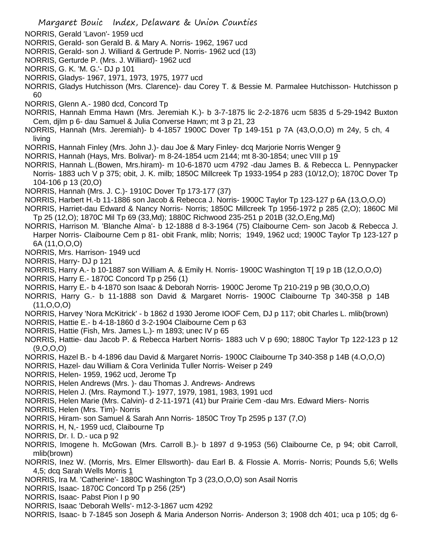- NORRIS, Gerald 'Lavon'- 1959 ucd
- NORRIS, Gerald- son Gerald B. & Mary A. Norris- 1962, 1967 ucd
- NORRIS, Gerald- son J. Williard & Gertrude P. Norris- 1962 ucd (13)
- NORRIS, Gerturde P. (Mrs. J. Williard)- 1962 ucd
- NORRIS, G. K. 'M. G.'- DJ p 101
- NORRIS, Gladys- 1967, 1971, 1973, 1975, 1977 ucd

NORRIS, Gladys Hutchisson (Mrs. Clarence)- dau Corey T. & Bessie M. Parmalee Hutchisson- Hutchisson p 60

- NORRIS, Glenn A.- 1980 dcd, Concord Tp
- NORRIS, Hannah Emma Hawn (Mrs. Jeremiah K.)- b 3-7-1875 lic 2-2-1876 ucm 5835 d 5-29-1942 Buxton Cem, djlm p 6- dau Samuel & Julia Converse Hawn; mt 3 p 21, 23
- NORRIS, Hannah (Mrs. Jeremiah)- b 4-1857 1900C Dover Tp 149-151 p 7A (43,O,O,O) m 24y, 5 ch, 4 living
- NORRIS, Hannah Finley (Mrs. John J.)- dau Joe & Mary Finley- dcq Marjorie Norris Wenger 9
- NORRIS, Hannah (Hays, Mrs. Bolivar)- m 8-24-1854 ucm 2144; mt 8-30-1854; unec VIII p 19
- NORRIS, Hannah L.(Bowen, Mrs.hiram)- m 10-6-1870 ucm 4792 -dau James B. & Rebecca L. Pennypacker Norris- 1883 uch V p 375; obit, J. K. milb; 1850C Millcreek Tp 1933-1954 p 283 (10/12,O); 1870C Dover Tp 104-106 p 13 (20,O)
- NORRIS, Hannah (Mrs. J. C.)- 1910C Dover Tp 173-177 (37)
- NORRIS, Harbert H.-b 11-1886 son Jacob & Rebecca J. Norris- 1900C Taylor Tp 123-127 p 6A (13,O,O,O)
- NORRIS, Harriet-dau Edward & Nancy Norris- Norris; 1850C Millcreek Tp 1956-1972 p 285 (2,O); 1860C Mil Tp 25 (12,O); 1870C Mil Tp 69 (33,Md); 1880C Richwood 235-251 p 201B (32,O,Eng,Md)
- NORRIS, Harrison M. 'Blanche Alma'- b 12-1888 d 8-3-1964 (75) Claibourne Cem- son Jacob & Rebecca J. Harper Norris- Claibourne Cem p 81- obit Frank, mlib; Norris; 1949, 1962 ucd; 1900C Taylor Tp 123-127 p 6A (11,O,O,O)
- NORRIS, Mrs. Harrison- 1949 ucd
- NORRIS, Harry- DJ p 121
- NORRIS, Harry A.- b 10-1887 son William A. & Emily H. Norris- 1900C Washington T[ 19 p 1B (12,O,O,O)
- NORRIS, Harry E.- 1870C Concord Tp p 256 (1)
- NORRIS, Harry E.- b 4-1870 son Isaac & Deborah Norris- 1900C Jerome Tp 210-219 p 9B (30,O,O,O)
- NORRIS, Harry G.- b 11-1888 son David & Margaret Norris- 1900C Claibourne Tp 340-358 p 14B (11,O,O,O)
- NORRIS, Harvey 'Nora McKitrick' b 1862 d 1930 Jerome IOOF Cem, DJ p 117; obit Charles L. mlib(brown)
- NORRIS, Hattie E.- b 4-18-1860 d 3-2-1904 Claibourne Cem p 63
- NORRIS, Hattie (Fish, Mrs. James L.)- m 1893; unec IV p 65
- NORRIS, Hattie- dau Jacob P. & Rebecca Harbert Norris- 1883 uch V p 690; 1880C Taylor Tp 122-123 p 12 (9,O,O,O)
- NORRIS, Hazel B.- b 4-1896 dau David & Margaret Norris- 1900C Claibourne Tp 340-358 p 14B (4.O,O,O)
- NORRIS, Hazel- dau William & Cora Verlinida Tuller Norris- Weiser p 249
- NORRIS, Helen- 1959, 1962 ucd, Jerome Tp
- NORRIS, Helen Andrews (Mrs. )- dau Thomas J. Andrews- Andrews
- NORRIS, Helen J. (Mrs. Raymond T.)- 1977, 1979, 1981, 1983, 1991 ucd
- NORRIS, Helen Marie (Mrs. Calvin)- d 2-11-1971 (41) bur Prairie Cem -dau Mrs. Edward Miers- Norris
- NORRIS, Helen (Mrs. Tim)- Norris
- NORRIS, Hiram- son Samuel & Sarah Ann Norris- 1850C Troy Tp 2595 p 137 (7,O)
- NORRIS, H, N,- 1959 ucd, Claibourne Tp
- NORRIS, Dr. I. D.- uca p 92
- NORRIS, Imogene h. McGowan (Mrs. Carroll B.)- b 1897 d 9-1953 (56) Claibourne Ce, p 94; obit Carroll, mlib(brown)
- NORRIS, Inez W. (Morris, Mrs. Elmer Ellsworth)- dau Earl B. & Flossie A. Morris- Norris; Pounds 5,6; Wells 4,5; dcq Sarah Wells Morris 1
- NORRIS, Ira M. 'Catherine'- 1880C Washington Tp 3 (23,O,O,O) son Asail Norris
- NORRIS, Isaac- 1870C Concord Tp p 256 (25\*)
- NORRIS, Isaac- Pabst Pion I p 90
- NORRIS, Isaac 'Deborah Wells'- m12-3-1867 ucm 4292
- NORRIS, Isaac- b 7-1845 son Joseph & Maria Anderson Norris- Anderson 3; 1908 dch 401; uca p 105; dg 6-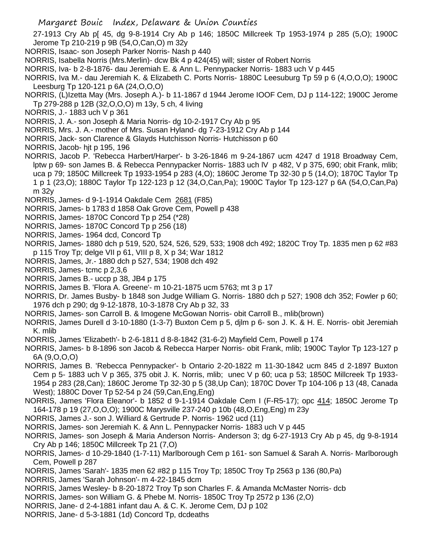27-1913 Cry Ab p[ 45, dg 9-8-1914 Cry Ab p 146; 1850C Millcreek Tp 1953-1974 p 285 (5,O); 1900C Jerome Tp 210-219 p 9B (54,O,Can,O) m 32y

- NORRIS, Isaac- son Joseph Parker Norris- Nash p 440
- NORRIS, Isabella Norris (Mrs.Merlin)- dcw Bk 4 p 424(45) will; sister of Robert Norris
- NORRIS, Iva- b 2-8-1876- dau Jeremiah E. & Ann L. Pennypacker Norris- 1883 uch V p 445
- NORRIS, Iva M.- dau Jeremiah K. & Elizabeth C. Ports Norris- 1880C Leesuburg Tp 59 p 6 (4,O,O,O); 1900C Leesburg Tp 120-121 p 6A (24,O,O,O)
- NORRIS, (L)Izetta May (Mrs. Joseph A.)- b 11-1867 d 1944 Jerome IOOF Cem, DJ p 114-122; 1900C Jerome Tp 279-288 p 12B (32,O,O,O) m 13y, 5 ch, 4 living
- NORRIS, J.- 1883 uch V p 361
- NORRIS, J. A.- son Joseph & Maria Norris- dg 10-2-1917 Cry Ab p 95
- NORRIS, Mrs. J. A.- mother of Mrs. Susan Hyland- dg 7-23-1912 Cry Ab p 144
- NORRIS, Jack- son Clarence & Glayds Hutchisson Norris- Hutchisson p 60
- NORRIS, Jacob- hjt p 195, 196
- NORRIS, Jacob P. 'Rebecca Harbert/Harper'- b 3-26-1846 m 9-24-1867 ucm 4247 d 1918 Broadway Cem, lptw p 69- son James B. & Rebecca Pennypacker Norris- 1883 uch lV p 482, V p 375, 690; obit Frank, mlib; uca p 79; 1850C Millcreek Tp 1933-1954 p 283 (4,O); 1860C Jerome Tp 32-30 p 5 (14,O); 1870C Taylor Tp 1 p 1 (23,O); 1880C Taylor Tp 122-123 p 12 (34,O,Can,Pa); 1900C Taylor Tp 123-127 p 6A (54,O,Can,Pa) m 32y
- NORRIS, James- d 9-1-1914 Oakdale Cem 2681 (F85)
- NORRIS, James- b 1783 d 1858 Oak Grove Cem, Powell p 438
- NORRIS, James- 1870C Concord Tp p 254 (\*28)
- NORRIS, James- 1870C Concord Tp p 256 (18)
- NORRIS, James- 1964 dcd, Concord Tp
- NORRIS, James- 1880 dch p 519, 520, 524, 526, 529, 533; 1908 dch 492; 1820C Troy Tp. 1835 men p 62 #83 p 115 Troy Tp; delge VII p 61, VIII p 8, X p 34; War 1812
- NORRIS, James, Jr.- 1880 dch p 527, 534; 1908 dch 492
- NORRIS, James- tcmc p 2,3,6
- NORRIS, James B.- uccp p 38, JB4 p 175
- NORRIS, James B. 'Flora A. Greene'- m 10-21-1875 ucm 5763; mt 3 p 17
- NORRIS, Dr. James Busby- b 1848 son Judge William G. Norris- 1880 dch p 527; 1908 dch 352; Fowler p 60; 1976 dch p 290; dg 9-12-1878, 10-3-1878 Cry Ab p 32, 33
- NORRIS, James- son Carroll B. & Imogene McGowan Norris- obit Carroll B., mlib(brown)
- NORRIS, James Durell d 3-10-1880 (1-3-7) Buxton Cem p 5, djlm p 6- son J. K. & H. E. Norris- obit Jeremiah K. mlib
- NORRIS, James 'Elizabeth'- b 2-6-1811 d 8-8-1842 (31-6-2) Mayfield Cem, Powell p 174
- NORRIS, James- b 8-1896 son Jacob & Rebecca Harper Norris- obit Frank, mlib; 1900C Taylor Tp 123-127 p 6A (9,O,O,O)
- NORRIS, James B. 'Rebecca Pennypacker'- b Ontario 2-20-1822 m 11-30-1842 ucm 845 d 2-1897 Buxton Cem p 5- 1883 uch V p 365, 375 obit J. K. Norris, mlib; unec V p 60; uca p 53; 1850C Millcreek Tp 1933- 1954 p 283 (28,Can); 1860C Jerome Tp 32-30 p 5 (38,Up Can); 1870C Dover Tp 104-106 p 13 (48, Canada West); 1880C Dover Tp 52-54 p 24 (59,Can,Eng,Eng)
- NORRIS, James 'Flora Eleanor'- b 1852 d 9-1-1914 Oakdale Cem I (F-R5-17); opc 414; 1850C Jerome Tp 164-178 p 19 (27,O,O,O); 1900C Marysville 237-240 p 10b (48,O,Eng,Eng) m 23y
- NORRIS, James J.- son J. Williard & Gertrude P. Norris- 1962 ucd (11)
- NORRIS, James- son Jeremiah K. & Ann L. Pennypacker Norris- 1883 uch V p 445
- NORRIS, James- son Joseph & Maria Anderson Norris- Anderson 3; dg 6-27-1913 Cry Ab p 45, dg 9-8-1914 Cry Ab p 146; 1850C Millcreek Tp 21 (7,O)
- NORRIS, James- d 10-29-1840 (1-7-11) Marlborough Cem p 161- son Samuel & Sarah A. Norris- Marlborough Cem, Powell p 287
- NORRIS, James 'Sarah'- 1835 men 62 #82 p 115 Troy Tp; 1850C Troy Tp 2563 p 136 (80,Pa)
- NORRIS, James 'Sarah Johnson'- m 4-22-1845 dcm
- NORRIS, James Wesley- b 8-20-1872 Troy Tp son Charles F. & Amanda McMaster Norris- dcb
- NORRIS, James- son William G. & Phebe M. Norris- 1850C Troy Tp 2572 p 136 (2,O)
- NORRIS, Jane- d 2-4-1881 infant dau A. & C. K. Jerome Cem, DJ p 102
- NORRIS, Jane- d 5-3-1881 (1d) Concord Tp, dcdeaths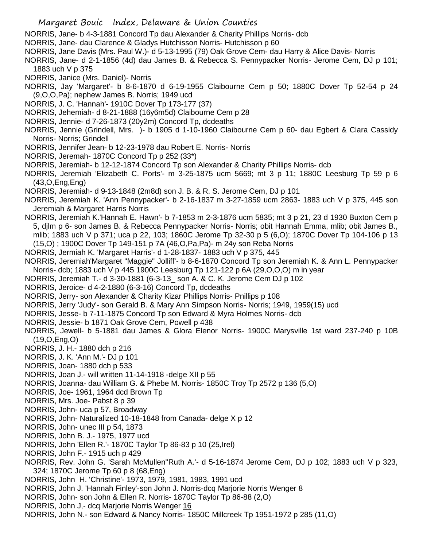- Margaret Bouic Index, Delaware & Union Counties
- NORRIS, Jane- b 4-3-1881 Concord Tp dau Alexander & Charity Phillips Norris- dcb
- NORRIS, Jane- dau Clarence & Gladys Hutchisson Norris- Hutchisson p 60
- NORRIS, Jane Davis (Mrs. Paul W.)- d 5-13-1995 (79) Oak Grove Cem- dau Harry & Alice Davis- Norris
- NORRIS, Jane- d 2-1-1856 (4d) dau James B. & Rebecca S. Pennypacker Norris- Jerome Cem, DJ p 101; 1883 uch V p 375
- NORRIS, Janice (Mrs. Daniel)- Norris
- NORRIS, Jay 'Margaret'- b 8-6-1870 d 6-19-1955 Claibourne Cem p 50; 1880C Dover Tp 52-54 p 24 (9,O,O,Pa); nephew James B. Norris; 1949 ucd
- NORRIS, J. C. 'Hannah'- 1910C Dover Tp 173-177 (37)
- NORRIS, Jehemiah- d 8-21-1888 (16y6m5d) Claibourne Cem p 28
- NORRIS, Jennie- d 7-26-1873 (20y2m) Concord Tp, dcdeaths
- NORRIS, Jennie (Grindell, Mrs. )- b 1905 d 1-10-1960 Claibourne Cem p 60- dau Egbert & Clara Cassidy Norris- Norris; Grindell
- NORRIS, Jennifer Jean- b 12-23-1978 dau Robert E. Norris- Norris
- NORRIS, Jeremah- 1870C Concord Tp p 252 (33\*)
- NORRIS, Jeremiah- b 12-12-1874 Concord Tp son Alexander & Charity Phillips Norris- dcb
- NORRIS, Jeremiah 'Elizabeth C. Ports'- m 3-25-1875 ucm 5669; mt 3 p 11; 1880C Leesburg Tp 59 p 6 (43,O,Eng,Eng)
- NORRIS, Jeremiah- d 9-13-1848 (2m8d) son J. B. & R. S. Jerome Cem, DJ p 101
- NORRIS, Jeremiah K. 'Ann Pennypacker'- b 2-16-1837 m 3-27-1859 ucm 2863- 1883 uch V p 375, 445 son Jeremiah & Margaret Harris Norris
- NORRIS, Jeremiah K.'Hannah E. Hawn'- b 7-1853 m 2-3-1876 ucm 5835; mt 3 p 21, 23 d 1930 Buxton Cem p 5, djlm p 6- son James B. & Rebecca Pennypacker Norris- Norris; obit Hannah Emma, mlib; obit James B., mlib; 1883 uch V p 371; uca p 22, 103; 1860C Jerome Tp 32-30 p 5 (6,O); 1870C Dover Tp 104-106 p 13 (15,O) ; 1900C Dover Tp 149-151 p 7A (46,O,Pa,Pa)- m 24y son Reba Norris
- NORRIS, Jermiah K. 'Margaret Harris'- d 1-28-1837- 1883 uch V p 375, 445
- NORRIS, Jeremiah'Margaret "Maggie" Jolliff'- b 8-6-1870 Concord Tp son Jeremiah K. & Ann L. Pennypacker Norris- dcb; 1883 uch V p 445 1900C Leesburg Tp 121-122 p 6A (29,O,O,O) m in year
- NORRIS, Jeremiah T.- d 3-30-1881 (6-3-13\_ son A. & C. K. Jerome Cem DJ p 102
- NORRIS, Jeroice- d 4-2-1880 (6-3-16) Concord Tp, dcdeaths
- NORRIS, Jerry- son Alexander & Charity Kizar Phillips Norris- Pnillips p 108
- NORRIS, Jerry 'Judy'- son Gerald B. & Mary Ann Simpson Norris- Norris; 1949, 1959(15) ucd
- NORRIS, Jesse- b 7-11-1875 Concord Tp son Edward & Myra Holmes Norris- dcb
- NORRIS, Jessie- b 1871 Oak Grove Cem, Powell p 438
- NORRIS, Jewell- b 5-1881 dau James & Glora Elenor Norris- 1900C Marysville 1st ward 237-240 p 10B (19,O,Eng,O)
- NORRIS, J. H.- 1880 dch p 216
- NORRIS, J. K. 'Ann M.'- DJ p 101
- NORRIS, Joan- 1880 dch p 533
- NORRIS, Joan J.- will written 11-14-1918 -delge XII p 55
- NORRIS, Joanna- dau William G. & Phebe M. Norris- 1850C Troy Tp 2572 p 136 (5,O)
- NORRIS, Joe- 1961, 1964 dcd Brown Tp
- NORRIS, Mrs. Joe- Pabst 8 p 39
- NORRIS, John- uca p 57, Broadway
- NORRIS, John- Naturalized 10-18-1848 from Canada- delge X p 12
- NORRIS, John- unec III p 54, 1873
- NORRIS, John B. J.- 1975, 1977 ucd
- NORRIS, John 'Ellen R.'- 1870C Taylor Tp 86-83 p 10 (25,Irel)
- NORRIS, John F.- 1915 uch p 429
- NORRIS, Rev. John G. 'Sarah McMullen''Ruth A.'- d 5-16-1874 Jerome Cem, DJ p 102; 1883 uch V p 323, 324; 1870C Jerome Tp 60 p 8 (68,Eng)
- NORRIS, John H. 'Christine'- 1973, 1979, 1981, 1983, 1991 ucd
- NORRIS, John J. 'Hannah Finley'-son John J. Norris-dcq Marjorie Norris Wenger 8
- NORRIS, John- son John & Ellen R. Norris- 1870C Taylor Tp 86-88 (2,O)
- NORRIS, John J,- dcq Marjorie Norris Wenger 16
- NORRIS, John N.- son Edward & Nancy Norris- 1850C Millcreek Tp 1951-1972 p 285 (11,O)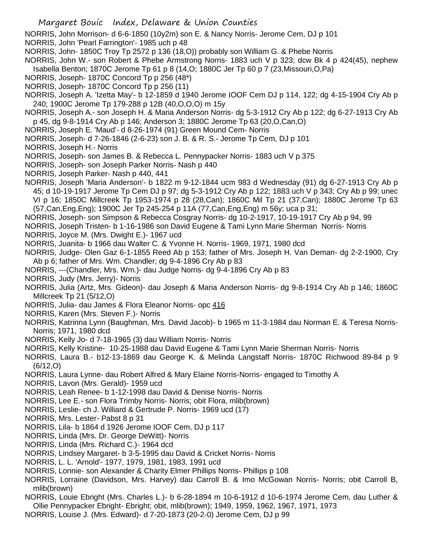NORRIS, John Morrison- d 6-6-1850 (10y2m) son E. & Nancy Norris- Jerome Cem, DJ p 101 NORRIS, John 'Pearl Farrington'- 1985 uch p 48

- NORRIS, John- 1850C Troy Tp 2572 p 136 (18,O)) probably son William G. & Phebe Norris
- NORRIS, John W.- son Robert & Phebe Armstrong Norris- 1883 uch V p 323; dcw Bk 4 p 424(45), nephew Isabella Benton; 1870C Jerome Tp 61 p 8 (14,O; 1880C Jer Tp 60 p 7 (23,Missouri,O,Pa)
- NORRIS, Joseph- 1870C Concord Tp p 256 (48\*)
- NORRIS, Joseph- 1870C Concord Tp p 256 (11)
- NORRIS, Joseph A. 'Izetta May'- b 12-1859 d 1940 Jerome IOOF Cem DJ p 114, 122; dg 4-15-1904 Cry Ab p 240; 1900C Jerome Tp 179-288 p 12B (40,O,O,O) m 15y
- NORRIS, Joseph A.- son Joseph H. & Maria Anderson Norris- dg 5-3-1912 Cry Ab p 122; dg 6-27-1913 Cry Ab p 45, dg 9-8-1914 Cry Ab p 146; Anderson 3; 1880C Jerome Tp 63 (20,O,Can,O)
- NORRIS, Joseph E. 'Maud'- d 8-26-1974 (91) Green Mound Cem- Norris
- NORRIS, Joseph- d 7-26-1846 (2-6-23) son J. B. & R. S.- Jerome Tp Cem, DJ p 101
- NORRIS, Joseph H.- Norris
- NORRIS, Joseph- son James B. & Rebecca L. Pennypacker Norris- 1883 uch V p 375
- NORRIS, Joseph- son Joseph Parker Norris- Nash p 440
- NORRIS, Joseph Parker- Nash p 440, 441
- NORRIS, Joseph 'Maria Anderson'- b 1822 m 9-12-1844 ucm 983 d Wednesday (91) dg 6-27-1913 Cry Ab p 45; d 10-19-1917 Jerome Tp Cem DJ p 97; dg 5-3-1912 Cry Ab p 122; 1883 uch V p 343; Cry Ab p 99; unec VI p 16; 1850C Millcreek Tp 1953-1974 p 28 (28,Can); 1860C Mil Tp 21 (37,Can); 1880C Jerome Tp 63 (57,Can,Eng,Eng); 1900C Jer Tp 245-254 p 11A (77,Can,Eng,Eng) m 56y; uca p 31;
- NORRIS, Joseph- son Simpson & Rebecca Cosgray Norris- dg 10-2-1917, 10-19-1917 Cry Ab p 94, 99
- NORRIS, Joseph Tristen- b 1-16-1986 son David Eugene & Tami Lynn Marie Sherman Norris- Norris
- NORRIS, Joyce M. (Mrs. Dwight E.)- 1967 ucd
- NORRIS, Juanita- b 1966 dau Walter C. & Yvonne H. Norris- 1969, 1971, 1980 dcd
- NORRIS, Judge- Olen Gaz 6-1-1855 Reed Ab p 153; father of Mrs. Joseph H. Van Deman- dg 2-2-1900, Cry Ab p 6; father of Mrs. Wm. Chandler; dg 9-4-1896 Cry Ab p 83
- NORRIS, ---(Chandler, Mrs. Wm.)- dau Judge Norris- dg 9-4-1896 Cry Ab p 83
- NORRIS, Judy (Mrs. Jerry)- Norris
- NORRIS, Julia (Artz, Mrs. Gideon)- dau Joseph & Maria Anderson Norris- dg 9-8-1914 Cry Ab p 146; 1860C Millcreek Tp 21 (5/12,O)
- NORRIS, Julia- dau James & Flora Eleanor Norris- opc 416
- NORRIS, Karen (Mrs. Steven F.)- Norris
- NORRIS, Katrinna Lynn (Baughman, Mrs. David Jacob)- b 1965 m 11-3-1984 dau Norman E. & Teresa Norris-Norris; 1971, 1980 dcd
- NORRIS, Kelly Jo- d 7-18-1965 (3) dau William Norris- Norris
- NORRIS, Kelly Kristine- 10-25-1988 dau David Eugene & Tami Lynn Marie Sherman Norris- Norris
- NORRIS, Laura B.- b12-13-1869 dau George K. & Melinda Langstaff Norris- 1870C Richwood 89-84 p 9 (6/12,O)
- NORRIS, Laura Lynne- dau Robert Alfred & Mary Elaine Norris-Norris- engaged to Timothy A
- NORRIS, Lavon (Mrs. Gerald)- 1959 ucd
- NORRIS, Leah Renee- b 1-12-1998 dau David & Denise Norris- Norris
- NORRIS, Lee E.- son Flora Trimby Norris- Norris; obit Flora, mlib(brown)
- NORRIS, Leslie- ch J. Williard & Gertrude P. Norris- 1969 ucd (17)
- NORRIS, Mrs. Lester- Pabst 8 p 31
- NORRIS, Lila- b 1864 d 1926 Jerome IOOF Cem, DJ p 117
- NORRIS, Linda (Mrs. Dr. George DeWitt)- Norris
- NORRIS, Linda (Mrs. Richard C.)- 1964 dcd
- NORRIS, Lindsey Margaret- b 3-5-1995 dau David & Cricket Norris- Norris
- NORRIS, L. L. 'Arnold'- 1977, 1979, 1981, 1983, 1991 ucd
- NORRIS, Lonnie- son Alexander & Charity Elmer Phillips Norris- Phillips p 108
- NORRIS, Lorraine (Davidson, Mrs. Harvey) dau Carroll B. & Imo McGowan Norris- Norris; obit Carroll B, mlib(brown)
- NORRIS, Louie Ebright (Mrs. Charles L.)- b 6-28-1894 m 10-6-1912 d 10-6-1974 Jerome Cem, dau Luther & Ollie Pennypacker Ebright- Ebright; obit, mlib(brown); 1949, 1959, 1962, 1967, 1971, 1973
- NORRIS, Louise J. (Mrs. Edward)- d 7-20-1873 (20-2-0) Jerome Cem, DJ p 99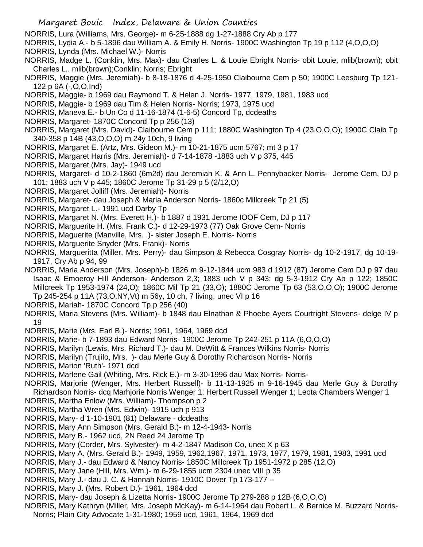- NORRIS, Lura (Williams, Mrs. George)- m 6-25-1888 dg 1-27-1888 Cry Ab p 177
- NORRIS, Lydia A.- b 5-1896 dau William A. & Emily H. Norris- 1900C Washington Tp 19 p 112 (4,O,O,O)
- NORRIS, Lynda (Mrs. Michael W.)- Norris
- NORRIS, Madge L. (Conklin, Mrs. Max)- dau Charles L. & Louie Ebright Norris- obit Louie, mlib(brown); obit Charles L.. mlib(brown);Conklin; Norris; Ebright
- NORRIS, Maggie (Mrs. Jeremiah)- b 8-18-1876 d 4-25-1950 Claibourne Cem p 50; 1900C Leesburg Tp 121- 122 p 6A (-,O,O,Ind)
- NORRIS, Maggie- b 1969 dau Raymond T. & Helen J. Norris- 1977, 1979, 1981, 1983 ucd
- NORRIS, Maggie- b 1969 dau Tim & Helen Norris- Norris; 1973, 1975 ucd
- NORRIS, Maneva E.- b Un Co d 11-16-1874 (1-6-5) Concord Tp, dcdeaths
- NORRIS, Margaret- 1870C Concord Tp p 256 (13)
- NORRIS, Margaret (Mrs. David)- Claibourne Cem p 111; 1880C Washington Tp 4 (23.O,O,O); 1900C Claib Tp 340-358 p 14B (43,O,O,O) m 24y 10ch, 9 living
- NORRIS, Margaret E. (Artz, Mrs. Gideon M.)- m 10-21-1875 ucm 5767; mt 3 p 17
- NORRIS, Margaret Harris (Mrs. Jeremiah)- d 7-14-1878 -1883 uch V p 375, 445
- NORRIS, Margaret (Mrs. Jay)- 1949 ucd
- NORRIS, Margaret- d 10-2-1860 (6m2d) dau Jeremiah K. & Ann L. Pennybacker Norris- Jerome Cem, DJ p 101; 1883 uch V p 445; 1860C Jerome Tp 31-29 p 5 (2/12,O)
- NORRIS, Margaret Jolliff (Mrs. Jeremiah)- Norris
- NORRIS, Margaret- dau Joseph & Maria Anderson Norris- 1860c Millcreek Tp 21 (5)
- NORRIS, Margaret L.- 1991 ucd Darby Tp
- NORRIS, Margaret N. (Mrs. Everett H.)- b 1887 d 1931 Jerome IOOF Cem, DJ p 117
- NORRIS, Marguerite H. (Mrs. Frank C.)- d 12-29-1973 (77) Oak Grove Cem- Norris
- NORRIS, Maguerite (Manville, Mrs. )- sister Joseph E. Norris- Norris
- NORRIS, Marguerite Snyder (Mrs. Frank)- Norris
- NORRIS, Margueritta (Miller, Mrs. Perry)- dau Simpson & Rebecca Cosgray Norris- dg 10-2-1917, dg 10-19- 1917, Cry Ab p 94, 99
- NORRIS, Maria Anderson (Mrs. Joseph)-b 1826 m 9-12-1844 ucm 983 d 1912 (87) Jerome Cem DJ p 97 dau Isaac & Emoeroy Hill Anderson- Anderson 2,3; 1883 uch V p 343; dg 5-3-1912 Cry Ab p 122; 1850C Millcreek Tp 1953-1974 (24,O); 1860C Mil Tp 21 (33,O); 1880C Jerome Tp 63 (53,O,O,O); 1900C Jerome Tp 245-254 p 11A (73,O,NY,Vt) m 56y, 10 ch, 7 living; unec VI p 16
- NORRIS, Mariah- 1870C Concord Tp p 256 (40)
- NORRIS, Maria Stevens (Mrs. William)- b 1848 dau Elnathan & Phoebe Ayers Courtright Stevens- delge IV p 19
- NORRIS, Marie (Mrs. Earl B.)- Norris; 1961, 1964, 1969 dcd
- NORRIS, Marie- b 7-1893 dau Edward Norris- 1900C Jerome Tp 242-251 p 11A (6,O,O,O)
- NORRIS, Marilyn (Lewis, Mrs. Richard T.)- dau M. DeWitt & Frances Wilkins Norris- Norris
- NORRIS, Marilyn (Trujilo, Mrs. )- dau Merle Guy & Dorothy Richardson Norris- Norris
- NORRIS, Marion 'Ruth'- 1971 dcd
- NORRIS, Marlene Gail (Whiting, Mrs. Rick E.)- m 3-30-1996 dau Max Norris- Norris-
- NORRIS, Marjorie (Wenger, Mrs. Herbert Russell)- b 11-13-1925 m 9-16-1945 dau Merle Guy & Dorothy Richardson Norris- dcq Marhjorie Norris Wenger 1; Herbert Russell Wenger 1; Leota Chambers Wenger 1
- NORRIS, Martha Enlow (Mrs. William)- Thompson p 2
- NORRIS, Martha Wren (Mrs. Edwin)- 1915 uch p 913
- NORRIS, Mary- d 1-10-1901 (81) Delaware dcdeaths
- NORRIS, Mary Ann Simpson (Mrs. Gerald B.)- m 12-4-1943- Norris
- NORRIS, Mary B.- 1962 ucd, 2N Reed 24 Jerome Tp
- NORRIS, Mary (Corder, Mrs. Sylvester)- m 4-2-1847 Madison Co, unec X p 63
- NORRIS, Mary A. (Mrs. Gerald B.)- 1949, 1959, 1962,1967, 1971, 1973, 1977, 1979, 1981, 1983, 1991 ucd
- NORRIS, Mary J.- dau Edward & Nancy Norris- 1850C Millcreek Tp 1951-1972 p 285 (12,O)
- NORRIS, Mary Jane (Hill, Mrs. Wm.)- m 6-29-1855 ucm 2304 unec VIII p 35
- NORRIS, Mary J.- dau J. C. & Hannah Norris- 1910C Dover Tp 173-177 --
- NORRIS, Mary J. (Mrs. Robert D.)- 1961, 1964 dcd
- NORRIS, Mary- dau Joseph & Lizetta Norris- 1900C Jerome Tp 279-288 p 12B (6,O,O,O)
- NORRIS, Mary Kathryn (Miller, Mrs. Joseph McKay)- m 6-14-1964 dau Robert L. & Bernice M. Buzzard Norris-Norris; Plain City Advocate 1-31-1980; 1959 ucd, 1961, 1964, 1969 dcd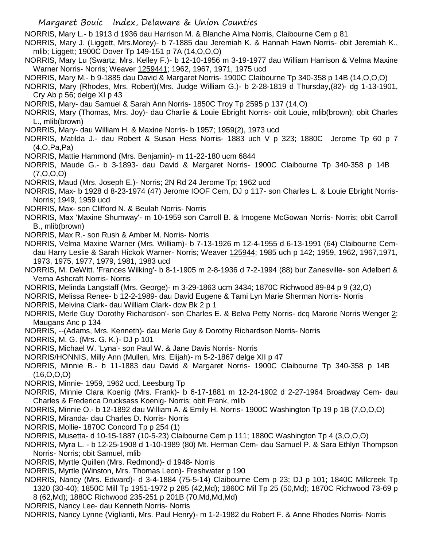NORRIS, Mary L.- b 1913 d 1936 dau Harrison M. & Blanche Alma Norris, Claibourne Cem p 81

NORRIS, Mary J. (Liggett, Mrs.Morey)- b 7-1885 dau Jeremiah K. & Hannah Hawn Norris- obit Jeremiah K., mlib; Liggett; 1900C Dover Tp 149-151 p 7A (14,O,O,O)

NORRIS, Mary Lu (Swartz, Mrs. Kelley F.)- b 12-10-1956 m 3-19-1977 dau William Harrison & Velma Maxine Warner Norris- Norris; Weaver 1259441; 1962, 1967, 1971, 1975 ucd

NORRIS, Mary M.- b 9-1885 dau David & Margaret Norris- 1900C Claibourne Tp 340-358 p 14B (14,O,O,O)

NORRIS, Mary (Rhodes, Mrs. Robert)(Mrs. Judge William G.)- b 2-28-1819 d Thursday,(82)- dg 1-13-1901, Cry Ab p 56; delge XI p 43

NORRIS, Mary- dau Samuel & Sarah Ann Norris- 1850C Troy Tp 2595 p 137 (14,O)

NORRIS, Mary (Thomas, Mrs. Joy)- dau Charlie & Louie Ebright Norris- obit Louie, mlib(brown); obit Charles L., mlib(brown)

NORRIS, Mary- dau William H. & Maxine Norris- b 1957; 1959(2), 1973 ucd

- NORRIS, Matilda J.- dau Robert & Susan Hess Norris- 1883 uch V p 323; 1880C Jerome Tp 60 p 7 (4,O,Pa,Pa)
- NORRIS, Mattie Hammond (Mrs. Benjamin)- m 11-22-180 ucm 6844
- NORRIS, Maude G.- b 3-1893- dau David & Margaret Norris- 1900C Claibourne Tp 340-358 p 14B (7,O,O,O)

NORRIS, Maud (Mrs. Joseph E.)- Norris; 2N Rd 24 Jerome Tp; 1962 ucd

NORRIS, Max- b 1928 d 8-23-1974 (47) Jerome IOOF Cem, DJ p 117- son Charles L. & Louie Ebright Norris-Norris; 1949, 1959 ucd

- NORRIS, Max- son Clifford N. & Beulah Norris- Norris
- NORRIS, Max 'Maxine Shumway'- m 10-1959 son Carroll B. & Imogene McGowan Norris- Norris; obit Carroll B., mlib(brown)
- NORRIS, Max R.- son Rush & Amber M. Norris- Norris
- NORRIS, Velma Maxine Warner (Mrs. William)- b 7-13-1926 m 12-4-1955 d 6-13-1991 (64) Claibourne Cemdau Harry Leslie & Sarah Hickok Warner- Norris; Weaver 125944; 1985 uch p 142; 1959, 1962, 1967,1971, 1973, 1975, 1977, 1979, 1981, 1983 ucd
- NORRIS, M. DeWitt. 'Frances Wilking'- b 8-1-1905 m 2-8-1936 d 7-2-1994 (88) bur Zanesville- son Adelbert & Verna Ashcraft Norris- Norris
- NORRIS, Melinda Langstaff (Mrs. George)- m 3-29-1863 ucm 3434; 1870C Richwood 89-84 p 9 (32,O)

NORRIS, Melissa Renee- b 12-2-1989- dau David Eugene & Tami Lyn Marie Sherman Norris- Norris

NORRIS, Melvina Clark- dau William Clark- dcw Bk 2 p 1

NORRIS, Merle Guy 'Dorothy Richardson'- son Charles E. & Belva Petty Norris- dcq Marorie Norris Wenger 2; Maugans Anc p 134

- NORRIS, --(Adams, Mrs. Kenneth)- dau Merle Guy & Dorothy Richardson Norris- Norris
- NORRIS, M. G. (Mrs. G. K.)- DJ p 101
- NORRIS, Michael W. 'Lyna'- son Paul W. & Jane Davis Norris- Norris
- NORRIS/HONNIS, Milly Ann (Mullen, Mrs. Elijah)- m 5-2-1867 delge XII p 47
- NORRIS, Minnie B.- b 11-1883 dau David & Margaret Norris- 1900C Claibourne Tp 340-358 p 14B (16,O,O,O)
- NORRIS, Minnie- 1959, 1962 ucd, Leesburg Tp
- NORRIS, Minnie Clara Koenig (Mrs. Frank)- b 6-17-1881 m 12-24-1902 d 2-27-1964 Broadway Cem- dau Charles & Frederica Drucksass Koenig- Norris; obit Frank, mlib
- NORRIS, Minnie O.- b 12-1892 dau William A. & Emily H. Norris- 1900C Washington Tp 19 p 1B (7,O,O,O)
- NORRIS, Miranda- dau Charles D. Norris- Norris
- NORRIS, Mollie- 1870C Concord Tp p 254 (1)
- NORRIS, Musetta- d 10-15-1887 (10-5-23) Claibourne Cem p 111; 1880C Washington Tp 4 (3,O,O,O)
- NORRIS, Myra L. b 12-25-1908 d 1-10-1989 (80) Mt. Herman Cem- dau Samuel P. & Sara Ethlyn Thompson Norris- Norris; obit Samuel, mlib
- NORRIS, Myrtle Quillen (Mrs. Redmond)- d 1948- Norris
- NORRIS, Myrtle (Winston, Mrs. Thomas Leon)- Freshwater p 190
- NORRIS, Nancy (Mrs. Edward)- d 3-4-1884 (75-5-14) Claibourne Cem p 23; DJ p 101; 1840C Millcreek Tp 1320 (30-40); 1850C Mill Tp 1951-1972 p 285 (42,Md); 1860C Mil Tp 25 (50,Md); 1870C Richwood 73-69 p 8 (62,Md); 1880C Richwood 235-251 p 201B (70,Md,Md,Md)
- NORRIS, Nancy Lee- dau Kenneth Norris- Norris

NORRIS, Nancy Lynne (Viglianti, Mrs. Paul Henry)- m 1-2-1982 du Robert F. & Anne Rhodes Norris- Norris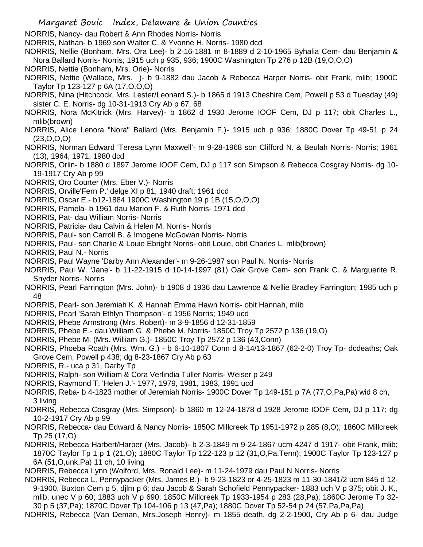NORRIS, Nancy- dau Robert & Ann Rhodes Norris- Norris

NORRIS, Nathan- b 1969 son Walter C. & Yvonne H. Norris- 1980 dcd

NORRIS, Nellie (Bonham, Mrs. Ora Lee)- b 2-16-1881 m 8-1889 d 2-10-1965 Byhalia Cem- dau Benjamin & Nora Ballard Norris- Norris; 1915 uch p 935, 936; 1900C Washington Tp 276 p 12B (19,O,O,O)

NORRIS, Nettie (Bonham, Mrs. Orie)- Norris

NORRIS, Nettie (Wallace, Mrs. )- b 9-1882 dau Jacob & Rebecca Harper Norris- obit Frank, mlib; 1900C Taylor Tp 123-127 p 6A (17,O,O,O)

NORRIS, Nina (Hitchcock, Mrs. Lester/Leonard S.)- b 1865 d 1913 Cheshire Cem, Powell p 53 d Tuesday (49) sister C. E. Norris- dg 10-31-1913 Cry Ab p 67, 68

NORRIS, Nora McKitrick (Mrs. Harvey)- b 1862 d 1930 Jerome IOOF Cem, DJ p 117; obit Charles L., mlib(brown)

NORRIS, Alice Lenora "Nora" Ballard (Mrs. Benjamin F.)- 1915 uch p 936; 1880C Dover Tp 49-51 p 24  $(23, 0, 0, 0)$ 

NORRIS, Norman Edward 'Teresa Lynn Maxwell'- m 9-28-1968 son Clifford N. & Beulah Norris- Norris; 1961 (13), 1964, 1971, 1980 dcd

NORRIS, Orlin- b 1880 d 1897 Jerome IOOF Cem, DJ p 117 son Simpson & Rebecca Cosgray Norris- dg 10- 19-1917 Cry Ab p 99

NORRIS, Oro Courter (Mrs. Eber V.)- Norris

NORRIS, Orville'Fern P.' delge XI p 81, 1940 draft; 1961 dcd

- NORRIS, Oscar E.- b12-1884 1900C Washington 19 p 1B (15,O,O,O)
- NORRIS, Pamela- b 1961 dau Marion F. & Ruth Norris- 1971 dcd
- NORRIS, Pat- dau William Norris- Norris
- NORRIS, Patricia- dau Calvin & Helen M. Norris- Norris
- NORRIS, Paul- son Carroll B. & Imogene McGowan Norris- Norris
- NORRIS, Paul- son Charlie & Louie Ebright Norris- obit Louie, obit Charles L. mlib(brown)
- NORRIS, Paul N.- Norris
- NORRIS, Paul Wayne 'Darby Ann Alexander'- m 9-26-1987 son Paul N. Norris- Norris

NORRIS, Paul W. 'Jane'- b 11-22-1915 d 10-14-1997 (81) Oak Grove Cem- son Frank C. & Marguerite R. Snyder Norris- Norris

- NORRIS, Pearl Farrington (Mrs. John)- b 1908 d 1936 dau Lawrence & Nellie Bradley Farrington; 1985 uch p 48
- NORRIS, Pearl- son Jeremiah K. & Hannah Emma Hawn Norris- obit Hannah, mlib
- NORRIS, Pearl 'Sarah Ethlyn Thompson'- d 1956 Norris; 1949 ucd

NORRIS, Phebe Armstrong (Mrs. Robert)- m 3-9-1856 d 12-31-1859

NORRIS, Phebe E.- dau William G. & Phebe M. Norris- 1850C Troy Tp 2572 p 136 (19,O)

NORRIS, Phebe M. (Mrs. William G.)- 1850C Troy Tp 2572 p 136 (43,Conn)

NORRIS, Phoeba Roath (Mrs. Wm. G.) - b 6-10-1807 Conn d 8-14/13-1867 (62-2-0) Troy Tp- dcdeaths; Oak Grove Cem, Powell p 438; dg 8-23-1867 Cry Ab p 63

- NORRIS, R.- uca p 31, Darby Tp
- NORRIS, Ralph- son William & Cora Verlindia Tuller Norris- Weiser p 249
- NORRIS, Raymond T. 'Helen J.'- 1977, 1979, 1981, 1983, 1991 ucd

NORRIS, Reba- b 4-1823 mother of Jeremiah Norris- 1900C Dover Tp 149-151 p 7A (77,O,Pa,Pa) wid 8 ch, 3 living

NORRIS, Rebecca Cosgray (Mrs. Simpson)- b 1860 m 12-24-1878 d 1928 Jerome IOOF Cem, DJ p 117; dg 10-2-1917 Cry Ab p 99

- NORRIS, Rebecca- dau Edward & Nancy Norris- 1850C Millcreek Tp 1951-1972 p 285 (8,O); 1860C Millcreek Tp 25 (17,O)
- NORRIS, Rebecca Harbert/Harper (Mrs. Jacob)- b 2-3-1849 m 9-24-1867 ucm 4247 d 1917- obit Frank, mlib; 1870C Taylor Tp 1 p 1 (21,O); 1880C Taylor Tp 122-123 p 12 (31,O,Pa,Tenn); 1900C Taylor Tp 123-127 p 6A (51,O,unk,Pa) 11 ch, 10 living
- NORRIS, Rebecca Lynn (Wolford, Mrs. Ronald Lee)- m 11-24-1979 dau Paul N Norris- Norris
- NORRIS, Rebecca L. Pennypacker (Mrs. James B.)- b 9-23-1823 or 4-25-1823 m 11-30-1841/2 ucm 845 d 12- 9-1900, Buxton Cem p 5, djlm p 6; dau Jacob & Sarah Schofield Pennypacker- 1883 uch V p 375; obit J. K., mlib; unec V p 60; 1883 uch V p 690; 1850C Millcreek Tp 1933-1954 p 283 (28,Pa); 1860C Jerome Tp 32- 30 p 5 (37,Pa); 1870C Dover Tp 104-106 p 13 (47,Pa); 1880C Dover Tp 52-54 p 24 (57,Pa,Pa,Pa)

NORRIS, Rebecca (Van Deman, Mrs.Joseph Henry)- m 1855 death, dg 2-2-1900, Cry Ab p 6- dau Judge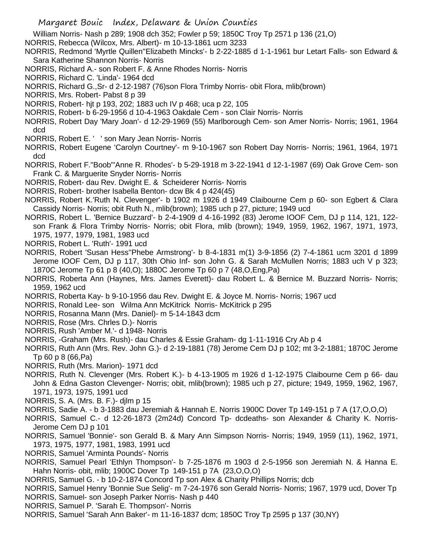William Norris- Nash p 289; 1908 dch 352; Fowler p 59; 1850C Troy Tp 2571 p 136 (21,O)

- NORRIS, Rebecca (Wilcox, Mrs. Albert)- m 10-13-1861 ucm 3233
- NORRIS, Redmond 'Myrtle Quillen''Elizabeth Mincks'- b 2-22-1885 d 1-1-1961 bur Letart Falls- son Edward & Sara Katherine Shannon Norris- Norris
- NORRIS, Richard A.- son Robert F. & Anne Rhodes Norris- Norris
- NORRIS, Richard C. 'Linda'- 1964 dcd
- NORRIS, Richard G.,Sr- d 2-12-1987 (76)son Flora Trimby Norris- obit Flora, mlib(brown)
- NORRIS, Mrs. Robert- Pabst 8 p 39
- NORRIS, Robert- hjt p 193, 202; 1883 uch IV p 468; uca p 22, 105
- NORRIS, Robert- b 6-29-1956 d 10-4-1963 Oakdale Cem son Clair Norris- Norris
- NORRIS, Robert Day 'Mary Joan'- d 12-29-1969 (55) Marlborough Cem- son Amer Norris- Norris; 1961, 1964 dcd
- NORRIS, Robert E. ' ' son Mary Jean Norris- Norris
- NORRIS, Robert Eugene 'Carolyn Courtney'- m 9-10-1967 son Robert Day Norris- Norris; 1961, 1964, 1971 dcd
- NORRIS, Robert F."Boob"'Anne R. Rhodes'- b 5-29-1918 m 3-22-1941 d 12-1-1987 (69) Oak Grove Cem- son Frank C. & Marguerite Snyder Norris- Norris
- NORRIS, Robert- dau Rev. Dwight E. & Scheiderer Norris- Norris
- NORRIS, Robert- brother Isabella Benton- dcw Bk 4 p 424(45)
- NORRIS, Robert K.'Ruth N. Clevenger'- b 1902 m 1926 d 1949 Claibourne Cem p 60- son Egbert & Clara Cassidy Norris- Norris; obit Ruth N., mlib(brown); 1985 uch p 27, picture; 1949 ucd
- NORRIS, Robert L. 'Bernice Buzzard'- b 2-4-1909 d 4-16-1992 (83) Jerome IOOF Cem, DJ p 114, 121, 122 son Frank & Flora Trimby Norris- Norris; obit Flora, mlib (brown); 1949, 1959, 1962, 1967, 1971, 1973, 1975, 1977, 1979, 1981, 1983 ucd
- NORRIS, Robert L. 'Ruth'- 1991 ucd
- NORRIS, Robert 'Susan Hess''Phebe Armstrong'- b 8-4-1831 m(1) 3-9-1856 (2) 7-4-1861 ucm 3201 d 1899 Jerome IOOF Cem, DJ p 117, 30th Ohio Inf- son John G. & Sarah McMullen Norris; 1883 uch V p 323; 1870C Jerome Tp 61 p 8 (40,O); 1880C Jerome Tp 60 p 7 (48,O,Eng,Pa)
- NORRIS, Roberta Ann (Haynes, Mrs. James Everett)- dau Robert L. & Bernice M. Buzzard Norris- Norris; 1959, 1962 ucd
- NORRIS, Roberta Kay- b 9-10-1956 dau Rev. Dwight E. & Joyce M. Norris- Norris; 1967 ucd
- NORRIS, Ronald Lee- son Wilma Ann McKitrick Norris- McKitrick p 295
- NORRIS, Rosanna Mann (Mrs. Daniel)- m 5-14-1843 dcm
- NORRIS, Rose (Mrs. Chrles D.)- Norris
- NORRIS, Rush 'Amber M.'- d 1948- Norris
- NORRIS, -Graham (Mrs. Rush)- dau Charles & Essie Graham- dg 1-11-1916 Cry Ab p 4
- NORRIS, Ruth Ann (Mrs. Rev. John G.)- d 2-19-1881 (78) Jerome Cem DJ p 102; mt 3-2-1881; 1870C Jerome Tp 60 p 8 (66,Pa)
- NORRIS, Ruth (Mrs. Marion)- 1971 dcd
- NORRIS, Ruth N. Clevenger (Mrs. Robert K.)- b 4-13-1905 m 1926 d 1-12-1975 Claibourne Cem p 66- dau John & Edna Gaston Clevenger- Norris; obit, mlib(brown); 1985 uch p 27, picture; 1949, 1959, 1962, 1967, 1971, 1973, 1975, 1991 ucd
- NORRIS, S. A. (Mrs. B. F.)- djlm p 15
- NORRIS, Sadie A. b 3-1883 dau Jeremiah & Hannah E. Norris 1900C Dover Tp 149-151 p 7 A (17,O,O,O)
- NORRIS, Samuel C.- d 12-26-1873 (2m24d) Concord Tp- dcdeaths- son Alexander & Charity K. Norris-Jerome Cem DJ p 101
- NORRIS, Samuel 'Bonnie'- son Gerald B. & Mary Ann Simpson Norris- Norris; 1949, 1959 (11), 1962, 1971, 1973, 1975, 1977, 1981, 1983, 1991 ucd
- NORRIS, Samuel 'Arminta Pounds'- Norris
- NORRIS, Samuel Pearl 'Ethlyn Thompson'- b 7-25-1876 m 1903 d 2-5-1956 son Jeremiah N. & Hanna E. Hahn Norris- obit, mlib; 1900C Dover Tp 149-151 p 7A (23,O,O,O)
- NORRIS, Samuel G. b 10-2-1874 Concord Tp son Alex & Charity Phillips Norris; dcb
- NORRIS, Samuel Henry 'Bonnie Sue Selig'- m 7-24-1976 son Gerald Norris- Norris; 1967, 1979 ucd, Dover Tp
- NORRIS, Samuel- son Joseph Parker Norris- Nash p 440
- NORRIS, Samuel P. 'Sarah E. Thompson'- Norris
- NORRIS, Samuel 'Sarah Ann Baker'- m 11-16-1837 dcm; 1850C Troy Tp 2595 p 137 (30,NY)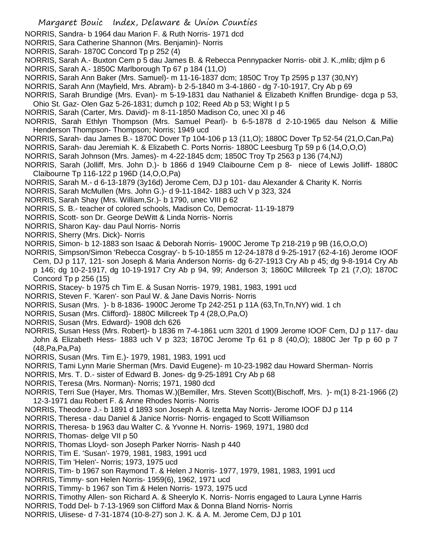NORRIS, Sandra- b 1964 dau Marion F. & Ruth Norris- 1971 dcd

- NORRIS, Sara Catherine Shannon (Mrs. Benjamin)- Norris
- NORRIS, Sarah- 1870C Concord Tp p 252 (4)
- NORRIS, Sarah A.- Buxton Cem p 5 dau James B. & Rebecca Pennypacker Norris- obit J. K.,mlib; djlm p 6
- NORRIS, Sarah A.- 1850C Marlborough Tp 67 p 184 (11,O)
- NORRIS, Sarah Ann Baker (Mrs. Samuel)- m 11-16-1837 dcm; 1850C Troy Tp 2595 p 137 (30,NY)
- NORRIS, Sarah Ann (Mayfield, Mrs. Abram)- b 2-5-1840 m 3-4-1860 dg 7-10-1917, Cry Ab p 69
- NORRIS, Sarah Brundige (Mrs. Evan)- m 5-19-1831 dau Nathaniel & Elizabeth Kniffen Brundige- dcga p 53, Ohio St. Gaz- Olen Gaz 5-26-1831; dumch p 102; Reed Ab p 53; Wight I p 5
- NORRIS, Sarah (Carter, Mrs. David)- m 8-11-1850 Madison Co, unec XI p 46
- NORRIS, Sarah Ethlyn Thompson (Mrs. Samuel Pearl)- b 6-5-1878 d 2-10-1965 dau Nelson & Millie Henderson Thompson- Thompson; Norris; 1949 ucd
- NORRIS, Sarah- dau James B.- 1870C Dover Tp 104-106 p 13 (11,O); 1880C Dover Tp 52-54 (21,O,Can,Pa)
- NORRIS, Sarah- dau Jeremiah K. & Elizabeth C. Ports Norris- 1880C Leesburg Tp 59 p 6 (14,O,O,O)
- NORRIS, Sarah Johnson (Mrs. James)- m 4-22-1845 dcm; 1850C Troy Tp 2563 p 136 (74,NJ)
- NORRIS, Sarah (Jolliff, Mrs. John D.)- b 1866 d 1949 Claibourne Cem p 8- niece of Lewis Jolliff- 1880C Claibourne Tp 116-122 p 196D (14,O,O,Pa)
- NORRIS, Sarah M.- d 6-13-1879 (3y16d) Jerome Cem, DJ p 101- dau Alexander & Charity K. Norris
- NORRIS, Sarah McMullen (Mrs. John G.)- d 9-11-1842- 1883 uch V p 323, 324
- NORRIS, Sarah Shay (Mrs. William,Sr.)- b 1790, unec VIII p 62
- NORRIS, S. B.- teacher of colored schools, Madison Co, Democrat- 11-19-1879
- NORRIS, Scott- son Dr. George DeWitt & Linda Norris- Norris
- NORRIS, Sharon Kay- dau Paul Norris- Norris
- NORRIS, Sherry (Mrs. Dick)- Norris
- NORRIS, Simon- b 12-1883 son Isaac & Deborah Norris- 1900C Jerome Tp 218-219 p 9B (16,O,O,O)
- NORRIS, Simpson/Simon 'Rebecca Cosgray'- b 5-10-1855 m 12-24-1878 d 9-25-1917 (62-4-16) Jerome IOOF Cem, DJ p 117, 121- son Joseph & Maria Anderson Norris- dg 6-27-1913 Cry Ab p 45; dg 9-8-1914 Cry Ab p 146; dg 10-2-1917, dg 10-19-1917 Cry Ab p 94, 99; Anderson 3; 1860C Millcreek Tp 21 (7,O); 1870C Concord Tp p 256 (15)
- NORRIS, Stacey- b 1975 ch Tim E. & Susan Norris- 1979, 1981, 1983, 1991 ucd
- NORRIS, Steven F. 'Karen'- son Paul W. & Jane Davis Norris- Norris
- NORRIS, Susan (Mrs. )- b 8-1836- 1900C Jerome Tp 242-251 p 11A (63,Tn,Tn,NY) wid. 1 ch
- NORRIS, Susan (Mrs. Clifford)- 1880C Millcreek Tp 4 (28,O,Pa,O)
- NORRIS, Susan (Mrs. Edward)- 1908 dch 626
- NORRIS, Susan Hess (Mrs. Robert)- b 1836 m 7-4-1861 ucm 3201 d 1909 Jerome IOOF Cem, DJ p 117- dau John & Elizabeth Hess- 1883 uch V p 323; 1870C Jerome Tp 61 p 8 (40,O); 1880C Jer Tp p 60 p 7 (48,Pa,Pa,Pa)
- NORRIS, Susan (Mrs. Tim E.)- 1979, 1981, 1983, 1991 ucd
- NORRIS, Tami Lynn Marie Sherman (Mrs. David Eugene)- m 10-23-1982 dau Howard Sherman- Norris
- NORRIS, Mrs. T. D.- sister of Edward B. Jones- dg 9-25-1891 Cry Ab p 68
- NORRIS, Teresa (Mrs. Norman)- Norris; 1971, 1980 dcd
- NORRIS, Terri Sue (Hayer, Mrs. Thomas W.)(Bemiller, Mrs. Steven Scott)(Bischoff, Mrs. )- m(1) 8-21-1966 (2) 12-3-1971 dau Robert F. & Anne Rhodes Norris- Norris
- NORRIS, Theodore J.- b 1891 d 1893 son Joseph A. & Izetta May Norris- Jerome IOOF DJ p 114
- NORRIS, Theresa dau Daniel & Janice Norris- Norris- engaged to Scott Williamson
- NORRIS, Theresa- b 1963 dau Walter C. & Yvonne H. Norris- 1969, 1971, 1980 dcd
- NORRIS, Thomas- delge VII p 50
- NORRIS, Thomas Lloyd- son Joseph Parker Norris- Nash p 440
- NORRIS, Tim E. 'Susan'- 1979, 1981, 1983, 1991 ucd
- NORRIS, Tim 'Helen'- Norris; 1973, 1975 ucd
- NORRIS, Tim- b 1967 son Raymond T. & Helen J Norris- 1977, 1979, 1981, 1983, 1991 ucd
- NORRIS, Timmy- son Helen Norris- 1959(6), 1962, 1971 ucd
- NORRIS, Timmy- b 1967 son Tim & Helen Norris- 1973, 1975 ucd
- NORRIS, Timothy Allen- son Richard A. & Sheerylo K. Norris- Norris engaged to Laura Lynne Harris
- NORRIS, Todd Del- b 7-13-1969 son Clifford Max & Donna Bland Norris- Norris
- NORRIS, Ulisese- d 7-31-1874 (10-8-27) son J. K. & A. M. Jerome Cem, DJ p 101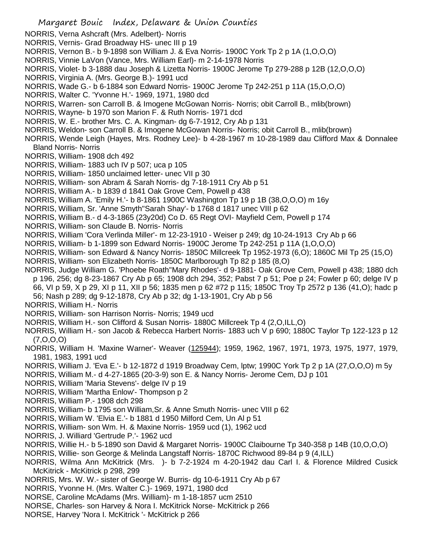- NORRIS, Verna Ashcraft (Mrs. Adelbert)- Norris
- NORRIS, Vernis- Grad Broadway HS- unec III p 19
- NORRIS, Vernon B.- b 9-1898 son William J. & Eva Norris- 1900C York Tp 2 p 1A (1,O,O,O)
- NORRIS, Vinnie LaVon (Vance, Mrs. William Earl)- m 2-14-1978 Norris
- NORRIS, Violet- b 3-1888 dau Joseph & Lizetta Norris- 1900C Jerome Tp 279-288 p 12B (12,O,O,O)
- NORRIS, Virginia A. (Mrs. George B.)- 1991 ucd
- NORRIS, Wade G.- b 6-1884 son Edward Norris- 1900C Jerome Tp 242-251 p 11A (15,O,O,O)
- NORRIS, Walter C. 'Yvonne H.'- 1969, 1971, 1980 dcd
- NORRIS, Warren- son Carroll B. & Imogene McGowan Norris- Norris; obit Carroll B., mlib(brown)
- NORRIS, Wayne- b 1970 son Marion F. & Ruth Norris- 1971 dcd
- NORRIS, W. E.- brother Mrs. C. A. Kingman- dg 6-7-1912, Cry Ab p 131
- NORRIS, Weldon- son Carroll B. & Imogene McGowan Norris- Norris; obit Carroll B., mlib(brown)
- NORRIS, Wende Leigh (Hayes, Mrs. Rodney Lee)- b 4-28-1967 m 10-28-1989 dau Clifford Max & Donnalee Bland Norris- Norris
- NORRIS, William- 1908 dch 492
- NORRIS, William- 1883 uch IV p 507; uca p 105
- NORRIS, William- 1850 unclaimed letter- unec VII p 30
- NORRIS, William- son Abram & Sarah Norris- dg 7-18-1911 Cry Ab p 51
- NORRIS, William A.- b 1839 d 1841 Oak Grove Cem, Powell p 438
- NORRIS, William A. 'Emily H.'- b 8-1861 1900C Washington Tp 19 p 1B (38,O,O,O) m 16y
- NORRIS, William, Sr. 'Anne Smyth''Sarah Shay'- b 1768 d 1817 unec VIII p 62
- NORRIS, William B.- d 4-3-1865 (23y20d) Co D. 65 Regt OVI- Mayfield Cem, Powell p 174
- NORRIS, William- son Claude B. Norris- Norris
- NORRIS, William 'Cora Verlinda Miller'- m 12-23-1910 Weiser p 249; dg 10-24-1913 Cry Ab p 66
- NORRIS, William- b 1-1899 son Edward Norris- 1900C Jerome Tp 242-251 p 11A (1,O,O,O)
- NORRIS, William- son Edward & Nancy Norris- 1850C Millcreek Tp 1952-1973 (6,O); 1860C Mil Tp 25 (15,O)
- NORRIS, William- son Elizabeth Norris- 1850C Marlborough Tp 82 p 185 (8,O)
- NORRIS, Judge William G. 'Phoebe Roath''Mary Rhodes'- d 9-1881- Oak Grove Cem, Powell p 438; 1880 dch p 196, 256; dg 8-23-1867 Cry Ab p 65; 1908 dch 294, 352; Pabst 7 p 51; Poe p 24; Fowler p 60; delge IV p 66, VI p 59, X p 29, XI p 11, XII p 56; 1835 men p 62 #72 p 115; 1850C Troy Tp 2572 p 136 (41,O); hadc p 56; Nash p 289; dg 9-12-1878, Cry Ab p 32; dg 1-13-1901, Cry Ab p 56
- NORRIS, William H.- Norris
- NORRIS, William- son Harrison Norris- Norris; 1949 ucd
- NORRIS, William H.- son Clifford & Susan Norris- 1880C Millcreek Tp 4 (2,O,ILL,O)
- NORRIS, William H.- son Jacob & Rebecca Harbert Norris- 1883 uch V p 690; 1880C Taylor Tp 122-123 p 12 (7,O,O,O)
- NORRIS, William H. 'Maxine Warner'- Weaver (125944); 1959, 1962, 1967, 1971, 1973, 1975, 1977, 1979, 1981, 1983, 1991 ucd
- NORRIS, William J. 'Eva E.'- b 12-1872 d 1919 Broadway Cem, lptw; 1990C York Tp 2 p 1A (27,O,O,O) m 5y
- NORRIS, William M.- d 4-27-1865 (20-3-9) son E. & Nancy Norris- Jerome Cem, DJ p 101
- NORRIS, William 'Maria Stevens'- delge IV p 19
- NORRIS, William 'Martha Enlow'- Thompson p 2
- NORRIS, William P.- 1908 dch 298
- NORRIS, William- b 1795 son William,Sr. & Anne Smuth Norris- unec VIII p 62
- NORRIS, William W. 'Elvia E.'- b 1881 d 1950 Milford Cem, Un Al p 51
- NORRIS, William- son Wm. H. & Maxine Norris- 1959 ucd (1), 1962 ucd
- NORRIS, J. Williard 'Gertrude P.'- 1962 ucd
- NORRIS, Willie H.- b 5-1890 son David & Margaret Norris- 1900C Claibourne Tp 340-358 p 14B (10,O,O,O)
- NORRIS, Willie- son George & Melinda Langstaff Norris- 1870C Richwood 89-84 p 9 (4,ILL)
- NORRIS, Wilma Ann McKitrick (Mrs. )- b 7-2-1924 m 4-20-1942 dau Carl I. & Florence Mildred Cusick McKitrick - McKitrick p 298, 299
- NORRIS, Mrs. W. W.- sister of George W. Burris- dg 10-6-1911 Cry Ab p 67
- NORRIS, Yvonne H. (Mrs. Walter C.)- 1969, 1971, 1980 dcd
- NORSE, Caroline McAdams (Mrs. William)- m 1-18-1857 ucm 2510
- NORSE, Charles- son Harvey & Nora I. McKitrick Norse- McKitrick p 266
- NORSE, Harvey 'Nora I. McKitrick '- McKitrick p 266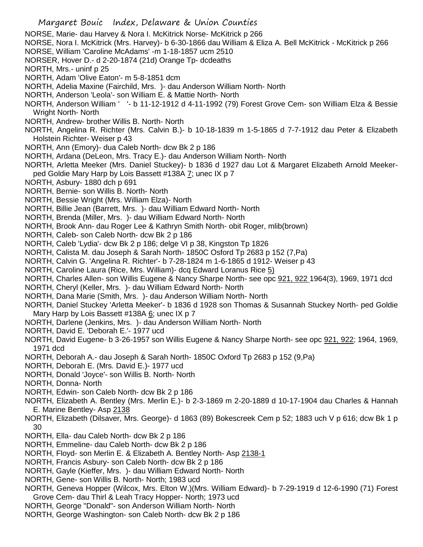- NORSE, Marie- dau Harvey & Nora I. McKitrick Norse- McKitrick p 266
- NORSE, Nora I. McKitrick (Mrs. Harvey)- b 6-30-1866 dau William & Eliza A. Bell McKitrick McKitrick p 266
- NORSE, William 'Caroline McAdams' -m 1-18-1857 ucm 2510
- NORSER, Hover D.- d 2-20-1874 (21d) Orange Tp- dcdeaths
- NORTH, Mrs.- uninf p 25
- NORTH, Adam 'Olive Eaton'- m 5-8-1851 dcm
- NORTH, Adelia Maxine (Fairchild, Mrs. )- dau Anderson William North- North
- NORTH, Anderson 'Leola'- son William E. & Mattie North- North
- NORTH, Anderson William ' '- b 11-12-1912 d 4-11-1992 (79) Forest Grove Cem- son William Elza & Bessie Wright North- North
- NORTH, Andrew- brother Willis B. North- North
- NORTH, Angelina R. Richter (Mrs. Calvin B.)- b 10-18-1839 m 1-5-1865 d 7-7-1912 dau Peter & Elizabeth Holstein Richter- Weiser p 43
- NORTH, Ann (Emory)- dua Caleb North- dcw Bk 2 p 186
- NORTH, Ardana (DeLeon, Mrs. Tracy E.)- dau Anderson William North- North
- NORTH, Arletta Meeker (Mrs. Daniel Stuckey)- b 1836 d 1927 dau Lot & Margaret Elizabeth Arnold Meekerped Goldie Mary Harp by Lois Bassett #138A 7; unec IX p 7
- NORTH, Asbury- 1880 dch p 691
- NORTH, Bernie- son Willis B. North- North
- NORTH, Bessie Wright (Mrs. William Elza)- North
- NORTH, Billie Jean (Barrett, Mrs. )- dau William Edward North- North
- NORTH, Brenda (Miller, Mrs. )- dau William Edward North- North
- NORTH, Brook Ann- dau Roger Lee & Kathryn Smith North- obit Roger, mlib(brown)
- NORTH, Caleb- son Caleb North- dcw Bk 2 p 186
- NORTH, Caleb 'Lydia'- dcw Bk 2 p 186; delge VI p 38, Kingston Tp 1826
- NORTH, Calista M. dau Joseph & Sarah North- 1850C Osford Tp 2683 p 152 (7,Pa)
- NORTH, Calvin G. 'Angelina R. Richter'- b 7-28-1824 m 1-6-1865 d 1912- Weiser p 43
- NORTH, Caroline Laura (Rice, Mrs. William)- dcq Edward Loranus Rice 5)
- NORTH, Charles Allen- son Willis Eugene & Nancy Sharpe North- see opc 921, 922 1964(3), 1969, 1971 dcd
- NORTH, Cheryl (Keller, Mrs. )- dau William Edward North- North
- NORTH, Dana Marie (Smith, Mrs. )- dau Anderson William North- North
- NORTH, Daniel Stuckey 'Arletta Meeker'- b 1836 d 1928 son Thomas & Susannah Stuckey North- ped Goldie Mary Harp by Lois Bassett #138A 6; unec IX p 7
- NORTH, Darlene (Jenkins, Mrs. )- dau Anderson William North- North
- NORTH, David E. 'Deborah E.'- 1977 ucd
- NORTH, David Eugene- b 3-26-1957 son Willis Eugene & Nancy Sharpe North- see opc 921, 922; 1964, 1969, 1971 dcd
- NORTH, Deborah A.- dau Joseph & Sarah North- 1850C Oxford Tp 2683 p 152 (9,Pa)
- NORTH, Deborah E. (Mrs. David E.)- 1977 ucd
- NORTH, Donald 'Joyce'- son Willis B. North- North
- NORTH, Donna- North
- NORTH, Edwin- son Caleb North- dcw Bk 2 p 186
- NORTH, Elizabeth A. Bentley (Mrs. Merlin E.)- b 2-3-1869 m 2-20-1889 d 10-17-1904 dau Charles & Hannah E. Marine Bentley- Asp 2138
- NORTH, Elizabeth (Dilsaver, Mrs. George)- d 1863 (89) Bokescreek Cem p 52; 1883 uch V p 616; dcw Bk 1 p 30
- NORTH, Ella- dau Caleb North- dcw Bk 2 p 186
- NORTH, Emmeline- dau Caleb North- dcw Bk 2 p 186
- NORTH, Floyd- son Merlin E. & Elizabeth A. Bentley North- Asp 2138-1
- NORTH, Francis Asbury- son Caleb North- dcw Bk 2 p 186
- NORTH, Gayle (Kieffer, Mrs. )- dau William Edward North- North
- NORTH, Gene- son Willis B. North- North; 1983 ucd
- NORTH, Geneva Hopper (Wilcox, Mrs. Elton W.)(Mrs. William Edward)- b 7-29-1919 d 12-6-1990 (71) Forest Grove Cem- dau Thirl & Leah Tracy Hopper- North; 1973 ucd
- NORTH, George "Donald"- son Anderson William North- North
- NORTH, George Washington- son Caleb North- dcw Bk 2 p 186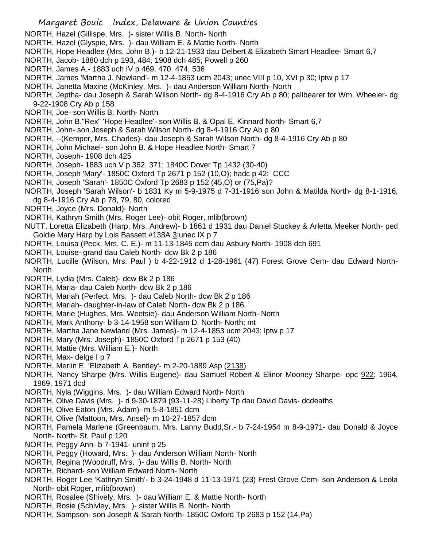- Margaret Bouic Index, Delaware & Union Counties NORTH, Hazel (Gillispe, Mrs. )- sister Willis B. North- North NORTH, Hazel (Glyspie, Mrs. )- dau William E. & Mattie North- North NORTH, Hope Headlee (Mrs. John B.)- b 12-21-1933 dau Delbert & Elizabeth Smart Headlee- Smart 6,7 NORTH, Jacob- 1880 dch p 193, 484; 1908 dch 485; Powell p 260 NORTH, James A.- 1883 uch IV p 469. 470. 474, 536 NORTH, James 'Martha J. Newland'- m 12-4-1853 ucm 2043; unec VIII p 10, XVI p 30; lptw p 17 NORTH, Janetta Maxine (McKinley, Mrs. )- dau Anderson William North- North NORTH, Jeptha- dau Joseph & Sarah Wilson North- dg 8-4-1916 Cry Ab p 80; pallbearer for Wm. Wheeler- dg 9-22-1908 Cry Ab p 158 NORTH, Joe- son Willis B. North- North NORTH, John B."Rex" 'Hope Headlee'- son Willis B. & Opal E. Kinnard North- Smart 6,7 NORTH, John- son Joseph & Sarah Wilson North- dg 8-4-1916 Cry Ab p 80 NORTH, --(Kemper, Mrs. Charles)- dau Joseph & Sarah Wilson North- dg 8-4-1916 Cry Ab p 80 NORTH, John Michael- son John B. & Hope Headlee North- Smart 7 NORTH, Joseph- 1908 dch 425 NORTH, Joseph- 1883 uch V p 362, 371; 1840C Dover Tp 1432 (30-40) NORTH, Joseph 'Mary'- 1850C Oxford Tp 2671 p 152 (10,O); hadc p 42; CCC NORTH, Joseph 'Sarah'- 1850C Oxford Tp 2683 p 152 (45,O) or (75,Pa)? NORTH, Joseph 'Sarah Wilson'- b 1831 Ky m 5-9-1975 d 7-31-1916 son John & Matilda North- dg 8-1-1916, dg 8-4-1916 Cry Ab p 78, 79, 80, colored NORTH, Joyce (Mrs. Donald)- North NORTH, Kathryn Smith (Mrs. Roger Lee)- obit Roger, mlib(brown) NUTT, Loretta Elizabeth (Harp, Mrs. Andrew)- b 1861 d 1931 dau Daniel Stuckey & Arletta Meeker North- ped Goldie Mary Harp by Lois Bassett #138A 3;unec IX p 7 NORTH, Louisa (Peck, Mrs. C. E.)- m 11-13-1845 dcm dau Asbury North- 1908 dch 691 NORTH, Louise- grand dau Caleb North- dcw Bk 2 p 186 NORTH, Lucille (Wilson, Mrs. Paul ) b 4-22-1912 d 1-28-1961 (47) Forest Grove Cem- dau Edward North-**North** NORTH, Lydia (Mrs. Caleb)- dcw Bk 2 p 186 NORTH, Maria- dau Caleb North- dcw Bk 2 p 186 NORTH, Mariah (Perfect, Mrs. )- dau Caleb North- dcw Bk 2 p 186 NORTH, Mariah- daughter-in-law of Caleb North- dcw Bk 2 p 186 NORTH, Marie (Hughes, Mrs. Weetsie)- dau Anderson William North- North NORTH, Mark Anthony- b 3-14-1958 son William D. North- North; mt NORTH, Martha Jane Newland (Mrs. James)- m 12-4-1853 ucm 2043; lptw p 17 NORTH, Mary (Mrs. Joseph)- 1850C Oxford Tp 2671 p 153 (40) NORTH, Mattie (Mrs. William E.)- North NORTH, Max- delge I p 7 NORTH, Merlin E. 'Elizabeth A. Bentley'- m 2-20-1889 Asp (2138) NORTH, Nancy Sharpe (Mrs. Willis Eugene)- dau Samuel Robert & Elinor Mooney Sharpe- opc 922; 1964, 1969, 1971 dcd NORTH, Nyla (Wiggins, Mrs. )- dau William Edward North- North NORTH, Olive Davis (Mrs. )- d 9-30-1879 (93-11-28) Liberty Tp dau David Davis- dcdeaths NORTH, Olive Eaton (Mrs. Adam)- m 5-8-1851 dcm NORTH, Olive (Mattoon, Mrs. Ansel)- m 10-27-1857 dcm NORTH, Pamela Marlene (Greenbaum, Mrs. Lanny Budd,Sr.- b 7-24-1954 m 8-9-1971- dau Donald & Joyce North- North- St. Paul p 120 NORTH, Peggy Ann- b 7-1941- uninf p 25
- NORTH, Peggy (Howard, Mrs. )- dau Anderson William North- North
- NORTH, Regina (Woodruff, Mrs. )- dau Willis B. North- North
- NORTH, Richard- son William Edward North- North
- NORTH, Roger Lee 'Kathryn Smith'- b 3-24-1948 d 11-13-1971 (23) Frest Grove Cem- son Anderson & Leola North- obit Roger, mlib(brown)
- NORTH, Rosalee (Shively, Mrs. )- dau William E. & Mattie North- North
- NORTH, Rosie (Schivley, Mrs. )- sister Willis B. North- North
- NORTH, Sampson- son Joseph & Sarah North- 1850C Oxford Tp 2683 p 152 (14,Pa)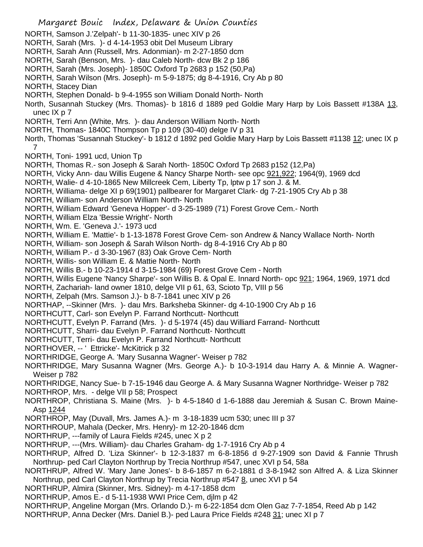- Margaret Bouic Index, Delaware & Union Counties NORTH, Samson J.'Zelpah'- b 11-30-1835- unec XIV p 26 NORTH, Sarah (Mrs. )- d 4-14-1953 obit Del Museum Library NORTH, Sarah Ann (Russell, Mrs. Adonmian)- m 2-27-1850 dcm NORTH, Sarah (Benson, Mrs. )- dau Caleb North- dcw Bk 2 p 186 NORTH, Sarah (Mrs. Joseph)- 1850C Oxford Tp 2683 p 152 (50,Pa) NORTH, Sarah Wilson (Mrs. Joseph)- m 5-9-1875; dg 8-4-1916, Cry Ab p 80 NORTH, Stacey Dian NORTH, Stephen Donald- b 9-4-1955 son William Donald North- North North, Susannah Stuckey (Mrs. Thomas)- b 1816 d 1889 ped Goldie Mary Harp by Lois Bassett #138A 13, unec IX p 7 NORTH, Terri Ann (White, Mrs. )- dau Anderson William North- North NORTH, Thomas- 1840C Thompson Tp p 109 (30-40) delge IV p 31 North, Thomas 'Susannah Stuckey'- b 1812 d 1892 ped Goldie Mary Harp by Lois Bassett #1138 12; unec IX p 7 NORTH, Toni- 1991 ucd, Union Tp NORTH, Thomas R.- son Joseph & Sarah North- 1850C Oxford Tp 2683 p152 (12,Pa) NORTH, Vicky Ann- dau Willis Eugene & Nancy Sharpe North- see opc 921,922; 1964(9), 1969 dcd NORTH, Walie- d 4-10-1865 New Millcreek Cem, Liberty Tp, lptw p 17 son J. & M. NORTH, Williama- delge XI p 69(1901) pallbearer for Margaret Clark- dg 7-21-1905 Cry Ab p 38 NORTH, William- son Anderson William North- North NORTH, William Edward 'Geneva Hopper'- d 3-25-1989 (71) Forest Grove Cem.- North NORTH, William Elza 'Bessie Wright'- North NORTH, Wm. E. 'Geneva J.'- 1973 ucd NORTH, William E. 'Mattie'- b 1-13-1878 Forest Grove Cem- son Andrew & Nancy Wallace North- North NORTH, William- son Joseph & Sarah Wilson North- dg 8-4-1916 Cry Ab p 80 NORTH, William P.- d 3-30-1967 (83) Oak Grove Cem- North NORTH, Willis- son William E. & Mattie North- North NORTH, Willis B.- b 10-23-1914 d 3-15-1984 (69) Forest Grove Cem - North NORTH, Willis Eugene 'Nancy Sharpe'- son Willis B. & Opal E. Innard North- opc 921; 1964, 1969, 1971 dcd NORTH, Zachariah- land owner 1810, delge VII p 61, 63, Scioto Tp, VIII p 56 NORTH, Zelpah (Mrs. Samson J.)- b 8-7-1841 unec XIV p 26 NORTHAP, --Skinner (Mrs. )- dau Mrs. Barksheba Skinner- dg 4-10-1900 Cry Ab p 16 NORTHCUTT, Carl- son Evelyn P. Farrand Northcutt- Northcutt NORTHCUTT, Evelyn P. Farrand (Mrs. )- d 5-1974 (45) dau Williard Farrand- Northcutt NORTHCUTT, Sharri- dau Evelyn P. Farrand Northcutt- Northcutt NORTHCUTT, Terri- dau Evelyn P. Farrand Northcutt- Northcutt NORTHOVER, -- ' Ettricke'- McKitrick p 32 NORTHRIDGE, George A. 'Mary Susanna Wagner'- Weiser p 782 NORTHRIDGE, Mary Susanna Wagner (Mrs. George A.)- b 10-3-1914 dau Harry A. & Minnie A. Wagner-Weiser p 782 NORTHRIDGE, Nancy Sue- b 7-15-1946 dau George A. & Mary Susanna Wagner Northridge- Weiser p 782 NORTHROP, Mrs. - delge VII p 58; Prospect NORTHROP, Christiana S. Maine (Mrs. )- b 4-5-1840 d 1-6-1888 dau Jeremiah & Susan C. Brown Maine-Asp 1244 NORTHROP, May (Duvall, Mrs. James A.)- m 3-18-1839 ucm 530; unec III p 37 NORTHROUP, Mahala (Decker, Mrs. Henry)- m 12-20-1846 dcm NORTHRUP, ---family of Laura Fields #245, unec X p 2 NORTHRUP, ---(Mrs. William)- dau Charles Graham- dg 1-7-1916 Cry Ab p 4 NORTHRUP, Alfred D. 'Liza Skinner'- b 12-3-1837 m 6-8-1856 d 9-27-1909 son David & Fannie Thrush Northrup- ped Carl Clayton Northrup by Trecia Northrup #547, unec XVI p 54, 58a NORTHRUP, Alfred W. 'Mary Jane Jones'- b 8-6-1857 m 6-2-1881 d 3-8-1942 son Alfred A. & Liza Skinner Northrup, ped Carl Clayton Northrup by Trecia Northrup #547 8, unec XVI p 54 NORTHRUP, Almira (Skinner, Mrs. Sidney)- m 4-17-1858 dcm NORTHRUP, Amos E.- d 5-11-1938 WWI Price Cem, djlm p 42
- NORTHRUP, Angeline Morgan (Mrs. Orlando D.)- m 6-22-1854 dcm Olen Gaz 7-7-1854, Reed Ab p 142
- NORTHRUP, Anna Decker (Mrs. Daniel B.)- ped Laura Price Fields #248 31; unec XI p 7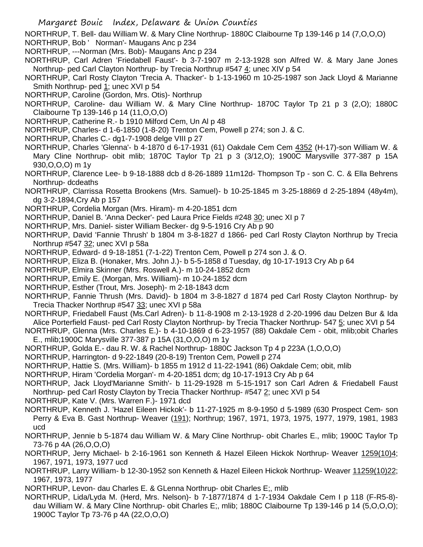NORTHRUP, T. Bell- dau William W. & Mary Cline Northrup- 1880C Claibourne Tp 139-146 p 14 (7,O,O,O) NORTHRUP, Bob ' Norman'- Maugans Anc p 234

NORTHRUP, ---Norman (Mrs. Bob)- Maugans Anc p 234

- NORTHRUP, Carl Adren 'Friedabell Faust'- b 3-7-1907 m 2-13-1928 son Alfred W. & Mary Jane Jones Northrup- ped Carl Clayton Northrup- by Trecia Northrup #547 4; unec XIV p 54
- NORTHRUP, Carl Rosty Clayton 'Trecia A. Thacker'- b 1-13-1960 m 10-25-1987 son Jack Lloyd & Marianne Smith Northrup- ped 1; unec XVI p 54
- NORTHRUP, Caroline (Gordon, Mrs. Otis)- Northrup
- NORTHRUP, Caroline- dau William W. & Mary Cline Northrup- 1870C Taylor Tp 21 p 3 (2,O); 1880C Claibourne Tp 139-146 p 14 (11,O,O,O)
- NORTHRUP, Catherine R.- b 1910 Milford Cem, Un Al p 48
- NORTHRUP, Charles- d 1-6-1850 (1-8-20) Trenton Cem, Powell p 274; son J. & C.
- NORTHRUP, Charles C.- dg1-7-1908 delge VIII p 27
- NORTHRUP, Charles 'Glenna'- b 4-1870 d 6-17-1931 (61) Oakdale Cem Cem 4352 (H-17)-son William W. & Mary Cline Northrup- obit mlib; 1870C Taylor Tp 21 p 3 (3/12,O); 1900C Marysville 377-387 p 15A 930,O,O,O) m 1y
- NORTHRUP, Clarence Lee- b 9-18-1888 dcb d 8-26-1889 11m12d- Thompson Tp son C. C. & Ella Behrens Northrup- dcdeaths
- NORTHRUP, Clarrissa Rosetta Brookens (Mrs. Samuel)- b 10-25-1845 m 3-25-18869 d 2-25-1894 (48y4m), dg 3-2-1894,Cry Ab p 157
- NORTHRUP, Cordelia Morgan (Mrs. Hiram)- m 4-20-1851 dcm
- NORTHRUP, Daniel B. 'Anna Decker'- ped Laura Price Fields #248 30; unec XI p 7
- NORTHRUP, Mrs. Daniel- sister William Becker- dg 9-5-1916 Cry Ab p 90
- NORTHRUP, David 'Fannie Thrush' b 1804 m 3-8-1827 d 1866- ped Carl Rosty Clayton Northrup by Trecia Northrup #547 32; unec XVI p 58a
- NORTHRUP, Edward- d 9-18-1851 (7-1-22) Trenton Cem, Powell p 274 son J. & O.
- NORTHRUP, Eliza B. (Honaker, Mrs. John J.)- b 5-5-1858 d Tuesday, dg 10-17-1913 Cry Ab p 64
- NORTHRUP, Elmira Skinner (Mrs. Roswell A.)- m 10-24-1852 dcm
- NORTHRUP, Emily E. (Morgan, Mrs. William)- m 10-24-1852 dcm
- NORTHRUP, Esther (Trout, Mrs. Joseph)- m 2-18-1843 dcm
- NORTHRUP, Fannie Thrush (Mrs. David)- b 1804 m 3-8-1827 d 1874 ped Carl Rosty Clayton Northrup- by Trecia Thacker Northrup #547 33; unec XVI p 58a
- NORTHRUP, Friedabell Faust (Ms.Carl Adren)- b 11-8-1908 m 2-13-1928 d 2-20-1996 dau Delzen Bur & Ida Alice Porterfield Faust- ped Carl Rosty Clayton Northrup- by Trecia Thacker Northrup- 547 5; unec XVI p 54
- NORTHRUP, Glenna (Mrs. Charles E.)- b 4-10-1869 d 6-23-1957 (88) Oakdale Cem obit, mlib;obit Charles E., mlib;1900C Marysville 377-387 p 15A (31,O,O,O) m 1y
- NORTHRUP, Golda E.- dau R. W. & Rachel Northrup- 1880C Jackson Tp 4 p 223A (1,O,O,O)
- NORTHRUP, Harrington- d 9-22-1849 (20-8-19) Trenton Cem, Powell p 274
- NORTHRUP, Hattie S. (Mrs. William)- b 1855 m 1912 d 11-22-1941 (86) Oakdale Cem; obit, mlib
- NORTHRUP, Hiram 'Cordelia Morgan'- m 4-20-1851 dcm; dg 10-17-1913 Cry Ab p 64
- NORTHRUP, Jack Lloyd'Marianne Smith'- b 11-29-1928 m 5-15-1917 son Carl Adren & Friedabell Faust Northrup- ped Carl Rosty Clayton by Trecia Thacker Northrup- #547 2; unec XVI p 54
- NORTHRUP, Kate V. (Mrs. Warren F.)- 1971 dcd
- NORTHRUP, Kenneth J. 'Hazel Eileen Hickok'- b 11-27-1925 m 8-9-1950 d 5-1989 (630 Prospect Cem- son Perry & Eva B. Gast Northrup- Weaver (191); Northrup; 1967, 1971, 1973, 1975, 1977, 1979, 1981, 1983 ucd
- NORTHRUP, Jennie b 5-1874 dau William W. & Mary Cline Northrup- obit Charles E., mlib; 1900C Taylor Tp 73-76 p 4A (26,O,O,O)
- NORTHRUP, Jerry Michael- b 2-16-1961 son Kenneth & Hazel Eileen Hickok Northrup- Weaver 1259(10)4; 1967, 1971, 1973, 1977 ucd
- NORTHRUP, Larry William- b 12-30-1952 son Kenneth & Hazel Eileen Hickok Northrup- Weaver 11259(10)22; 1967, 1973, 1977
- NORTHRUP, Levon- dau Charles E. & GLenna Northrup- obit Charles E;, mlib
- NORTHRUP, Lida/Lyda M. (Herd, Mrs. Nelson)- b 7-1877/1874 d 1-7-1934 Oakdale Cem I p 118 (F-R5-8) dau William W. & Mary Cline Northrup- obit Charles E;, mlib; 1880C Claibourne Tp 139-146 p 14 (5,O,O,O); 1900C Taylor Tp 73-76 p 4A (22,O,O,O)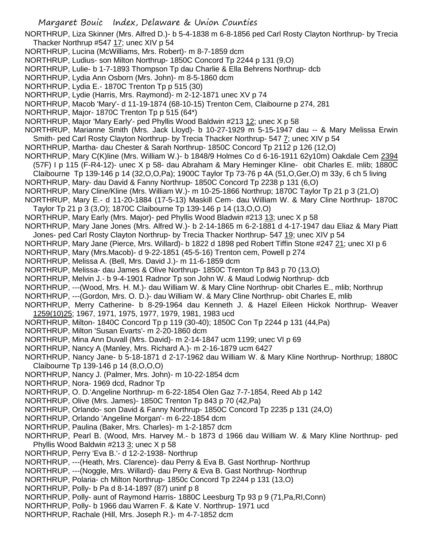Margaret Bouic Index, Delaware & Union Counties NORTHRUP, Liza Skinner (Mrs. Alfred D.)- b 5-4-1838 m 6-8-1856 ped Carl Rosty Clayton Northrup- by Trecia Thacker Northrup #547 17; unec XIV p 54 NORTHRUP, Lucina (McWilliams, Mrs. Robert)- m 8-7-1859 dcm NORTHRUP, Ludius- son Milton Northrup- 1850C Concord Tp 2244 p 131 (9,O) NORTHRUP, Lulie- b 1-7-1893 Thompson Tp dau Charlie & Ella Behrens Northrup- dcb NORTHRUP, Lydia Ann Osborn (Mrs. John)- m 8-5-1860 dcm NORTHRUP, Lydia E.- 1870C Trenton Tp p 515 (30) NORTHRUP, Lydie (Harris, Mrs. Raymond)- m 2-12-1871 unec XV p 74 NORTHRUP, Macob 'Mary'- d 11-19-1874 (68-10-15) Trenton Cem, Claibourne p 274, 281 NORTHRUP, Major- 1870C Trenton Tp p 515 (64\*) NORTHRUP, Major 'Mary Early'- ped Phyllis Wood Baldwin #213 12; unec X p 58 NORTHRUP, Marianne Smith (Mrs. Jack Lloyd)- b 10-27-1929 m 5-15-1947 dau -- & Mary Melissa Erwin Smith- ped Carl Rosty Clayton Northrup- by Trecia Thacker Northrup- 547 7; unec XIV p 54 NORTHRUP, Martha- dau Chester & Sarah Northrup- 1850C Concord Tp 2112 p 126 (12,O) NORTHRUP, Mary C(K)line (Mrs. William W.)- b 1848/9 Holmes Co d 6-16-1911 62y10m) Oakdale Cem 2394 (57F) I p 115 (F-R4-12)- unec X p 58- dau Abraham & Mary Heminger Kline- obit Charles E. mlib; 1880C Claibourne Tp 139-146 p 14 (32,O,O,Pa); 1900C Taylor Tp 73-76 p 4A (51,O,Ger,O) m 33y, 6 ch 5 living NORTHRUP, Mary- dau David & Fanny Northrup- 1850C Concord Tp 2238 p 131 (6,O) NORTHRUP, Mary Cline/Kline (Mrs. William W.)- m 10-25-1866 Northrup; 1870C Taylor Tp 21 p 3 (21,O) NORTHRUP, Mary E.- d 11-20-1884 (17-5-13) Maskill Cem- dau William W. & Mary Cline Northrup- 1870C Taylor Tp 21 p 3 (3,O); 1870C Claibourne Tp 139-146 p 14 (13,O,O,O) NORTHRUP, Mary Early (Mrs. Major)- ped Phyllis Wood Bladwin #213 13; unec X p 58 NORTHRUP, Mary Jane Jones (Mrs. Alfred W.)- b 2-14-1865 m 6-2-1881 d 4-17-1947 dau Eliaz & Mary Piatt Jones- ped Carl Rosty Clayton Northrup- by Trecia Thacker Northrup- 547 19; unec XIV p 54 NORTHRUP, Mary Jane (Pierce, Mrs. Willard)- b 1822 d 1898 ped Robert Tiffin Stone #247 21; unec XI p 6 NORTHRUP, Mary (Mrs.Macob)- d 9-22-1851 (45-5-16) Trenton cem, Powell p 274 NORTHRUP, Melissa A. (Bell, Mrs. David J.)- m 11-6-1859 dcm NORTHRUP, Melissa- dau James & Olive Northrup- 1850C Trenton Tp 843 p 70 (13,O) NORTHRUP, Melvin J.- b 9-4-1901 Radnor Tp son John W. & Maud Lodwig Northrup- dcb NORTHRUP, ---(Wood, Mrs. H. M.)- dau William W. & Mary Cline Northrup- obit Charles E., mlib; Northrup NORTHRUP, ---(Gordon, Mrs. O. D.)- dau William W. & Mary Cline Northrup- obit Charles E, mlib NORTHRUP, Merry Catherine- b 8-29-1964 dau Kenneth J. & Hazel Eileen Hickok Northrup- Weaver 1259(10)25; 1967, 1971, 1975, 1977, 1979, 1981, 1983 ucd NORTHRUP, Milton- 1840C Concord Tp p 119 (30-40); 1850C Con Tp 2244 p 131 (44,Pa) NORTHRUP, Milton 'Susan Evarts'- m 2-20-1860 dcm NORTHRUP, Mina Ann Duvall (Mrs. David)- m 2-14-1847 ucm 1199; unec VI p 69 NORTHRUP, Nancy A (Manley, Mrs. Richard A.)- m 2-16-1879 ucm 6427 NORTHRUP, Nancy Jane- b 5-18-1871 d 2-17-1962 dau William W. & Mary Kline Northrup- Northrup; 1880C Claibourne Tp 139-146 p 14 (8,O,O,O) NORTHRUP, Nancy J. (Palmer, Mrs. John)- m 10-22-1854 dcm NORTHRUP, Nora- 1969 dcd, Radnor Tp NORTHRUP, O. D.'Angeline Northrup- m 6-22-1854 Olen Gaz 7-7-1854, Reed Ab p 142 NORTHRUP, Olive (Mrs. James)- 1850C Trenton Tp 843 p 70 (42,Pa) NORTHRUP, Orlando- son David & Fanny Northrup- 1850C Concord Tp 2235 p 131 (24,O) NORTHRUP, Orlando 'Angeline Morgan'- m 6-22-1854 dcm NORTHRUP, Paulina (Baker, Mrs. Charles)- m 1-2-1857 dcm NORTHRUP, Pearl B. (Wood, Mrs. Harvey M.- b 1873 d 1966 dau William W. & Mary Kline Northrup- ped Phyllis Wood Baldwin #213 3; unec X p 58 NORTHRUP, Perry 'Eva B.'- d 12-2-1938- Northrup NORTHRUP, ---(Heath, Mrs. Clarence)- dau Perry & Eva B. Gast Northrup- Northrup NORTHRUP, ---(Noggle, Mrs. Willard)- dau Perry & Eva B. Gast Northrup- Northrup NORTHRUP, Polaria- ch Milton Northrup- 1850c Concord Tp 2244 p 131 (13,O) NORTHRUP, Polly- b Pa d 8-14-1897 (87) uninf p 8 NORTHRUP, Polly- aunt of Raymond Harris- 1880C Leesburg Tp 93 p 9 (71,Pa,RI,Conn) NORTHRUP, Polly- b 1966 dau Warren F. & Kate V. Northrup- 1971 ucd NORTHRUP, Rachale (Hill, Mrs. Joseph R.)- m 4-7-1852 dcm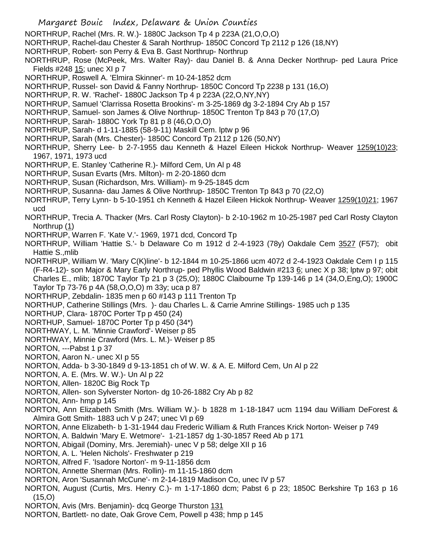- Margaret Bouic Index, Delaware & Union Counties
- NORTHRUP, Rachel (Mrs. R. W.)- 1880C Jackson Tp 4 p 223A (21,O,O,O)
- NORTHRUP, Rachel-dau Chester & Sarah Northrup- 1850C Concord Tp 2112 p 126 (18,NY)
- NORTHRUP, Robert- son Perry & Eva B. Gast Northrup- Northrup
- NORTHRUP, Rose (McPeek, Mrs. Walter Ray)- dau Daniel B. & Anna Decker Northrup- ped Laura Price Fields #248 15; unec XI p 7
- NORTHRUP, Roswell A. 'Elmira Skinner'- m 10-24-1852 dcm
- NORTHRUP, Russel- son David & Fanny Northrup- 1850C Concord Tp 2238 p 131 (16,O)
- NORTHRUP, R. W. 'Rachel'- 1880C Jackson Tp 4 p 223A (22,O,NY,NY)
- NORTHRUP, Samuel 'Clarrissa Rosetta Brookins'- m 3-25-1869 dg 3-2-1894 Cry Ab p 157
- NORTHRUP, Samuel- son James & Olive Northrup- 1850C Trenton Tp 843 p 70 (17,O)
- NORTHRUP, Sarah- 1880C York Tp 81 p 8 (46,O,O,O)
- NORTHRUP, Sarah- d 1-11-1885 (58-9-11) Maskill Cem. lptw p 96
- NORTHRUP, Sarah (Mrs. Chester)- 1850C Concord Tp 2112 p 126 (50,NY)
- NORTHRUP, Sherry Lee- b 2-7-1955 dau Kenneth & Hazel Eileen Hickok Northrup- Weaver 1259(10)23; 1967, 1971, 1973 ucd
- NORTHRUP, E. Stanley 'Catherine R.)- Milford Cem, Un Al p 48
- NORTHRUP, Susan Evarts (Mrs. Milton)- m 2-20-1860 dcm
- NORTHRUP, Susan (Richardson, Mrs. William)- m 9-25-1845 dcm
- NORTHRUP, Susanna- dau James & Olive Northrup- 1850C Trenton Tp 843 p 70 (22,O)
- NORTHRUP, Terry Lynn- b 5-10-1951 ch Kenneth & Hazel Eileen Hickok Northrup- Weaver 1259(10)21; 1967 ucd
- NORTHRUP, Trecia A. Thacker (Mrs. Carl Rosty Clayton)- b 2-10-1962 m 10-25-1987 ped Carl Rosty Clayton Northrup (1)
- NORTHRUP, Warren F. 'Kate V.'- 1969, 1971 dcd, Concord Tp
- NORTHRUP, William 'Hattie S.'- b Delaware Co m 1912 d 2-4-1923 (78y) Oakdale Cem 3527 (F57); obit Hattie S.,mlib
- NORTHRUP, William W. 'Mary C(K)line'- b 12-1844 m 10-25-1866 ucm 4072 d 2-4-1923 Oakdale Cem I p 115 (F-R4-12)- son Major & Mary Early Northrup- ped Phyllis Wood Baldwin #213  $6$ ; unec X p 38; lptw p 97; obit Charles E., mlib; 1870C Taylor Tp 21 p 3 (25,O); 1880C Claibourne Tp 139-146 p 14 (34,O,Eng,O); 1900C Taylor Tp 73-76 p 4A (58,O,O,O) m 33y; uca p 87
- NORTHRUP, Zebdalin- 1835 men p 60 #143 p 111 Trenton Tp
- NORTHUP, Catherine Stillings (Mrs. )- dau Charles L. & Carrie Amrine Stillings- 1985 uch p 135
- NORTHUP, Clara- 1870C Porter Tp p 450 (24)
- NORTHUP, Samuel- 1870C Porter Tp p 450 (34\*)
- NORTHWAY, L. M. 'Minnie Crawford'- Weiser p 85
- NORTHWAY, Minnie Crawford (Mrs. L. M.)- Weiser p 85
- NORTON, ---Pabst 1 p 37
- NORTON, Aaron N.- unec XI p 55
- NORTON, Adda- b 3-30-1849 d 9-13-1851 ch of W. W. & A. E. Milford Cem, Un Al p 22
- NORTON, A. E. (Mrs. W. W.)- Un Al p 22
- NORTON, Allen- 1820C Big Rock Tp
- NORTON, Allen- son Sylverster Norton- dg 10-26-1882 Cry Ab p 82
- NORTON, Ann- hmp p 145
- NORTON, Ann Elizabeth Smith (Mrs. William W.)- b 1828 m 1-18-1847 ucm 1194 dau William DeForest & Almira Gott Smith- 1883 uch V p 247; unec VI p 69
- NORTON, Anne Elizabeth- b 1-31-1944 dau Frederic William & Ruth Frances Krick Norton- Weiser p 749
- NORTON, A. Baldwin 'Mary E. Wetmore'- 1-21-1857 dg 1-30-1857 Reed Ab p 171
- NORTON, Abigail (Dominy, Mrs. Jeremiah)- unec V p 58; delge XII p 16
- NORTON, A. L. 'Helen Nichols'- Freshwater p 219
- NORTON, Alfred F. 'Isadore Norton'- m 9-11-1856 dcm
- NORTON, Annette Sherman (Mrs. Rollin)- m 11-15-1860 dcm
- NORTON, Aron 'Susannah McCune'- m 2-14-1819 Madison Co, unec IV p 57
- NORTON, August (Curtis, Mrs. Henry C.)- m 1-17-1860 dcm; Pabst 6 p 23; 1850C Berkshire Tp 163 p 16 (15,O)
- NORTON, Avis (Mrs. Benjamin) dcq George Thurston 131
- NORTON, Bartlett- no date, Oak Grove Cem, Powell p 438; hmp p 145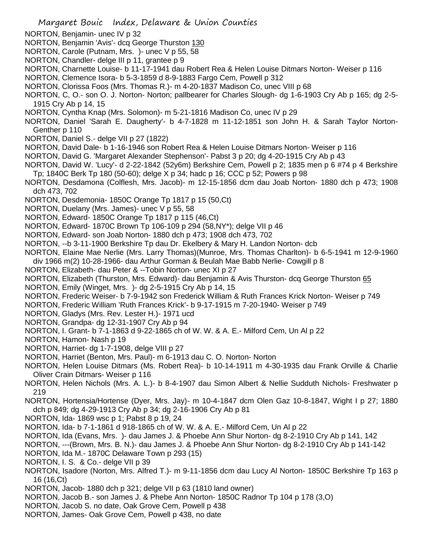- NORTON, Benjamin- unec IV p 32
- NORTON, Benjamin 'Avis'- dcq George Thurston 130
- NORTON, Carole (Putnam, Mrs. )- unec V p 55, 58
- NORTON, Chandler- delge III p 11, grantee p 9
- NORTON, Charnette Louise- b 11-17-1941 dau Robert Rea & Helen Louise Ditmars Norton- Weiser p 116
- NORTON, Clemence Isora- b 5-3-1859 d 8-9-1883 Fargo Cem, Powell p 312
- NORTON, Clorissa Foos (Mrs. Thomas R.)- m 4-20-1837 Madison Co, unec VIII p 68
- NORTON, C, O.- son O. J. Norton- Norton; pallbearer for Charles Slough- dg 1-6-1903 Cry Ab p 165; dg 2-5- 1915 Cry Ab p 14, 15
- NORTON, Cyntha Knap (Mrs. Solomon)- m 5-21-1816 Madison Co, unec IV p 29
- NORTON, Daniel 'Sarah E. Daugherty'- b 4-7-1828 m 11-12-1851 son John H. & Sarah Taylor Norton-Genther p 110
- NORTON, Daniel S.- delge VII p 27 (1822)
- NORTON, David Dale- b 1-16-1946 son Robert Rea & Helen Louise Ditmars Norton- Weiser p 116
- NORTON, David G. 'Margaret Alexander Stephenson'- Pabst 3 p 20; dg 4-20-1915 Cry Ab p 43
- NORTON, David W. 'Lucy'- d 2-22-1842 (52y6m) Berkshire Cem, Powell p 2; 1835 men p 6 #74 p 4 Berkshire Tp; 1840C Berk Tp 180 (50-60); delge X p 34; hadc p 16; CCC p 52; Powers p 98
- NORTON, Desdamona (Colflesh, Mrs. Jacob)- m 12-15-1856 dcm dau Joab Norton- 1880 dch p 473; 1908 dch 473, 702
- NORTON, Desdemonia- 1850C Orange Tp 1817 p 15 (50,Ct)
- NORTON, Duelany (Mrs. James)- unec V p 55, 58
- NORTON, Edward- 1850C Orange Tp 1817 p 115 (46,Ct)
- NORTON, Edward- 1870C Brown Tp 106-109 p 294 (58,NY\*); delge VII p 46
- NORTON, Edward- son Joab Norton- 1880 dch p 473; 1908 dch 473, 702
- NORTON, --b 3-11-1900 Berkshire Tp dau Dr. Ekelbery & Mary H. Landon Norton- dcb
- NORTON, Elaine Mae Nerlie (Mrs. Larry Thomas)(Munroe, Mrs. Thomas Charlton)- b 6-5-1941 m 12-9-1960 div 1966 m(2) 10-28-1966- dau Arthur Gorman & Beulah Mae Babb Nerlie- Cowgill p 8
- NORTON, Elizabeth- dau Peter & --Tobin Norton- unec XI p 27
- NORTON, Elizabeth (Thurston, Mrs. Edward)- dau Benjamin & Avis Thurston- dcq George Thurston 65
- NORTON, Emily (Winget, Mrs. )- dg 2-5-1915 Cry Ab p 14, 15
- NORTON, Frederic Weiser- b 7-9-1942 son Frederick William & Ruth Frances Krick Norton- Weiser p 749
- NORTON, Frederic William 'Ruth Frances Krick'- b 9-17-1915 m 7-20-1940- Weiser p 749
- NORTON, Gladys (Mrs. Rev. Lester H.)- 1971 ucd
- NORTON, Grandpa- dg 12-31-1907 Cry Ab p 94
- NORTON, I. Grant- b 7-1-1863 d 9-22-1865 ch of W. W. & A. E.- Milford Cem, Un Al p 22
- NORTON, Hamon- Nash p 19
- NORTON, Harriet- dg 1-7-1908, delge VIII p 27
- NORTON, Harriet (Benton, Mrs. Paul)- m 6-1913 dau C. O. Norton- Norton
- NORTON, Helen Louise Ditmars (Ms. Robert Rea)- b 10-14-1911 m 4-30-1935 dau Frank Orville & Charlie Oliver Crain Ditmars- Weiser p 116
- NORTON, Helen Nichols (Mrs. A. L.)- b 8-4-1907 dau Simon Albert & Nellie Sudduth Nichols- Freshwater p 219
- NORTON, Hortensia/Hortense (Dyer, Mrs. Jay)- m 10-4-1847 dcm Olen Gaz 10-8-1847, Wight I p 27; 1880 dch p 849; dg 4-29-1913 Cry Ab p 34; dg 2-16-1906 Cry Ab p 81
- NORTON, Ida- 1869 wsc p 1; Pabst 8 p 19, 24
- NORTON, Ida- b 7-1-1861 d 918-1865 ch of W. W. & A. E.- Milford Cem, Un Al p 22
- NORTON, Ida (Evans, Mrs. )- dau James J. & Phoebe Ann Shur Norton- dg 8-2-1910 Cry Ab p 141, 142
- NORTON, ---(Brown, Mrs. B. N.)- dau James J. & Phoebe Ann Shur Norton- dg 8-2-1910 Cry Ab p 141-142
- NORTON, Ida M.- 1870C Delaware Town p 293 (15)
- NORTON, I. S. & Co.- delge VII p 39
- NORTON, Isadore (Norton, Mrs. Alfred T.)- m 9-11-1856 dcm dau Lucy Al Norton- 1850C Berkshire Tp 163 p 16 (16,Ct)
- NORTON, Jacob- 1880 dch p 321; delge VII p 63 (1810 land owner)
- NORTON, Jacob B.- son James J. & Phebe Ann Norton- 1850C Radnor Tp 104 p 178 (3,O)
- NORTON, Jacob S. no date, Oak Grove Cem, Powell p 438
- NORTON, James- Oak Grove Cem, Powell p 438, no date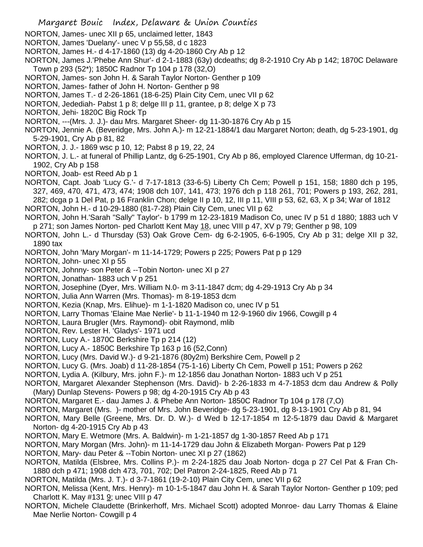- Margaret Bouic Index, Delaware & Union Counties
- NORTON, James- unec XII p 65, unclaimed letter, 1843
- NORTON, James 'Duelany'- unec V p 55,58, d c 1823
- NORTON, James H.- d 4-17-1860 (13) dg 4-20-1860 Cry Ab p 12
- NORTON, James J.'Phebe Ann Shur'- d 2-1-1883 (63y) dcdeaths; dg 8-2-1910 Cry Ab p 142; 1870C Delaware Town p 293 (52\*); 1850C Radnor Tp 104 p 178 (32,O)
- NORTON, James- son John H. & Sarah Taylor Norton- Genther p 109
- NORTON, James- father of John H. Norton- Genther p 98
- NORTON, James T.- d 2-26-1861 (18-6-25) Plain City Cem, unec VII p 62
- NORTON, Jedediah- Pabst 1 p 8; delge III p 11, grantee, p 8; delge X p 73
- NORTON, Jehi- 1820C Big Rock Tp
- NORTON, ---(Mrs. J. J.)- dau Mrs. Margaret Sheer- dg 11-30-1876 Cry Ab p 15
- NORTON, Jennie A. (Beveridge, Mrs. John A.)- m 12-21-1884/1 dau Margaret Norton; death, dg 5-23-1901, dg 5-29-1901, Cry Ab p 81, 82
- NORTON, J. J.- 1869 wsc p 10, 12; Pabst 8 p 19, 22, 24
- NORTON, J. L.- at funeral of Phillip Lantz, dg 6-25-1901, Cry Ab p 86, employed Clarence Ufferman, dg 10-21- 1902, Cry Ab p 158
- NORTON, Joab- est Reed Ab p 1
- NORTON, Capt. Joab 'Lucy G.'- d 7-17-1813 (33-6-5) Liberty Ch Cem; Powell p 151, 158; 1880 dch p 195, 327, 469, 470, 471, 473, 474; 1908 dch 107, 141, 473; 1976 dch p 118 261, 701; Powers p 193, 262, 281, 282; dcga p 1 Del Pat, p 16 Franklin Chon; delge II p 10, 12, III p 11, VIII p 53, 62, 63, X p 34; War of 1812 NORTON, John H.- d 10-29-1880 (81-7-28) Plain City Cem, unec VII p 62
- NORTON, John H.'Sarah "Sally" Taylor'- b 1799 m 12-23-1819 Madison Co, unec IV p 51 d 1880; 1883 uch V p 271; son James Norton- ped Charlott Kent May 18, unec VIII p 47, XV p 79; Genther p 98, 109
- NORTON, John L.- d Thursday (53) Oak Grove Cem- dg 6-2-1905, 6-6-1905, Cry Ab p 31; delge XII p 32, 1890 tax
- NORTON, John 'Mary Morgan'- m 11-14-1729; Powers p 225; Powers Pat p p 129
- NORTON, John- unec XI p 55
- NORTON, Johnny- son Peter & --Tobin Norton- unec XI p 27
- NORTON, Jonathan- 1883 uch V p 251
- NORTON, Josephine (Dyer, Mrs. William N.0- m 3-11-1847 dcm; dg 4-29-1913 Cry Ab p 34
- NORTON, Julia Ann Warren (Mrs. Thomas)- m 8-19-1853 dcm
- NORTON, Kezia (Knap, Mrs. Elihue)- m 1-1-1820 Madison co, unec IV p 51
- NORTON, Larry Thomas 'Elaine Mae Nerlie'- b 11-1-1940 m 12-9-1960 div 1966, Cowgill p 4
- NORTON, Laura Brugler (Mrs. Raymond)- obit Raymond, mlib
- NORTON, Rev. Lester H. 'Gladys'- 1971 ucd
- NORTON, Lucy A.- 1870C Berkshire Tp p 214 (12)
- NORTON, Lucy A.- 1850C Berkshire Tp 163 p 16 (52,Conn)
- NORTON, Lucy (Mrs. David W.)- d 9-21-1876 (80y2m) Berkshire Cem, Powell p 2
- NORTON, Lucy G. (Mrs. Joab) d 11-28-1854 (75-1-16) Liberty Ch Cem, Powell p 151; Powers p 262
- NORTON, Lydia A. (Kilbury, Mrs. john F.)- m 12-1856 dau Jonathan Norton- 1883 uch V p 251
- NORTON, Margaret Alexander Stephenson (Mrs. David)- b 2-26-1833 m 4-7-1853 dcm dau Andrew & Polly (Mary) Dunlap Stevens- Powers p 98; dg 4-20-1915 Cry Ab p 43
- NORTON, Margaret E.- dau James J. & Phebe Ann Norton- 1850C Radnor Tp 104 p 178 (7,O)
- NORTON, Margaret (Mrs. )- mother of Mrs. John Beveridge- dg 5-23-1901, dg 8-13-1901 Cry Ab p 81, 94
- NORTON, Mary Belle (Greene, Mrs. Dr. D. W.)- d Wed b 12-17-1854 m 12-5-1879 dau David & Margaret Norton- dg 4-20-1915 Cry Ab p 43
- NORTON, Mary E. Wetmore (Mrs. A. Baldwin)- m 1-21-1857 dg 1-30-1857 Reed Ab p 171
- NORTON, Mary Morgan (Mrs. John)- m 11-14-1729 dau John & Elizabeth Morgan- Powers Pat p 129
- NORTON, Mary- dau Peter & --Tobin Norton- unec XI p 27 (1862)
- NORTON, Matilda (Elsbree, Mrs. Collins P.)- m 2-24-1825 dau Joab Norton- dcga p 27 Cel Pat & Fran Ch-1880 dch p 471; 1908 dch 473, 701, 702; Del Patron 2-24-1825, Reed Ab p 71
- NORTON, Matilda (Mrs. J. T.)- d 3-7-1861 (19-2-10) Plain City Cem, unec VII p 62
- NORTON, Melissa (Kent, Mrs. Henry)- m 10-1-5-1847 dau John H. & Sarah Taylor Norton- Genther p 109; ped Charlott K. May #131 9; unec VIII p 47
- NORTON, Michele Claudette (Brinkerhoff, Mrs. Michael Scott) adopted Monroe- dau Larry Thomas & Elaine Mae Nerlie Norton- Cowgill p 4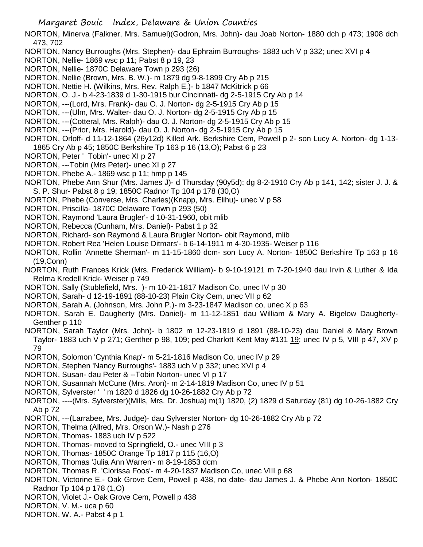NORTON, Minerva (Falkner, Mrs. Samuel)(Godron, Mrs. John)- dau Joab Norton- 1880 dch p 473; 1908 dch 473, 702

- NORTON, Nancy Burroughs (Mrs. Stephen)- dau Ephraim Burroughs- 1883 uch V p 332; unec XVI p 4
- NORTON, Nellie- 1869 wsc p 11; Pabst 8 p 19, 23
- NORTON, Nellie- 1870C Delaware Town p 293 (26)
- NORTON, Nellie (Brown, Mrs. B. W.)- m 1879 dg 9-8-1899 Cry Ab p 215
- NORTON, Nettie H. (Wilkins, Mrs. Rev. Ralph E.)- b 1847 McKitrick p 66
- NORTON, O. J.- b 4-23-1839 d 1-30-1915 bur Cincinnati- dg 2-5-1915 Cry Ab p 14
- NORTON, ---(Lord, Mrs. Frank)- dau O. J. Norton- dg 2-5-1915 Cry Ab p 15
- NORTON, ---(Ulm, Mrs. Walter- dau O. J. Norton- dg 2-5-1915 Cry Ab p 15
- NORTON, ---(Cotteral, Mrs. Ralph)- dau O. J. Norton- dg 2-5-1915 Cry Ab p 15
- NORTON, ---(Prior, Mrs. Harold)- dau O. J. Norton- dg 2-5-1915 Cry Ab p 15
- NORTON, Orloff- d 11-12-1864 (26y12d) Killed Ark. Berkshire Cem, Powell p 2- son Lucy A. Norton- dg 1-13- 1865 Cry Ab p 45; 1850C Berkshire Tp 163 p 16 (13,O); Pabst 6 p 23
- NORTON, Peter ' Tobin'- unec XI p 27
- NORTON, ---Tobin (Mrs Peter)- unec XI p 27
- NORTON, Phebe A.- 1869 wsc p 11; hmp p 145
- NORTON, Phebe Ann Shur (Mrs. James J)- d Thursday (90y5d); dg 8-2-1910 Cry Ab p 141, 142; sister J. J. & S. P. Shur- Pabst 8 p 19; 1850C Radnor Tp 104 p 178 (30,O)
- NORTON, Phebe (Converse, Mrs. Charles)(Knapp, Mrs. Elihu)- unec V p 58
- NORTON, Priscilla- 1870C Delaware Town p 293 (50)
- NORTON, Raymond 'Laura Brugler'- d 10-31-1960, obit mlib
- NORTON, Rebecca (Cunham, Mrs. Daniel)- Pabst 1 p 32
- NORTON, Richard- son Raymond & Laura Brugler Norton- obit Raymond, mlib
- NORTON, Robert Rea 'Helen Louise Ditmars'- b 6-14-1911 m 4-30-1935- Weiser p 116
- NORTON, Rollin 'Annette Sherman'- m 11-15-1860 dcm- son Lucy A. Norton- 1850C Berkshire Tp 163 p 16 (19,Conn)
- NORTON, Ruth Frances Krick (Mrs. Frederick William)- b 9-10-19121 m 7-20-1940 dau Irvin & Luther & Ida Relma Kredell Krick- Weiser p 749
- NORTON, Sally (Stublefield, Mrs. )- m 10-21-1817 Madison Co, unec IV p 30
- NORTON, Sarah- d 12-19-1891 (88-10-23) Plain City Cem, unec VII p 62
- NORTON, Sarah A. (Johnson, Mrs. John P.)- m 3-23-1847 Madison co, unec X p 63
- NORTON, Sarah E. Daugherty (Mrs. Daniel)- m 11-12-1851 dau William & Mary A. Bigelow Daugherty-Genther p 110
- NORTON, Sarah Taylor (Mrs. John)- b 1802 m 12-23-1819 d 1891 (88-10-23) dau Daniel & Mary Brown Taylor- 1883 uch V p 271; Genther p 98, 109; ped Charlott Kent May #131 19; unec IV p 5, VIII p 47, XV p 79
- NORTON, Solomon 'Cynthia Knap'- m 5-21-1816 Madison Co, unec IV p 29
- NORTON, Stephen 'Nancy Burroughs'- 1883 uch V p 332; unec XVI p 4
- NORTON, Susan- dau Peter & --Tobin Norton- unec VI p 17
- NORTON, Susannah McCune (Mrs. Aron)- m 2-14-1819 Madison Co, unec IV p 51
- NORTON, Sylverster ' ' m 1820 d 1826 dg 10-26-1882 Cry Ab p 72
- NORTON, ----(Mrs. Sylverster)(Mills, Mrs. Dr. Joshua) m(1) 1820, (2) 1829 d Saturday (81) dg 10-26-1882 Cry Ab p 72
- NORTON, ---(Larrabee, Mrs. Judge)- dau Sylverster Norton- dg 10-26-1882 Cry Ab p 72
- NORTON, Thelma (Allred, Mrs. Orson W.)- Nash p 276
- NORTON, Thomas- 1883 uch IV p 522
- NORTON, Thomas- moved to Springfield, O.- unec VIII p 3
- NORTON, Thomas- 1850C Orange Tp 1817 p 115 (16,O)
- NORTON, Thomas 'Julia Ann Warren'- m 8-19-1853 dcm
- NORTON, Thomas R. 'Clorissa Foos'- m 4-20-1837 Madison Co, unec VIII p 68
- NORTON, Victorine E.- Oak Grove Cem, Powell p 438, no date- dau James J. & Phebe Ann Norton- 1850C Radnor Tp 104 p 178 (1,O)
- NORTON, Violet J.- Oak Grove Cem, Powell p 438
- NORTON, V. M.- uca p 60
- NORTON, W. A.- Pabst 4 p 1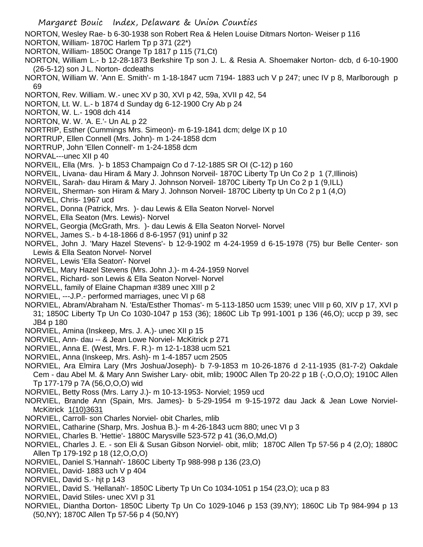- Margaret Bouic Index, Delaware & Union Counties NORTON, Wesley Rae- b 6-30-1938 son Robert Rea & Helen Louise Ditmars Norton- Weiser p 116 NORTON, William- 1870C Harlem Tp p 371 (22\*) NORTON, William- 1850C Orange Tp 1817 p 115 (71,Ct) NORTON, William L.- b 12-28-1873 Berkshire Tp son J. L. & Resia A. Shoemaker Norton- dcb, d 6-10-1900 (26-5-12) son J L. Norton- dcdeaths NORTON, William W. 'Ann E. Smith'- m 1-18-1847 ucm 7194- 1883 uch V p 247; unec IV p 8, Marlborough p 69 NORTON, Rev. William. W.- unec XV p 30, XVI p 42, 59a, XVII p 42, 54 NORTON, Lt. W. L.- b 1874 d Sunday dg 6-12-1900 Cry Ab p 24 NORTON, W. L.- 1908 dch 414 NORTON, W. W. 'A. E.'- Un AL p 22 NORTRIP, Esther (Cummings Mrs. Simeon)- m 6-19-1841 dcm; delge IX p 10 NORTRUP, Ellen Connell (Mrs. John)- m 1-24-1858 dcm NORTRUP, John 'Ellen Connell'- m 1-24-1858 dcm NORVAL---unec XII p 40 NORVEIL, Ella (Mrs. )- b 1853 Champaign Co d 7-12-1885 SR OI (C-12) p 160 NORVEIL, Livana- dau Hiram & Mary J. Johnson Norveil- 1870C Liberty Tp Un Co 2 p 1 (7,Illinois) NORVEIL, Sarah- dau Hiram & Mary J. Johnson Norveil- 1870C Liberty Tp Un Co 2 p 1 (9,ILL) NORVEIL, Sherman- son Hiram & Mary J. Johnson Norveil- 1870C Liberty tp Un Co 2 p 1 (4,O) NORVEL, Chris- 1967 ucd NORVEL, Donna (Patrick, Mrs. )- dau Lewis & Ella Seaton Norvel- Norvel NORVEL, Ella Seaton (Mrs. Lewis)- Norvel NORVEL, Georgia (McGrath, Mrs. )- dau Lewis & Ella Seaton Norvel- Norvel NORVEL, James S.- b 4-18-1866 d 8-6-1957 (91) uninf p 32 NORVEL, John J. 'Mary Hazel Stevens'- b 12-9-1902 m 4-24-1959 d 6-15-1978 (75) bur Belle Center- son Lewis & Ella Seaton Norvel- Norvel NORVEL, Lewis 'Ella Seaton'- Norvel NORVEL, Mary Hazel Stevens (Mrs. John J.)- m 4-24-1959 Norvel NORVEL, Richard- son Lewis & Ella Seaton Norvel- Norvel NORVELL, family of Elaine Chapman #389 unec XIII p 2 NORVIEL, ---J.P.- performed marriages, unec VI p 68 NORVIEL, Abram/Abraham N. 'Esta/Esther Thomas'- m 5-113-1850 ucm 1539; unec VIII p 60, XIV p 17, XVI p 31; 1850C Liberty Tp Un Co 1030-1047 p 153 (36); 1860C Lib Tp 991-1001 p 136 (46,O); uccp p 39, sec JB4 p 180 NORVIEL, Amina (Inskeep, Mrs. J. A.)- unec XII p 15 NORVIEL, Ann- dau -- & Jean Lowe Norviel- McKitrick p 271 NORVIEL, Anna E. (West, Mrs. F. R.)- m 12-1-1838 ucm 521 NORVIEL, Anna (Inskeep, Mrs. Ash)- m 1-4-1857 ucm 2505 NORVIEL, Ara Elmira Lary (Mrs Joshua/Joseph)- b 7-9-1853 m 10-26-1876 d 2-11-1935 (81-7-2) Oakdale Cem - dau Abel M. & Mary Ann Swisher Lary- obit, mlib; 1900C Allen Tp 20-22 p 1B (-,O,O,O); 1910C Allen Tp 177-179 p 7A (56,O,O,O) wid NORVIEL, Betty Ross (Mrs. Larry J.)- m 10-13-1953- Norviel; 1959 ucd NORVIEL, Brande Ann (Spain, Mrs. James)- b 5-29-1954 m 9-15-1972 dau Jack & Jean Lowe Norviel-McKitrick 1(10)3631 NORVIEL, Carroll- son Charles Norviel- obit Charles, mlib NORVIEL, Catharine (Sharp, Mrs. Joshua B.)- m 4-26-1843 ucm 880; unec VI p 3 NORVIEL, Charles B. 'Hettie'- 1880C Marysville 523-572 p 41 (36,O,Md,O) NORVIEL, Charles J. E. - son Eli & Susan Gibson Norviel- obit, mlib; 1870C Allen Tp 57-56 p 4 (2,O); 1880C
- Allen Tp 179-192 p 18 (12,O,O,O) NORVIEL, Daniel S.'Hannah'- 1860C Liberty Tp 988-998 p 136 (23,O)
- NORVIEL, David- 1883 uch V p 404
- NORVIEL, David S.- hjt p 143
- NORVIEL, David S. 'Hellanah'- 1850C Liberty Tp Un Co 1034-1051 p 154 (23,O); uca p 83
- NORVIEL, David Stiles- unec XVI p 31
- NORVIEL, Diantha Dorton- 1850C Liberty Tp Un Co 1029-1046 p 153 (39,NY); 1860C Lib Tp 984-994 p 13 (50,NY); 1870C Allen Tp 57-56 p 4 (50,NY)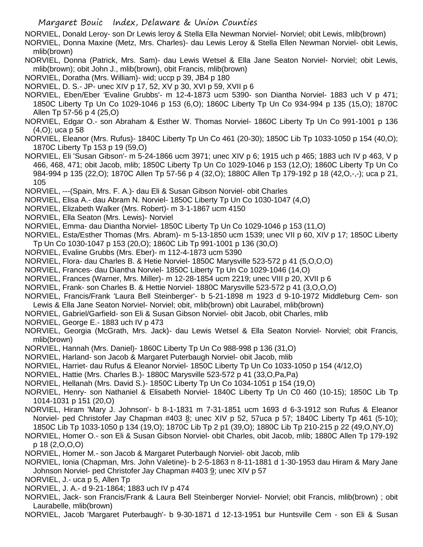NORVIEL, Donald Leroy- son Dr Lewis leroy & Stella Ella Newman Norviel- Norviel; obit Lewis, mlib(brown)

NORVIEL, Donna Maxine (Metz, Mrs. Charles)- dau Lewis Leroy & Stella Ellen Newman Norviel- obit Lewis, mlib(brown)

NORVIEL, Donna (Patrick, Mrs. Sam)- dau Lewis Wetsel & Ella Jane Seaton Norviel- Norviel; obit Lewis, mlib(brown); obit John J., mlib(brown), obit Francis, mlib(brown)

NORVIEL, Doratha (Mrs. William)- wid; uccp p 39, JB4 p 180

NORVIEL, D. S.- JP- unec XIV p 17, 52, XV p 30, XVI p 59, XVII p 6

NORVIEL, Eben/Eber 'Evaline Grubbs'- m 12-4-1873 ucm 5390- son Diantha Norviel- 1883 uch V p 471; 1850C Liberty Tp Un Co 1029-1046 p 153 (6,O); 1860C Liberty Tp Un Co 934-994 p 135 (15,O); 1870C Allen Tp 57-56 p 4 (25,O)

NORVIEL, Edgar O.- son Abraham & Esther W. Thomas Norviel- 1860C Liberty Tp Un Co 991-1001 p 136 (4,O); uca p 58

NORVIEL, Eleanor (Mrs. Rufus)- 1840C Liberty Tp Un Co 461 (20-30); 1850C Lib Tp 1033-1050 p 154 (40,O); 1870C Liberty Tp 153 p 19 (59,O)

- NORVIEL, Eli 'Susan Gibson'- m 5-24-1866 ucm 3971; unec XIV p 6; 1915 uch p 465; 1883 uch IV p 463, V p 466, 468, 471; obit Jacob, mlib; 1850C Liberty Tp Un Co 1029-1046 p 153 (12,O); 1860C Liberty Tp Un Co 984-994 p 135 (22,O); 1870C Allen Tp 57-56 p 4 (32,O); 1880C Allen Tp 179-192 p 18 (42,O,-,-); uca p 21, 105
- NORVIEL, ---(Spain, Mrs. F. A.)- dau Eli & Susan Gibson Norviel- obit Charles

NORVIEL, Elisa A.- dau Abram N. Norviel- 1850C Liberty Tp Un Co 1030-1047 (4,O)

- NORVIEL, Elizabeth Walker (Mrs. Robert)- m 3-1-1867 ucm 4150
- NORVIEL, Ella Seaton (Mrs. Lewis)- Norviel
- NORVIEL, Emma- dau Diantha Norviel- 1850C Liberty Tp Un Co 1029-1046 p 153 (11,O)
- NORVIEL, Esta/Esther Thomas (Mrs. Abram)- m 5-13-1850 ucm 1539; unec VII p 60, XIV p 17; 1850C Liberty
- Tp Un Co 1030-1047 p 153 (20,O); 1860C Lib Tp 991-1001 p 136 (30,O)
- NORVIEL, Evaline Grubbs (Mrs. Eber)- m 112-4-1873 ucm 5390
- NORVIEL, Flora- dau Charles B. & Hetie Norviel- 1850C Marysville 523-572 p 41 (5,O,O,O)
- NORVIEL, Frances- dau Diantha Norviel- 1850C Liberty Tp Un Co 1029-1046 (14,O)
- NORVIEL, Frances (Warner, Mrs. Miller)- m 12-28-1854 ucm 2219; unec VIII p 20, XVII p 6
- NORVIEL, Frank- son Charles B. & Hettie Norviel- 1880C Marysville 523-572 p 41 (3,O,O,O)
- NORVIEL, Francis/Frank 'Laura Bell Steinberger'- b 5-21-1898 m 1923 d 9-10-1972 Middleburg Cem- son Lewis & Ella Jane Seaton Norviel- Norviel; obit, mlib(brown) obit Laurabel, mlib(brown)
- NORVIEL, Gabriel/Garfield- son Eli & Susan Gibson Norviel- obit Jacob, obit Charles, mlib
- NORVIEL, George E.- 1883 uch IV p 473
- NORVIEL, Georgia (McGrath, Mrs. Jack)- dau Lewis Wetsel & Ella Seaton Norviel- Norviel; obit Francis, mlib(brown)
- NORVIEL, Hannah (Mrs. Daniel)- 1860C Liberty Tp Un Co 988-998 p 136 (31,O)
- NORVIEL, Harland- son Jacob & Margaret Puterbaugh Norviel- obit Jacob, mlib
- NORVIEL, Harriet- dau Rufus & Eleanor Norviel- 1850C Liberty Tp Un Co 1033-1050 p 154 (4/12,O)
- NORVIEL, Hattie (Mrs. Charles B.)- 1880C Marysville 523-572 p 41 (33,O,Pa,Pa)
- NORVIEL, Hellanah (Mrs. David S.)- 1850C Liberty Tp Un Co 1034-1051 p 154 (19,O)
- NORVIEL, Henry- son Nathaniel & Elisabeth Norviel- 1840C Liberty Tp Un C0 460 (10-15); 1850C Lib Tp 1014-1031 p 151 (20,O)
- NORVIEL, Hiram 'Mary J. Johnson'- b 8-1-1831 m 7-31-1851 ucm 1693 d 6-3-1912 son Rufus & Eleanor Norviel- ped Christofer Jay Chapman #403 8; unec XIV p 52, 57uca p 57; 1840C Liberty Tp 461 (5-10); 1850C Lib Tp 1033-1050 p 134 (19,O); 1870C Lib Tp 2 p1 (39,O); 1880C Lib Tp 210-215 p 22 (49,O,NY,O)
- NORVIEL, Homer O.- son Eli & Susan Gibson Norviel- obit Charles, obit Jacob, mlib; 1880C Allen Tp 179-192 p 18 (2,O,O,O)
- NORVIEL, Homer M.- son Jacob & Margaret Puterbaugh Norviel- obit Jacob, mlib
- NORVIEL, Ionia (Chapman, Mrs. John Valetine)- b 2-5-1863 n 8-11-1881 d 1-30-1953 dau Hiram & Mary Jane Johnson Norviel- ped Christofer Jay Chapman #403 9; unec XIV p 57
- NORVIEL, J.- uca p 5, Allen Tp
- NORVIEL, J. A.- d 9-21-1864; 1883 uch IV p 474
- NORVIEL, Jack- son Francis/Frank & Laura Bell Steinberger Norviel- Norviel; obit Francis, mlib(brown) ; obit Laurabelle, mlib(brown)
- NORVIEL, Jacob 'Margaret Puterbaugh'- b 9-30-1871 d 12-13-1951 bur Huntsville Cem son Eli & Susan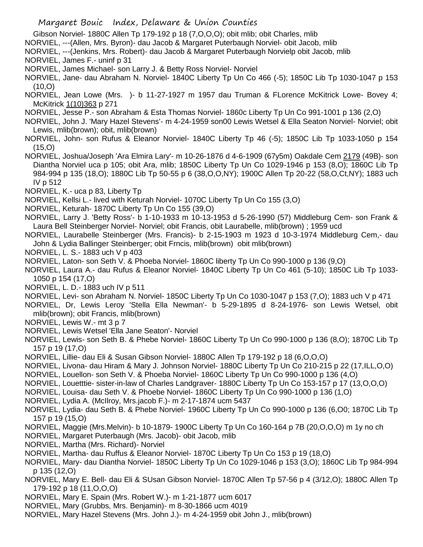- Gibson Norviel- 1880C Allen Tp 179-192 p 18 (7,O,O,O); obit mlib; obit Charles, mlib
- NORVIEL, ---(Allen, Mrs. Byron)- dau Jacob & Margaret Puterbaugh Norviel- obit Jacob, mlib
- NORVIEL, ---(Jenkins, Mrs. Robert)- dau Jacob & Margaret Puterbaugh Norvielp obit Jacob, mlib NORVIEL, James F.- uninf p 31
- NORVIEL, James Michael- son Larry J. & Betty Ross Norviel- Norviel
- NORVIEL, Jane- dau Abraham N. Norviel- 1840C Liberty Tp Un Co 466 (-5); 1850C Lib Tp 1030-1047 p 153  $(10, 0)$
- NORVIEL, Jean Lowe (Mrs. )- b 11-27-1927 m 1957 dau Truman & FLorence McKitrick Lowe- Bovey 4; McKitrick 1(10)363 p 271
- NORVIEL, Jesse P.- son Abraham & Esta Thomas Norviel- 1860c Liberty Tp Un Co 991-1001 p 136 (2,O)
- NORVIEL, John J. 'Mary Hazel Stevens'- m 4-24-1959 son00 Lewis Wetsel & Ella Seaton Norviel- Norviel; obit Lewis, mlib(brown); obit, mlib(brown)
- NORVIEL, John- son Rufus & Eleanor Norviel- 1840C Liberty Tp 46 (-5); 1850C Lib Tp 1033-1050 p 154 (15,O)
- NORVIEL, Joshua/Joseph 'Ara Elmira Lary'- m 10-26-1876 d 4-6-1909 (67y5m) Oakdale Cem 2179 (49B)- son Diantha Norviel uca p 105; obit Ara, mlib; 1850C Liberty Tp Un Co 1029-1946 p 153 (8,O); 1860C Lib Tp 984-994 p 135 (18,O); 1880C Lib Tp 50-55 p 6 (38,O,O,NY); 1900C Allen Tp 20-22 (58,O,Ct,NY); 1883 uch IV p 512
- NORVIEL, K.- uca p 83, Liberty Tp
- NORVIEL, Kellsi L.- lived with Keturah Norviel- 1070C Liberty Tp Un Co 155 (3,O)
- NORVIEL, Keturah- 1870C Liberty Tp Un Co 155 (39,O)
- NORVIEL, Larry J. 'Betty Ross'- b 1-10-1933 m 10-13-1953 d 5-26-1990 (57) Middleburg Cem- son Frank & Laura Bell Steinberger Norviel- Norviel; obit Francis, obit Laurabelle, mlib(brown) ; 1959 ucd
- NORVIEL, Laurabelle Steinberger (Mrs. Francis)- b 2-15-1903 m 1923 d 10-3-1974 Middleburg Cem,- dau John & Lydia Ballinger Steinberger; obit Frncis, mlib(brown) obit mlib(brown)
- NORVIEL, L. S.- 1883 uch V p 403
- NORVIEL, Laton- son Seth V. & Phoeba Norviel- 1860C liberty Tp Un Co 990-1000 p 136 (9,O)
- NORVIEL, Laura A.- dau Rufus & Eleanor Norviel- 1840C Liberty Tp Un Co 461 (5-10); 1850C Lib Tp 1033- 1050 p 154 (17,O)
- NORVIEL, L. D.- 1883 uch IV p 511
- NORVIEL, Levi- son Abraham N. Norviel- 1850C Liberty Tp Un Co 1030-1047 p 153 (7,O); 1883 uch V p 471
- NORVIEL, Dr, Lewis Leroy 'Stella Ella Newman'- b 5-29-1895 d 8-24-1976- son Lewis Wetsel, obit mlib(brown); obit Francis, mlib(brown)
- NORVIEL, Lewis W.- mt 3 p 7
- NORVIEL, Lewis Wetsel 'Ella Jane Seaton'- Norviel
- NORVIEL, Lewis- son Seth B. & Phebe Norviel- 1860C Liberty Tp Un Co 990-1000 p 136 (8,O); 1870C Lib Tp 157 p 19 (17,O)
- NORVIEL, Lillie- dau Eli & Susan Gibson Norviel- 1880C Allen Tp 179-192 p 18 (6,O,O,O)
- NORVIEL, Livona- dau Hiram & Mary J. Johnson Norviel- 1880C Liberty Tp Un Co 210-215 p 22 (17,ILL,O,O)
- NORVIEL, Louellon- son Seth V. & Phoeba Norviel- 1860C Liberty Tp Un Co 990-1000 p 136 (4,O)
- NORVIEL, Louetttie- sister-in-law of Charles Landgraver- 1880C Liberty Tp Un Co 153-157 p 17 (13,O,O,O)
- NORVIEL, Louisa- dau Seth V. & Phoebe Norviel- 1860C Liberty Tp Un Co 990-1000 p 136 (1,O)
- NORVIEL, Lydia A. (McIlroy, Mrs.jacob F.)- m 2-17-1874 ucm 5437
- NORVIEL, Lydia- dau Seth B. & Phebe Norviel- 1960C Liberty Tp Un Co 990-1000 p 136 (6,O0; 1870C Lib Tp 157 p 19 (15,O)
- NORVIEL, Maggie (Mrs.Melvin)- b 10-1879- 1900C Liberty Tp Un Co 160-164 p 7B (20,O,O,O) m 1y no ch
- NORVIEL, Margaret Puterbaugh (Mrs. Jacob)- obit Jacob, mlib
- NORVIEL, Martha (Mrs. Richard)- Norviel
- NORVIEL, Martha- dau Ruffus & Eleanor Norviel- 1870C Liberty Tp Un Co 153 p 19 (18,O)
- NORVIEL, Mary- dau Diantha Norviel- 1850C Liberty Tp Un Co 1029-1046 p 153 (3,O); 1860C Lib Tp 984-994 p 135 (12,O)
- NORVIEL, Mary E. Bell- dau Eli & SUsan Gibson Norviel- 1870C Allen Tp 57-56 p 4 (3/12,O); 1880C Allen Tp 179-192 p 18 (11,O,O,O)
- NORVIEL, Mary E. Spain (Mrs. Robert W.)- m 1-21-1877 ucm 6017
- NORVIEL, Mary (Grubbs, Mrs. Benjamin)- m 8-30-1866 ucm 4019
- NORVIEL, Mary Hazel Stevens (Mrs. John J.)- m 4-24-1959 obit John J., mlib(brown)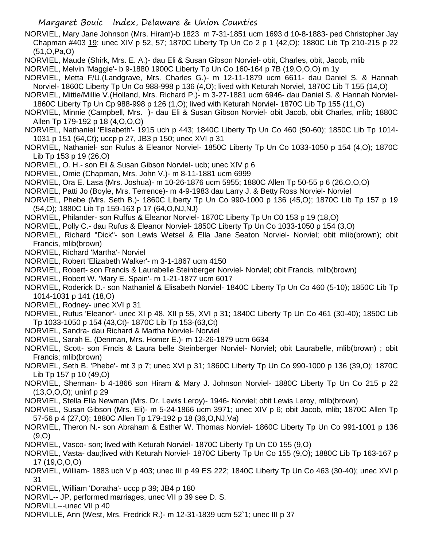NORVIEL, Mary Jane Johnson (Mrs. Hiram)-b 1823 m 7-31-1851 ucm 1693 d 10-8-1883- ped Christopher Jay Chapman #403 19; unec XIV p 52, 57; 1870C Liberty Tp Un Co 2 p 1 (42,O); 1880C Lib Tp 210-215 p 22 (51,O,Pa,O)

NORVIEL, Maude (Shirk, Mrs. E. A.)- dau Eli & Susan Gibson Norviel- obit, Charles, obit, Jacob, mlib

NORVIEL, Melvin 'Maggie'- b 9-1880 1900C Liberty Tp Un Co 160-164 p 7B (19,O,O,O) m 1y

- NORVIEL, Metta F/U.(Landgrave, Mrs. Charles G.)- m 12-11-1879 ucm 6611- dau Daniel S. & Hannah Norviel- 1860C Liberty Tp Un Co 988-998 p 136 (4,O); lived with Keturah Norviel, 1870C Lib T 155 (14,O)
- NORVIEL, Mittie/Millie V.(Holland, Mrs. Richard P.)- m 3-27-1881 ucm 6946- dau Daniel S. & Hannah Norviel-1860C Liberty Tp Un Cp 988-998 p 126 (1,O); lived with Keturah Norviel- 1870C Lib Tp 155 (11,O)
- NORVIEL, Minnie (Campbell, Mrs. )- dau Eli & Susan Gibson Norviel- obit Jacob, obit Charles, mlib; 1880C Allen Tp 179-192 p 18 (4,O,O,O)
- NORVIEL, Nathaniel 'Elisabeth'- 1915 uch p 443; 1840C Liberty Tp Un Co 460 (50-60); 1850C Lib Tp 1014- 1031 p 151 (64,Ct); uccp p 27, JB3 p 150; unec XVI p 31
- NORVIEL, Nathaniel- son Rufus & Eleanor Norviel- 1850C Liberty Tp Un Co 1033-1050 p 154 (4,O); 1870C Lib Tp 153 p 19 (26,O)
- NORVIEL, O. H.- son Eli & Susan Gibson Norviel- ucb; unec XIV p 6
- NORVIEL, Omie (Chapman, Mrs. John V.)- m 8-11-1881 ucm 6999
- NORVIEL, Ora E. Lasa (Mrs. Joshua)- m 10-26-1876 ucm 5955; 1880C Allen Tp 50-55 p 6 (26,O,O,O)
- NORVIEL, Patti Jo (Boyle, Mrs. Terrence)- m 4-9-1983 dau Larry J. & Betty Ross Norviel- Norviel
- NORVIEL, Phebe (Mrs. Seth B.)- 1860C Liberty Tp Un Co 990-1000 p 136 (45,O); 1870C Lib Tp 157 p 19 (54,O); 1880C Lib Tp 159-163 p 17 (64,O,NJ,NJ)
- NORVIEL, Philander- son Ruffus & Eleanor Norviel- 1870C Liberty Tp Un C0 153 p 19 (18,O)
- NORVIEL, Polly C.- dau Rufus & Eleanor Norviel- 1850C Liberty Tp Un Co 1033-1050 p 154 (3,O)
- NORVIEL, Richard "Dick"- son Lewis Wetsel & Ella Jane Seaton Norviel- Norviel; obit mlib(brown); obit Francis, mlib(brown)
- NORVIEL, Richard 'Martha'- Norviel
- NORVIEL, Robert 'Elizabeth Walker'- m 3-1-1867 ucm 4150
- NORVIEL, Robert- son Francis & Laurabelle Steinberger Norviel- Norviel; obit Francis, mlib(brown)
- NORVIEL, Robert W. 'Mary E. Spain'- m 1-21-1877 ucm 6017
- NORVIEL, Roderick D.- son Nathaniel & Elisabeth Norviel- 1840C Liberty Tp Un Co 460 (5-10); 1850C Lib Tp 1014-1031 p 141 (18,O)
- NORVIEL, Rodney- unec XVI p 31
- NORVIEL, Rufus 'Eleanor'- unec XI p 48, XII p 55, XVI p 31; 1840C Liberty Tp Un Co 461 (30-40); 1850C Lib Tp 1033-1050 p 154 (43,Ct)- 1870C Lib Tp 153-(63,Ct)
- NORVIEL, Sandra- dau Richard & Martha Norviel- Norviel
- NORVIEL, Sarah E. (Denman, Mrs. Homer E.)- m 12-26-1879 ucm 6634
- NORVIEL, Scott- son Frncis & Laura belle Steinberger Norviel- Norviel; obit Laurabelle, mlib(brown) ; obit Francis; mlib(brown)
- NORVIEL, Seth B. 'Phebe'- mt 3 p 7; unec XVI p 31; 1860C Liberty Tp Un Co 990-1000 p 136 (39,O); 1870C Lib Tp 157 p 10 (49,O)
- NORVIEL, Sherman- b 4-1866 son Hiram & Mary J. Johnson Norviel- 1880C Liberty Tp Un Co 215 p 22 (13,O,O,O); uninf p 29
- NORVIEL, Stella Ella Newman (Mrs. Dr. Lewis Leroy)- 1946- Norviel; obit Lewis Leroy, mlib(brown)
- NORVIEL, Susan Gibson (Mrs. Eli)- m 5-24-1866 ucm 3971; unec XIV p 6; obit Jacob, mlib; 1870C Allen Tp 57-56 p 4 (27,O); 1880C Allen Tp 179-192 p 18 (36,O,NJ,Va)
- NORVIEL, Theron N.- son Abraham & Esther W. Thomas Norviel- 1860C Liberty Tp Un Co 991-1001 p 136 (9,O)
- NORVIEL, Vasco- son; lived with Keturah Norviel- 1870C Liberty Tp Un C0 155 (9,O)
- NORVIEL, Vasta- dau;lived with Keturah Norviel- 1870C Liberty Tp Un Co 155 (9,O); 1880C Lib Tp 163-167 p 17 (19,O,O,O)
- NORVIEL, William- 1883 uch V p 403; unec III p 49 ES 222; 1840C Liberty Tp Un Co 463 (30-40); unec XVI p 31
- NORVIEL, William 'Doratha'- uccp p 39; JB4 p 180
- NORVIL-- JP, performed marriages, unec VII p 39 see D. S.
- NORVILL---unec VII p 40
- NORVILLE, Ann (West, Mrs. Fredrick R.)- m 12-31-1839 ucm 52`1; unec III p 37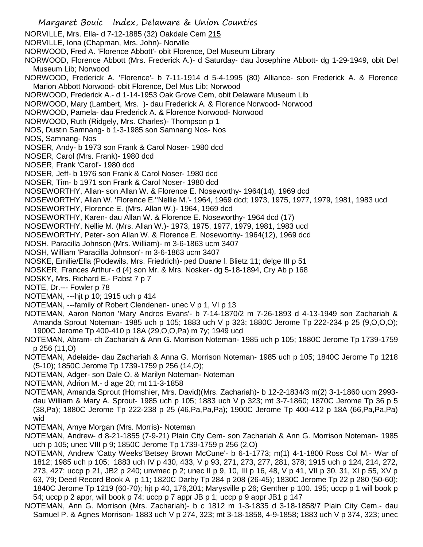- Margaret Bouic Index, Delaware & Union Counties NORVILLE, Mrs. Ella- d 7-12-1885 (32) Oakdale Cem 215 NORVILLE, Iona (Chapman, Mrs. John)- Norville NORWOOD, Fred A. 'Florence Abbott'- obit Florence, Del Museum Library NORWOOD, Florence Abbott (Mrs. Frederick A.)- d Saturday- dau Josephine Abbott- dg 1-29-1949, obit Del Museum Lib; Norwood NORWOOD, Frederick A. 'Florence'- b 7-11-1914 d 5-4-1995 (80) Alliance- son Frederick A. & Florence Marion Abbott Norwood- obit Florence, Del Mus Lib; Norwood NORWOOD, Frederick A.- d 1-14-1953 Oak Grove Cem, obit Delaware Museum Lib NORWOOD, Mary (Lambert, Mrs. )- dau Frederick A. & Florence Norwood- Norwood NORWOOD, Pamela- dau Frederick A. & Florence Norwood- Norwood NORWOOD, Ruth (Ridgely, Mrs. Charles)- Thompson p 1 NOS, Dustin Samnang- b 1-3-1985 son Samnang Nos- Nos NOS, Samnang- Nos NOSER, Andy- b 1973 son Frank & Carol Noser- 1980 dcd NOSER, Carol (Mrs. Frank)- 1980 dcd NOSER, Frank 'Carol'- 1980 dcd NOSER, Jeff- b 1976 son Frank & Carol Noser- 1980 dcd NOSER, Tim- b 1971 son Frank & Carol Noser- 1980 dcd NOSEWORTHY, Allan- son Allan W. & Florence E. Noseworthy- 1964(14), 1969 dcd NOSEWORTHY, Allan W. 'Florence E.''Nellie M.'- 1964, 1969 dcd; 1973, 1975, 1977, 1979, 1981, 1983 ucd NOSEWORTHY, Florence E. (Mrs. Allan W.)- 1964, 1969 dcd NOSEWORTHY, Karen- dau Allan W. & Florence E. Noseworthy- 1964 dcd (17) NOSEWORTHY, Nellie M. (Mrs. Allan W.)- 1973, 1975, 1977, 1979, 1981, 1983 ucd NOSEWORTHY, Peter- son Allan W. & Florence E. Noseworthy- 1964(12), 1969 dcd NOSH, Paracilla Johnson (Mrs. William)- m 3-6-1863 ucm 3407 NOSH, William 'Paracilla Johnson'- m 3-6-1863 ucm 3407 NOSKE, Emilie/Ella (Podewils, Mrs. Friedrich)- ped Duane l. Blietz 11; delge III p 51 NOSKER, Frances Arthur- d (4) son Mr. & Mrs. Nosker- dg 5-18-1894, Cry Ab p 168 NOSKY, Mrs. Richard E.- Pabst 7 p 7 NOTE, Dr.--- Fowler p 78 NOTEMAN, ---hjt p 10; 1915 uch p 414 NOTEMAN, ---family of Robert Clendenen- unec V p 1, VI p 13 NOTEMAN, Aaron Norton 'Mary Andros Evans'- b 7-14-1870/2 m 7-26-1893 d 4-13-1949 son Zachariah & Amanda Sprout Noteman- 1985 uch p 105; 1883 uch V p 323; 1880C Jerome Tp 222-234 p 25 (9,O,O,O); 1900C Jerome Tp 400-410 p 18A (29,O,O,Pa) m 7y; 1949 ucd NOTEMAN, Abram- ch Zachariah & Ann G. Morrison Noteman- 1985 uch p 105; 1880C Jerome Tp 1739-1759 p 256 (11,O) NOTEMAN, Adelaide- dau Zachariah & Anna G. Morrison Noteman- 1985 uch p 105; 1840C Jerome Tp 1218 (5-10); 1850C Jerome Tp 1739-1759 p 256 (14,O); NOTEMAN, Adger- son Dale O. & Marilyn Noteman- Noteman NOTEMAN, Adrion M.- d age 20; mt 11-3-1858 NOTEMAN, Amanda Sprout (Homshier, Mrs. David)(Mrs. Zachariah)- b 12-2-1834/3 m(2) 3-1-1860 ucm 2993-
- dau William & Mary A. Sprout- 1985 uch p 105; 1883 uch V p 323; mt 3-7-1860; 1870C Jerome Tp 36 p 5 (38,Pa); 1880C Jerome Tp 222-238 p 25 (46,Pa,Pa,Pa); 1900C Jerome Tp 400-412 p 18A (66,Pa,Pa,Pa) wid
- NOTEMAN, Amye Morgan (Mrs. Morris)- Noteman
- NOTEMAN, Andrew- d 8-21-1855 (7-9-21) Plain City Cem- son Zachariah & Ann G. Morrison Noteman- 1985 uch p 105; unec VIII p 9; 1850C Jerome Tp 1739-1759 p 256 (2,O)
- NOTEMAN, Andrew 'Catty Weeks''Betsey Brown McCune'- b 6-1-1773; m(1) 4-1-1800 Ross Col M.- War of 1812; 1985 uch p 105; 1883 uch IV p 430, 433, V p 93, 271, 273, 277, 281, 378; 1915 uch p 124, 214, 272, 273, 427; uccp p 21, JB2 p 240; unvmec p 2; unec II p 9, 10, III p 16, 48, V p 41, VII p 30, 31, XI p 55, XV p 63, 79; Deed Record Book A p 11; 1820C Darby Tp 284 p 208 (26-45); 1830C Jerome Tp 22 p 280 (50-60); 1840C Jerome Tp 1219 (60-70); hjt p 40, 176,201; Marysville p 26; Genther p 100. 195; uccp p 1 will book p 54; uccp p 2 appr, will book p 74; uccp p 7 appr JB p 1; uccp p 9 appr JB1 p 147
- NOTEMAN, Ann G. Morrison (Mrs. Zachariah)- b c 1812 m 1-3-1835 d 3-18-1858/7 Plain City Cem.- dau Samuel P. & Agnes Morrison- 1883 uch V p 274, 323; mt 3-18-1858, 4-9-1858; 1883 uch V p 374, 323; unec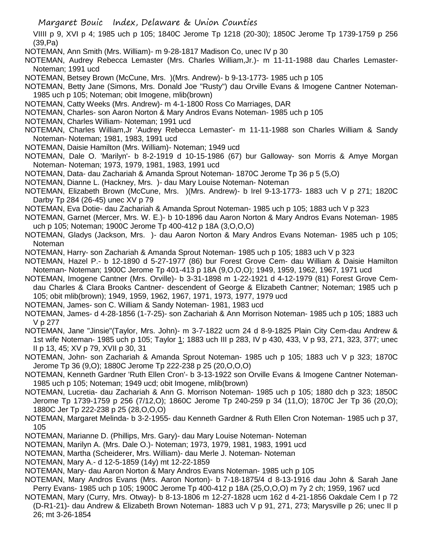VIIII p 9, XVI p 4; 1985 uch p 105; 1840C Jerome Tp 1218 (20-30); 1850C Jerome Tp 1739-1759 p 256 (39,Pa)

NOTEMAN, Ann Smith (Mrs. William)- m 9-28-1817 Madison Co, unec IV p 30

NOTEMAN, Audrey Rebecca Lemaster (Mrs. Charles William,Jr.)- m 11-11-1988 dau Charles Lemaster-Noteman; 1991 ucd

NOTEMAN, Betsey Brown (McCune, Mrs. )(Mrs. Andrew)- b 9-13-1773- 1985 uch p 105

NOTEMAN, Betty Jane (Simons, Mrs. Donald Joe "Rusty") dau Orville Evans & Imogene Cantner Noteman-1985 uch p 105; Noteman; obit Imogene, mlib(brown)

NOTEMAN, Catty Weeks (Mrs. Andrew)- m 4-1-1800 Ross Co Marriages, DAR

NOTEMAN, Charles- son Aaron Norton & Mary Andros Evans Noteman- 1985 uch p 105

NOTEMAN, Charles William- Noteman; 1991 ucd

NOTEMAN, Charles William,Jr 'Audrey Rebecca Lemaster'- m 11-11-1988 son Charles William & Sandy Noteman- Noteman; 1981, 1983, 1991 ucd

NOTEMAN, Daisie Hamilton (Mrs. William)- Noteman; 1949 ucd

NOTEMAN, Dale O. 'Marilyn'- b 8-2-1919 d 10-15-1986 (67) bur Galloway- son Morris & Amye Morgan Noteman- Noteman; 1973, 1979, 1981, 1983, 1991 ucd

NOTEMAN, Data- dau Zachariah & Amanda Sprout Noteman- 1870C Jerome Tp 36 p 5 (5,O)

NOTEMAN, Dianne L. (Hackney, Mrs. )- dau Mary Louise Noteman- Noteman

NOTEMAN, Elizabeth Brown (McCune, Mrs. )(Mrs. Andrew)- b Irel 9-13-1773- 1883 uch V p 271; 1820C Darby Tp 284 (26-45) unec XV p 79

NOTEMAN, Eva Dotie- dau Zachariah & Amanda Sprout Noteman- 1985 uch p 105; 1883 uch V p 323

NOTEMAN, Garnet (Mercer, Mrs. W. E.)- b 10-1896 dau Aaron Norton & Mary Andros Evans Noteman- 1985 uch p 105; Noteman; 1900C Jerome Tp 400-412 p 18A (3,O,O,O)

NOTEMAN, Gladys (Jackson, Mrs. )- dau Aaron Norton & Mary Andros Evans Noteman- 1985 uch p 105; Noteman

NOTEMAN, Harry- son Zachariah & Amanda Sprout Noteman- 1985 uch p 105; 1883 uch V p 323

NOTEMAN, Hazel P.- b 12-1890 d 5-27-1977 (86) bur Forest Grove Cem- dau William & Daisie Hamilton Noteman- Noteman; 1900C Jerome Tp 401-413 p 18A (9,O,O,O); 1949, 1959, 1962, 1967, 1971 ucd

NOTEMAN, Imogene Cantner (Mrs. Orville)- b 3-31-1898 m 1-22-1921 d 4-12-1979 (81) Forest Grove Cemdau Charles & Clara Brooks Cantner- descendent of George & Elizabeth Cantner; Noteman; 1985 uch p 105; obit mlib(brown); 1949, 1959, 1962, 1967, 1971, 1973, 1977, 1979 ucd

NOTEMAN, James- son C. William & Sandy Noteman- 1981, 1983 ucd

NOTEMAN, James- d 4-28-1856 (1-7-25)- son Zachariah & Ann Morrison Noteman- 1985 uch p 105; 1883 uch V p 277

NOTEMAN, Jane "Jinsie"(Taylor, Mrs. John)- m 3-7-1822 ucm 24 d 8-9-1825 Plain City Cem-dau Andrew & 1st wife Noteman- 1985 uch p 105; Taylor 1; 1883 uch III p 283, IV p 430, 433, V p 93, 271, 323, 377; unec II p 13, 45; XV p 79, XVII p 30, 31

NOTEMAN, John- son Zachariah & Amanda Sprout Noteman- 1985 uch p 105; 1883 uch V p 323; 1870C Jerome Tp 36 (9,O); 1880C Jerome Tp 222-238 p 25 (20,O,O,O)

NOTEMAN, Kenneth Gardner 'Ruth Ellen Cron'- b 3-13-1922 son Orville Evans & Imogene Cantner Noteman-1985 uch p 105; Noteman; 1949 ucd; obit Imogene, mlib(brown)

NOTEMAN, Lucretia- dau Zachariah & Ann G. Morrison Noteman- 1985 uch p 105; 1880 dch p 323; 1850C Jerome Tp 1739-1759 p 256 (7/12,O); 1860C Jerome Tp 240-259 p 34 (11,O); 1870C Jer Tp 36 (20,O); 1880C Jer Tp 222-238 p 25 (28,O,O,O)

NOTEMAN, Margaret Melinda- b 3-2-1955- dau Kenneth Gardner & Ruth Ellen Cron Noteman- 1985 uch p 37, 105

NOTEMAN, Marianne D. (Phillips, Mrs. Gary)- dau Mary Louise Noteman- Noteman

NOTEMAN, Marilyn A. (Mrs. Dale O.)- Noteman; 1973, 1979, 1981, 1983, 1991 ucd

NOTEMAN, Martha (Scheiderer, Mrs. William)- dau Merle J. Noteman- Noteman

NOTEMAN, Mary A.- d 12-5-1859 (14y) mt 12-22-1859

NOTEMAN, Mary- dau Aaron Norton & Mary Andros Evans Noteman- 1985 uch p 105

NOTEMAN, Mary Andros Evans (Mrs. Aaron Norton)- b 7-18-1875/4 d 8-13-1916 dau John & Sarah Jane Perry Evans- 1985 uch p 105; 1900C Jerome Tp 400-412 p 18A (25,O,O,O) m 7y 2 ch; 1959, 1967 ucd

NOTEMAN, Mary (Curry, Mrs. Otway)- b 8-13-1806 m 12-27-1828 ucm 162 d 4-21-1856 Oakdale Cem I p 72 (D-R1-21)- dau Andrew & Elizabeth Brown Noteman- 1883 uch V p 91, 271, 273; Marysville p 26; unec II p 26; mt 3-26-1854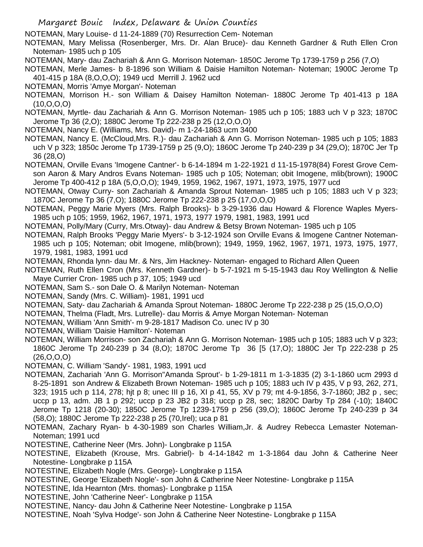NOTEMAN, Mary Louise- d 11-24-1889 (70) Resurrection Cem- Noteman

NOTEMAN, Mary Melissa (Rosenberger, Mrs. Dr. Alan Bruce)- dau Kenneth Gardner & Ruth Ellen Cron Noteman- 1985 uch p 105

NOTEMAN, Mary- dau Zachariah & Ann G. Morrison Noteman- 1850C Jerome Tp 1739-1759 p 256 (7,O)

NOTEMAN, Merle James- b 8-1896 son William & Daisie Hamilton Noteman- Noteman; 1900C Jerome Tp 401-415 p 18A (8,O,O,O); 1949 ucd Merrill J. 1962 ucd

NOTEMAN, Morris 'Amye Morgan'- Noteman

NOTEMAN, Morrison H.- son William & Daisey Hamilton Noteman- 1880C Jerome Tp 401-413 p 18A (10,O,O,O)

NOTEMAN, Myrtle- dau Zachariah & Ann G. Morrison Noteman- 1985 uch p 105; 1883 uch V p 323; 1870C Jerome Tp 36 (2,O); 1880C Jerome Tp 222-238 p 25 (12,O,O,O)

NOTEMAN, Nancy E. (Williams, Mrs. David)- m 1-24-1863 ucm 3400

NOTEMAN, Nancy E. (McCloud,Mrs. R.)- dau Zachariah & Ann G. Morrison Noteman- 1985 uch p 105; 1883 uch V p 323; 1850c Jerome Tp 1739-1759 p 25 (9,O); 1860C Jerome Tp 240-239 p 34 (29,O); 1870C Jer Tp 36 (28,O)

NOTEMAN, Orville Evans 'Imogene Cantner'- b 6-14-1894 m 1-22-1921 d 11-15-1978(84) Forest Grove Cemson Aaron & Mary Andros Evans Noteman- 1985 uch p 105; Noteman; obit Imogene, mlib(brown); 1900C Jerome Tp 400-412 p 18A (5,O,O,O); 1949, 1959, 1962, 1967, 1971, 1973, 1975, 1977 ucd

NOTEMAN, Otway Curry- son Zachariah & Amanda Sprout Noteman- 1985 uch p 105; 1883 uch V p 323; 1870C Jerome Tp 36 (7,O); 1880C Jerome Tp 222-238 p 25 (17,O,O,O)

NOTEMAN, Peggy Marie Myers (Mrs. Ralph Brooks)- b 3-29-1936 dau Howard & Florence Waples Myers-1985 uch p 105; 1959, 1962, 1967, 1971, 1973, 1977 1979, 1981, 1983, 1991 ucd

NOTEMAN, Polly/Mary (Curry, Mrs.Otway)- dau Andrew & Betsy Brown Noteman- 1985 uch p 105

NOTEMAN, Ralph Brooks 'Peggy Marie Myers'- b 3-12-1924 son Orville Evans & Imogene Cantner Noteman-1985 uch p 105; Noteman; obit Imogene, mlib(brown); 1949, 1959, 1962, 1967, 1971, 1973, 1975, 1977, 1979, 1981, 1983, 1991 ucd

NOTEMAN, Rhonda lynn- dau Mr. & Nrs, Jim Hackney- Noteman- engaged to Richard Allen Queen

NOTEMAN, Ruth Ellen Cron (Mrs. Kenneth Gardner)- b 5-7-1921 m 5-15-1943 dau Roy Wellington & Nellie Maye Currier Cron- 1985 uch p 37, 105; 1949 ucd

NOTEMAN, Sam S.- son Dale O. & Marilyn Noteman- Noteman

NOTEMAN, Sandy (Mrs. C. William)- 1981, 1991 ucd

NOTEMAN, Saty- dau Zachariah & Amanda Sprout Noteman- 1880C Jerome Tp 222-238 p 25 (15,O,O,O)

NOTEMAN, Thelma (Fladt, Mrs. Lutrelle)- dau Morris & Amye Morgan Noteman- Noteman

- NOTEMAN, William 'Ann Smith'- m 9-28-1817 Madison Co. unec IV p 30
- NOTEMAN, William 'Daisie Hamilton'- Noteman

NOTEMAN, William Morrison- son Zachariah & Ann G. Morrison Noteman- 1985 uch p 105; 1883 uch V p 323; 1860C Jerome Tp 240-239 p 34 (8,O); 1870C Jerome Tp 36 [5 (17,O); 1880C Jer Tp 222-238 p 25 (26,O,O,O)

NOTEMAN, C. William 'Sandy'- 1981, 1983, 1991 ucd

NOTEMAN, Zachariah 'Ann G. Morrison''Amanda Sprout'- b 1-29-1811 m 1-3-1835 (2) 3-1-1860 ucm 2993 d 8-25-1891 son Andrew & Elizabeth Brown Noteman- 1985 uch p 105; 1883 uch IV p 435, V p 93, 262, 271, 323; 1915 uch p 114, 278; hjt p 8; unec III p 16, XI p 41, 55, XV p 79; mt 4-9-1856, 3-7-1860; JB2 p , sec; uccp p 13, adm. JB 1 p 292; uccp p 23 JB2 p 318; uccp p 28, sec; 1820C Darby Tp 284 (-10); 1840C Jerome Tp 1218 (20-30); 1850C Jerome Tp 1239-1759 p 256 (39,O); 1860C Jerome Tp 240-239 p 34 (58,O); 1880C Jerome Tp 222-238 p 25 (70,Irel); uca p 81

NOTEMAN, Zachary Ryan- b 4-30-1989 son Charles William,Jr. & Audrey Rebecca Lemaster Noteman-Noteman; 1991 ucd

NOTESTINE, Catherine Neer (Mrs. John)- Longbrake p 115A

NOTESTINE, Elizabeth (Krouse, Mrs. Gabriel)- b 4-14-1842 m 1-3-1864 dau John & Catherine Neer Notestine- Longbrake p 115A

NOTESTINE, Elizabeth Nogle (Mrs. George)- Longbrake p 115A

NOTESTINE, George 'Elizabeth Nogle'- son John & Catherine Neer Notestine- Longbrake p 115A

NOTESTINE, Ida Hearnton (Mrs. thomas)- Longbrake p 115A

NOTESTINE, John 'Catherine Neer'- Longbrake p 115A

NOTESTINE, Nancy- dau John & Catherine Neer Notestine- Longbrake p 115A

NOTESTINE, Noah 'Sylva Hodge'- son John & Catherine Neer Notestine- Longbrake p 115A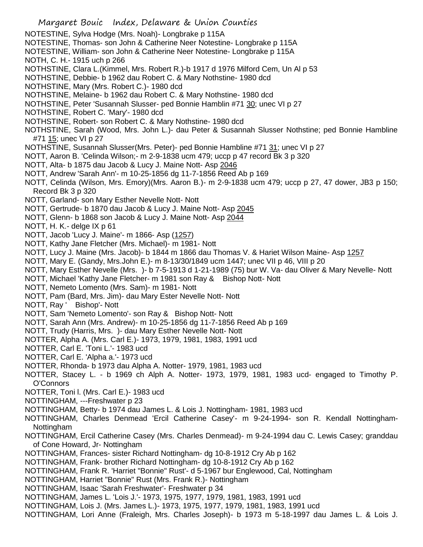Margaret Bouic Index, Delaware & Union Counties NOTESTINE, Sylva Hodge (Mrs. Noah)- Longbrake p 115A NOTESTINE, Thomas- son John & Catherine Neer Notestine- Longbrake p 115A NOTESTINE, William- son John & Catherine Neer Notestine- Longbrake p 115A NOTH, C. H.- 1915 uch p 266 NOTHSTINE, Clara L.(Kimmel, Mrs. Robert R.)-b 1917 d 1976 Milford Cem, Un Al p 53 NOTHSTINE, Debbie- b 1962 dau Robert C. & Mary Nothstine- 1980 dcd NOTHSTINE, Mary (Mrs. Robert C.)- 1980 dcd NOTHSTINE, Melaine- b 1962 dau Robert C. & Mary Nothstine- 1980 dcd NOTHSTINE, Peter 'Susannah Slusser- ped Bonnie Hamblin #71 30; unec VI p 27 NOTHSTINE, Robert C. 'Mary'- 1980 dcd NOTHSTINE, Robert- son Robert C. & Mary Nothstine- 1980 dcd NOTHSTINE, Sarah (Wood, Mrs. John L.)- dau Peter & Susannah Slusser Nothstine; ped Bonnie Hambline #71 15; unec VI p 27 NOTHSTINE, Susannah Slusser(Mrs. Peter)- ped Bonnie Hambline #71 31; unec VI p 27 NOTT, Aaron B. 'Celinda Wilson;- m 2-9-1838 ucm 479; uccp p 47 record Bk 3 p 320 NOTT, Alta- b 1875 dau Jacob & Lucy J. Maine Nott- Asp 2046 NOTT, Andrew 'Sarah Ann'- m 10-25-1856 dg 11-7-1856 Reed Ab p 169 NOTT, Celinda (Wilson, Mrs. Emory)(Mrs. Aaron B.)- m 2-9-1838 ucm 479; uccp p 27, 47 dower, JB3 p 150; Record Bk 3 p 320 NOTT, Garland- son Mary Esther Nevelle Nott- Nott NOTT, Gertrude- b 1870 dau Jacob & Lucy J. Maine Nott- Asp 2045 NOTT, Glenn- b 1868 son Jacob & Lucy J. Maine Nott- Asp 2044 NOTT, H. K.- delge IX p 61 NOTT, Jacob 'Lucy J. Maine'- m 1866- Asp (1257) NOTT, Kathy Jane Fletcher (Mrs. Michael)- m 1981- Nott NOTT, Lucy J. Maine (Mrs. Jacob)- b 1844 m 1866 dau Thomas V. & Hariet Wilson Maine- Asp 1257 NOTT, Mary E. (Gandy, Mrs.John E.)- m 8-13/30/1849 ucm 1447; unec VII p 46, VIII p 20 NOTT, Mary Esther Nevelle (Mrs. )- b 7-5-1913 d 1-21-1989 (75) bur W. Va- dau Oliver & Mary Nevelle- Nott NOTT, Michael 'Kathy Jane Fletcher- m 1981 son Ray & Bishop Nott- Nott NOTT, Nemeto Lomento (Mrs. Sam)- m 1981- Nott NOTT, Pam (Bard, Mrs. Jim)- dau Mary Ester Nevelle Nott- Nott NOTT, Ray ' Bishop'- Nott NOTT, Sam 'Nemeto Lomento'- son Ray & Bishop Nott- Nott NOTT, Sarah Ann (Mrs. Andrew)- m 10-25-1856 dg 11-7-1856 Reed Ab p 169 NOTT, Trudy (Harris, Mrs. )- dau Mary Esther Nevelle Nott- Nott NOTTER, Alpha A. (Mrs. Carl E.)- 1973, 1979, 1981, 1983, 1991 ucd NOTTER, Carl E. 'Toni L.'- 1983 ucd NOTTER, Carl E. 'Alpha a.'- 1973 ucd NOTTER, Rhonda- b 1973 dau Alpha A. Notter- 1979, 1981, 1983 ucd NOTTER, Stacey L. - b 1969 ch Alph A. Notter- 1973, 1979, 1981, 1983 ucd- engaged to Timothy P. O'Connors NOTTER, Toni l. (Mrs. Carl E.)- 1983 ucd NOTTINGHAM, ---Freshwater p 23 NOTTINGHAM, Betty- b 1974 dau James L. & Lois J. Nottingham- 1981, 1983 ucd NOTTINGHAM, Charles Denmead 'Ercil Catherine Casey'- m 9-24-1994- son R. Kendall Nottingham-Nottingham NOTTINGHAM, Ercil Catherine Casey (Mrs. Charles Denmead)- m 9-24-1994 dau C. Lewis Casey; granddau of Cone Howard, Jr- Nottingham NOTTINGHAM, Frances- sister Richard Nottingham- dg 10-8-1912 Cry Ab p 162 NOTTINGHAM, Frank- brother Richard Nottingham- dg 10-8-1912 Cry Ab p 162 NOTTINGHAM, Frank R. 'Harriet "Bonnie" Rust'- d 5-1967 bur Englewood, Cal, Nottingham NOTTINGHAM, Harriet "Bonnie" Rust (Mrs. Frank R.)- Nottingham NOTTINGHAM, Isaac 'Sarah Freshwater'- Freshwater p 34 NOTTINGHAM, James L. 'Lois J.'- 1973, 1975, 1977, 1979, 1981, 1983, 1991 ucd NOTTINGHAM, Lois J. (Mrs. James L.)- 1973, 1975, 1977, 1979, 1981, 1983, 1991 ucd NOTTINGHAM, Lori Anne (Fraleigh, Mrs. Charles Joseph)- b 1973 m 5-18-1997 dau James L. & Lois J.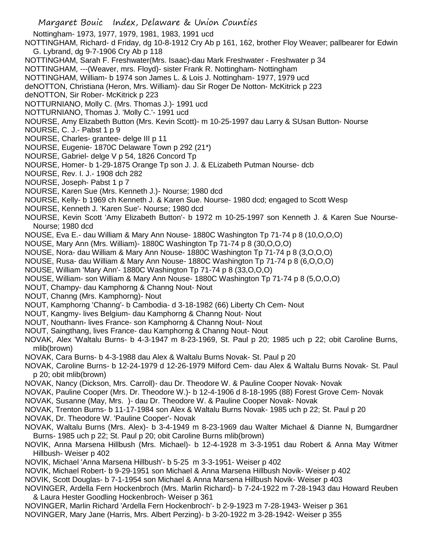Margaret Bouic Index, Delaware & Union Counties Nottingham- 1973, 1977, 1979, 1981, 1983, 1991 ucd NOTTINGHAM, Richard- d Friday, dg 10-8-1912 Cry Ab p 161, 162, brother Floy Weaver; pallbearer for Edwin G. Lybrand, dg 9-7-1906 Cry Ab p 118 NOTTINGHAM, Sarah F. Freshwater(Mrs. Isaac)-dau Mark Freshwater - Freshwater p 34 NOTTINGHAM, ---(Weaver, mrs. Floyd)- sister Frank R. Nottingham- Nottingham NOTTINGHAM, William- b 1974 son James L. & Lois J. Nottingham- 1977, 1979 ucd deNOTTON, Christiana (Heron, Mrs. William)- dau Sir Roger De Notton- McKitrick p 223 deNOTTON, Sir Rober- McKitrick p 223 NOTTURNIANO, Molly C. (Mrs. Thomas J.)- 1991 ucd NOTTURNIANO, Thomas J. 'Molly C.'- 1991 ucd NOURSE, Amy Elizabeth Button (Mrs. Kevin Scott)- m 10-25-1997 dau Larry & SUsan Button- Nourse NOURSE, C. J.- Pabst 1 p 9 NOURSE, Charles- grantee- delge III p 11 NOURSE, Eugenie- 1870C Delaware Town p 292 (21\*) NOURSE, Gabriel- delge V p 54, 1826 Concord Tp NOURSE, Homer- b 1-29-1875 Orange Tp son J. J. & ELizabeth Putman Nourse- dcb NOURSE, Rev. I. J.- 1908 dch 282 NOURSE, Joseph- Pabst 1 p 7 NOURSE, Karen Sue (Mrs. Kenneth J.)- Nourse; 1980 dcd NOURSE, Kelly- b 1969 ch Kenneth J. & Karen Sue. Nourse- 1980 dcd; engaged to Scott Wesp NOURSE, Kenneth J. 'Karen Sue'- Nourse; 1980 dcd NOURSE, Kevin Scott 'Amy Elizabeth Button'- b 1972 m 10-25-1997 son Kenneth J. & Karen Sue Nourse-Nourse; 1980 dcd NOUSE, Eva E.- dau William & Mary Ann Nouse- 1880C Washington Tp 71-74 p 8 (10,O,O,O) NOUSE, Mary Ann (Mrs. William)- 1880C Washington Tp 71-74 p 8 (30,O,O,O) NOUSE, Nora- dau William & Mary Ann Nouse- 1880C Washington Tp 71-74 p 8 (3,O,O,O) NOUSE, Rusa- dau William & Mary Ann Nouse- 1880C Washington Tp 71-74 p 8 (6,O,O,O) NOUSE, William 'Mary Ann'- 1880C Washington Tp 71-74 p 8 (33,O,O,O) NOUSE, William- son William & Mary Ann Nouse- 1880C Washington Tp 71-74 p 8 (5,O,O,O) NOUT, Champy- dau Kamphorng & Channg Nout- Nout NOUT, Channg (Mrs. Kamphorng)- Nout NOUT, Kamphorng 'Channg'- b Cambodia- d 3-18-1982 (66) Liberty Ch Cem- Nout NOUT, Kangmy- lives Belgium- dau Kamphorng & Channg Nout- Nout NOUT, Nouthann- lives France- son Kamphorng & Channg Nout- Nout NOUT, Saingthang, lives France- dau Kamphorng & Channg Nout- Nout NOVAK, Alex 'Waltalu Burns- b 4-3-1947 m 8-23-1969, St. Paul p 20; 1985 uch p 22; obit Caroline Burns, mlib(brown) NOVAK, Cara Burns- b 4-3-1988 dau Alex & Waltalu Burns Novak- St. Paul p 20 NOVAK, Caroline Burns- b 12-24-1979 d 12-26-1979 Milford Cem- dau Alex & Waltalu Burns Novak- St. Paul p 20; obit mlib(brown) NOVAK, Nancy (Dickson, Mrs. Carroll)- dau Dr. Theodore W. & Pauline Cooper Novak- Novak NOVAK, Pauline Cooper (Mrs. Dr. Theodore W.)- b 12-4-1906 d 8-18-1995 (88) Forest Grove Cem- Novak NOVAK, Susanne (May, Mrs. )- dau Dr. Theodore W. & Pauline Cooper Novak- Novak NOVAK, Trenton Burns- b 11-17-1984 son Alex & Waltalu Burns Novak- 1985 uch p 22; St. Paul p 20 NOVAK, Dr. Theodore W. 'Pauline Cooper'- Novak NOVAK, Waltalu Burns (Mrs. Alex)- b 3-4-1949 m 8-23-1969 dau Walter Michael & Dianne N, Bumgardner Burns- 1985 uch p 22; St. Paul p 20; obit Caroline Burns mlib(brown) NOVIK, Anna Marsena Hillbush (Mrs. Michael)- b 12-4-1928 m 3-3-1951 dau Robert & Anna May Witmer Hillbush- Weiser p 402 NOVIK, Michael 'Anna Marsena Hillbush'- b 5-25 m 3-3-1951- Weiser p 402 NOVIK, Michael Robert- b 9-29-1951 son Michael & Anna Marsena Hillbush Novik- Weiser p 402 NOVIK, Scott Douglas- b 7-1-1954 son Michael & Anna Marsena Hillbush Novik- Weiser p 403

NOVINGER, Ardella Fern Hockenbroch (Mrs. Marlin Richard)- b 7-24-1922 m 7-28-1943 dau Howard Reuben & Laura Hester Goodling Hockenbroch- Weiser p 361

NOVINGER, Marlin Richard 'Ardella Fern Hockenbroch'- b 2-9-1923 m 7-28-1943- Weiser p 361 NOVINGER, Mary Jane (Harris, Mrs. Albert Perzing)- b 3-20-1922 m 3-28-1942- Weiser p 355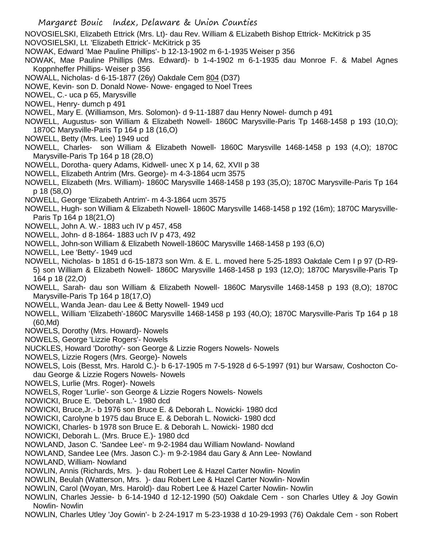- Margaret Bouic Index, Delaware & Union Counties NOVOSIELSKI, Elizabeth Ettrick (Mrs. Lt)- dau Rev. William & ELizabeth Bishop Ettrick- McKitrick p 35 NOVOSIELSKI, Lt. 'Elizabeth Ettrick'- McKitrick p 35 NOWAK, Edward 'Mae Pauline Phillips'- b 12-13-1902 m 6-1-1935 Weiser p 356 NOWAK, Mae Pauline Phillips (Mrs. Edward)- b 1-4-1902 m 6-1-1935 dau Monroe F. & Mabel Agnes Koppnheffer Phillips- Weiser p 356 NOWALL, Nicholas- d 6-15-1877 (26y) Oakdale Cem 804 (D37) NOWE, Kevin- son D. Donald Nowe- Nowe- engaged to Noel Trees NOWEL, C.- uca p 65, Marysville NOWEL, Henry- dumch p 491 NOWEL, Mary E. (Williamson, Mrs. Solomon)- d 9-11-1887 dau Henry Nowel- dumch p 491 NOWELL, Augustus- son William & Elizabeth Nowell- 1860C Marysville-Paris Tp 1468-1458 p 193 (10,O); 1870C Marysville-Paris Tp 164 p 18 (16,O) NOWELL, Betty (Mrs. Lee) 1949 ucd NOWELL, Charles- son William & Elizabeth Nowell- 1860C Marysville 1468-1458 p 193 (4,O); 1870C Marysville-Paris Tp 164 p 18 (28,O) NOWELL, Dorotha- query Adams, Kidwell- unec X p 14, 62, XVII p 38 NOWELL, Elizabeth Antrim (Mrs. George)- m 4-3-1864 ucm 3575 NOWELL, Elizabeth (Mrs. William)- 1860C Marysville 1468-1458 p 193 (35,O); 1870C Marysville-Paris Tp 164 p 18 (58,O) NOWELL, George 'Elizabeth Antrim'- m 4-3-1864 ucm 3575 NOWELL, Hugh- son William & Elizabeth Nowell- 1860C Marysville 1468-1458 p 192 (16m); 1870C Marysville-Paris Tp 164 p 18(21,O) NOWELL, John A. W.- 1883 uch IV p 457, 458 NOWELL, John- d 8-1864- 1883 uch IV p 473, 492 NOWELL, John-son William & Elizabeth Nowell-1860C Marysville 1468-1458 p 193 (6,O) NOWELL, Lee 'Betty'- 1949 ucd NOWELL, Nicholas- b 1851 d 6-15-1873 son Wm. & E. L. moved here 5-25-1893 Oakdale Cem I p 97 (D-R9- 5) son William & Elizabeth Nowell- 1860C Marysville 1468-1458 p 193 (12,O); 1870C Marysville-Paris Tp 164 p 18 (22,O) NOWELL, Sarah- dau son William & Elizabeth Nowell- 1860C Marysville 1468-1458 p 193 (8,O); 1870C Marysville-Paris Tp 164 p 18(17,O) NOWELL, Wanda Jean- dau Lee & Betty Nowell- 1949 ucd NOWELL, William 'Elizabeth'-1860C Marysville 1468-1458 p 193 (40,O); 1870C Marysville-Paris Tp 164 p 18 (60,Md) NOWELS, Dorothy (Mrs. Howard)- Nowels NOWELS, George 'Lizzie Rogers'- Nowels NUCKLES, Howard 'Dorothy'- son George & Lizzie Rogers Nowels- Nowels NOWELS, Lizzie Rogers (Mrs. George)- Nowels NOWELS, Lois (Besst, Mrs. Harold C.)- b 6-17-1905 m 7-5-1928 d 6-5-1997 (91) bur Warsaw, Coshocton Codau George & Lizzie Rogers Nowels- Nowels NOWELS, Lurlie (Mrs. Roger)- Nowels NOWELS, Roger 'Lurlie'- son George & Lizzie Rogers Nowels- Nowels NOWICKI, Bruce E. 'Deborah L.'- 1980 dcd NOWICKI, Bruce,Jr.- b 1976 son Bruce E. & Deborah L. Nowicki- 1980 dcd NOWICKI, Carolyne b 1975 dau Bruce E. & Deborah L. Nowicki- 1980 dcd NOWICKI, Charles- b 1978 son Bruce E. & Deborah L. Nowicki- 1980 dcd NOWICKI, Deborah L. (Mrs. Bruce E.)- 1980 dcd NOWLAND, Jason C. 'Sandee Lee'- m 9-2-1984 dau William Nowland- Nowland NOWLAND, Sandee Lee (Mrs. Jason C.)- m 9-2-1984 dau Gary & Ann Lee- Nowland NOWLAND, William- Nowland NOWLIN, Annis (Richards, Mrs. )- dau Robert Lee & Hazel Carter Nowlin- Nowlin NOWLIN, Beulah (Watterson, Mrs. )- dau Robert Lee & Hazel Carter Nowlin- Nowlin NOWLIN, Carol (Woyan, Mrs. Harold)- dau Robert Lee & Hazel Carter Nowlin- Nowlin
- NOWLIN, Charles Jessie- b 6-14-1940 d 12-12-1990 (50) Oakdale Cem son Charles Utley & Joy Gowin Nowlin- Nowlin
- NOWLIN, Charles Utley 'Joy Gowin'- b 2-24-1917 m 5-23-1938 d 10-29-1993 (76) Oakdale Cem son Robert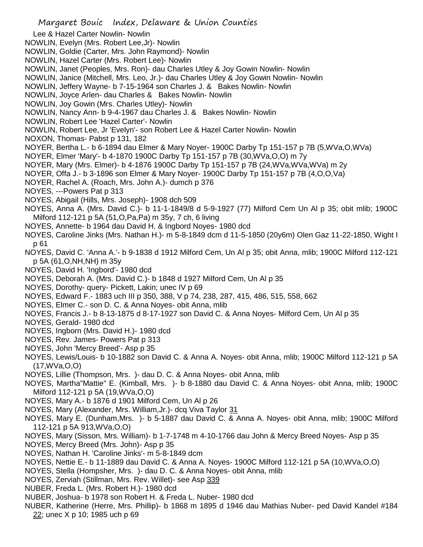- Lee & Hazel Carter Nowlin- Nowlin
- NOWLIN, Evelyn (Mrs. Robert Lee,Jr)- Nowlin
- NOWLIN, Goldie (Carter, Mrs. John Raymond)- Nowlin
- NOWLIN, Hazel Carter (Mrs. Robert Lee)- Nowlin
- NOWLIN, Janet (Peoples, Mrs. Ron)- dau Charles Utley & Joy Gowin Nowlin- Nowlin
- NOWLIN, Janice (Mitchell, Mrs. Leo, Jr.)- dau Charles Utley & Joy Gowin Nowlin- Nowlin
- NOWLIN, Jeffery Wayne- b 7-15-1964 son Charles J. & Bakes Nowlin- Nowlin
- NOWLIN, Joyce Arlen- dau Charles & Bakes Nowlin- Nowlin
- NOWLIN, Joy Gowin (Mrs. Charles Utley)- Nowlin
- NOWLIN, Nancy Ann- b 9-4-1967 dau Charles J. & Bakes Nowlin- Nowlin
- NOWLIN, Robert Lee 'Hazel Carter'- Nowlin
- NOWLIN, Robert Lee, Jr 'Evelyn'- son Robert Lee & Hazel Carter Nowlin- Nowlin
- NOXON, Thomas- Pabst p 131, 182
- NOYER, Bertha L.- b 6-1894 dau Elmer & Mary Noyer- 1900C Darby Tp 151-157 p 7B (5,WVa,O,WVa)
- NOYER, Elmer 'Mary'- b 4-1870 1900C Darby Tp 151-157 p 7B (30,WVa,O,O) m 7y
- NOYER, Mary (Mrs. Elmer)- b 4-1876 1900C Darby Tp 151-157 p 7B (24,WVa,WVa,WVa) m 2y
- NOYER, Offa J.- b 3-1896 son Elmer & Mary Noyer- 1900C Darby Tp 151-157 p 7B (4,O,O,Va)
- NOYER, Rachel A. (Roach, Mrs. John A.)- dumch p 376
- NOYES, ---Powers Pat p 313
- NOYES, Abigail (Hills, Mrs. Joseph)- 1908 dch 509
- NOYES, Anna A. (Mrs. David C.)- b 11-1-1849/8 d 5-9-1927 (77) Milford Cem Un Al p 35; obit mlib; 1900C Milford 112-121 p 5A (51,O,Pa,Pa) m 35y, 7 ch, 6 living
- NOYES, Annette- b 1964 dau David H. & Ingbord Noyes- 1980 dcd
- NOYES, Caroline Jinks (Mrs. Nathan H.)- m 5-8-1849 dcm d 11-5-1850 (20y6m) Olen Gaz 11-22-1850, Wight I p 61
- NOYES, David C. 'Anna A.'- b 9-1838 d 1912 Milford Cem, Un Al p 35; obit Anna, mlib; 1900C Milford 112-121 p 5A (61,O,NH,NH) m 35y
- NOYES, David H. 'Ingbord'- 1980 dcd
- NOYES, Deborah A. (Mrs. David C.)- b 1848 d 1927 Milford Cem, Un Al p 35
- NOYES, Dorothy- query- Pickett, Lakin; unec IV p 69
- NOYES, Edward F.- 1883 uch III p 350, 388, V p 74, 238, 287, 415, 486, 515, 558, 662
- NOYES, Elmer C.- son D. C. & Anna Noyes- obit Anna, mlib
- NOYES, Francis J.- b 8-13-1875 d 8-17-1927 son David C. & Anna Noyes- Milford Cem, Un Al p 35
- NOYES, Gerald- 1980 dcd
- NOYES, Ingborn (Mrs. David H.)- 1980 dcd
- NOYES, Rev. James- Powers Pat p 313
- NOYES, John 'Mercy Breed'- Asp p 35
- NOYES, Lewis/Louis- b 10-1882 son David C. & Anna A. Noyes- obit Anna, mlib; 1900C Milford 112-121 p 5A (17,WVa,O,O)
- NOYES, Lillie (Thompson, Mrs. )- dau D. C. & Anna Noyes- obit Anna, mlib
- NOYES, Martha"Mattie" E. (Kimball, Mrs. )- b 8-1880 dau David C. & Anna Noyes- obit Anna, mlib; 1900C Milford 112-121 p 5A (19,WVa,O,O)
- NOYES, Mary A.- b 1876 d 1901 Milford Cem, Un Al p 26
- NOYES, Mary (Alexander, Mrs. William,Jr.)- dcq Viva Taylor 31
- NOYES, Mary E. (Dunham,Mrs. )- b 5-1887 dau David C. & Anna A. Noyes- obit Anna, mlib; 1900C Milford 112-121 p 5A 913,WVa,O,O)
- NOYES, Mary (Sisson, Mrs. William)- b 1-7-1748 m 4-10-1766 dau John & Mercy Breed Noyes- Asp p 35
- NOYES, Mercy Breed (Mrs. John)- Asp p 35
- NOYES, Nathan H. 'Caroline Jinks'- m 5-8-1849 dcm
- NOYES, Nettie E.- b 11-1889 dau David C. & Anna A. Noyes- 1900C Milford 112-121 p 5A (10,WVa,O,O)
- NOYES, Stella (Hompsher, Mrs. )- dau D. C. & Anna Noyes- obit Anna, mlib
- NOYES, Zerviah (Stillman, Mrs. Rev. Willet)- see Asp 339
- NUBER, Freda L. (Mrs. Robert H.)- 1980 dcd
- NUBER, Joshua- b 1978 son Robert H. & Freda L. Nuber- 1980 dcd
- NUBER, Katherine (Herre, Mrs. Phillip)- b 1868 m 1895 d 1946 dau Mathias Nuber- ped David Kandel #184 22; unec X p 10; 1985 uch p 69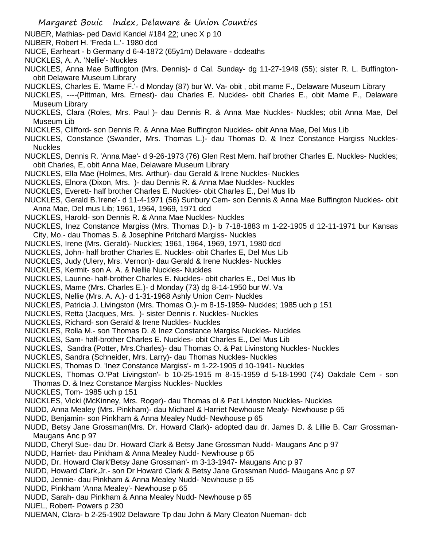- NUBER, Mathias- ped David Kandel #184 22; unec X p 10
- NUBER, Robert H. 'Freda L.'- 1980 dcd
- NUCE, Earheart b Germany d 6-4-1872 (65y1m) Delaware dcdeaths
- NUCKLES, A. A. 'Nellie'- Nuckles
- NUCKLES, Anna Mae Buffington (Mrs. Dennis)- d Cal. Sunday- dg 11-27-1949 (55); sister R. L. Buffingtonobit Delaware Museum Library
- NUCKLES, Charles E. 'Mame F.'- d Monday (87) bur W. Va- obit , obit mame F., Delaware Museum Library
- NUCKLES, ----(Pittman, Mrs. Ernest)- dau Charles E. Nuckles- obit Charles E., obit Mame F., Delaware Museum Library
- NUCKLES, Clara (Roles, Mrs. Paul )- dau Dennis R. & Anna Mae Nuckles- Nuckles; obit Anna Mae, Del Museum Lib
- NUCKLES, Clifford- son Dennis R. & Anna Mae Buffington Nuckles- obit Anna Mae, Del Mus Lib
- NUCKLES, Constance (Swander, Mrs. Thomas L.)- dau Thomas D. & Inez Constance Hargiss Nuckles-Nuckles
- NUCKLES, Dennis R. 'Anna Mae'- d 9-26-1973 (76) Glen Rest Mem. half brother Charles E. Nuckles- Nuckles; obit Charles, E, obit Anna Mae, Delaware Museum Library
- NUCKLES, Ella Mae (Holmes, Mrs. Arthur)- dau Gerald & Irene Nuckles- Nuckles
- NUCKLES, Elnora (Dixon, Mrs. )- dau Dennis R. & Anna Mae Nuckles- Nuckles
- NUCKLES, Everett- half brother Charles E. Nuckles- obit Charles E., Del Mus lib
- NUCKLES, Gerald B.'Irene'- d 11-4-1971 (56) Sunbury Cem- son Dennis & Anna Mae Buffington Nuckles- obit Anna Mae, Del mus Lib; 1961, 1964, 1969, 1971 dcd
- NUCKLES, Harold- son Dennis R. & Anna Mae Nuckles- Nuckles
- NUCKLES, Inez Constance Margiss (Mrs. Thomas D.)- b 7-18-1883 m 1-22-1905 d 12-11-1971 bur Kansas City, Mo.- dau Thomas S. & Josephine Pritchard Margiss- Nuckles
- NUCKLES, Irene (Mrs. Gerald)- Nuckles; 1961, 1964, 1969, 1971, 1980 dcd
- NUCKLES, John- half brother Charles E. Nuckles- obit Charles E, Del Mus Lib
- NUCKLES, Judy (Ulery, Mrs. Vernon)- dau Gerald & Irene Nuckles- Nuckles
- NUCKLES, Kermit- son A. A. & Nellie Nuckles- Nuckles
- NUCKLES, Laurine- half-brother Charles E. Nuckles- obit charles E., Del Mus lib
- NUCKLES, Mame (Mrs. Charles E.)- d Monday (73) dg 8-14-1950 bur W. Va
- NUCKLES, Nellie (Mrs. A. A.)- d 1-31-1968 Ashly Union Cem- Nuckles
- NUCKLES, Patricia J. Livingston (Mrs. Thomas O.)- m 8-15-1959- Nuckles; 1985 uch p 151
- NUCKLES, Retta (Jacques, Mrs. )- sister Dennis r. Nuckles- Nuckles
- NUCKLES, Richard- son Gerald & Irene Nuckles- Nuckles
- NUCKLES, Rolla M.- son Thomas D. & Inez Constance Margiss Nuckles- Nuckles
- NUCKLES, Sam- half-brother Charles E. Nuckles- obit Charles E., Del Mus Lib
- NUCKLES, Sandra (Potter, Mrs.Charles)- dau Thomas O. & Pat Livinstong Nuckles- Nuckles
- NUCKLES, Sandra (Schneider, Mrs. Larry)- dau Thomas Nuckles- Nuckles
- NUCKLES, Thomas D. 'Inez Constance Margiss'- m 1-22-1905 d 10-1941- Nuckles
- NUCKLES, Thomas O.'Pat Livingston'- b 10-25-1915 m 8-15-1959 d 5-18-1990 (74) Oakdale Cem son Thomas D. & Inez Constance Margiss Nuckles- Nuckles
- NUCKLES, Tom- 1985 uch p 151
- NUCKLES, Vicki (McKinney, Mrs. Roger)- dau Thomas ol & Pat Livinston Nuckles- Nuckles
- NUDD, Anna Mealey (Mrs. Pinkham)- dau Michael & Harriet Newhouse Mealy- Newhouse p 65
- NUDD, Benjamin- son Pinkham & Anna Mealey Nudd- Newhouse p 65
- NUDD, Betsy Jane Grossman(Mrs. Dr. Howard Clark)- adopted dau dr. James D. & Lillie B. Carr Grossman-Maugans Anc p 97
- NUDD, Cheryl Sue- dau Dr. Howard Clark & Betsy Jane Grossman Nudd- Maugans Anc p 97
- NUDD, Harriet- dau Pinkham & Anna Mealey Nudd- Newhouse p 65
- NUDD, Dr. Howard Clark'Betsy Jane Grossman'- m 3-13-1947- Maugans Anc p 97
- NUDD, Howard Clark,Jr.- son Dr Howard Clark & Betsy Jane Grossman Nudd- Maugans Anc p 97
- NUDD, Jennie- dau Pinkham & Anna Mealey Nudd- Newhouse p 65
- NUDD, Pinkham 'Anna Mealey'- Newhouse p 65
- NUDD, Sarah- dau Pinkham & Anna Mealey Nudd- Newhouse p 65
- NUEL, Robert- Powers p 230
- NUEMAN, Clara- b 2-25-1902 Delaware Tp dau John & Mary Cleaton Nueman- dcb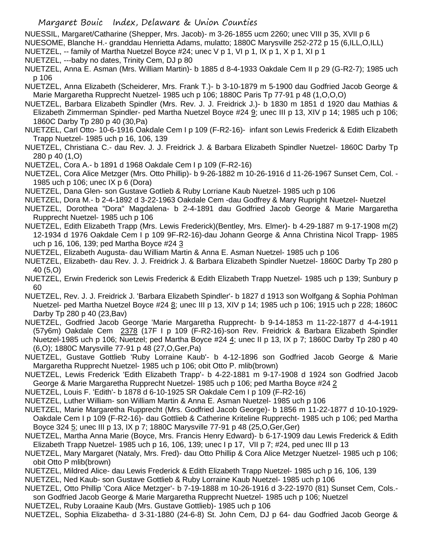NUESSIL, Margaret/Catharine (Shepper, Mrs. Jacob)- m 3-26-1855 ucm 2260; unec VIII p 35, XVII p 6

- NUESOME, Blanche H.- granddau Henrietta Adams, mulatto; 1880C Marysville 252-272 p 15 (6,ILL,O,ILL)
- NUETZEL, -- family of Martha Nuetzel Boyce #24; unec V p 1, VI p 1, IX p 1, X p 1, XI p 1
- NUETZEL, ---baby no dates, Trinity Cem, DJ p 80
- NUETZEL, Anna E. Asman (Mrs. William Martin)- b 1885 d 8-4-1933 Oakdale Cem II p 29 (G-R2-7); 1985 uch p 106
- NUETZEL, Anna Elizabeth (Scheiderer, Mrs. Frank T.)- b 3-10-1879 m 5-1900 dau Godfried Jacob George & Marie Margaretha Rupprecht Nuetzel- 1985 uch p 106; 1880C Paris Tp 77-91 p 48 (1,O,O,O)
- NUETZEL, Barbara Elizabeth Spindler (Mrs. Rev. J. J. Freidrick J.)- b 1830 m 1851 d 1920 dau Mathias & Elizabeth Zimmerman Spindler- ped Martha Nuetzel Boyce #24 9; unec III p 13, XIV p 14; 1985 uch p 106; 1860C Darby Tp 280 p 40 (30,Pa)
- NUETZEL, Carl Otto- 10-6-1916 Oakdale Cem I p 109 (F-R2-16)- infant son Lewis Frederick & Edith Elizabeth Trapp Nuetzel- 1985 uch p 16, 106, 139
- NUETZEL, Christiana C.- dau Rev. J. J. Freidrick J. & Barbara Elizabeth Spindler Nuetzel- 1860C Darby Tp 280 p 40 (1,O)
- NUETZEL, Cora A.- b 1891 d 1968 Oakdale Cem I p 109 (F-R2-16)
- NUETZEL, Cora Alice Metzger (Mrs. Otto Phillip)- b 9-26-1882 m 10-26-1916 d 11-26-1967 Sunset Cem, Col. 1985 uch p 106; unec IX p 6 (Dora)
- NUETZEL, Dana Glen- son Gustave Gotlieb & Ruby Lorriane Kaub Nuetzel- 1985 uch p 106
- NUETZEL, Dora M.- b 2-4-1892 d 3-22-1963 Oakdale Cem -dau Godfrey & Mary Rupright Nuetzel- Nuetzel
- NUETZEL, Dorothea "Dora" Magdalena- b 2-4-1891 dau Godfried Jacob George & Marie Margaretha Rupprecht Nuetzel- 1985 uch p 106
- NUETZEL, Edith Elizabeth Trapp (Mrs. Lewis Frederick)(Bentley, Mrs. Elmer)- b 4-29-1887 m 9-17-1908 m(2) 12-1934 d 1976 Oakdale Cem I p 109 9F-R2-16)-dau Johann George & Anna Christina Nicol Trapp- 1985 uch p 16, 106, 139; ped Martha Boyce #24 3
- NUETZEL, Elizabeth Augusta- dau William Martin & Anna E. Asman Nuetzel- 1985 uch p 106
- NUETZEL, Elizabeth- dau Rev. J. J. Freidrick J. & Barbara Elizabeth Spindler Nuetzel- 1860C Darby Tp 280 p 40 (5,O)
- NUETZEL, Erwin Frederick son Lewis Frederick & Edith Elizabeth Trapp Nuetzel- 1985 uch p 139; Sunbury p 60
- NUETZEL, Rev. J. J. Freidrick J. 'Barbara Elizabeth Spindler'- b 1827 d 1913 son Wolfgang & Sophia Pohlman Nuetzel- ped Martha Nuetzel Boyce #24 8; unec III p 13, XIV p 14; 1985 uch p 106; 1915 uch p 228; 1860C Darby Tp 280 p 40 (23,Bav)
- NUETZEL, Godfried Jacob George 'Marie Margaretha Rupprecht- b 9-14-1853 m 11-22-1877 d 4-4-1911 (57y6m) Oakdale Cem 2378 (17F I p 109 (F-R2-16)-son Rev. Freidrick & Barbara Elizabeth Spindler Nuetzel-1985 uch p 106; Nuetzel; ped Martha Boyce #24 4; unec II p 13, IX p 7; 1860C Darby Tp 280 p 40 (6,O); 1880C Marysville 77-91 p 48 (27,O,Ger,Pa)
- NUETZEL, Gustave Gottlieb 'Ruby Lorraine Kaub'- b 4-12-1896 son Godfried Jacob George & Marie Margaretha Rupprecht Nuetzel- 1985 uch p 106; obit Otto P. mlib(brown)
- NUETZEL, Lewis Frederick 'Edith Elizabeth Trapp'- b 4-22-1881 m 9-17-1908 d 1924 son Godfried Jacob George & Marie Margaretha Rupprecht Nuetzel- 1985 uch p 106; ped Martha Boyce #24 2
- NUETZEL, Louis F. 'Edith'- b 1878 d 6-10-1925 SR Oakdale Cem I p 109 (F-R2-16)
- NUETZEL, Luther William- son William Martin & Anna E. Asman Nuetzel- 1985 uch p 106
- NUETZEL, Marie Margaretha Rupprecht (Mrs. Godfried Jacob George)- b 1856 m 11-22-1877 d 10-10-1929- Oakdale Cem I p 109 (F-R2-16)- dau Gottlieb & Catherine Kriteline Rupprecht- 1985 uch p 106; ped Martha Boyce 324 5; unec III p 13, IX p 7; 1880C Marysville 77-91 p 48 (25,O,Ger,Ger)
- NUETZEL, Martha Anna Marie (Boyce, Mrs. Francis Henry Edward)- b 6-17-1909 dau Lewis Frederick & Edith Elizabeth Trapp Nuetzel- 1985 uch p 16, 106, 139; unec I p 17, VII p 7; #24, ped unec III p 13
- NUETZEL, Mary Margaret (Nataly, Mrs. Fred)- dau Otto Phillip & Cora Alice Metzger Nuetzel- 1985 uch p 106; obit Otto P mlib(brown)
- NUETZEL, Mildred Alice- dau Lewis Frederick & Edith Elizabeth Trapp Nuetzel- 1985 uch p 16, 106, 139
- NUETZEL, Ned Kaub- son Gustave Gottlieb & Ruby Lorraine Kaub Nuetzel- 1985 uch p 106
- NUETZEL, Otto Phillip 'Cora Alice Metzger'- b 7-19-1888 m 10-26-1916 d 3-22-1970 (81) Sunset Cem, Cols. son Godfried Jacob George & Marie Margaretha Rupprecht Nuetzel- 1985 uch p 106; Nuetzel
- NUETZEL, Ruby Loraaine Kaub (Mrs. Gustave Gottlieb)- 1985 uch p 106
- NUETZEL, Sophia Elizabetha- d 3-31-1880 (24-6-8) St. John Cem, DJ p 64- dau Godfried Jacob George &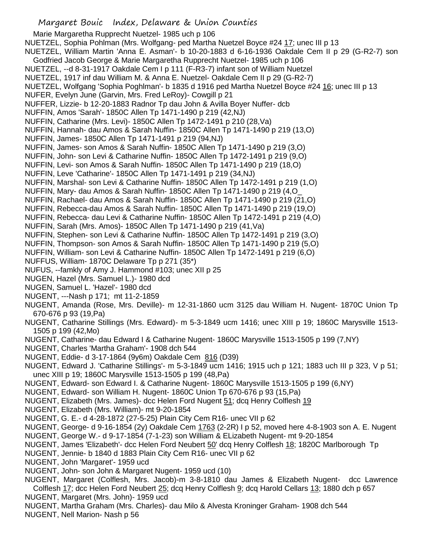Marie Margaretha Rupprecht Nuetzel- 1985 uch p 106 NUETZEL, Sophia Pohlman (Mrs. Wolfgang- ped Martha Nuetzel Boyce #24 17; unec III p 13 NUETZEL, William Martin 'Anna E. Asman'- b 10-20-1883 d 6-16-1936 Oakdale Cem II p 29 (G-R2-7) son Godfried Jacob George & Marie Margaretha Rupprecht Nuetzel- 1985 uch p 106 NUETZEL, --d 8-31-1917 Oakdale Cem I p 111 (F-R3-7) infant son of William Nuetzel NUETZEL, 1917 inf dau William M. & Anna E. Nuetzel- Oakdale Cem II p 29 (G-R2-7) NUETZEL, Wolfgang 'Sophia Poghlman'- b 1835 d 1916 ped Martha Nuetzel Boyce #24 16; unec III p 13 NUFER, Evelyn June (Garvin, Mrs. Fred LeRoy)- Cowgill p 21 NUFFER, Lizzie- b 12-20-1883 Radnor Tp dau John & Avilla Boyer Nuffer- dcb NUFFIN, Amos 'Sarah'- 1850C Allen Tp 1471-1490 p 219 (42,NJ) NUFFIN, Catharine (Mrs. Levi)- 1850C Allen Tp 1472-1491 p 210 (28,Va) NUFFIN, Hannah- dau Amos & Sarah Nuffin- 1850C Allen Tp 1471-1490 p 219 (13,O) NUFFIN, James- 1850C Allen Tp 1471-1491 p 219 (94,NJ) NUFFIN, James- son Amos & Sarah Nuffin- 1850C Allen Tp 1471-1490 p 219 (3,O) NUFFIN, John- son Levi & Catharine Nuffin- 1850C Allen Tp 1472-1491 p 219 (9,O) NUFFIN, Levi- son Amos & Sarah Nuffin- 1850C Allen Tp 1471-1490 p 219 (18,O) NUFFIN, Leve 'Catharine'- 1850C Allen Tp 1471-1491 p 219 (34,NJ) NUFFIN, Marshal- son Levi & Catharine Nuffin- 1850C Allen Tp 1472-1491 p 219 (1,O) NUFFIN, Mary- dau Amos & Sarah Nuffin- 1850C Allen Tp 1471-1490 p 219 (4,O\_ NUFFIN, Rachael- dau Amos & Sarah Nuffin- 1850C Allen Tp 1471-1490 p 219 (21,O) NUFFIN, Rebecca-dau Amos & Sarah Nuffin- 1850C Allen Tp 1471-1490 p 219 (19,O) NUFFIN, Rebecca- dau Levi & Catharine Nuffin- 1850C Allen Tp 1472-1491 p 219 (4,O) NUFFIN, Sarah (Mrs. Amos)- 1850C Allen Tp 1471-1490 p 219 (41,Va) NUFFIN, Stephen- son Levi & Catharine Nuffin- 1850C Allen Tp 1472-1491 p 219 (3,O) NUFFIN, Thompson- son Amos & Sarah Nuffin- 1850C Allen Tp 1471-1490 p 219 (5,O) NUFFIN, William- son Levi & Catharine Nuffin- 1850C Allen Tp 1472-1491 p 219 (6,O) NUFFUS, William- 1870C Delaware Tp p 271 (35\*) NUFUS, --famkly of Amy J. Hammond #103; unec XII p 25 NUGEN, Hazel (Mrs. Samuel L.)- 1980 dcd NUGEN, Samuel L. 'Hazel'- 1980 dcd NUGENT, ---Nash p 171; mt 11-2-1859 NUGENT, Amanda (Rose, Mrs. Deville)- m 12-31-1860 ucm 3125 dau William H. Nugent- 1870C Union Tp 670-676 p 93 (19,Pa) NUGENT, Catharine Stillings (Mrs. Edward)- m 5-3-1849 ucm 1416; unec XIII p 19; 1860C Marysville 1513- 1505 p 199 (42,Mo) NUGENT, Catharine- dau Edward I & Catharine Nugent- 1860C Marysville 1513-1505 p 199 (7,NY) NUGENT, Charles 'Martha Graham'- 1908 dch 544 NUGENT, Eddie- d 3-17-1864 (9y6m) Oakdale Cem 816 (D39) NUGENT, Edward J. 'Catharine Stillings'- m 5-3-1849 ucm 1416; 1915 uch p 121; 1883 uch III p 323, V p 51; unec XIII p 19; 1860C Marysville 1513-1505 p 199 (48,Pa) NUGENT, Edward- son Edward I. & Catharine Nugent- 1860C Marysville 1513-1505 p 199 (6,NY) NUGENT, Edward- son William H. Nugent- 1860C Union Tp 670-676 p 93 (15,Pa) NUGENT, Elizabeth (Mrs. James)- dcc Helen Ford Nugent 51; dcq Henry Colflesh 19 NUGENT, Elizabeth (Mrs. William)- mt 9-20-1854 NUGENT, G. E.- d 4-28-1872 (27-5-25) Plain City Cem R16- unec VII p 62 NUGENT, George- d 9-16-1854 (2y) Oakdale Cem 1763 (2-2R) I p 52, moved here 4-8-1903 son A. E. Nugent

- NUGENT, George W.- d 9-17-1854 (7-1-23) son William & ELizabeth Nugent- mt 9-20-1854
- NUGENT, James 'Elizabeth'- dcc Helen Ford Neubert 50' dcq Henry Colflesh 18; 1820C Marlborough Tp
- NUGENT, Jennie- b 1840 d 1883 Plain City Cem R16- unec VII p 62
- NUGENT, John 'Margaret'- 1959 ucd
- NUGENT, John- son John & Margaret Nugent- 1959 ucd (10)
- NUGENT, Margaret (Colflesh, Mrs. Jacob)-m 3-8-1810 dau James & Elizabeth Nugent- dcc Lawrence Colflesh 17; dcc Helen Ford Neubert 25; dcq Henry Colflesh 9; dcq Harold Cellars 13; 1880 dch p 657 NUGENT, Margaret (Mrs. John)- 1959 ucd
- NUGENT, Martha Graham (Mrs. Charles)- dau Milo & Alvesta Kroninger Graham- 1908 dch 544
- NUGENT, Nell Marion- Nash p 56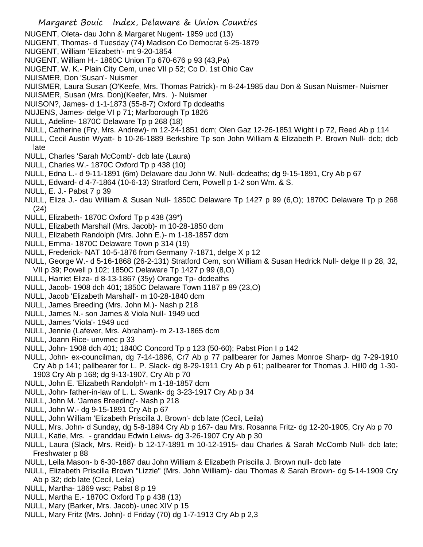- NUGENT, Oleta- dau John & Margaret Nugent- 1959 ucd (13)
- NUGENT, Thomas- d Tuesday (74) Madison Co Democrat 6-25-1879
- NUGENT, William 'Elizabeth'- mt 9-20-1854
- NUGENT, William H.- 1860C Union Tp 670-676 p 93 (43,Pa)
- NUGENT, W. K.- Plain City Cem, unec VII p 52; Co D. 1st Ohio Cav
- NUISMER, Don 'Susan'- Nuismer
- NUISMER, Laura Susan (O'Keefe, Mrs. Thomas Patrick)- m 8-24-1985 dau Don & Susan Nuismer- Nuismer
- NUISMER, Susan (Mrs. Don)(Keefer, Mrs. )- Nuismer
- NUISON?, James- d 1-1-1873 (55-8-7) Oxford Tp dcdeaths
- NUJENS, James- delge VI p 71; Marlborough Tp 1826
- NULL, Adeline- 1870C Delaware Tp p 268 (18)
- NULL, Catherine (Fry, Mrs. Andrew)- m 12-24-1851 dcm; Olen Gaz 12-26-1851 Wight i p 72, Reed Ab p 114
- NULL, Cecil Austin Wyatt- b 10-26-1889 Berkshire Tp son John William & Elizabeth P. Brown Null- dcb; dcb late
- NULL, Charles 'Sarah McComb'- dcb late (Laura)
- NULL, Charles W.- 1870C Oxford Tp p 438 (10)
- NULL, Edna L.- d 9-11-1891 (6m) Delaware dau John W. Null- dcdeaths; dg 9-15-1891, Cry Ab p 67
- NULL, Edward- d 4-7-1864 (10-6-13) Stratford Cem, Powell p 1-2 son Wm. & S.
- NULL, E. J.- Pabst 7 p 39
- NULL, Eliza J.- dau William & Susan Null- 1850C Delaware Tp 1427 p 99 (6,O); 1870C Delaware Tp p 268 (24)
- NULL, Elizabeth- 1870C Oxford Tp p 438 (39\*)
- NULL, Elizabeth Marshall (Mrs. Jacob)- m 10-28-1850 dcm
- NULL, Elizabeth Randolph (Mrs. John E.)- m 1-18-1857 dcm
- NULL, Emma- 1870C Delaware Town p 314 (19)
- NULL, Frederick- NAT 10-5-1876 from Germany 7-1871, delge X p 12
- NULL, George W.- d 5-16-1868 (26-2-131) Stratford Cem, son William & Susan Hedrick Null- delge II p 28, 32, VII p 39; Powell p 102; 1850C Delaware Tp 1427 p 99 (8,O)
- NULL, Harriet Eliza- d 8-13-1867 (35y) Orange Tp- dcdeaths
- NULL, Jacob- 1908 dch 401; 1850C Delaware Town 1187 p 89 (23,O)
- NULL, Jacob 'Elizabeth Marshall'- m 10-28-1840 dcm
- NULL, James Breeding (Mrs. John M.)- Nash p 218
- NULL, James N.- son James & Viola Null- 1949 ucd
- NULL, James 'Viola'- 1949 ucd
- NULL, Jennie (Lafever, Mrs. Abraham)- m 2-13-1865 dcm
- NULL, Joann Rice- unvmec p 33
- NULL, John- 1908 dch 401; 1840C Concord Tp p 123 (50-60); Pabst Pion I p 142
- NULL, John- ex-councilman, dg 7-14-1896, Cr7 Ab p 77 pallbearer for James Monroe Sharp- dg 7-29-1910 Cry Ab p 141; pallbearer for L. P. Slack- dg 8-29-1911 Cry Ab p 61; pallbearer for Thomas J. Hill0 dg 1-30-
	- 1903 Cry Ab p 168; dg 9-13-1907, Cry Ab p 70
- NULL, John E. 'Elizabeth Randolph'- m 1-18-1857 dcm
- NULL, John- father-in-law of L. L. Swank- dg 3-23-1917 Cry Ab p 34
- NULL, John M. 'James Breeding'- Nash p 218
- NULL, John W.- dg 9-15-1891 Cry Ab p 67
- NULL, John William 'Elizabeth Priscilla J. Brown'- dcb late (Cecil, Leila)
- NULL, Mrs. John- d Sunday, dg 5-8-1894 Cry Ab p 167- dau Mrs. Rosanna Fritz- dg 12-20-1905, Cry Ab p 70
- NULL, Katie, Mrs. granddau Edwin Leiws- dg 3-26-1907 Cry Ab p 30
- NULL, Laura (Slack, Mrs. Reid)- b 12-17-1891 m 10-12-1915- dau Charles & Sarah McComb Null- dcb late; Freshwater p 88
- NULL, Leila Mason- b 6-30-1887 dau John William & Elizabeth Priscilla J. Brown null- dcb late
- NULL, Elizabeth Priscilla Brown "Lizzie" (Mrs. John William)- dau Thomas & Sarah Brown- dg 5-14-1909 Cry Ab p 32; dcb late (Cecil, Leila)
- NULL, Martha- 1869 wsc; Pabst 8 p 19
- NULL, Martha E.- 1870C Oxford Tp p 438 (13)
- NULL, Mary (Barker, Mrs. Jacob)- unec XIV p 15
- NULL, Mary Fritz (Mrs. John)- d Friday (70) dg 1-7-1913 Cry Ab p 2,3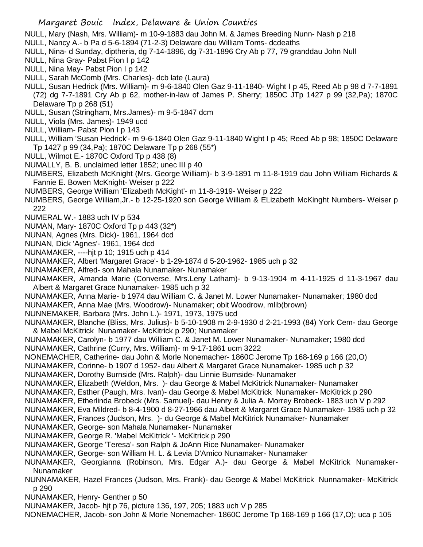NULL, Mary (Nash, Mrs. William)- m 10-9-1883 dau John M. & James Breeding Nunn- Nash p 218

- NULL, Nancy A.- b Pa d 5-6-1894 (71-2-3) Delaware dau William Toms- dcdeaths
- NULL, Nina- d Sunday, diptheria, dg 7-14-1896, dg 7-31-1896 Cry Ab p 77, 79 granddau John Null
- NULL, Nina Gray- Pabst Pion I p 142
- NULL, Nina May- Pabst Pion I p 142
- NULL, Sarah McComb (Mrs. Charles)- dcb late (Laura)
- NULL, Susan Hedrick (Mrs. William)- m 9-6-1840 Olen Gaz 9-11-1840- Wight I p 45, Reed Ab p 98 d 7-7-1891 (72) dg 7-7-1891 Cry Ab p 62, mother-in-law of James P. Sherry; 1850C JTp 1427 p 99 (32,Pa); 1870C
	- Delaware Tp p 268 (51)
- NULL, Susan (Stringham, Mrs.James)- m 9-5-1847 dcm
- NULL, Viola (Mrs. James)- 1949 ucd
- NULL, William- Pabst Pion I p 143
- NULL, William 'Susan Hedrick'- m 9-6-1840 Olen Gaz 9-11-1840 Wight I p 45; Reed Ab p 98; 1850C Delaware Tp 1427 p 99 (34,Pa); 1870C Delaware Tp p 268 (55\*)
- NULL, Wilmot E.- 1870C Oxford Tp p 438 (8)
- NUMALLY, B. B. unclaimed letter 1852; unec III p 40
- NUMBERS, Elizabeth McKnight (Mrs. George William)- b 3-9-1891 m 11-8-1919 dau John William Richards & Fannie E. Bowen McKnight- Weiser p 222
- NUMBERS, George William 'Elizabeth McKight'- m 11-8-1919- Weiser p 222
- NUMBERS, George William,Jr.- b 12-25-1920 son George William & ELizabeth McKinght Numbers- Weiser p 222
- NUMERAL W.- 1883 uch IV p 534
- NUMAN, Mary- 1870C Oxford Tp p 443 (32\*)
- NUNAN, Agnes (Mrs. Dick)- 1961, 1964 dcd
- NUNAN, Dick 'Agnes'- 1961, 1964 dcd
- NUNAMAKER, ----hjt p 10; 1915 uch p 414
- NUNAMAKER, Albert 'Margaret Grace'- b 1-29-1874 d 5-20-1962- 1985 uch p 32
- NUNAMAKER, Alfred- son Mahala Nunamaker- Nunamaker
- NUNAMAKER, Amanda Marie (Converse, Mrs.Leny Latham)- b 9-13-1904 m 4-11-1925 d 11-3-1967 dau Albert & Margaret Grace Nunamaker- 1985 uch p 32
- NUNAMAKER, Anna Marie- b 1974 dau William C. & Janet M. Lower Nunamaker- Nunamaker; 1980 dcd
- NUNAMAKER, Anna Mae (Mrs. Woodrow)- Nunamaker; obit Woodrow, mlib(brown)
- NUNNEMAKER, Barbara (Mrs. John L.)- 1971, 1973, 1975 ucd
- NUNAMAKER, Blanche (Bliss, Mrs. Julius)- b 5-10-1908 m 2-9-1930 d 2-21-1993 (84) York Cem- dau George & Mabel McKitrick Nunamaker- McKitrick p 290; Nunamaker
- NUNAMAKER, Carolyn- b 1977 dau William C. & Janet M. Lower Nunamaker- Nunamaker; 1980 dcd
- NUNAMAKER, Cathrine (Curry, Mrs. William)- m 9-17-1861 ucm 3222
- NONEMACHER, Catherine- dau John & Morle Nonemacher- 1860C Jerome Tp 168-169 p 166 (20,O)
- NUNAMAKER, Corinne- b 1907 d 1952- dau Albert & Margaret Grace Nunamaker- 1985 uch p 32
- NUNAMAKER, Dorothy Burnside (Mrs. Ralph)- dau Linnie Burnside- Nunamaker
- NUNAMAKER, Elizabeth (Weldon, Mrs. )- dau George & Mabel McKitrick Nunamaker- Nunamaker
- NUNAMAKER, Esther (Paugh, Mrs. Ivan)- dau George & Mabel McKitrick Nunamaker- McKitrick p 290
- NUNAMAKER, Etherlinda Brobeck (Mrs. Samuel)- dau Henry & Julia A. Morrey Brobeck- 1883 uch V p 292
- NUNAMAKER, Eva Mildred- b 8-4-1900 d 8-27-1966 dau Albert & Margaret Grace Nunamaker- 1985 uch p 32
- NUNAMAKER, Frances (Judson, Mrs. )- du George & Mabel McKitrick Nunamaker- Nunamaker
- NUNAMAKER, George- son Mahala Nunamaker- Nunamaker
- NUNAMAKER, George R. 'Mabel McKitrick '- McKitrick p 290
- NUNAMAKER, George 'Teresa'- son Ralph & JoAnn Rice Nunamaker- Nunamaker
- NUNAMAKER, George- son William H. L. & Levia D'Amico Nunamaker- Nunamaker
- NUNAMAKER, Georgianna (Robinson, Mrs. Edgar A.)- dau George & Mabel McKitrick Nunamaker-Nunamaker
- NUNNAMAKER, Hazel Frances (Judson, Mrs. Frank)- dau George & Mabel McKitrick Nunnamaker- McKitrick p 290
- NUNAMAKER, Henry- Genther p 50
- NUNAMAKER, Jacob- hjt p 76, picture 136, 197, 205; 1883 uch V p 285
- NONEMACHER, Jacob- son John & Morle Nonemacher- 1860C Jerome Tp 168-169 p 166 (17,O); uca p 105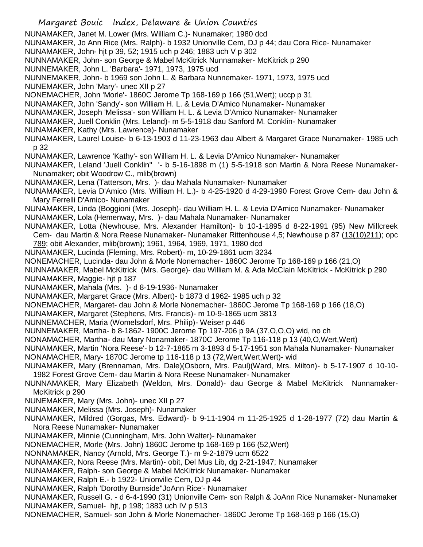Margaret Bouic Index, Delaware & Union Counties NUNAMAKER, Janet M. Lower (Mrs. William C.)- Nunamaker; 1980 dcd NUNAMAKER, Jo Ann Rice (Mrs. Ralph)- b 1932 Unionville Cem, DJ p 44; dau Cora Rice- Nunamaker NUNAMAKER, John- hjt p 39, 52; 1915 uch p 246; 1883 uch V p 302 NUNNAMAKER, John- son George & Mabel McKitrick Nunnamaker- McKitrick p 290 NUNNEMAKER, John L. 'Barbara'- 1971, 1973, 1975 ucd NUNNEMAKER, John- b 1969 son John L. & Barbara Nunnemaker- 1971, 1973, 1975 ucd NUNEMAKER, John 'Mary'- unec XII p 27 NONEMACHER, John 'Morle'- 1860C Jerome Tp 168-169 p 166 (51,Wert); uccp p 31 NUNAMAKER, John 'Sandy'- son William H. L. & Levia D'Amico Nunamaker- Nunamaker NUNAMAKER, Joseph 'Melissa'- son William H. L. & Levia D'Amico Nunamaker- Nunamaker NUNAMAKER, Juell Conklin (Mrs. Leland)- m 5-5-1918 dau Sanford M. Conklin- Nunamaker NUNAMAKER, Kathy (Mrs. Lawrence)- Nunamaker NUNAMAKER, Laurel Louise- b 6-13-1903 d 11-23-1963 dau Albert & Margaret Grace Nunamaker- 1985 uch p 32 NUNAMAKER, Lawrence 'Kathy'- son William H. L. & Levia D'Amico Nunamaker- Nunamaker NUNAMAKER, Leland 'Juell Conklin'' '- b 5-16-1898 m (1) 5-5-1918 son Martin & Nora Reese Nunamaker-Nunamaker; obit Woodrow C., mlib(brown) NUNAMAKER, Lena (Tatterson, Mrs. )- dau Mahala Nunamaker- Nunamaker NUNAMAKER, Levia D'Amico (Mrs. William H. L.)- b 4-25-1920 d 4-29-1990 Forest Grove Cem- dau John & Mary Ferrelli D'Amico- Nunamaker NUNAMAKER, Linda (Boggioni (Mrs. Joseph)- dau William H. L. & Levia D'Amico Nunamaker- Nunamaker NUNAMAKER, Lola (Hemenway, Mrs. )- dau Mahala Nunamaker- Nunamaker NUNAMAKER, Lotta (Newhouse, Mrs. Alexander Hamilton)- b 10-1-1895 d 8-22-1991 (95) New Millcreek Cem- dau Martin & Nora Reese Nunamaker- Nunamaker Rittenhouse 4,5; Newhouse p 87 (13(10)211); opc 789; obit Alexander, mlib(brown); 1961, 1964, 1969, 1971, 1980 dcd NUNAMAKER, Lucinda (Fleming, Mrs. Robert)- m, 10-29-1861 ucm 3234 NONEMACHER, Lucinda- dau John & Morle Nonemacher- 1860C Jerome Tp 168-169 p 166 (21,O) NUNNAMAKER, Mabel McKitrick (Mrs. George)- dau William M. & Ada McClain McKitrick - McKitrick p 290 NUNAMAKER, Maggie- hjt p 187 NUNAMAKER, Mahala (Mrs. )- d 8-19-1936- Nunamaker NUNAMAKER, Margaret Grace (Mrs. Albert)- b 1873 d 1962- 1985 uch p 32 NONEMACHER, Margaret- dau John & Morle Nonemacher- 1860C Jerome Tp 168-169 p 166 (18,O) NUNAMAKER, Margaret (Stephens, Mrs. Francis)- m 10-9-1865 ucm 3813 NUNNEMACHER, Maria (Womelsdorf, Mrs. Philip)- Weiser p 446 NUNNEMAKER, Martha- b 8-1862- 1900C Jerome Tp 197-206 p 9A (37,O,O,O) wid, no ch NONAMACHER, Martha- dau Mary Nonamaker- 1870C Jerome Tp 116-118 p 13 (40, O, Wert, Wert) NUNAMAKER, Martin 'Nora Reese'- b 12-7-1865 m 3-1893 d 5-17-1951 son Mahala Nunamaker- Nunamaker NONAMACHER, Mary- 1870C Jerome tp 116-118 p 13 (72,Wert,Wert,Wert)- wid NUNAMAKER, Mary (Brennaman, Mrs. Dale)(Osborn, Mrs. Paul)(Ward, Mrs. Milton)- b 5-17-1907 d 10-10- 1982 Forest Grove Cem- dau Martin & Nora Reese Nunamaker- Nunamaker NUNNAMAKER, Mary Elizabeth (Weldon, Mrs. Donald)- dau George & Mabel McKitrick Nunnamaker-McKitrick p 290 NUNEMAKER, Mary (Mrs. John)- unec XII p 27 NUNAMAKER, Melissa (Mrs. Joseph)- Nunamaker NUNAMAKER, Mildred (Gorgas, Mrs. Edward)- b 9-11-1904 m 11-25-1925 d 1-28-1977 (72) dau Martin & Nora Reese Nunamaker- Nunamaker NUNAMAKER, Minnie (Cunningham, Mrs. John Walter)- Nunamaker NONEMACHER, Morle (Mrs. John) 1860C Jerome tp 168-169 p 166 (52,Wert) NONNAMAKER, Nancy (Arnold, Mrs. George T.)- m 9-2-1879 ucm 6522 NUNAMAKER, Nora Reese (Mrs. Martin)- obit, Del Mus Lib, dg 2-21-1947; Nunamaker NUNAMAKER, Ralph- son George & Mabel McKitrick Nunamaker- Nunamaker NUNAMAKER, Ralph E.- b 1922- Unionville Cem, DJ p 44 NUNAMAKER, Ralph 'Dorothy Burnside''JoAnn Rice'- Nunamaker NUNAMAKER, Russell G. - d 6-4-1990 (31) Unionville Cem- son Ralph & JoAnn Rice Nunamaker- Nunamaker NUNAMAKER, Samuel- hjt, p 198; 1883 uch IV p 513 NONEMACHER, Samuel- son John & Morle Nonemacher- 1860C Jerome Tp 168-169 p 166 (15,O)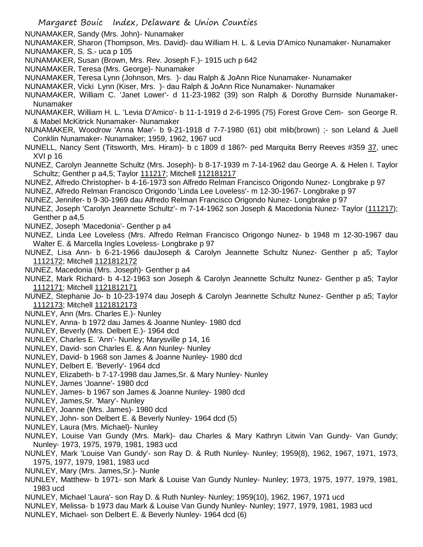NUNAMAKER, Sandy (Mrs. John)- Nunamaker

- NUNAMAKER, Sharon (Thompson, Mrs. David)- dau William H. L. & Levia D'Amico Nunamaker- Nunamaker NUNAMAKER, S. S.- uca p 105
- NUNAMAKER, Susan (Brown, Mrs. Rev. Joseph F.)- 1915 uch p 642
- NUNAMAKER, Teresa (Mrs. George)- Nunamaker
- NUNAMAKER, Teresa Lynn (Johnson, Mrs. )- dau Ralph & JoAnn Rice Nunamaker- Nunamaker
- NUNAMAKER, Vicki Lynn (Kiser, Mrs. )- dau Ralph & JoAnn Rice Nunamaker- Nunamaker
- NUNAMAKER, William C. 'Janet Lower'- d 11-23-1982 (39) son Ralph & Dorothy Burnside Nunamaker-Nunamaker
- NUNAMAKER, William H. L. 'Levia D'Amico'- b 11-1-1919 d 2-6-1995 (75) Forest Grove Cem- son George R. & Mabel McKitrick Nunamaker- Nunamaker
- NUNAMAKER, Woodrow 'Anna Mae'- b 9-21-1918 d 7-7-1980 (61) obit mlib(brown) ;- son Leland & Juell Conklin Nunamaker- Nunamaker; 1959, 1962, 1967 ucd
- NUNELL, Nancy Sent (Titsworth, Mrs. Hiram)- b c 1809 d 186?- ped Marquita Berry Reeves #359 37, unec XVI p 16
- NUNEZ, Carolyn Jeannette Schultz (Mrs. Joseph)- b 8-17-1939 m 7-14-1962 dau George A. & Helen I. Taylor Schultz; Genther p a4,5; Taylor 111217; Mitchell 112181217
- NUNEZ, Alfredo Christopher- b 4-16-1973 son Alfredo Relman Francisco Origondo Nunez- Longbrake p 97
- NUNEZ, Alfredo Relman Francisco Origondo 'Linda Lee Loveless'- m 12-30-1967- Longbrake p 97
- NUNEZ, Jennifer- b 9-30-1969 dau Alfredo Relman Francisco Origondo Nunez- Longbrake p 97
- NUNEZ, Joseph 'Carolyn Jeannette Schultz'- m 7-14-1962 son Joseph & Macedonia Nunez- Taylor (111217); Genther p a4,5
- NUNEZ, Joseph 'Macedonia'- Genther p a4
- NUNEZ, Linda Lee Loveless (Mrs. Alfredo Relman Francisco Origongo Nunez- b 1948 m 12-30-1967 dau Walter E. & Marcella Ingles Loveless- Longbrake p 97
- NUNEZ, Lisa Ann- b 6-21-1966 dauJoseph & Carolyn Jeannette Schultz Nunez- Genther p a5; Taylor 1112172; Mitchell 1121812172
- NUNEZ, Macedonia (Mrs. Joseph)- Genther p a4
- NUNEZ, Mark Richard- b 4-12-1963 son Joseph & Carolyn Jeannette Schultz Nunez- Genther p a5; Taylor 1112171; Mitchell 1121812171
- NUNEZ, Stephanie Jo- b 10-23-1974 dau Joseph & Carolyn Jeannette Schultz Nunez- Genther p a5; Taylor 1112173; Mitchell 1121812173
- NUNLEY, Ann (Mrs. Charles E.)- Nunley
- NUNLEY, Anna- b 1972 dau James & Joanne Nunley- 1980 dcd
- NUNLEY, Beverly (Mrs. Delbert E.)- 1964 dcd
- NUNLEY, Charles E. 'Ann'- Nunley; Marysville p 14, 16
- NUNLEY, David- son Charles E. & Ann Nunley- Nunley
- NUNLEY, David- b 1968 son James & Joanne Nunley- 1980 dcd
- NUNLEY, Delbert E. 'Beverly'- 1964 dcd
- NUNLEY, Elizabeth- b 7-17-1998 dau James,Sr. & Mary Nunley- Nunley
- NUNLEY, James 'Joanne'- 1980 dcd
- NUNLEY, James- b 1967 son James & Joanne Nunley- 1980 dcd
- NUNLEY, James,Sr. 'Mary'- Nunley
- NUNLEY, Joanne (Mrs. James)- 1980 dcd
- NUNLEY, John- son Delbert E. & Beverly Nunley- 1964 dcd (5)
- NUNLEY, Laura (Mrs. Michael)- Nunley
- NUNLEY, Louise Van Gundy (Mrs. Mark)- dau Charles & Mary Kathryn Litwin Van Gundy- Van Gundy; Nunley- 1973, 1975, 1979, 1981, 1983 ucd
- NUNLEY, Mark 'Louise Van Gundy'- son Ray D. & Ruth Nunley- Nunley; 1959(8), 1962, 1967, 1971, 1973, 1975, 1977, 1979, 1981, 1983 ucd
- NUNLEY, Mary (Mrs. James,Sr.)- Nunle
- NUNLEY, Matthew- b 1971- son Mark & Louise Van Gundy Nunley- Nunley; 1973, 1975, 1977, 1979, 1981, 1983 ucd
- NUNLEY, Michael 'Laura'- son Ray D. & Ruth Nunley- Nunley; 1959(10), 1962, 1967, 1971 ucd
- NUNLEY, Melissa- b 1973 dau Mark & Louise Van Gundy Nunley- Nunley; 1977, 1979, 1981, 1983 ucd
- NUNLEY, Michael- son Delbert E. & Beverly Nunley- 1964 dcd (6)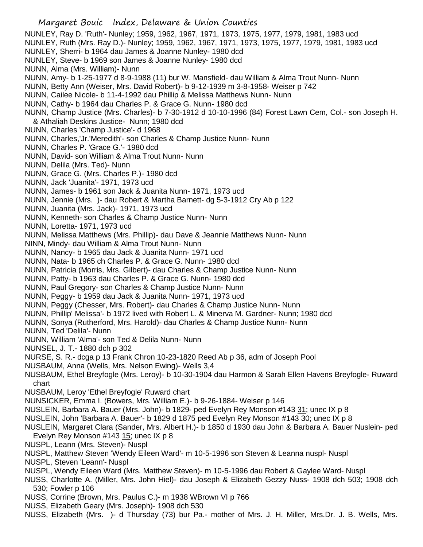- Margaret Bouic Index, Delaware & Union Counties NUNLEY, Ray D. 'Ruth'- Nunley; 1959, 1962, 1967, 1971, 1973, 1975, 1977, 1979, 1981, 1983 ucd NUNLEY, Ruth (Mrs. Ray D.)- Nunley; 1959, 1962, 1967, 1971, 1973, 1975, 1977, 1979, 1981, 1983 ucd NUNLEY, Sherri- b 1964 dau James & Joanne Nunley- 1980 dcd NUNLEY, Steve- b 1969 son James & Joanne Nunley- 1980 dcd NUNN, Alma (Mrs. William)- Nunn NUNN, Amy- b 1-25-1977 d 8-9-1988 (11) bur W. Mansfield- dau William & Alma Trout Nunn- Nunn NUNN, Betty Ann (Weiser, Mrs. David Robert)- b 9-12-1939 m 3-8-1958- Weiser p 742 NUNN, Cailee Nicole- b 11-4-1992 dau Phillip & Melissa Matthews Nunn- Nunn NUNN, Cathy- b 1964 dau Charles P. & Grace G. Nunn- 1980 dcd NUNN, Champ Justice (Mrs. Charles)- b 7-30-1912 d 10-10-1996 (84) Forest Lawn Cem, Col.- son Joseph H. & Athaliah Deskins Justice- Nunn; 1980 dcd NUNN, Charles 'Champ Justice'- d 1968 NUNN, Charles,'Jr.'Meredith'- son Charles & Champ Justice Nunn- Nunn NUNN, Charles P. 'Grace G.'- 1980 dcd NUNN, David- son William & Alma Trout Nunn- Nunn NUNN, Delila (Mrs. Ted)- Nunn NUNN, Grace G. (Mrs. Charles P.)- 1980 dcd NUNN, Jack 'Juanita'- 1971, 1973 ucd NUNN, James- b 1961 son Jack & Juanita Nunn- 1971, 1973 ucd NUNN, Jennie (Mrs. )- dau Robert & Martha Barnett- dg 5-3-1912 Cry Ab p 122 NUNN, Juanita (Mrs. Jack)- 1971, 1973 ucd NUNN, Kenneth- son Charles & Champ Justice Nunn- Nunn NUNN, Loretta- 1971, 1973 ucd NUNN, Melissa Matthews (Mrs. Phillip)- dau Dave & Jeannie Matthews Nunn- Nunn NINN, Mindy- dau William & Alma Trout Nunn- Nunn NUNN, Nancy- b 1965 dau Jack & Juanita Nunn- 1971 ucd NUNN, Nata- b 1965 ch Charles P. & Grace G. Nunn- 1980 dcd NUNN, Patricia (Morris, Mrs. Gilbert)- dau Charles & Champ Justice Nunn- Nunn NUNN, Patty- b 1963 dau Charles P. & Grace G. Nunn- 1980 dcd NUNN, Paul Gregory- son Charles & Champ Justice Nunn- Nunn NUNN, Peggy- b 1959 dau Jack & Juanita Nunn- 1971, 1973 ucd NUNN, Peggy (Chesser, Mrs. Robert)- dau Charles & Champ Justice Nunn- Nunn NUNN, Phillip' Melissa'- b 1972 lived with Robert L. & Minerva M. Gardner- Nunn; 1980 dcd NUNN, Sonya (Rutherford, Mrs. Harold)- dau Charles & Champ Justice Nunn- Nunn NUNN, Ted 'Delila'- Nunn NUNN, William 'Alma'- son Ted & Delila Nunn- Nunn NUNSEL, J. T.- 1880 dch p 302 NURSE, S. R.- dcga p 13 Frank Chron 10-23-1820 Reed Ab p 36, adm of Joseph Pool NUSBAUM, Anna (Wells, Mrs. Nelson Ewing)- Wells 3,4 NUSBAUM, Ethel Breyfogle (Mrs. Leroy)- b 10-30-1904 dau Harmon & Sarah Ellen Havens Breyfogle- Ruward chart NUSBAUM, Leroy 'Ethel Breyfogle' Ruward chart NUNSICKER, Emma I. (Bowers, Mrs. William E.)- b 9-26-1884- Weiser p 146 NUSLEIN, Barbara A. Bauer (Mrs. John)- b 1829- ped Evelyn Rey Monson #143 31; unec IX p 8 NUSLEIN, John 'Barbara A. Bauer'- b 1829 d 1875 ped Evelyn Rey Monson #143 30; unec IX p 8 NUSLEIN, Margaret Clara (Sander, Mrs. Albert H.)- b 1850 d 1930 dau John & Barbara A. Bauer Nuslein- ped Evelyn Rey Monson #143 15; unec IX p 8 NUSPL, Leann (Mrs. Steven)- Nuspl NUSPL, Matthew Steven 'Wendy Eileen Ward'- m 10-5-1996 son Steven & Leanna nuspl- Nuspl NUSPL, Steven 'Leann'- Nuspl NUSPL, Wendy Eileen Ward (Mrs. Matthew Steven)- m 10-5-1996 dau Robert & Gaylee Ward- Nuspl NUSS, Charlotte A. (Miller, Mrs. John Hiel)- dau Joseph & Elizabeth Gezzy Nuss- 1908 dch 503; 1908 dch 530; Fowler p 106 NUSS, Corrine (Brown, Mrs. Paulus C.)- m 1938 WBrown VI p 766
- NUSS, Elizabeth Geary (Mrs. Joseph)- 1908 dch 530
- NUSS, Elizabeth (Mrs. )- d Thursday (73) bur Pa.- mother of Mrs. J. H. Miller, Mrs.Dr. J. B. Wells, Mrs.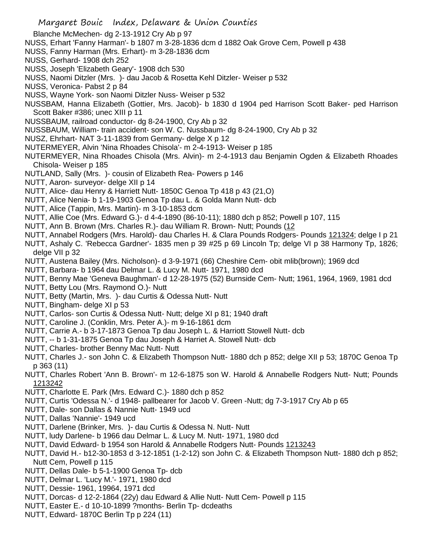Blanche McMechen- dg 2-13-1912 Cry Ab p 97

- NUSS, Erhart 'Fanny Harman'- b 1807 m 3-28-1836 dcm d 1882 Oak Grove Cem, Powell p 438
- NUSS, Fanny Harman (Mrs. Erhart)- m 3-28-1836 dcm
- NUSS, Gerhard- 1908 dch 252
- NUSS, Joseph 'Elizabeth Geary'- 1908 dch 530
- NUSS, Naomi Ditzler (Mrs. )- dau Jacob & Rosetta Kehl Ditzler- Weiser p 532
- NUSS, Veronica- Pabst 2 p 84
- NUSS, Wayne York- son Naomi Ditzler Nuss- Weiser p 532
- NUSSBAM, Hanna Elizabeth (Gottier, Mrs. Jacob)- b 1830 d 1904 ped Harrison Scott Baker- ped Harrison Scott Baker #386; unec XIII p 11
- NUSSBAUM, railroad conductor- dg 8-24-1900, Cry Ab p 32
- NUSSBAUM, William- train accident- son W. C. Nussbaum- dg 8-24-1900, Cry Ab p 32
- NUSZ, Ehrhart- NAT 3-11-1839 from Germany- delge X p 12
- NUTERMEYER, Alvin 'Nina Rhoades Chisola'- m 2-4-1913- Weiser p 185
- NUTERMEYER, Nina Rhoades Chisola (Mrs. Alvin)- m 2-4-1913 dau Benjamin Ogden & Elizabeth Rhoades Chisola- Weiser p 185
- NUTLAND, Sally (Mrs. )- cousin of Elizabeth Rea- Powers p 146
- NUTT, Aaron- surveyor- delge XII p 14
- NUTT, Alice- dau Henry & Harriett Nutt- 1850C Genoa Tp 418 p 43 (21,O)
- NUTT, Alice Nenia- b 1-19-1903 Genoa Tp dau L. & Golda Mann Nutt- dcb
- NUTT, Alice (Tappin, Mrs. Martin)- m 3-10-1853 dcm
- NUTT, Allie Coe (Mrs. Edward G.)- d 4-4-1890 (86-10-11); 1880 dch p 852; Powell p 107, 115
- NUTT, Ann B. Brown (Mrs. Charles R.)- dau William R. Brown- Nutt; Pounds (12
- NUTT, Annabel Rodgers (Mrs. Harold)- dau Charles H. & Clara Pounds Rodgers- Pounds 121324; delge I p 21
- NUTT, Ashaly C. 'Rebecca Gardner'- 1835 men p 39 #25 p 69 Lincoln Tp; delge VI p 38 Harmony Tp, 1826; delge VII p 32
- NUTT, Austena Bailey (Mrs. Nicholson)- d 3-9-1971 (66) Cheshire Cem- obit mlib(brown); 1969 dcd
- NUTT, Barbara- b 1964 dau Delmar L. & Lucy M. Nutt- 1971, 1980 dcd
- NUTT, Benny Mae 'Geneva Baughman'- d 12-28-1975 (52) Burnside Cem- Nutt; 1961, 1964, 1969, 1981 dcd
- NUTT, Betty Lou (Mrs. Raymond O.)- Nutt
- NUTT, Betty (Martin, Mrs. )- dau Curtis & Odessa Nutt- Nutt
- NUTT, Bingham- delge XI p 53
- NUTT, Carlos- son Curtis & Odessa Nutt- Nutt; delge XI p 81; 1940 draft
- NUTT, Caroline J. (Conklin, Mrs. Peter A.)- m 9-16-1861 dcm
- NUTT, Carrie A.- b 3-17-1873 Genoa Tp dau Joseph L. & Harriott Stowell Nutt- dcb
- NUTT, -- b 1-31-1875 Genoa Tp dau Joseph & Harriet A. Stowell Nutt- dcb
- NUTT, Charles- brother Benny Mac Nutt- Nutt
- NUTT, Charles J.- son John C. & Elizabeth Thompson Nutt- 1880 dch p 852; delge XII p 53; 1870C Genoa Tp p 363 (11)
- NUTT, Charles Robert 'Ann B. Brown'- m 12-6-1875 son W. Harold & Annabelle Rodgers Nutt- Nutt; Pounds 1213242
- NUTT, Charlotte E. Park (Mrs. Edward C.)- 1880 dch p 852
- NUTT, Curtis 'Odessa N.'- d 1948- pallbearer for Jacob V. Green -Nutt; dg 7-3-1917 Cry Ab p 65
- NUTT, Dale- son Dallas & Nannie Nutt- 1949 ucd
- NUTT, Dallas 'Nannie'- 1949 ucd
- NUTT, Darlene (Brinker, Mrs. )- dau Curtis & Odessa N. Nutt- Nutt
- NUTT, ludy Darlene- b 1966 dau Delmar L. & Lucy M. Nutt- 1971, 1980 dcd
- NUTT, David Edward- b 1954 son Harold & Annabelle Rodgers Nutt- Pounds 1213243
- NUTT, David H.- b12-30-1853 d 3-12-1851 (1-2-12) son John C. & Elizabeth Thompson Nutt- 1880 dch p 852; Nutt Cem, Powell p 115
- NUTT, Dellas Dale- b 5-1-1900 Genoa Tp- dcb
- NUTT, Delmar L. 'Lucy M.'- 1971, 1980 dcd
- NUTT, Dessie- 1961, 19964, 1971 dcd
- NUTT, Dorcas- d 12-2-1864 (22y) dau Edward & Allie Nutt- Nutt Cem- Powell p 115
- NUTT, Easter E.- d 10-10-1899 ?months- Berlin Tp- dcdeaths
- NUTT, Edward- 1870C Berlin Tp p 224 (11)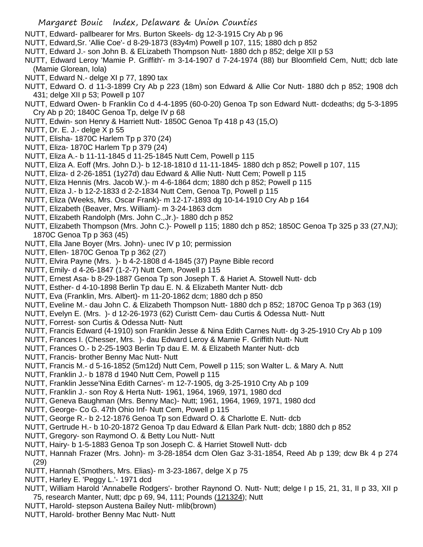- NUTT, Edward- pallbearer for Mrs. Burton Skeels- dg 12-3-1915 Cry Ab p 96
- NUTT, Edward,Sr. 'Allie Coe'- d 8-29-1873 (83y4m) Powell p 107, 115; 1880 dch p 852
- NUTT, Edward J.- son John B. & ELizabeth Thompson Nutt- 1880 dch p 852; delge XII p 53
- NUTT, Edward Leroy 'Mamie P. Griffith'- m 3-14-1907 d 7-24-1974 (88) bur Bloomfield Cem, Nutt; dcb late (Mamie Glorean, Iola)
- NUTT, Edward N.- delge XI p 77, 1890 tax
- NUTT, Edward O. d 11-3-1899 Cry Ab p 223 (18m) son Edward & Allie Cor Nutt- 1880 dch p 852; 1908 dch 431; delge XII p 53; Powell p 107
- NUTT, Edward Owen- b Franklin Co d 4-4-1895 (60-0-20) Genoa Tp son Edward Nutt- dcdeaths; dg 5-3-1895 Cry Ab p 20; 1840C Genoa Tp, delge IV p 68
- NUTT, Edwin- son Henry & Harriett Nutt- 1850C Genoa Tp 418 p 43 (15,O)
- NUTT, Dr. E. J.- delge X p 55
- NUTT, Elisha- 1870C Harlem Tp p 370 (24)
- NUTT, Eliza- 1870C Harlem Tp p 379 (24)
- NUTT, Eliza A.- b 11-11-1845 d 11-25-1845 Nutt Cem, Powell p 115
- NUTT, Eliza A. Eoff (Mrs. John D.)- b 12-18-1810 d 11-11-1845- 1880 dch p 852; Powell p 107, 115
- NUTT, Eliza- d 2-26-1851 (1y27d) dau Edward & Allie Nutt- Nutt Cem; Powell p 115
- NUTT, Eliza Hennis (Mrs. Jacob W.)- m 4-6-1864 dcm; 1880 dch p 852; Powell p 115
- NUTT, Eliza J.- b 12-2-1833 d 2-2-1834 Nutt Cem, Genoa Tp, Powell p 115
- NUTT, Eliza (Weeks, Mrs. Oscar Frank)- m 12-17-1893 dg 10-14-1910 Cry Ab p 164
- NUTT, Elizabeth (Beaver, Mrs. William)- m 3-24-1863 dcm
- NUTT, Elizabeth Randolph (Mrs. John C.,Jr.)- 1880 dch p 852
- NUTT, Elizabeth Thompson (Mrs. John C.)- Powell p 115; 1880 dch p 852; 1850C Genoa Tp 325 p 33 (27,NJ); 1870C Genoa Tp p 363 (45)
- NUTT, Ella Jane Boyer (Mrs. John)- unec IV p 10; permission
- NUTT, Ellen- 1870C Genoa Tp p 362 (27)
- NUTT, Elvira Payne (Mrs. )- b 4-2-1808 d 4-1845 (37) Payne Bible record
- NUTT, Emily- d 4-26-1847 (1-2-7) Nutt Cem, Powell p 115
- NUTT, Ernest Asa- b 8-29-1887 Genoa Tp son Joseph T. & Hariet A. Stowell Nutt- dcb
- NUTT, Esther- d 4-10-1898 Berlin Tp dau E. N. & Elizabeth Manter Nutt- dcb
- NUTT, Eva (Franklin, Mrs. Albert)- m 11-20-1862 dcm; 1880 dch p 850
- NUTT, Eveline M.- dau John C. & Elizabeth Thompson Nutt- 1880 dch p 852; 1870C Genoa Tp p 363 (19)
- NUTT, Evelyn E. (Mrs. )- d 12-26-1973 (62) Curistt Cem- dau Curtis & Odessa Nutt- Nutt
- NUTT, Forrest- son Curtis & Odessa Nutt- Nutt
- NUTT, Francis Edward (4-1910) son Franklin Jesse & Nina Edith Carnes Nutt- dg 3-25-1910 Cry Ab p 109
- NUTT, Frances I. (Chesser, Mrs. )- dau Edward Leroy & Mamie F. Griffith Nutt- Nutt
- NUTT, Frances O.- b 2-25-1903 Berlin Tp dau E. M. & Elizabeth Manter Nutt- dcb
- NUTT, Francis- brother Benny Mac Nutt- Nutt
- NUTT, Francis M.- d 5-16-1852 (5m12d) Nutt Cem, Powell p 115; son Walter L. & Mary A. Nutt
- NUTT, Franklin J.- b 1878 d 1940 Nutt Cem, Powell p 115
- NUTT, Franklin Jesse'Nina Edith Carnes'- m 12-7-1905, dg 3-25-1910 Crty Ab p 109
- NUTT, Franklin J.- son Roy & Herta Nutt- 1961, 1964, 1969, 1971, 1980 dcd
- NUTT, Geneva Baughman (Mrs. Benny Mac)- Nutt; 1961, 1964, 1969, 1971, 1980 dcd
- NUTT, George- Co G. 47th Ohio Inf- Nutt Cem, Powell p 115
- NUTT, George R.- b 2-12-1876 Genoa Tp son Edward O. & Charlotte E. Nutt- dcb
- NUTT, Gertrude H.- b 10-20-1872 Genoa Tp dau Edward & Ellan Park Nutt- dcb; 1880 dch p 852
- NUTT, Gregory- son Raymond O. & Betty Lou Nutt- Nutt
- NUTT, Hairy- b 1-5-1883 Genoa Tp son Joseph C. & Harriet Stowell Nutt- dcb
- NUTT, Hannah Frazer (Mrs. John)- m 3-28-1854 dcm Olen Gaz 3-31-1854, Reed Ab p 139; dcw Bk 4 p 274 (29)
- NUTT, Hannah (Smothers, Mrs. Elias)- m 3-23-1867, delge X p 75
- NUTT, Harley E. 'Peggy L.'- 1971 dcd
- NUTT, William Harold 'Annabelle Rodgers'- brother Raynond O. Nutt- Nutt; delge I p 15, 21, 31, II p 33, XII p 75, research Manter, Nutt; dpc p 69, 94, 111; Pounds (121324); Nutt
- NUTT, Harold- stepson Austena Bailey Nutt- mlib(brown)
- NUTT, Harold- brother Benny Mac Nutt- Nutt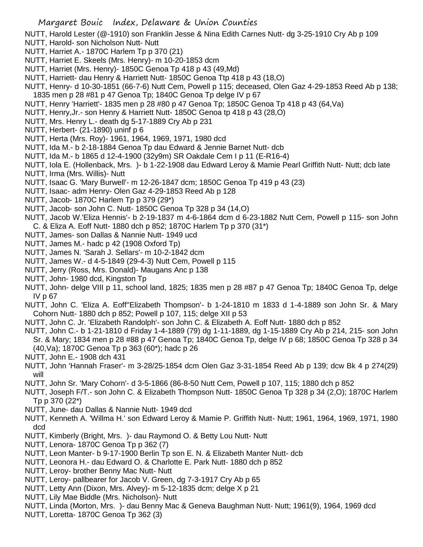NUTT, Harold Lester (@-1910) son Franklin Jesse & Nina Edith Carnes Nutt- dg 3-25-1910 Cry Ab p 109

- NUTT, Harold- son Nicholson Nutt- Nutt
- NUTT, Harriet A.- 1870C Harlem Tp p 370 (21)
- NUTT, Harriet E. Skeels (Mrs. Henry)- m 10-20-1853 dcm
- NUTT, Harriet (Mrs. Henry)- 1850C Genoa Tp 418 p 43 (49,Md)
- NUTT, Harriett- dau Henry & Harriett Nutt- 1850C Genoa Ttp 418 p 43 (18,O)
- NUTT, Henry- d 10-30-1851 (66-7-6) Nutt Cem, Powell p 115; deceased, Olen Gaz 4-29-1853 Reed Ab p 138; 1835 men p 28 #81 p 47 Genoa Tp; 1840C Genoa Tp delge IV p 67
- NUTT, Henry 'Harriett'- 1835 men p 28 #80 p 47 Genoa Tp; 1850C Genoa Tp 418 p 43 (64,Va)
- NUTT, Henry,Jr.- son Henry & Harriett Nutt- 1850C Genoa tp 418 p 43 (28,O)
- NUTT, Mrs. Henry L.- death dg 5-17-1889 Cry Ab p 231
- NUTT, Herbert- (21-1890) uninf p 6
- NUTT, Herta (Mrs. Roy)- 1961, 1964, 1969, 1971, 1980 dcd
- NUTT, Ida M.- b 2-18-1884 Genoa Tp dau Edward & Jennie Barnet Nutt- dcb
- NUTT, Ida M.- b 1865 d 12-4-1900 (32y9m) SR Oakdale Cem I p 11 (E-R16-4)
- NUTT, Iola E. (Hollenback, Mrs. )- b 1-22-1908 dau Edward Leroy & Mamie Pearl Griffith Nutt- Nutt; dcb late
- NUTT, Irma (Mrs. Willis)- Nutt
- NUTT, Isaac G. 'Mary Burwell'- m 12-26-1847 dcm; 1850C Genoa Tp 419 p 43 (23)
- NUTT, Isaac- adm Henry- Olen Gaz 4-29-1853 Reed Ab p 128
- NUTT, Jacob- 1870C Harlem Tp p 379 (29\*)
- NUTT, Jacob- son John C. Nutt- 1850C Genoa Tp 328 p 34 (14,O)
- NUTT, Jacob W.'Eliza Hennis'- b 2-19-1837 m 4-6-1864 dcm d 6-23-1882 Nutt Cem, Powell p 115- son John C. & Eliza A. Eoff Nutt- 1880 dch p 852; 1870C Harlem Tp p 370 (31\*)
- NUTT, James- son Dallas & Nannie Nutt- 1949 ucd
- NUTT, James M.- hadc p 42 (1908 Oxford Tp)
- NUTT, James N. 'Sarah J. Sellars'- m 10-2-1842 dcm
- NUTT, James W.- d 4-5-1849 (29-4-3) Nutt Cem, Powell p 115
- NUTT, Jerry (Ross, Mrs. Donald)- Maugans Anc p 138
- NUTT, John- 1980 dcd, Kingston Tp
- NUTT, John- delge VIII p 11, school land, 1825; 1835 men p 28 #87 p 47 Genoa Tp; 1840C Genoa Tp, delge IV p 67
- NUTT, John C. 'Eliza A. Eoff''Elizabeth Thompson'- b 1-24-1810 m 1833 d 1-4-1889 son John Sr. & Mary Cohorn Nutt- 1880 dch p 852; Powell p 107, 115; delge XII p 53
- NUTT, John C. Jr. 'Elizabeth Randolph'- son John C. & Elizabeth A. Eoff Nutt- 1880 dch p 852
- NUTT, John C.- b 1-21-1810 d Friday 1-4-1889 (79) dg 1-11-1889, dg 1-15-1889 Cry Ab p 214, 215- son John Sr. & Mary; 1834 men p 28 #88 p 47 Genoa Tp; 1840C Genoa Tp, delge IV p 68; 1850C Genoa Tp 328 p 34 (40,Va); 1870C Genoa Tp p 363 (60\*); hadc p 26
- NUTT, John E.- 1908 dch 431
- NUTT, John 'Hannah Fraser'- m 3-28/25-1854 dcm Olen Gaz 3-31-1854 Reed Ab p 139; dcw Bk 4 p 274(29) will
- NUTT, John Sr. 'Mary Cohorn'- d 3-5-1866 (86-8-50 Nutt Cem, Powell p 107, 115; 1880 dch p 852
- NUTT, Joseph F/T.- son John C. & Elizabeth Thompson Nutt- 1850C Genoa Tp 328 p 34 (2,O); 1870C Harlem Tp p 370 (22\*)
- NUTT, June- dau Dallas & Nannie Nutt- 1949 dcd
- NUTT, Kenneth A. 'Willma H.' son Edward Leroy & Mamie P. Griffith Nutt- Nutt; 1961, 1964, 1969, 1971, 1980 dcd
- NUTT, Kimberly (Bright, Mrs. )- dau Raymond O. & Betty Lou Nutt- Nutt
- NUTT, Lenora- 1870C Genoa Tp p 362 (7)
- NUTT, Leon Manter- b 9-17-1900 Berlin Tp son E. N. & Elizabeth Manter Nutt- dcb
- NUTT, Leonora H.- dau Edward O. & Charlotte E. Park Nutt- 1880 dch p 852
- NUTT, Leroy- brother Benny Mac Nutt- Nutt
- NUTT, Leroy- pallbearer for Jacob V. Green, dg 7-3-1917 Cry Ab p 65
- NUTT, Letty Ann (Dixon, Mrs. Alvey)- m 5-12-1835 dcm; delge X p 21
- NUTT, Lily Mae Biddle (Mrs. Nicholson)- Nutt
- NUTT, Linda (Morton, Mrs. )- dau Benny Mac & Geneva Baughman Nutt- Nutt; 1961(9), 1964, 1969 dcd
- NUTT, Loretta- 1870C Genoa Tp 362 (3)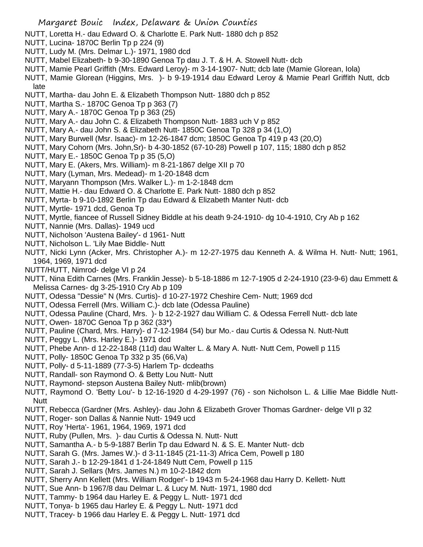- NUTT, Loretta H.- dau Edward O. & Charlotte E. Park Nutt- 1880 dch p 852
- NUTT, Lucina- 1870C Berlin Tp p 224 (9)
- NUTT, Ludy M. (Mrs. Delmar L.)- 1971, 1980 dcd
- NUTT, Mabel Elizabeth- b 9-30-1890 Genoa Tp dau J. T. & H. A. Stowell Nutt- dcb
- NUTT, Mamie Pearl Griffith (Mrs. Edward Leroy)- m 3-14-1907- Nutt; dcb late (Mamie Glorean, Iola)
- NUTT, Mamie Glorean (Higgins, Mrs. )- b 9-19-1914 dau Edward Leroy & Mamie Pearl Griffith Nutt, dcb late
- NUTT, Martha- dau John E. & Elizabeth Thompson Nutt- 1880 dch p 852
- NUTT, Martha S.- 1870C Genoa Tp p 363 (7)
- NUTT, Mary A.- 1870C Genoa Tp p 363 (25)
- NUTT, Mary A.- dau John C. & Elizabeth Thompson Nutt- 1883 uch V p 852
- NUTT, Mary A.- dau John S. & Elizabeth Nutt- 1850C Genoa Tp 328 p 34 (1,O)
- NUTT, Mary Burwell (Msr. Isaac)- m 12-26-1847 dcm; 1850C Genoa Tp 419 p 43 (20,O)
- NUTT, Mary Cohorn (Mrs. John,Sr)- b 4-30-1852 (67-10-28) Powell p 107, 115; 1880 dch p 852
- NUTT, Mary E.- 1850C Genoa Tp p 35 (5,O)
- NUTT, Mary E. (Akers, Mrs. William)- m 8-21-1867 delge XII p 70
- NUTT, Mary (Lyman, Mrs. Medead)- m 1-20-1848 dcm
- NUTT, Maryann Thompson (Mrs. Walker L.)- m 1-2-1848 dcm
- NUTT, Mattie H.- dau Edward O. & Charlotte E. Park Nutt- 1880 dch p 852
- NUTT, Myrta- b 9-10-1892 Berlin Tp dau Edward & Elizabeth Manter Nutt- dcb
- NUTT, Myrtle- 1971 dcd, Genoa Tp
- NUTT, Myrtle, fiancee of Russell Sidney Biddle at his death 9-24-1910- dg 10-4-1910, Cry Ab p 162
- NUTT, Nannie (Mrs. Dallas)- 1949 ucd
- NUTT, Nicholson 'Austena Bailey'- d 1961- Nutt
- NUTT, Nicholson L. 'Lily Mae Biddle- Nutt
- NUTT, Nicki Lynn (Acker, Mrs. Christopher A.)- m 12-27-1975 dau Kenneth A. & Wilma H. Nutt- Nutt; 1961, 1964, 1969, 1971 dcd
- NUTT/HUTT, Nimrod- delge VI p 24
- NUTT, Nina Edith Carnes (Mrs. Franklin Jesse)- b 5-18-1886 m 12-7-1905 d 2-24-1910 (23-9-6) dau Emmett & Melissa Carnes- dg 3-25-1910 Cry Ab p 109
- NUTT, Odessa "Dessie" N (Mrs. Curtis)- d 10-27-1972 Cheshire Cem- Nutt; 1969 dcd
- NUTT, Odessa Ferrell (Mrs. William C.)- dcb late (Odessa Pauline)
- NUTT, Odessa Pauline (Chard, Mrs. )- b 12-2-1927 dau William C. & Odessa Ferrell Nutt- dcb late
- NUTT, Owen- 1870C Genoa Tp p 362 (33\*)
- NUTT, Pauline (Chard, Mrs. Harry)- d 7-12-1984 (54) bur Mo.- dau Curtis & Odessa N. Nutt-Nutt
- NUTT, Peggy L. (Mrs. Harley E.)- 1971 dcd
- NUTT, Phebe Ann- d 12-22-1848 (11d) dau Walter L. & Mary A. Nutt- Nutt Cem, Powell p 115
- NUTT, Polly- 1850C Genoa Tp 332 p 35 (66,Va)
- NUTT, Polly- d 5-11-1889 (77-3-5) Harlem Tp- dcdeaths
- NUTT, Randall- son Raymond O. & Betty Lou Nutt- Nutt
- NUTT, Raymond- stepson Austena Bailey Nutt- mlib(brown)
- NUTT, Raymond O. 'Betty Lou'- b 12-16-1920 d 4-29-1997 (76) son Nicholson L. & Lillie Mae Biddle Nutt-Nutt
- NUTT, Rebecca (Gardner (Mrs. Ashley)- dau John & Elizabeth Grover Thomas Gardner- delge VII p 32
- NUTT, Roger- son Dallas & Nannie Nutt- 1949 ucd
- NUTT, Roy 'Herta'- 1961, 1964, 1969, 1971 dcd
- NUTT, Ruby (Pullen, Mrs. )- dau Curtis & Odessa N. Nutt- Nutt
- NUTT, Samantha A.- b 5-9-1887 Berlin Tp dau Edward N. & S. E. Manter Nutt- dcb
- NUTT, Sarah G. (Mrs. James W.)- d 3-11-1845 (21-11-3) Africa Cem, Powell p 180
- NUTT, Sarah J.- b 12-29-1841 d 1-24-1849 Nutt Cem, Powell p 115
- NUTT, Sarah J. Sellars (Mrs. James N.) m 10-2-1842 dcm
- NUTT, Sherry Ann Kellett (Mrs. William Rodger'- b 1943 m 5-24-1968 dau Harry D. Kellett- Nutt
- NUTT, Sue Ann- b 1967/8 dau Delmar L. & Lucy M. Nutt- 1971, 1980 dcd
- NUTT, Tammy- b 1964 dau Harley E. & Peggy L. Nutt- 1971 dcd
- NUTT, Tonya- b 1965 dau Harley E. & Peggy L. Nutt- 1971 dcd
- NUTT, Tracey- b 1966 dau Harley E. & Peggy L. Nutt- 1971 dcd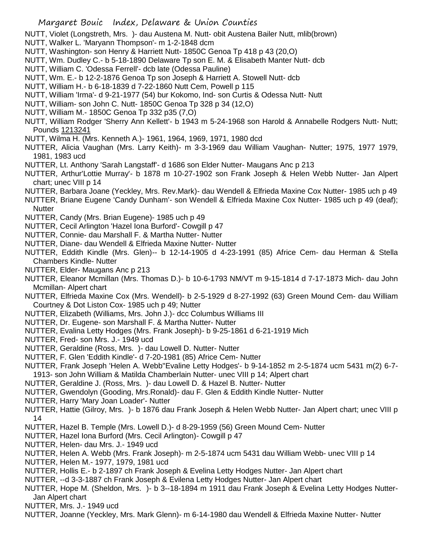NUTT, Violet (Longstreth, Mrs. )- dau Austena M. Nutt- obit Austena Bailer Nutt, mlib(brown)

- NUTT, Walker L. 'Maryann Thompson'- m 1-2-1848 dcm
- NUTT, Washington- son Henry & Harriett Nutt- 1850C Genoa Tp 418 p 43 (20,O)
- NUTT, Wm. Dudley C.- b 5-18-1890 Delaware Tp son E. M. & Elisabeth Manter Nutt- dcb
- NUTT, William C. 'Odessa Ferrell'- dcb late (Odessa Pauline)
- NUTT, Wm. E.- b 12-2-1876 Genoa Tp son Joseph & Harriett A. Stowell Nutt- dcb
- NUTT, William H.- b 6-18-1839 d 7-22-1860 Nutt Cem, Powell p 115
- NUTT, William 'Irma'- d 9-21-1977 (54) bur Kokomo, Ind- son Curtis & Odessa Nutt- Nutt
- NUTT, William- son John C. Nutt- 1850C Genoa Tp 328 p 34 (12,O)
- NUTT, William M.- 1850C Genoa Tp 332 p35 (7,O)
- NUTT, William Rodger 'Sherry Ann Kellett'- b 1943 m 5-24-1968 son Harold & Annabelle Rodgers Nutt- Nutt; Pounds 1213241
- NUTT, Wilma H. (Mrs. Kenneth A.)- 1961, 1964, 1969, 1971, 1980 dcd
- NUTTER, Alicia Vaughan (Mrs. Larry Keith)- m 3-3-1969 dau William Vaughan- Nutter; 1975, 1977 1979, 1981, 1983 ucd
- NUTTER, Lt. Anthony 'Sarah Langstaff'- d 1686 son Elder Nutter- Maugans Anc p 213
- NUTTER, Arthur'Lottie Murray'- b 1878 m 10-27-1902 son Frank Joseph & Helen Webb Nutter- Jan Alpert chart; unec VIII p 14
- NUTTER, Barbara Joane (Yeckley, Mrs. Rev.Mark)- dau Wendell & Elfrieda Maxine Cox Nutter- 1985 uch p 49
- NUTTER, Briane Eugene 'Candy Dunham'- son Wendell & Elfrieda Maxine Cox Nutter- 1985 uch p 49 (deaf); **Nutter**
- NUTTER, Candy (Mrs. Brian Eugene)- 1985 uch p 49
- NUTTER, Cecil Arlington 'Hazel Iona Burford'- Cowgill p 47
- NUTTER, Connie- dau Marshall F. & Martha Nutter- Nutter
- NUTTER, Diane- dau Wendell & Elfrieda Maxine Nutter- Nutter
- NUTTER, Eddith Kindle (Mrs. Glen)-- b 12-14-1905 d 4-23-1991 (85) Africe Cem- dau Herman & Stella Chambers Kindle- Nutter
- NUTTER, Elder- Maugans Anc p 213
- NUTTER, Eleanor Mcmillan (Mrs. Thomas D.)- b 10-6-1793 NM/VT m 9-15-1814 d 7-17-1873 Mich- dau John Mcmillan- Alpert chart
- NUTTER, Elfrieda Maxine Cox (Mrs. Wendell)- b 2-5-1929 d 8-27-1992 (63) Green Mound Cem- dau William Courtney & Dot Liston Cox- 1985 uch p 49; Nutter
- NUTTER, Elizabeth (Williams, Mrs. John J.)- dcc Columbus Williams III
- NUTTER, Dr. Eugene- son Marshall F. & Martha Nutter- Nutter
- NUTTER, Evalina Letty Hodges (Mrs. Frank Joseph)- b 9-25-1861 d 6-21-1919 Mich
- NUTTER, Fred- son Mrs. J.- 1949 ucd
- NUTTER, Geraldine (Ross, Mrs. )- dau Lowell D. Nutter- Nutter
- NUTTER, F. Glen 'Eddith Kindle'- d 7-20-1981 (85) Africe Cem- Nutter
- NUTTER, Frank Joseph 'Helen A. Webb''Evaline Letty Hodges'- b 9-14-1852 m 2-5-1874 ucm 5431 m(2) 6-7- 1913- son John William & Matilda Chamberlain Nutter- unec VIII p 14; Alpert chart
- NUTTER, Geraldine J. (Ross, Mrs. )- dau Lowell D. & Hazel B. Nutter- Nutter
- NUTTER, Gwendolyn (Gooding, Mrs.Ronald)- dau F. Glen & Eddith Kindle Nutter- Nutter
- NUTTER, Harry 'Mary Joan Loader'- Nutter
- NUTTER, Hattie (Gilroy, Mrs. )- b 1876 dau Frank Joseph & Helen Webb Nutter- Jan Alpert chart; unec VIII p 14
- NUTTER, Hazel B. Temple (Mrs. Lowell D.)- d 8-29-1959 (56) Green Mound Cem- Nutter
- NUTTER, Hazel Iona Burford (Mrs. Cecil Arlington)- Cowgill p 47
- NUTTER, Helen- dau Mrs. J.- 1949 ucd
- NUTTER, Helen A. Webb (Mrs. Frank Joseph)- m 2-5-1874 ucm 5431 dau William Webb- unec VIII p 14
- NUTTER, Helen M.- 1977, 1979, 1981 ucd
- NUTTER, Hollis E.- b 2-1897 ch Frank Joseph & Evelina Letty Hodges Nutter- Jan Alpert chart
- NUTTER, --d 3-3-1887 ch Frank Joseph & Evilena Letty Hodges Nutter- Jan Alpert chart
- NUTTER, Hope M. (Sheldon, Mrs. )- b 3--18-1894 m 1911 dau Frank Joseph & Evelina Letty Hodges Nutter-Jan Alpert chart
- NUTTER, Mrs. J.- 1949 ucd
- NUTTER, Joanne (Yeckley, Mrs. Mark Glenn)- m 6-14-1980 dau Wendell & Elfrieda Maxine Nutter- Nutter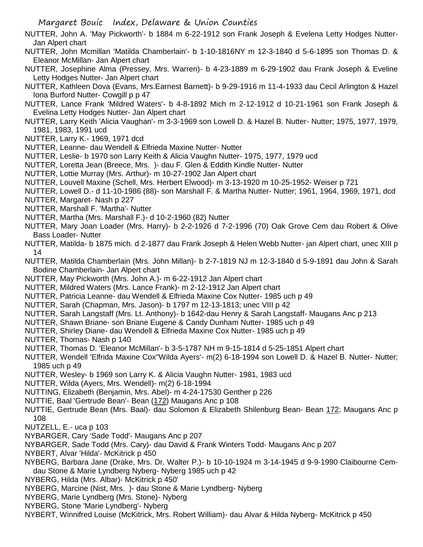NUTTER, John A. 'May Pickworth'- b 1884 m 6-22-1912 son Frank Joseph & Evelena Letty Hodges Nutter-Jan Alpert chart

- NUTTER, John Mcmillan 'Matilda Chamberlain'- b 1-10-1816NY m 12-3-1840 d 5-6-1895 son Thomas D. & Eleanor McMillan- Jan Alpert chart
- NUTTER, Josephine Alma (Pressey, Mrs. Warren)- b 4-23-1889 m 6-29-1902 dau Frank Joseph & Eveline Letty Hodges Nutter- Jan Alpert chart
- NUTTER, Kathleen Dova (Evans, Mrs.Earnest Barnett)- b 9-29-1916 m 11-4-1933 dau Cecil Arlington & Hazel Iona Burford Nutter- Cowgill p p 47
- NUTTER, Lance Frank 'Mildred Waters'- b 4-8-1892 Mich m 2-12-1912 d 10-21-1961 son Frank Joseph & Evelina Letty Hodges Nutter- Jan Alpert chart
- NUTTER, Larry Keith 'Alicia Vaughan'- m 3-3-1969 son Lowell D. & Hazel B. Nutter- Nutter; 1975, 1977, 1979, 1981, 1983, 1991 ucd
- NUTTER, Larry K.- 1969, 1971 dcd
- NUTTER, Leanne- dau Wendell & Elfrieda Maxine Nutter- Nutter
- NUTTER, Leslie- b 1970 son Larry Keith & Alicia Vaughn Nutter- 1975, 1977, 1979 ucd
- NUTTER, Loretta Jean (Breece, Mrs. )- dau F. Glen & Eddith Kindle Nutter- Nutter
- NUTTER, Lottie Murray (Mrs. Arthur)- m 10-27-1902 Jan Alpert chart
- NUTTER, Louvell Maxine (Schell, Mrs. Herbert Elwood)- m 3-13-1920 m 10-25-1952- Weiser p 721
- NUTTER, Lowell D.- d 11-10-1986 (88)- son Marshall F. & Martha Nutter- Nutter; 1961, 1964, 1969, 1971, dcd
- NUTTER, Margaret- Nash p 227
- NUTTER, Marshall F. 'Martha'- Nutter
- NUTTER, Martha (Mrs. Marshall F.)- d 10-2-1960 (82) Nutter
- NUTTER, Mary Joan Loader (Mrs. Harry)- b 2-2-1926 d 7-2-1996 (70) Oak Grove Cem dau Robert & Olive Bass Loader- Nutter
- NUTTER, Matilda- b 1875 mich. d 2-1877 dau Frank Joseph & Helen Webb Nutter- jan Alpert chart, unec XIII p 14
- NUTTER, Matilda Chamberlain (Mrs. John Millan)- b 2-7-1819 NJ m 12-3-1840 d 5-9-1891 dau John & Sarah Bodine Chamberlain- Jan Alpert chart
- NUTTER, May Pickworth (Mrs. John A.)- m 6-22-1912 Jan Alpert chart
- NUTTER, Mildred Waters (Mrs. Lance Frank)- m 2-12-1912 Jan Alpert chart
- NUTTER, Patricia Leanne- dau Wendell & Elfrieda Maxine Cox Nutter- 1985 uch p 49
- NUTTER, Sarah (Chapman, Mrs. Jason)- b 1797 m 12-13-1813; unec VIII p 42
- NUTTER, Sarah Langstaff (Mrs. Lt. Anthony)- b 1642-dau Henry & Sarah Langstaff- Maugans Anc p 213
- NUTTER, Shawn Briane- son Briane Eugene & Candy Dunham Nutter- 1985 uch p 49
- NUTTER, Shirley Diane- dau Wendell & Elfrieda Maxine Cox Nutter- 1985 uch p 49
- NUTTER, Thomas- Nash p 140
- NUTTER, Thomas D. 'Eleanor McMillan'- b 3-5-1787 NH m 9-15-1814 d 5-25-1851 Alpert chart
- NUTTER, Wendell 'Elfrida Maxine Cox''Wilda Ayers'- m(2) 6-18-1994 son Lowell D. & Hazel B. Nutter- Nutter; 1985 uch p 49
- NUTTER, Wesley- b 1969 son Larry K. & Alicia Vaughn Nutter- 1981, 1983 ucd
- NUTTER, Wilda (Ayers, Mrs. Wendell)- m(2) 6-18-1994
- NUTTING, Elizabeth (Benjamin, Mrs. Abel)- m 4-24-17530 Genther p 226
- NUTTIE, Baal 'Gertrude Bean'- Bean (172) Maugans Anc p 108
- NUTTIE, Gertrude Bean (Mrs. Baal)- dau Solomon & Elizabeth Shilenburg Bean- Bean 172; Maugans Anc p 108
- NUTZELL, E.- uca p 103
- NYBARGER, Cary 'Sade Todd'- Maugans Anc p 207
- NYBARGER, Sade Todd (Mrs. Cary)- dau David & Frank Winters Todd- Maugans Anc p 207
- NYBERT, Alvar 'Hilda'- McKitrick p 450
- NYBERG, Barbara Jane (Drake, Mrs. Dr. Walter P.)- b 10-10-1924 m 3-14-1945 d 9-9-1990 Claibourne Cemdau Stone & Marie Lyndberg Nyberg- Nyberg 1985 uch p 42
- NYBERG, Hilda (Mrs. Albar)- McKitrick p 450'
- NYBERG, Marcine (Nist, Mrs. )- dau Stone & Marie Lyndberg- Nyberg
- NYBERG, Marie Lyndberg (Mrs. Stone)- Nyberg
- NYBERG, Stone 'Marie Lyndberg'- Nyberg
- NYBERT, Winnifred Louise (McKitrick, Mrs. Robert William)- dau Alvar & Hilda Nyberg- McKitrick p 450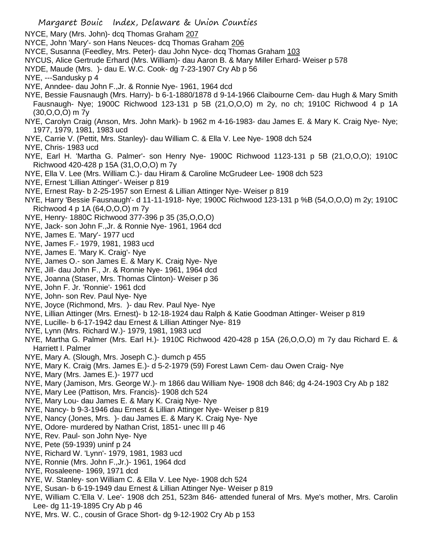Margaret Bouic Index, Delaware & Union Counties NYCE, Mary (Mrs. John)- dcq Thomas Graham 207 NYCE, John 'Mary'- son Hans Neuces- dcq Thomas Graham 206 NYCE, Susanna (Feedley, Mrs. Peter)- dau John Nyce- dcq Thomas Graham 103 NYCUS, Alice Gertrude Erhard (Mrs. William)- dau Aaron B. & Mary Miller Erhard- Weiser p 578 NYDE, Maude (Mrs. )- dau E. W.C. Cook- dg 7-23-1907 Cry Ab p 56 NYE, ---Sandusky p 4 NYE, Anndee- dau John F.,Jr. & Ronnie Nye- 1961, 1964 dcd NYE, Bessie Fausnaugh (Mrs. Harry)- b 6-1-1880/1878 d 9-14-1966 Claibourne Cem- dau Hugh & Mary Smith Fausnaugh- Nye; 1900C Richwood 123-131 p 5B (21,O,O,O) m 2y, no ch; 1910C Richwood 4 p 1A (30,O,O,O) m 7y NYE, Carolyn Craig (Anson, Mrs. John Mark)- b 1962 m 4-16-1983- dau James E. & Mary K. Craig Nye- Nye; 1977, 1979, 1981, 1983 ucd NYE, Carrie V. (Pettit, Mrs. Stanley)- dau William C. & Ella V. Lee Nye- 1908 dch 524 NYE, Chris- 1983 ucd NYE, Earl H. 'Martha G. Palmer'- son Henry Nye- 1900C Richwood 1123-131 p 5B (21,O,O,O); 1910C Richwood 420-428 p 15A (31,O,O,O) m 7y NYE, Ella V. Lee (Mrs. William C.)- dau Hiram & Caroline McGrudeer Lee- 1908 dch 523 NYE, Ernest 'Lillian Attinger'- Weiser p 819 NYE, Ernest Ray- b 2-25-1957 son Ernest & Lillian Attinger Nye- Weiser p 819 NYE, Harry 'Bessie Fausnaugh'- d 11-11-1918- Nye; 1900C Richwood 123-131 p %B (54,O,O,O) m 2y; 1910C Richwood 4 p 1A (64,O,O,O) m 7y NYE, Henry- 1880C Richwood 377-396 p 35 (35,O,O,O) NYE, Jack- son John F.,Jr. & Ronnie Nye- 1961, 1964 dcd NYE, James E. 'Mary'- 1977 ucd NYE, James F.- 1979, 1981, 1983 ucd NYE, James E. 'Mary K. Craig'- Nye NYE, James O.- son James E. & Mary K. Craig Nye- Nye NYE, Jill- dau John F., Jr. & Ronnie Nye- 1961, 1964 dcd NYE, Joanna (Staser, Mrs. Thomas Clinton)- Weiser p 36 NYE, John F. Jr. 'Ronnie'- 1961 dcd NYE, John- son Rev. Paul Nye- Nye NYE, Joyce (Richmond, Mrs. )- dau Rev. Paul Nye- Nye NYE, Lillian Attinger (Mrs. Ernest)- b 12-18-1924 dau Ralph & Katie Goodman Attinger- Weiser p 819 NYE, Lucille- b 6-17-1942 dau Ernest & Lillian Attinger Nye- 819 NYE, Lynn (Mrs. Richard W.)- 1979, 1981, 1983 ucd NYE, Martha G. Palmer (Mrs. Earl H.)- 1910C Richwood 420-428 p 15A (26,O,O,O) m 7y dau Richard E. & Harriett I. Palmer NYE, Mary A. (Slough, Mrs. Joseph C.)- dumch p 455 NYE, Mary K. Craig (Mrs. James E.)- d 5-2-1979 (59) Forest Lawn Cem- dau Owen Craig- Nye NYE, Mary (Mrs. James E.)- 1977 ucd NYE, Mary (Jamison, Mrs. George W.)- m 1866 dau William Nye- 1908 dch 846; dg 4-24-1903 Cry Ab p 182 NYE, Mary Lee (Pattison, Mrs. Francis)- 1908 dch 524 NYE, Mary Lou- dau James E. & Mary K. Craig Nye- Nye NYE, Nancy- b 9-3-1946 dau Ernest & Lillian Attinger Nye- Weiser p 819 NYE, Nancy (Jones, Mrs. )- dau James E. & Mary K. Craig Nye- Nye NYE, Odore- murdered by Nathan Crist, 1851- unec III p 46 NYE, Rev. Paul- son John Nye- Nye NYE, Pete (59-1939) uninf p 24 NYE, Richard W. 'Lynn'- 1979, 1981, 1983 ucd NYE, Ronnie (Mrs. John F.,Jr.)- 1961, 1964 dcd NYE, Rosaleene- 1969, 1971 dcd

- NYE, W. Stanley- son William C. & Ella V. Lee Nye- 1908 dch 524 NYE, Susan- b 6-19-1949 dau Ernest & Lillian Attinger Nye- Weiser p 819
- NYE, William C.'Ella V. Lee'- 1908 dch 251, 523m 846- attended funeral of Mrs. Mye's mother, Mrs. Carolin Lee- dg 11-19-1895 Cry Ab p 46
- NYE, Mrs. W. C., cousin of Grace Short- dg 9-12-1902 Cry Ab p 153